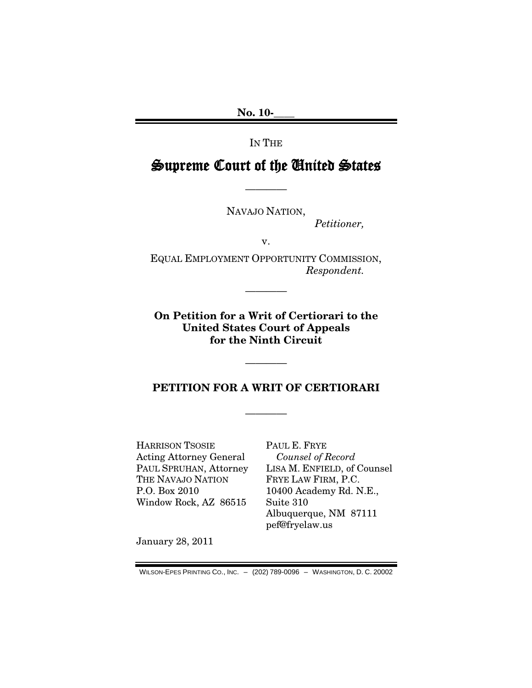**No. 10-\_\_\_\_**

IN THE

# Supreme Court of the United States

————

NAVAJO NATION,

*Petitioner,*

v.

EQUAL EMPLOYMENT OPPORTUNITY COMMISSION, *Respondent.*

————

**On Petition for a Writ of Certiorari to the United States Court of Appeals for the Ninth Circuit**

### **PETITION FOR A WRIT OF CERTIORARI**

————

————

HARRISON TSOSIE Acting Attorney General PAUL SPRUHAN, Attorney THE NAVAJO NATION P.O. Box 2010 Window Rock, AZ 86515

PAUL E. FRYE *Counsel of Record* LISA M. ENFIELD, of Counsel FRYE LAW FIRM, P.C. 10400 Academy Rd. N.E., Suite 310 Albuquerque, NM 87111 pef@fryelaw.us

January 28, 2011

WILSON-EPES PRINTING CO., INC. – (202) 789-0096 – WASHINGTON, D. C. 20002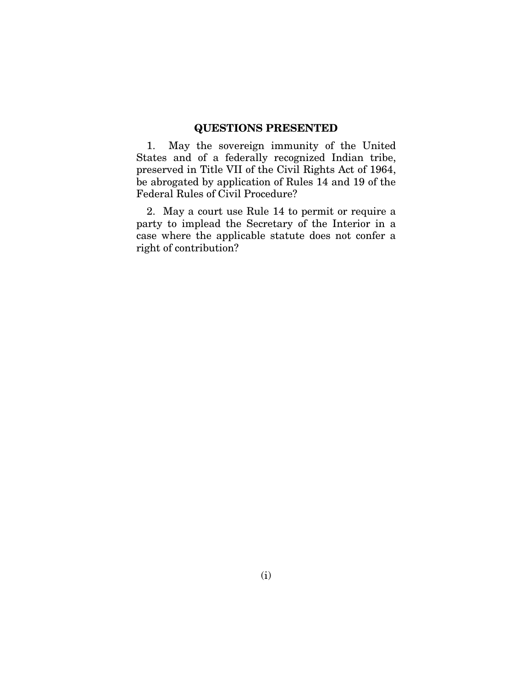### **QUESTIONS PRESENTED**

1. May the sovereign immunity of the United States and of a federally recognized Indian tribe, preserved in Title VII of the Civil Rights Act of 1964, be abrogated by application of Rules 14 and 19 of the Federal Rules of Civil Procedure?

2. May a court use Rule 14 to permit or require a party to implead the Secretary of the Interior in a case where the applicable statute does not confer a right of contribution?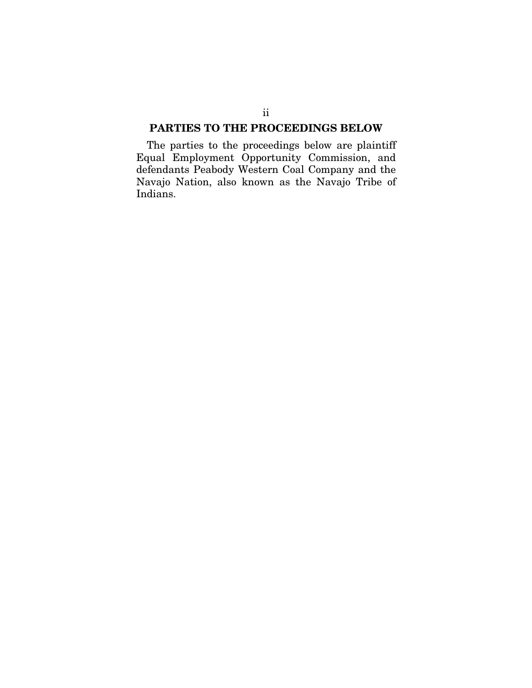### **PARTIES TO THE PROCEEDINGS BELOW**

The parties to the proceedings below are plaintiff Equal Employment Opportunity Commission, and defendants Peabody Western Coal Company and the Navajo Nation, also known as the Navajo Tribe of Indians.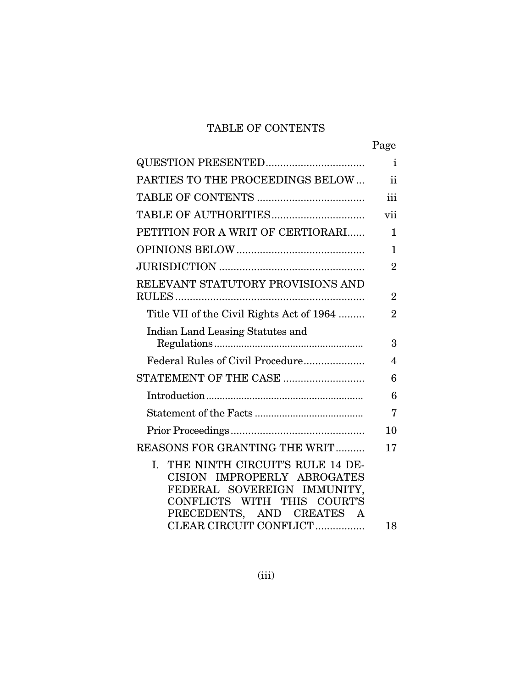### TABLE OF CONTENTS

|                                                                                                                                                               | Page           |
|---------------------------------------------------------------------------------------------------------------------------------------------------------------|----------------|
| <b>QUESTION PRESENTED</b>                                                                                                                                     | i              |
| PARTIES TO THE PROCEEDINGS BELOW                                                                                                                              | ii             |
|                                                                                                                                                               | iii            |
|                                                                                                                                                               | vii            |
| PETITION FOR A WRIT OF CERTIORARI                                                                                                                             | 1              |
|                                                                                                                                                               | 1              |
|                                                                                                                                                               | $\overline{2}$ |
| RELEVANT STATUTORY PROVISIONS AND                                                                                                                             |                |
|                                                                                                                                                               | $\overline{2}$ |
| Title VII of the Civil Rights Act of 1964                                                                                                                     | 2              |
| Indian Land Leasing Statutes and                                                                                                                              | 3              |
| Federal Rules of Civil Procedure                                                                                                                              | 4              |
|                                                                                                                                                               | 6              |
|                                                                                                                                                               | 6              |
|                                                                                                                                                               | 7              |
|                                                                                                                                                               | 10             |
| REASONS FOR GRANTING THE WRIT                                                                                                                                 | 17             |
| THE NINTH CIRCUIT'S RULE 14 DE-<br>L.<br>CISION IMPROPERLY ABROGATES<br>FEDERAL SOVEREIGN IMMUNITY,<br>CONFLICTS WITH THIS COURT'S<br>PRECEDENTS, AND CREATES |                |
| CLEAR CIRCUIT CONFLICT                                                                                                                                        | 18             |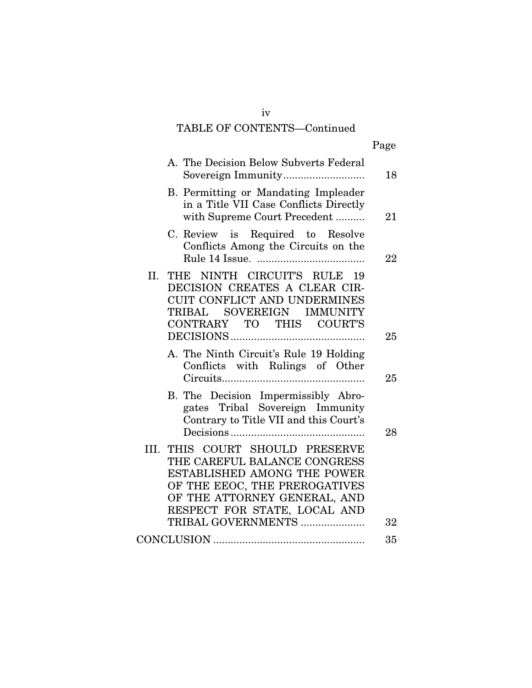# TABLE OF CONTENTS—Continued

|      |                                                                                                                                                                                            | Page |
|------|--------------------------------------------------------------------------------------------------------------------------------------------------------------------------------------------|------|
|      | A. The Decision Below Subverts Federal                                                                                                                                                     | 18   |
|      | B. Permitting or Mandating Impleader<br>in a Title VII Case Conflicts Directly<br>with Supreme Court Precedent                                                                             | 21   |
|      | C. Review is Required to Resolve<br>Conflicts Among the Circuits on the                                                                                                                    | 22   |
| Н.   | THE NINTH CIRCUIT'S RULE 19<br>DECISION CREATES A CLEAR CIR-<br><b>CUIT CONFLICT AND UNDERMINES</b><br>SOVEREIGN IMMUNITY<br>TRIBAL<br>CONTRARY TO THIS<br><b>COURT'S</b>                  | 25   |
|      | A. The Ninth Circuit's Rule 19 Holding<br>Conflicts with Rulings of Other                                                                                                                  | 25   |
|      | B. The Decision Impermissibly Abro-<br>gates Tribal Sovereign Immunity<br>Contrary to Title VII and this Court's                                                                           | 28   |
| III. | THIS COURT SHOULD PRESERVE<br>THE CAREFUL BALANCE CONGRESS<br>ESTABLISHED AMONG THE POWER<br>OF THE EEOC, THE PREROGATIVES<br>OF THE ATTORNEY GENERAL, AND<br>RESPECT FOR STATE, LOCAL AND |      |
|      | TRIBAL GOVERNMENTS                                                                                                                                                                         | 32   |
|      |                                                                                                                                                                                            | 35   |

iv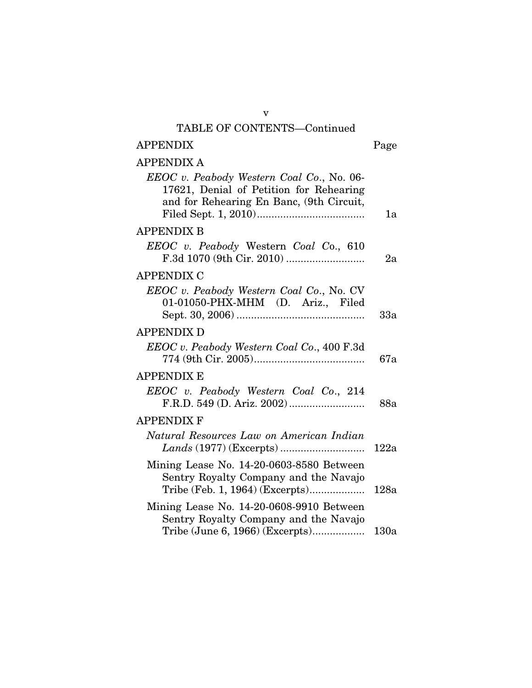# TABLE OF CONTENTS—Continued

| <b>APPENDIX</b>                                                                                                                  | Page |
|----------------------------------------------------------------------------------------------------------------------------------|------|
| <b>APPENDIX A</b>                                                                                                                |      |
| EEOC v. Peabody Western Coal Co., No. 06-<br>17621, Denial of Petition for Rehearing<br>and for Rehearing En Banc, (9th Circuit, | 1a   |
| <b>APPENDIX B</b>                                                                                                                |      |
| EEOC v. Peabody Western Coal Co., 610                                                                                            | 2a   |
| <b>APPENDIX C</b>                                                                                                                |      |
| EEOC v. Peabody Western Coal Co., No. CV<br>01-01050-PHX-MHM (D. Ariz., Filed                                                    | 33a  |
| <b>APPENDIX D</b>                                                                                                                |      |
| EEOC v. Peabody Western Coal Co., 400 F.3d                                                                                       | 67a  |
| <b>APPENDIX E</b>                                                                                                                |      |
| EEOC v. Peabody Western Coal Co., 214                                                                                            | 88a  |
| <b>APPENDIX F</b>                                                                                                                |      |
| Natural Resources Law on American Indian                                                                                         | 122a |
| Mining Lease No. 14-20-0603-8580 Between<br>Sentry Royalty Company and the Navajo<br>Tribe (Feb. 1, 1964) (Excerpts)             | 128a |
| Mining Lease No. 14-20-0608-9910 Between<br>Sentry Royalty Company and the Navajo<br>Tribe (June 6, 1966) (Excerpts)             | 130a |

v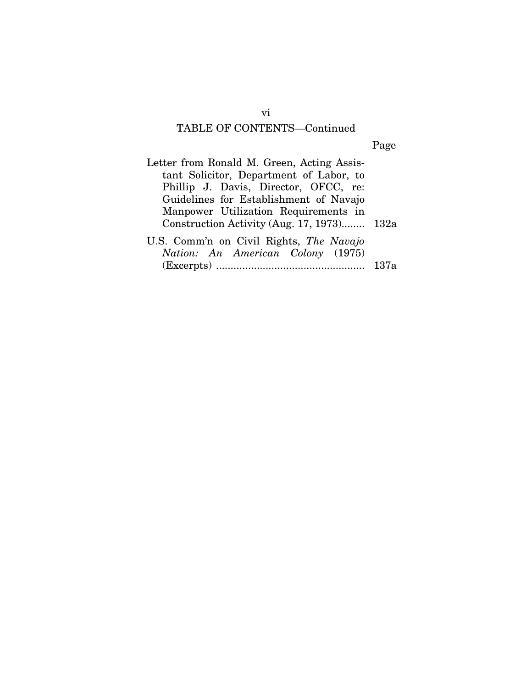# TABLE OF CONTENTS—Continued

Page

| Construction Activity (Aug. 17, 1973) 132a |
|--------------------------------------------|
|                                            |
|                                            |
| 137a                                       |
|                                            |

vi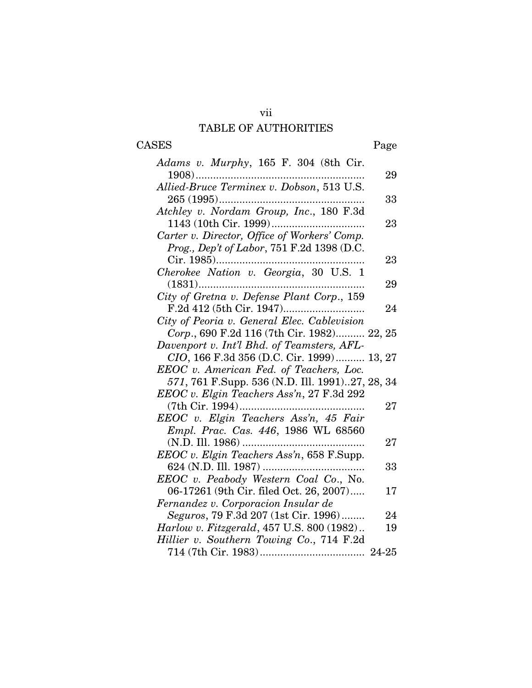# vii TABLE OF AUTHORITIES

# CASES Page

| Adams v. Murphy, 165 F. 304 (8th Cir.            |    |
|--------------------------------------------------|----|
|                                                  | 29 |
| Allied-Bruce Terminex v. Dobson, 513 U.S.        |    |
|                                                  | 33 |
| Atchley v. Nordam Group, Inc., 180 F.3d          |    |
|                                                  | 23 |
| Carter v. Director, Office of Workers' Comp.     |    |
| Prog., Dep't of Labor, 751 F.2d 1398 (D.C.       |    |
|                                                  | 23 |
| Cherokee Nation v. Georgia, 30 U.S. 1            |    |
|                                                  | 29 |
| City of Gretna v. Defense Plant Corp., 159       |    |
|                                                  | 24 |
| City of Peoria v. General Elec. Cablevision      |    |
| Corp., 690 F.2d 116 (7th Cir. 1982) 22, 25       |    |
| Davenport v. Int'l Bhd. of Teamsters, AFL-       |    |
| CIO, 166 F.3d 356 (D.C. Cir. 1999) 13, 27        |    |
| EEOC v. American Fed. of Teachers, Loc.          |    |
| 571, 761 F.Supp. 536 (N.D. Ill. 1991)27, 28, 34  |    |
| EEOC v. Elgin Teachers Ass'n, 27 F.3d 292        |    |
| (7th Cir. 1994)                                  | 27 |
| EEOC v. Elgin Teachers Ass'n, 45 Fair            |    |
| Empl. Prac. Cas. 446, 1986 WL 68560              |    |
|                                                  | 27 |
| EEOC v. Elgin Teachers Ass'n, 658 F.Supp.        |    |
|                                                  | 33 |
| EEOC v. Peabody Western Coal Co., No.            |    |
| 06-17261 (9th Cir. filed Oct. 26, 2007)          | 17 |
| Fernandez v. Corporacion Insular de              |    |
| Seguros, 79 F.3d 207 (1st Cir. 1996)             | 24 |
| <i>Harlow v. Fitzgerald, 457 U.S. 800 (1982)</i> | 19 |
| Hillier v. Southern Towing Co., 714 F.2d         |    |
|                                                  |    |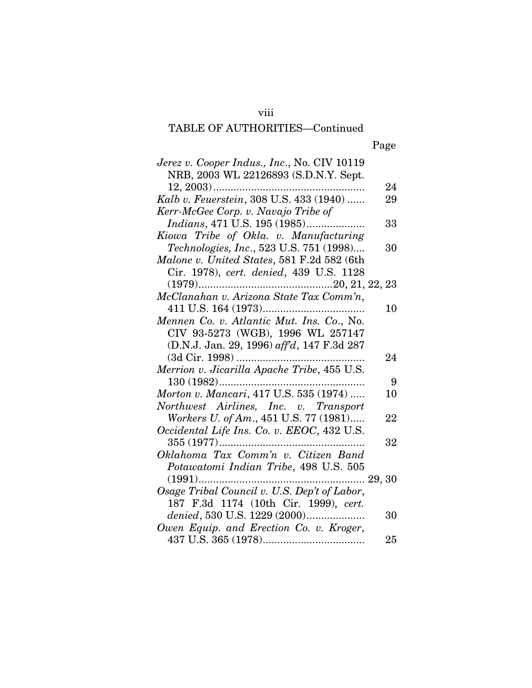# viii

# TABLE OF AUTHORITIES—Continued

Page

| Jerez v. Cooper Indus., Inc., No. CIV 10119  |    |
|----------------------------------------------|----|
| NRB, 2003 WL 22126893 (S.D.N.Y. Sept.        |    |
|                                              | 24 |
| Kalb v. Feuerstein, 308 U.S. 433 (1940)      | 29 |
| Kerr-McGee Corp. v. Navajo Tribe of          |    |
| Indians, 471 U.S. 195 (1985)                 | 33 |
| Kiowa Tribe of Okla. v. Manufacturing        |    |
| Technologies, Inc., 523 U.S. 751 (1998)      | 30 |
| Malone v. United States, 581 F.2d 582 (6th   |    |
| Cir. 1978), cert. denied, 439 U.S. 1128      |    |
|                                              |    |
| McClanahan v. Arizona State Tax Comm'n,      |    |
|                                              | 10 |
| Mennen Co. v. Atlantic Mut. Ins. Co., No.    |    |
| CIV 93-5273 (WGB), 1996 WL 257147            |    |
| (D.N.J. Jan. 29, 1996) aff'd, 147 F.3d 287   |    |
|                                              | 24 |
| Merrion v. Jicarilla Apache Tribe, 455 U.S.  |    |
| $130(1982)$                                  | 9  |
| Morton v. Mancari, 417 U.S. 535 (1974)       | 10 |
| Northwest Airlines, Inc. v. Transport        |    |
| Workers U. of Am., 451 U.S. 77 (1981)        | 22 |
| Occidental Life Ins. Co. v. EEOC, 432 U.S.   |    |
| 355 (1977)                                   | 32 |
| Oklahoma Tax Comm'n v. Citizen Band          |    |
| Potawatomi Indian Tribe, 498 U.S. 505        |    |
|                                              |    |
| Osage Tribal Council v. U.S. Dep't of Labor, |    |
| 187 F.3d 1174 (10th Cir. 1999), cert.        |    |
| denied, 530 U.S. 1229 (2000)                 | 30 |
| Owen Equip. and Erection Co. v. Kroger,      |    |
|                                              | 25 |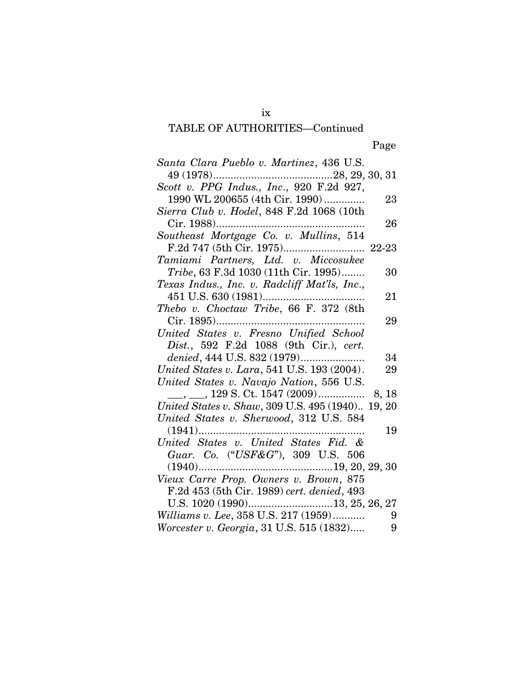# TABLE OF AUTHORITIES—Continued

Page

| Santa Clara Pueblo v. Martinez, 436 U.S.          |    |
|---------------------------------------------------|----|
|                                                   |    |
| Scott v. PPG Indus., Inc., 920 F.2d 927,          |    |
| 1990 WL 200655 (4th Cir. 1990)                    | 23 |
| Sierra Club v. Hodel, 848 F.2d 1068 (10th         |    |
|                                                   | 26 |
| Southeast Mortgage Co. v. Mullins, 514            |    |
|                                                   |    |
| Tamiami Partners, Ltd. v. Miccosukee              |    |
| Tribe, 63 F.3d 1030 (11th Cir. 1995)              | 30 |
| Texas Indus., Inc. v. Radcliff Mat'ls, Inc.,      |    |
|                                                   | 21 |
| Thebo v. Choctaw Tribe, 66 F. 372 (8th            |    |
|                                                   | 29 |
| United States v. Fresno Unified School            |    |
| Dist., 592 F.2d 1088 (9th Cir.), cert.            |    |
|                                                   | 34 |
| United States v. Lara, 541 U.S. 193 (2004).       | 29 |
| United States v. Navajo Nation, 556 U.S.          |    |
|                                                   |    |
| United States v. Shaw, 309 U.S. 495 (1940) 19, 20 |    |
| United States v. Sherwood, 312 U.S. 584           |    |
|                                                   | 19 |
| United States v. United States Fid. &             |    |
| Guar. Co. ("USF&G"), 309 U.S. 506                 |    |
|                                                   |    |
| Vieux Carre Prop. Owners v. Brown, 875            |    |
| F.2d 453 (5th Cir. 1989) cert. denied, 493        |    |
| U.S. 1020 (1990)13, 25, 26, 27                    |    |
| Williams v. Lee, 358 U.S. 217 (1959)              | 9  |
| Worcester v. Georgia, 31 U.S. 515 (1832)          | 9  |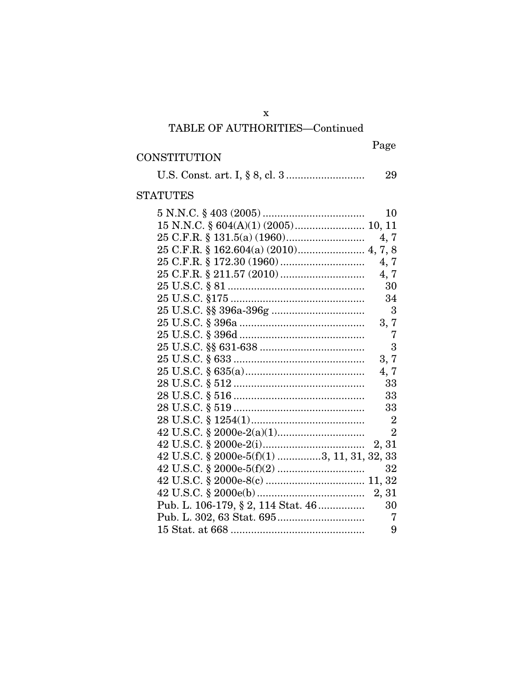### $\mathbf X$ TABLE OF AUTHORITIES-Continued

# $\label{eq:constr} \textsc{CONTITUTION}$

29

### **STATUTES**

| $5 N.N.C. § 403 (2005) \dots 5 N.N.C.$      | 10                        |
|---------------------------------------------|---------------------------|
|                                             |                           |
|                                             | 4, 7                      |
|                                             |                           |
|                                             | 4, 7                      |
|                                             | 4, 7                      |
|                                             | 30                        |
|                                             | 34                        |
|                                             | - 3                       |
|                                             | 3, 7                      |
|                                             | 7                         |
|                                             | 3                         |
|                                             | 3, 7                      |
|                                             | 4, 7                      |
|                                             | 33                        |
|                                             | 33                        |
|                                             | 33                        |
|                                             | $\overline{2}$            |
|                                             | $\overline{\phantom{a}2}$ |
|                                             |                           |
| 42 U.S.C. § 2000e-5(f)(1) 3, 11, 31, 32, 33 |                           |
|                                             | 32                        |
|                                             |                           |
|                                             |                           |
| Pub. L. 106-179, § 2, 114 Stat. 46          | 30                        |
|                                             | 7                         |
|                                             | 9                         |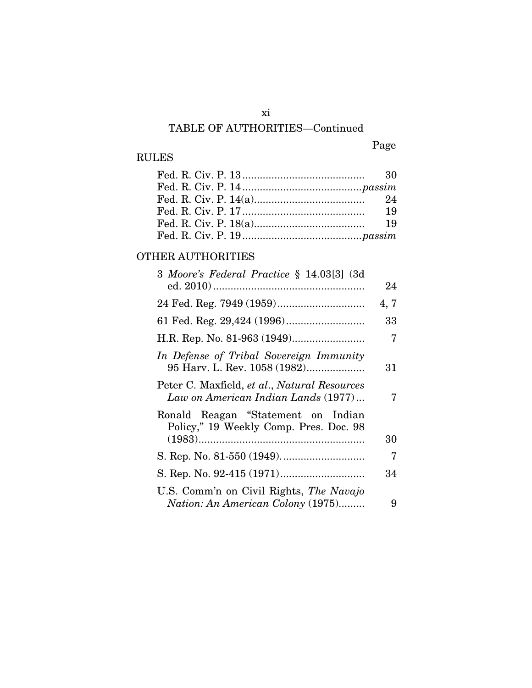### xi

# TABLE OF AUTHORITIES—Continued

### RULES

Page

# OTHER AUTHORITIES

| 3 Moore's Federal Practice § 14.03[3] (3d                                           |      |
|-------------------------------------------------------------------------------------|------|
|                                                                                     | 24   |
|                                                                                     | 4, 7 |
|                                                                                     | 33   |
|                                                                                     | 7    |
| In Defense of Tribal Sovereign Immunity<br>95 Harv. L. Rev. 1058 (1982)             | 31   |
| Peter C. Maxfield, et al., Natural Resources<br>Law on American Indian Lands (1977) | 7    |
| Ronald Reagan "Statement on Indian"<br>Policy," 19 Weekly Comp. Pres. Doc. 98       |      |
|                                                                                     | 30   |
|                                                                                     | 7    |
|                                                                                     | 34   |
| U.S. Comm'n on Civil Rights, The Navajo<br><i>Nation: An American Colony</i> (1975) | 9    |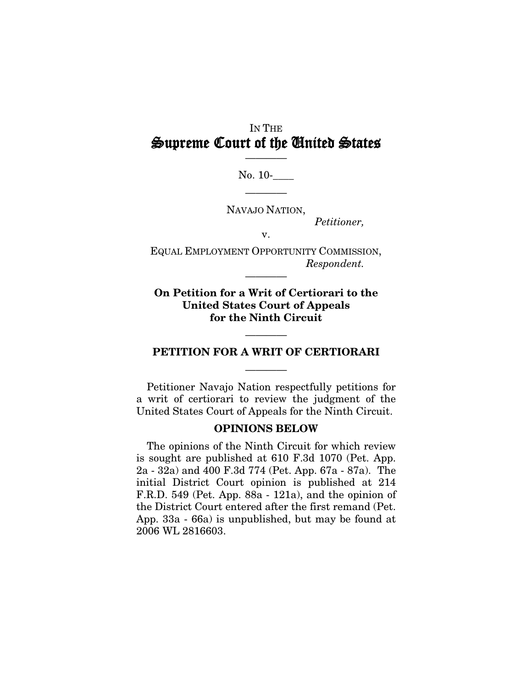### IN THE Supreme Court of the United States

————

No. 10-\_\_\_\_

———— NAVAJO NATION,

*Petitioner,*

v.

EQUAL EMPLOYMENT OPPORTUNITY COMMISSION, *Respondent.*

————

**On Petition for a Writ of Certiorari to the United States Court of Appeals for the Ninth Circuit**

### ———— **PETITION FOR A WRIT OF CERTIORARI**

————

Petitioner Navajo Nation respectfully petitions for a writ of certiorari to review the judgment of the United States Court of Appeals for the Ninth Circuit.

#### **OPINIONS BELOW**

The opinions of the Ninth Circuit for which review is sought are published at 610 F.3d 1070 (Pet. App. 2a - 32a) and 400 F.3d 774 (Pet. App. 67a - 87a). The initial District Court opinion is published at 214 F.R.D. 549 (Pet. App. 88a - 121a), and the opinion of the District Court entered after the first remand (Pet. App. 33a - 66a) is unpublished, but may be found at 2006 WL 2816603.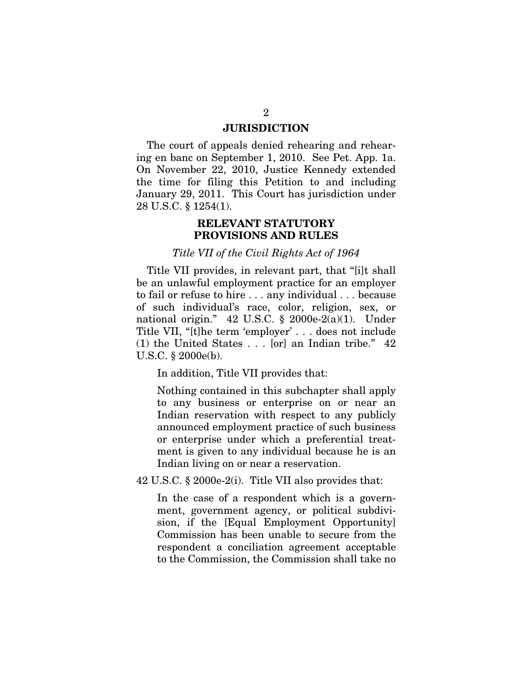#### **JURISDICTION**

The court of appeals denied rehearing and rehearing en banc on September 1, 2010. See Pet. App. 1a. On November 22, 2010, Justice Kennedy extended the time for filing this Petition to and including January 29, 2011. This Court has jurisdiction under 28 U.S.C. § 1254(1).

#### **RELEVANT STATUTORY PROVISIONS AND RULES**

#### *Title VII of the Civil Rights Act of 1964*

Title VII provides, in relevant part, that "[i]t shall be an unlawful employment practice for an employer to fail or refuse to hire . . . any individual . . . because of such individual's race, color, religion, sex, or national origin."  $42 \text{ U.S.C. }$  \$ 2000e-2(a)(1). Under Title VII, "[t]he term 'employer' . . . does not include (1) the United States . . . [or] an Indian tribe." 42 U.S.C. § 2000e(b).

In addition, Title VII provides that:

Nothing contained in this subchapter shall apply to any business or enterprise on or near an Indian reservation with respect to any publicly announced employment practice of such business or enterprise under which a preferential treatment is given to any individual because he is an Indian living on or near a reservation.

42 U.S.C. § 2000e-2(i). Title VII also provides that:

In the case of a respondent which is a government, government agency, or political subdivision, if the [Equal Employment Opportunity] Commission has been unable to secure from the respondent a conciliation agreement acceptable to the Commission, the Commission shall take no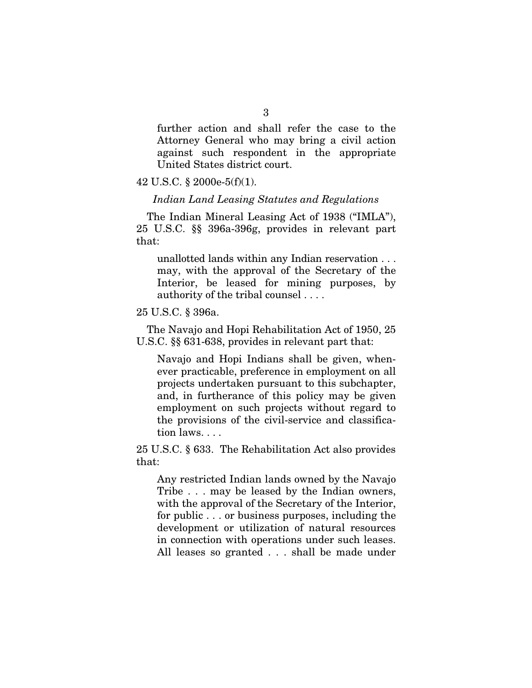further action and shall refer the case to the Attorney General who may bring a civil action against such respondent in the appropriate United States district court.

### 42 U.S.C. § 2000e-5(f)(1).

#### *Indian Land Leasing Statutes and Regulations*

The Indian Mineral Leasing Act of 1938 ("IMLA"), 25 U.S.C. §§ 396a-396g, provides in relevant part that:

unallotted lands within any Indian reservation . . . may, with the approval of the Secretary of the Interior, be leased for mining purposes, by authority of the tribal counsel . . . .

25 U.S.C. § 396a.

The Navajo and Hopi Rehabilitation Act of 1950, 25 U.S.C. §§ 631-638, provides in relevant part that:

Navajo and Hopi Indians shall be given, whenever practicable, preference in employment on all projects undertaken pursuant to this subchapter, and, in furtherance of this policy may be given employment on such projects without regard to the provisions of the civil-service and classification laws. . . .

25 U.S.C. § 633. The Rehabilitation Act also provides that:

Any restricted Indian lands owned by the Navajo Tribe . . . may be leased by the Indian owners, with the approval of the Secretary of the Interior, for public . . . or business purposes, including the development or utilization of natural resources in connection with operations under such leases. All leases so granted . . . shall be made under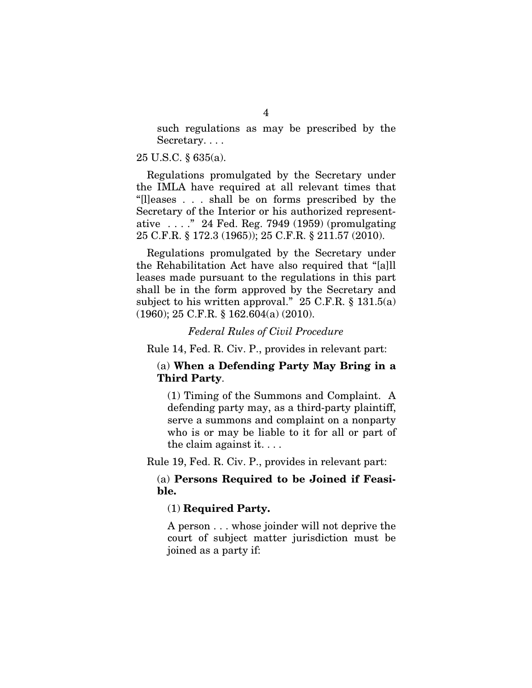such regulations as may be prescribed by the Secretary...

#### 25 U.S.C. § 635(a).

Regulations promulgated by the Secretary under the IMLA have required at all relevant times that "[l]eases . . . shall be on forms prescribed by the Secretary of the Interior or his authorized representative . . . ." 24 Fed. Reg. 7949 (1959) (promulgating 25 C.F.R. § 172.3 (1965)); 25 C.F.R. § 211.57 (2010).

Regulations promulgated by the Secretary under the Rehabilitation Act have also required that "[a]ll leases made pursuant to the regulations in this part shall be in the form approved by the Secretary and subject to his written approval."  $25$  C.F.R.  $\S$  131.5(a) (1960); 25 C.F.R. § 162.604(a) (2010).

### *Federal Rules of Civil Procedure*

Rule 14, Fed. R. Civ. P., provides in relevant part:

### (a) **When a Defending Party May Bring in a Third Party**.

(1) Timing of the Summons and Complaint. A defending party may, as a third-party plaintiff, serve a summons and complaint on a nonparty who is or may be liable to it for all or part of the claim against it. . . .

Rule 19, Fed. R. Civ. P., provides in relevant part:

#### (a) **Persons Required to be Joined if Feasible.**

#### (1) **Required Party.**

A person . . . whose joinder will not deprive the court of subject matter jurisdiction must be joined as a party if: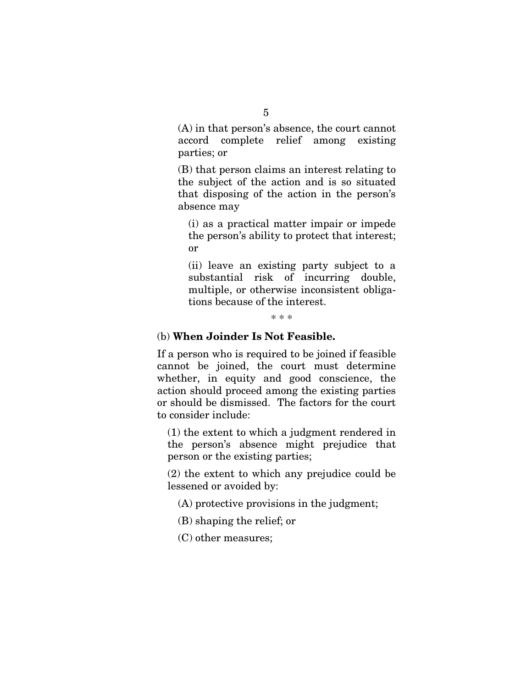(A) in that person's absence, the court cannot accord complete relief among existing parties; or

(B) that person claims an interest relating to the subject of the action and is so situated that disposing of the action in the person's absence may

(i) as a practical matter impair or impede the person's ability to protect that interest; or

(ii) leave an existing party subject to a substantial risk of incurring double, multiple, or otherwise inconsistent obligations because of the interest.

\* \* \*

#### (b) **When Joinder Is Not Feasible.**

If a person who is required to be joined if feasible cannot be joined, the court must determine whether, in equity and good conscience, the action should proceed among the existing parties or should be dismissed. The factors for the court to consider include:

(1) the extent to which a judgment rendered in the person's absence might prejudice that person or the existing parties;

(2) the extent to which any prejudice could be lessened or avoided by:

(A) protective provisions in the judgment;

- (B) shaping the relief; or
- (C) other measures;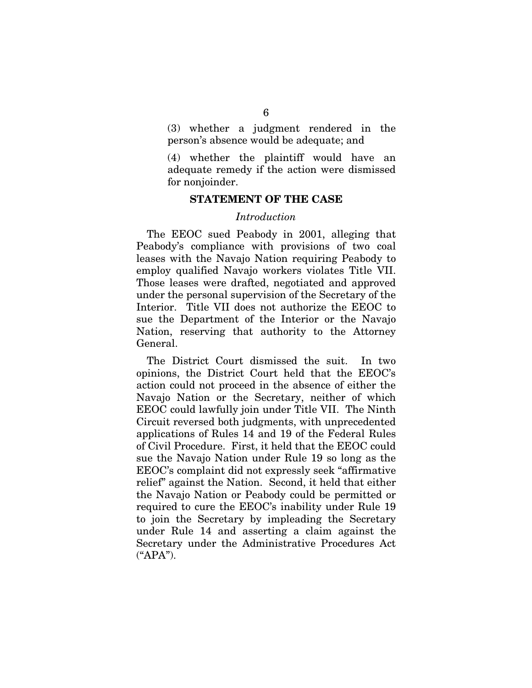(3) whether a judgment rendered in the person's absence would be adequate; and

(4) whether the plaintiff would have an adequate remedy if the action were dismissed for nonjoinder.

#### **STATEMENT OF THE CASE**

#### *Introduction*

The EEOC sued Peabody in 2001, alleging that Peabody's compliance with provisions of two coal leases with the Navajo Nation requiring Peabody to employ qualified Navajo workers violates Title VII. Those leases were drafted, negotiated and approved under the personal supervision of the Secretary of the Interior. Title VII does not authorize the EEOC to sue the Department of the Interior or the Navajo Nation, reserving that authority to the Attorney General.

The District Court dismissed the suit. In two opinions, the District Court held that the EEOC's action could not proceed in the absence of either the Navajo Nation or the Secretary, neither of which EEOC could lawfully join under Title VII. The Ninth Circuit reversed both judgments, with unprecedented applications of Rules 14 and 19 of the Federal Rules of Civil Procedure. First, it held that the EEOC could sue the Navajo Nation under Rule 19 so long as the EEOC's complaint did not expressly seek "affirmative relief" against the Nation. Second, it held that either the Navajo Nation or Peabody could be permitted or required to cure the EEOC's inability under Rule 19 to join the Secretary by impleading the Secretary under Rule 14 and asserting a claim against the Secretary under the Administrative Procedures Act ("APA").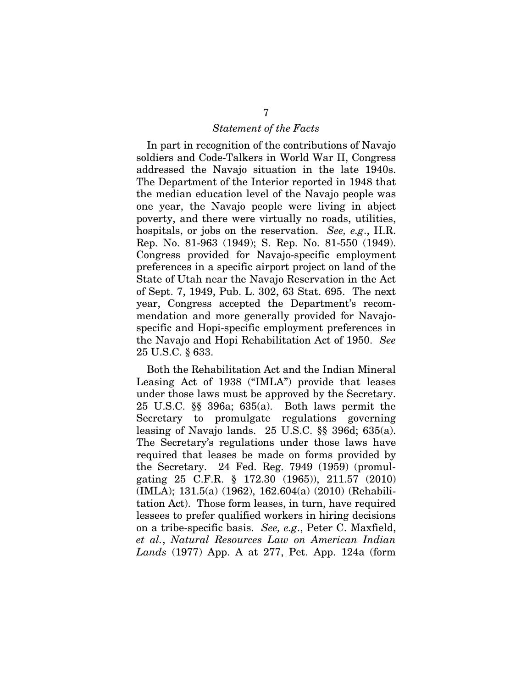#### *Statement of the Facts*

In part in recognition of the contributions of Navajo soldiers and Code-Talkers in World War II, Congress addressed the Navajo situation in the late 1940s. The Department of the Interior reported in 1948 that the median education level of the Navajo people was one year, the Navajo people were living in abject poverty, and there were virtually no roads, utilities, hospitals, or jobs on the reservation. *See, e.g*., H.R. Rep. No. 81-963 (1949); S. Rep. No. 81-550 (1949). Congress provided for Navajo-specific employment preferences in a specific airport project on land of the State of Utah near the Navajo Reservation in the Act of Sept. 7, 1949, Pub. L. 302, 63 Stat. 695. The next year, Congress accepted the Department's recommendation and more generally provided for Navajospecific and Hopi-specific employment preferences in the Navajo and Hopi Rehabilitation Act of 1950. *See* 25 U.S.C. § 633.

Both the Rehabilitation Act and the Indian Mineral Leasing Act of 1938 ("IMLA") provide that leases under those laws must be approved by the Secretary. 25 U.S.C. §§ 396a; 635(a). Both laws permit the Secretary to promulgate regulations governing leasing of Navajo lands. 25 U.S.C. §§ 396d; 635(a). The Secretary's regulations under those laws have required that leases be made on forms provided by the Secretary. 24 Fed. Reg. 7949 (1959) (promulgating 25 C.F.R. § 172.30 (1965)), 211.57 (2010) (IMLA); 131.5(a) (1962), 162.604(a) (2010) (Rehabilitation Act). Those form leases, in turn, have required lessees to prefer qualified workers in hiring decisions on a tribe-specific basis. *See, e.g*., Peter C. Maxfield, *et al.*, *Natural Resources Law on American Indian Lands* (1977) App. A at 277, Pet. App. 124a (form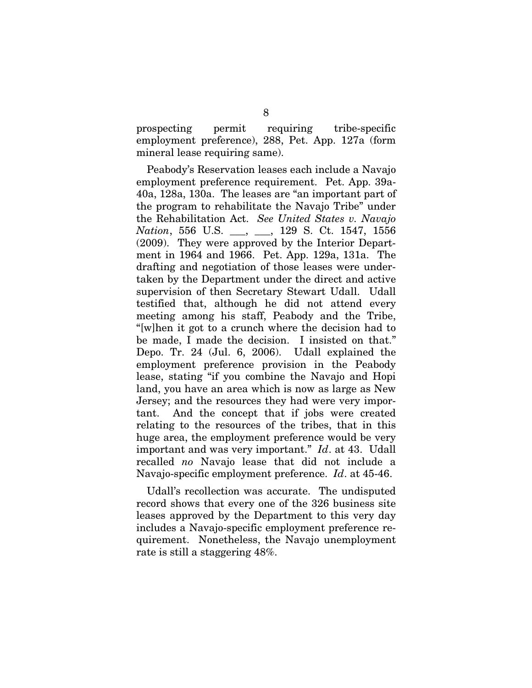prospecting permit requiring tribe-specific employment preference), 288, Pet. App. 127a (form mineral lease requiring same).

Peabody's Reservation leases each include a Navajo employment preference requirement. Pet. App. 39a-40a, 128a, 130a. The leases are "an important part of the program to rehabilitate the Navajo Tribe" under the Rehabilitation Act. *See United States v. Navajo Nation*, 556 U.S. <sub>\_\_\_</sub>, \_\_\_, 129 S. Ct. 1547, 1556 (2009). They were approved by the Interior Department in 1964 and 1966. Pet. App. 129a, 131a. The drafting and negotiation of those leases were undertaken by the Department under the direct and active supervision of then Secretary Stewart Udall. Udall testified that, although he did not attend every meeting among his staff, Peabody and the Tribe, "[w]hen it got to a crunch where the decision had to be made, I made the decision. I insisted on that." Depo. Tr. 24 (Jul. 6, 2006). Udall explained the employment preference provision in the Peabody lease, stating "if you combine the Navajo and Hopi land, you have an area which is now as large as New Jersey; and the resources they had were very important. And the concept that if jobs were created relating to the resources of the tribes, that in this huge area, the employment preference would be very important and was very important." *Id*. at 43. Udall recalled *no* Navajo lease that did not include a Navajo-specific employment preference. *Id*. at 45-46.

Udall's recollection was accurate. The undisputed record shows that every one of the 326 business site leases approved by the Department to this very day includes a Navajo-specific employment preference requirement. Nonetheless, the Navajo unemployment rate is still a staggering 48%.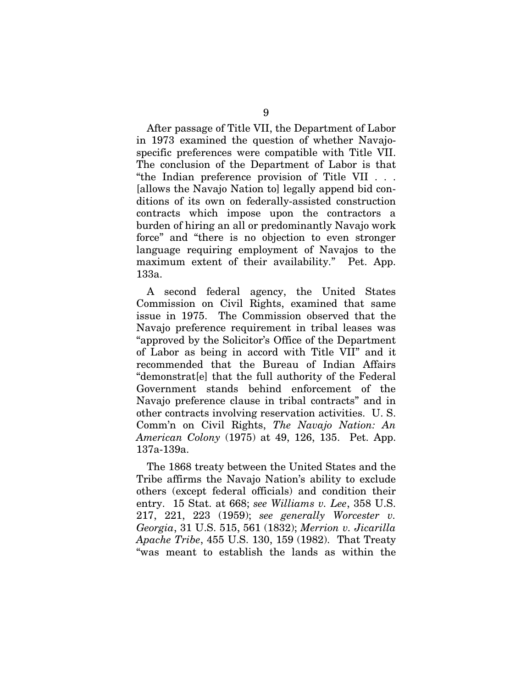After passage of Title VII, the Department of Labor in 1973 examined the question of whether Navajospecific preferences were compatible with Title VII. The conclusion of the Department of Labor is that "the Indian preference provision of Title VII . . . [allows the Navajo Nation to] legally append bid conditions of its own on federally-assisted construction contracts which impose upon the contractors a burden of hiring an all or predominantly Navajo work force" and "there is no objection to even stronger language requiring employment of Navajos to the maximum extent of their availability." Pet. App. 133a.

A second federal agency, the United States Commission on Civil Rights, examined that same issue in 1975. The Commission observed that the Navajo preference requirement in tribal leases was "approved by the Solicitor's Office of the Department of Labor as being in accord with Title VII" and it recommended that the Bureau of Indian Affairs "demonstrat[e] that the full authority of the Federal Government stands behind enforcement of the Navajo preference clause in tribal contracts" and in other contracts involving reservation activities. U. S. Comm'n on Civil Rights, *The Navajo Nation: An American Colony* (1975) at 49, 126, 135. Pet. App. 137a-139a.

The 1868 treaty between the United States and the Tribe affirms the Navajo Nation's ability to exclude others (except federal officials) and condition their entry. 15 Stat. at 668; *see Williams v. Lee*, 358 U.S. 217, 221, 223 (1959); *see generally Worcester v. Georgia*, 31 U.S. 515, 561 (1832); *Merrion v. Jicarilla Apache Tribe*, 455 U.S. 130, 159 (1982). That Treaty "was meant to establish the lands as within the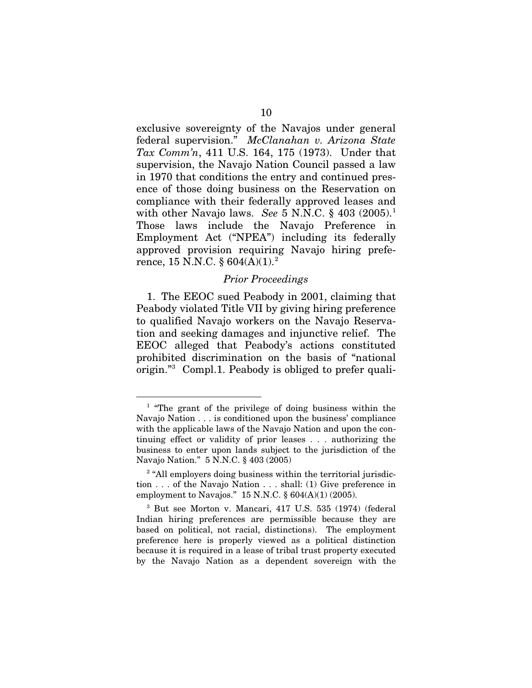exclusive sovereignty of the Navajos under general federal supervision." *McClanahan v. Arizona State Tax Comm'n*, 411 U.S. 164, 175 (1973). Under that supervision, the Navajo Nation Council passed a law in 1970 that conditions the entry and continued presence of those doing business on the Reservation on compliance with their federally approved leases and with other Navajo laws. *See* 5 N.N.C. § 403 (2005).[1](#page-21-0) Those laws include the Navajo Preference in Employment Act ("NPEA") including its federally approved provision requiring Navajo hiring preference, 15 N.N.C.  $\S 604(A)(1)^2$  $\S 604(A)(1)^2$ 

#### *Prior Proceedings*

1. The EEOC sued Peabody in 2001, claiming that Peabody violated Title VII by giving hiring preference to qualified Navajo workers on the Navajo Reservation and seeking damages and injunctive relief. The EEOC alleged that Peabody's actions constituted prohibited discrimination on the basis of "national origin." [3](#page-21-2) Compl.1. Peabody is obliged to prefer quali-

<span id="page-21-0"></span><sup>&</sup>lt;sup>1</sup> "The grant of the privilege of doing business within the Navajo Nation . . . is conditioned upon the business' compliance with the applicable laws of the Navajo Nation and upon the continuing effect or validity of prior leases . . . authorizing the business to enter upon lands subject to the jurisdiction of the Navajo Nation." 5 N.N.C. § 403 (2005)

<span id="page-21-1"></span><sup>&</sup>lt;sup>2</sup> "All employers doing business within the territorial jurisdiction . . . of the Navajo Nation . . . shall: (1) Give preference in employment to Navajos." 15 N.N.C. § 604(A)(1) (2005).

<span id="page-21-2"></span><sup>3</sup> But see Morton v. Mancari, 417 U.S. 535 (1974) (federal Indian hiring preferences are permissible because they are based on political, not racial, distinctions). The employment preference here is properly viewed as a political distinction because it is required in a lease of tribal trust property executed by the Navajo Nation as a dependent sovereign with the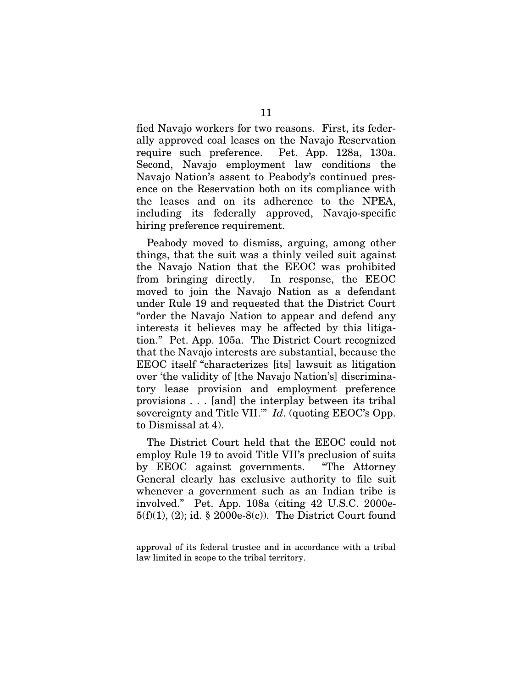fied Navajo workers for two reasons. First, its federally approved coal leases on the Navajo Reservation require such preference. Pet. App. 128a, 130a. Second, Navajo employment law conditions the Navajo Nation's assent to Peabody's continued presence on the Reservation both on its compliance with the leases and on its adherence to the NPEA, including its federally approved, Navajo-specific hiring preference requirement.

Peabody moved to dismiss, arguing, among other things, that the suit was a thinly veiled suit against the Navajo Nation that the EEOC was prohibited from bringing directly. In response, the EEOC moved to join the Navajo Nation as a defendant under Rule 19 and requested that the District Court "order the Navajo Nation to appear and defend any interests it believes may be affected by this litigation." Pet. App. 105a. The District Court recognized that the Navajo interests are substantial, because the EEOC itself "characterizes [its] lawsuit as litigation over 'the validity of [the Navajo Nation's] discriminatory lease provision and employment preference provisions . . . [and] the interplay between its tribal sovereignty and Title VII.'" *Id*. (quoting EEOC's Opp. to Dismissal at 4).

The District Court held that the EEOC could not employ Rule 19 to avoid Title VII's preclusion of suits by EEOC against governments. "The Attorney General clearly has exclusive authority to file suit whenever a government such as an Indian tribe is involved." Pet. App. 108a (citing 42 U.S.C. 2000e- $5(f)(1)$ , (2); id. § 2000e-8(c)). The District Court found

-

approval of its federal trustee and in accordance with a tribal law limited in scope to the tribal territory.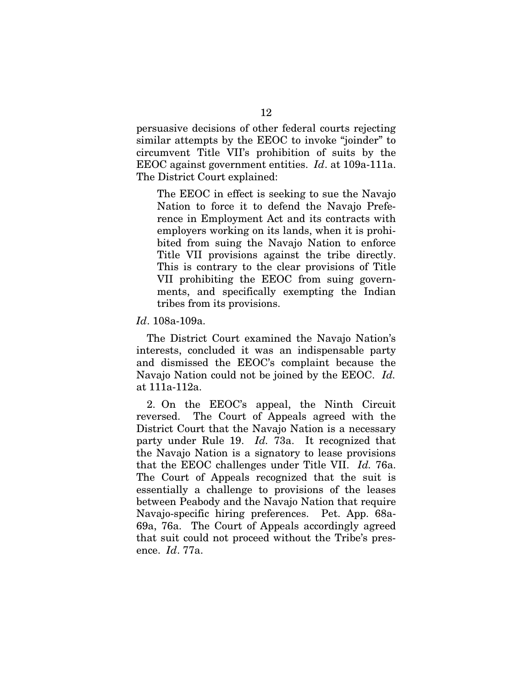persuasive decisions of other federal courts rejecting similar attempts by the EEOC to invoke "joinder" to circumvent Title VII's prohibition of suits by the EEOC against government entities. *Id*. at 109a-111a. The District Court explained:

The EEOC in effect is seeking to sue the Navajo Nation to force it to defend the Navajo Preference in Employment Act and its contracts with employers working on its lands, when it is prohibited from suing the Navajo Nation to enforce Title VII provisions against the tribe directly. This is contrary to the clear provisions of Title VII prohibiting the EEOC from suing governments, and specifically exempting the Indian tribes from its provisions.

#### *Id*. 108a-109a.

The District Court examined the Navajo Nation's interests, concluded it was an indispensable party and dismissed the EEOC's complaint because the Navajo Nation could not be joined by the EEOC. *Id.* at 111a-112a.

2. On the EEOC's appeal, the Ninth Circuit reversed. The Court of Appeals agreed with the District Court that the Navajo Nation is a necessary party under Rule 19. *Id.* 73a. It recognized that the Navajo Nation is a signatory to lease provisions that the EEOC challenges under Title VII. *Id.* 76a. The Court of Appeals recognized that the suit is essentially a challenge to provisions of the leases between Peabody and the Navajo Nation that require Navajo-specific hiring preferences. Pet. App. 68a-69a, 76a. The Court of Appeals accordingly agreed that suit could not proceed without the Tribe's presence. *Id*. 77a.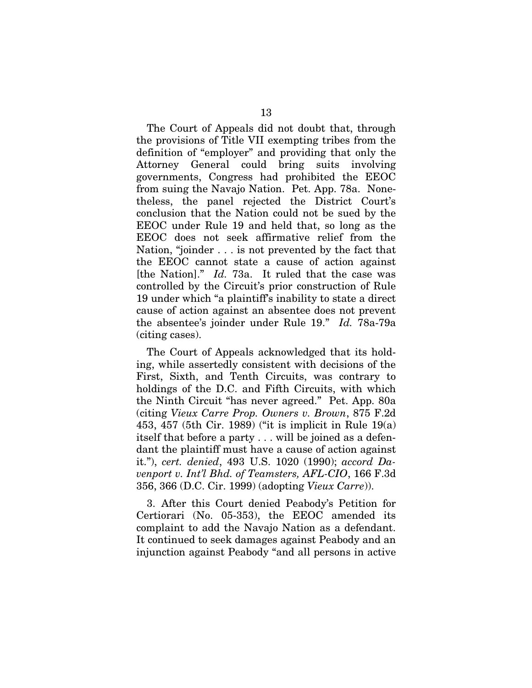The Court of Appeals did not doubt that, through the provisions of Title VII exempting tribes from the definition of "employer" and providing that only the Attorney General could bring suits involving governments, Congress had prohibited the EEOC from suing the Navajo Nation. Pet. App. 78a. Nonetheless, the panel rejected the District Court's conclusion that the Nation could not be sued by the EEOC under Rule 19 and held that, so long as the EEOC does not seek affirmative relief from the Nation, "joinder . . . is not prevented by the fact that the EEOC cannot state a cause of action against [the Nation]." *Id.* 73a. It ruled that the case was controlled by the Circuit's prior construction of Rule 19 under which "a plaintiff's inability to state a direct cause of action against an absentee does not prevent the absentee's joinder under Rule 19." *Id.* 78a-79a (citing cases).

The Court of Appeals acknowledged that its holding, while assertedly consistent with decisions of the First, Sixth, and Tenth Circuits, was contrary to holdings of the D.C. and Fifth Circuits, with which the Ninth Circuit "has never agreed." Pet. App. 80a (citing *Vieux Carre Prop. Owners v. Brown*, 875 F.2d 453, 457 (5th Cir. 1989) ("it is implicit in Rule 19(a) itself that before a party . . . will be joined as a defendant the plaintiff must have a cause of action against it."), *cert. denied*, 493 U.S. 1020 (1990); *accord Davenport v. Int'l Bhd. of Teamsters, AFL-CIO*, 166 F.3d 356, 366 (D.C. Cir. 1999) (adopting *Vieux Carre*)).

3. After this Court denied Peabody's Petition for Certiorari (No. 05-353), the EEOC amended its complaint to add the Navajo Nation as a defendant. It continued to seek damages against Peabody and an injunction against Peabody "and all persons in active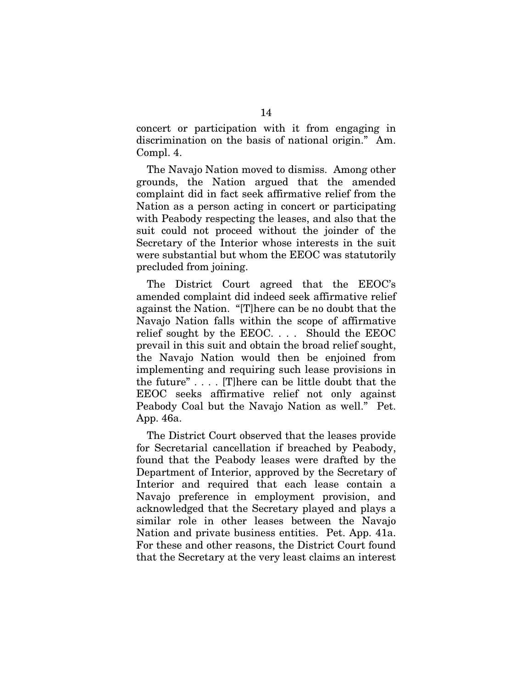concert or participation with it from engaging in discrimination on the basis of national origin." Am. Compl. 4.

The Navajo Nation moved to dismiss. Among other grounds, the Nation argued that the amended complaint did in fact seek affirmative relief from the Nation as a person acting in concert or participating with Peabody respecting the leases, and also that the suit could not proceed without the joinder of the Secretary of the Interior whose interests in the suit were substantial but whom the EEOC was statutorily precluded from joining.

The District Court agreed that the EEOC's amended complaint did indeed seek affirmative relief against the Nation. "[T]here can be no doubt that the Navajo Nation falls within the scope of affirmative relief sought by the EEOC. . . . Should the EEOC prevail in this suit and obtain the broad relief sought, the Navajo Nation would then be enjoined from implementing and requiring such lease provisions in the future" . . . . [T]here can be little doubt that the EEOC seeks affirmative relief not only against Peabody Coal but the Navajo Nation as well." Pet. App. 46a.

The District Court observed that the leases provide for Secretarial cancellation if breached by Peabody, found that the Peabody leases were drafted by the Department of Interior, approved by the Secretary of Interior and required that each lease contain a Navajo preference in employment provision, and acknowledged that the Secretary played and plays a similar role in other leases between the Navajo Nation and private business entities. Pet. App. 41a. For these and other reasons, the District Court found that the Secretary at the very least claims an interest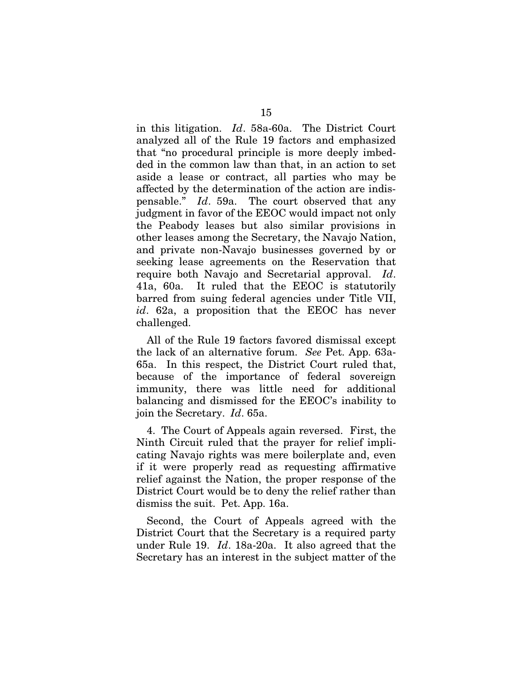in this litigation. *Id*. 58a-60a. The District Court analyzed all of the Rule 19 factors and emphasized that "no procedural principle is more deeply imbedded in the common law than that, in an action to set aside a lease or contract, all parties who may be affected by the determination of the action are indispensable." *Id*. 59a. The court observed that any judgment in favor of the EEOC would impact not only the Peabody leases but also similar provisions in other leases among the Secretary, the Navajo Nation, and private non-Navajo businesses governed by or seeking lease agreements on the Reservation that require both Navajo and Secretarial approval. *Id*. 41a, 60a. It ruled that the EEOC is statutorily barred from suing federal agencies under Title VII, *id*. 62a, a proposition that the EEOC has never challenged.

All of the Rule 19 factors favored dismissal except the lack of an alternative forum. *See* Pet. App. 63a-65a. In this respect, the District Court ruled that, because of the importance of federal sovereign immunity, there was little need for additional balancing and dismissed for the EEOC's inability to join the Secretary. *Id*. 65a.

4. The Court of Appeals again reversed. First, the Ninth Circuit ruled that the prayer for relief implicating Navajo rights was mere boilerplate and, even if it were properly read as requesting affirmative relief against the Nation, the proper response of the District Court would be to deny the relief rather than dismiss the suit. Pet. App. 16a.

Second, the Court of Appeals agreed with the District Court that the Secretary is a required party under Rule 19. *Id*. 18a-20a. It also agreed that the Secretary has an interest in the subject matter of the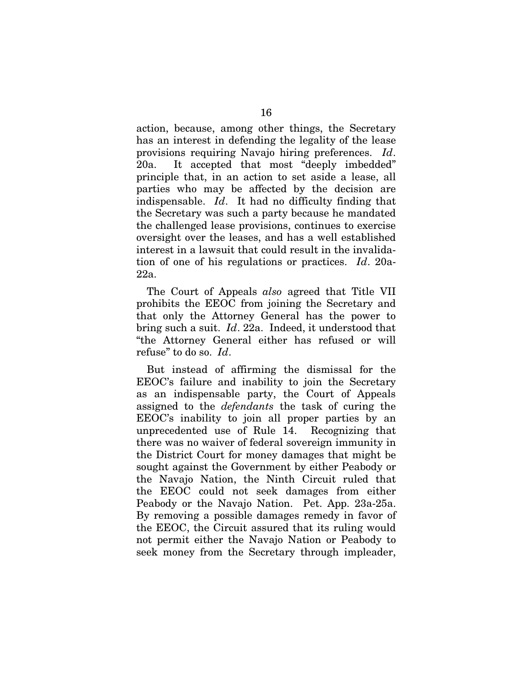action, because, among other things, the Secretary has an interest in defending the legality of the lease provisions requiring Navajo hiring preferences. *Id*. 20a. It accepted that most "deeply imbedded" principle that, in an action to set aside a lease, all parties who may be affected by the decision are indispensable. *Id*. It had no difficulty finding that the Secretary was such a party because he mandated the challenged lease provisions, continues to exercise oversight over the leases, and has a well established interest in a lawsuit that could result in the invalidation of one of his regulations or practices. *Id*. 20a-22a.

The Court of Appeals *also* agreed that Title VII prohibits the EEOC from joining the Secretary and that only the Attorney General has the power to bring such a suit. *Id*. 22a. Indeed, it understood that "the Attorney General either has refused or will refuse" to do so. *Id*.

But instead of affirming the dismissal for the EEOC's failure and inability to join the Secretary as an indispensable party, the Court of Appeals assigned to the *defendants* the task of curing the EEOC's inability to join all proper parties by an unprecedented use of Rule 14. Recognizing that there was no waiver of federal sovereign immunity in the District Court for money damages that might be sought against the Government by either Peabody or the Navajo Nation, the Ninth Circuit ruled that the EEOC could not seek damages from either Peabody or the Navajo Nation. Pet. App. 23a-25a. By removing a possible damages remedy in favor of the EEOC, the Circuit assured that its ruling would not permit either the Navajo Nation or Peabody to seek money from the Secretary through impleader,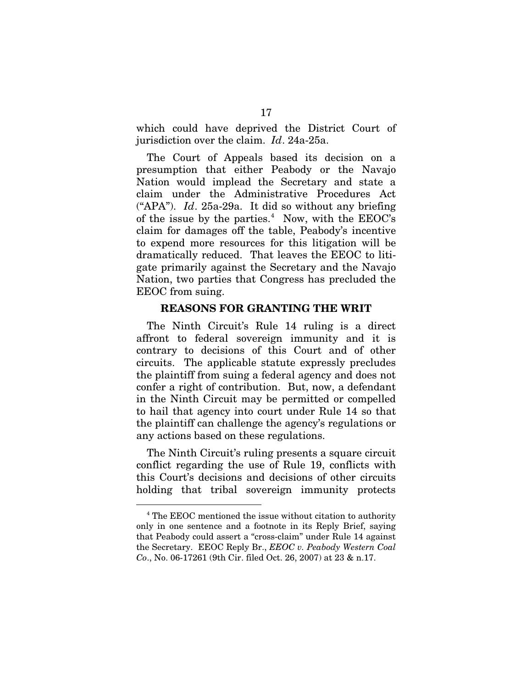which could have deprived the District Court of jurisdiction over the claim. *Id*. 24a-25a.

The Court of Appeals based its decision on a presumption that either Peabody or the Navajo Nation would implead the Secretary and state a claim under the Administrative Procedures Act ("APA"). *Id*. 25a-29a. It did so without any briefing of the issue by the parties. $4$  Now, with the EEOC's claim for damages off the table, Peabody's incentive to expend more resources for this litigation will be dramatically reduced. That leaves the EEOC to litigate primarily against the Secretary and the Navajo Nation, two parties that Congress has precluded the EEOC from suing.

#### **REASONS FOR GRANTING THE WRIT**

The Ninth Circuit's Rule 14 ruling is a direct affront to federal sovereign immunity and it is contrary to decisions of this Court and of other circuits. The applicable statute expressly precludes the plaintiff from suing a federal agency and does not confer a right of contribution. But, now, a defendant in the Ninth Circuit may be permitted or compelled to hail that agency into court under Rule 14 so that the plaintiff can challenge the agency's regulations or any actions based on these regulations.

The Ninth Circuit's ruling presents a square circuit conflict regarding the use of Rule 19, conflicts with this Court's decisions and decisions of other circuits holding that tribal sovereign immunity protects

<span id="page-28-0"></span> <sup>4</sup> The EEOC mentioned the issue without citation to authority only in one sentence and a footnote in its Reply Brief, saying that Peabody could assert a "cross-claim" under Rule 14 against the Secretary. EEOC Reply Br., *EEOC v. Peabody Western Coal Co*., No. 06-17261 (9th Cir. filed Oct. 26, 2007) at 23 & n.17.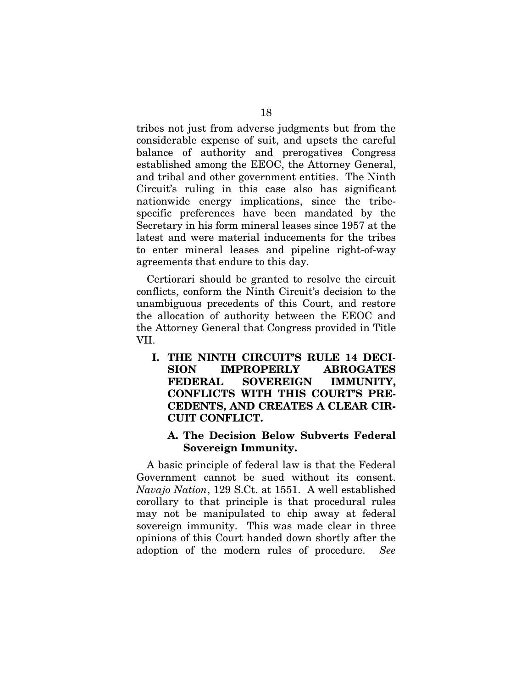tribes not just from adverse judgments but from the considerable expense of suit, and upsets the careful balance of authority and prerogatives Congress established among the EEOC, the Attorney General, and tribal and other government entities. The Ninth Circuit's ruling in this case also has significant nationwide energy implications, since the tribespecific preferences have been mandated by the Secretary in his form mineral leases since 1957 at the latest and were material inducements for the tribes to enter mineral leases and pipeline right-of-way agreements that endure to this day.

Certiorari should be granted to resolve the circuit conflicts, conform the Ninth Circuit's decision to the unambiguous precedents of this Court, and restore the allocation of authority between the EEOC and the Attorney General that Congress provided in Title VII.

**I. THE NINTH CIRCUIT'S RULE 14 DECI-SION IMPROPERLY ABROGATES FEDERAL SOVEREIGN IMMUNITY, CONFLICTS WITH THIS COURT'S PRE-CEDENTS, AND CREATES A CLEAR CIR-CUIT CONFLICT.**

### **A. The Decision Below Subverts Federal Sovereign Immunity.**

A basic principle of federal law is that the Federal Government cannot be sued without its consent. *Navajo Nation*, 129 S.Ct. at 1551. A well established corollary to that principle is that procedural rules may not be manipulated to chip away at federal sovereign immunity. This was made clear in three opinions of this Court handed down shortly after the adoption of the modern rules of procedure. *See*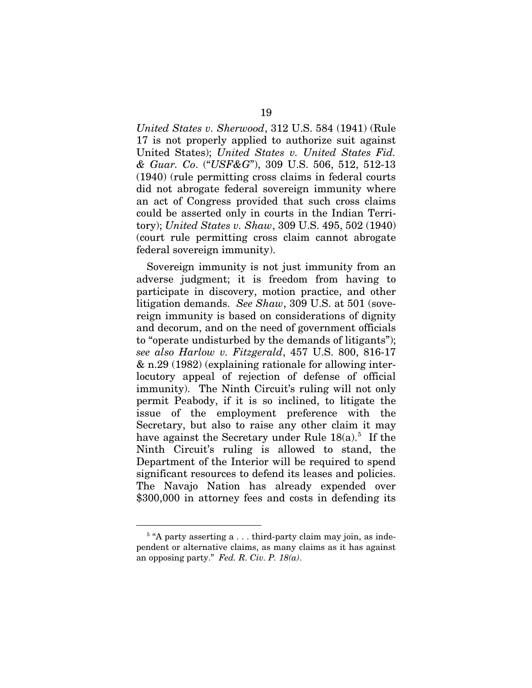*United States v. Sherwood*, 312 U.S. 584 (1941) (Rule 17 is not properly applied to authorize suit against United States); *United States v. United States Fid. & Guar. Co*. ("*USF&G*"), 309 U.S. 506, 512, 512-13 (1940) (rule permitting cross claims in federal courts did not abrogate federal sovereign immunity where an act of Congress provided that such cross claims could be asserted only in courts in the Indian Territory); *United States v. Shaw*, 309 U.S. 495, 502 (1940) (court rule permitting cross claim cannot abrogate federal sovereign immunity).

Sovereign immunity is not just immunity from an adverse judgment; it is freedom from having to participate in discovery, motion practice, and other litigation demands. *See Shaw*, 309 U.S. at 501 (sovereign immunity is based on considerations of dignity and decorum, and on the need of government officials to "operate undisturbed by the demands of litigants"); *see also Harlow v. Fitzgerald*, 457 U.S. 800, 816-17 & n.29 (1982) (explaining rationale for allowing interlocutory appeal of rejection of defense of official immunity). The Ninth Circuit's ruling will not only permit Peabody, if it is so inclined, to litigate the issue of the employment preference with the Secretary, but also to raise any other claim it may have against the Secretary under Rule  $18(a)$ .<sup>[5](#page-30-0)</sup> If the Ninth Circuit's ruling is allowed to stand, the Department of the Interior will be required to spend significant resources to defend its leases and policies. The Navajo Nation has already expended over \$300,000 in attorney fees and costs in defending its

<span id="page-30-0"></span> $5$  "A party asserting a ... third-party claim may join, as independent or alternative claims, as many claims as it has against an opposing party." *Fed. R. Civ. P. 18(a)*.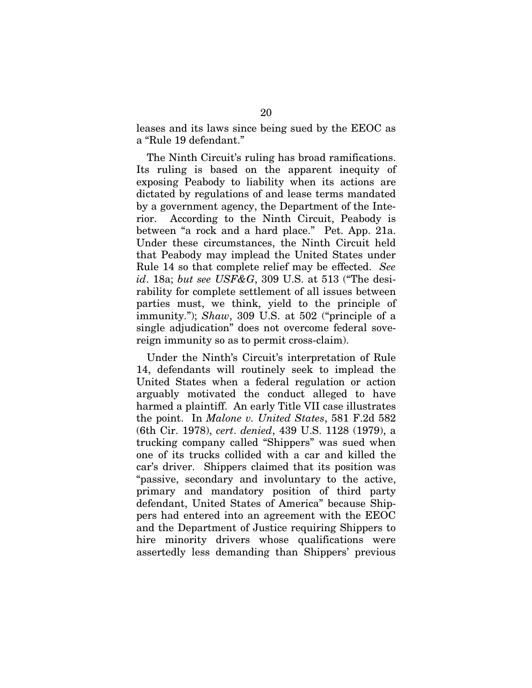leases and its laws since being sued by the EEOC as a "Rule 19 defendant."

The Ninth Circuit's ruling has broad ramifications. Its ruling is based on the apparent inequity of exposing Peabody to liability when its actions are dictated by regulations of and lease terms mandated by a government agency, the Department of the Interior. According to the Ninth Circuit, Peabody is between "a rock and a hard place." Pet. App. 21a. Under these circumstances, the Ninth Circuit held that Peabody may implead the United States under Rule 14 so that complete relief may be effected. *See id*. 18a; *but see USF&G*, 309 U.S. at 513 ("The desirability for complete settlement of all issues between parties must, we think, yield to the principle of immunity."); *Shaw*, 309 U.S. at 502 ("principle of a single adjudication" does not overcome federal sovereign immunity so as to permit cross-claim).

Under the Ninth's Circuit's interpretation of Rule 14, defendants will routinely seek to implead the United States when a federal regulation or action arguably motivated the conduct alleged to have harmed a plaintiff. An early Title VII case illustrates the point. In *Malone v. United States*, 581 F.2d 582 (6th Cir. 1978), *cert*. *denied*, 439 U.S. 1128 (1979), a trucking company called "Shippers" was sued when one of its trucks collided with a car and killed the car's driver. Shippers claimed that its position was "passive, secondary and involuntary to the active, primary and mandatory position of third party defendant, United States of America" because Shippers had entered into an agreement with the EEOC and the Department of Justice requiring Shippers to hire minority drivers whose qualifications were assertedly less demanding than Shippers' previous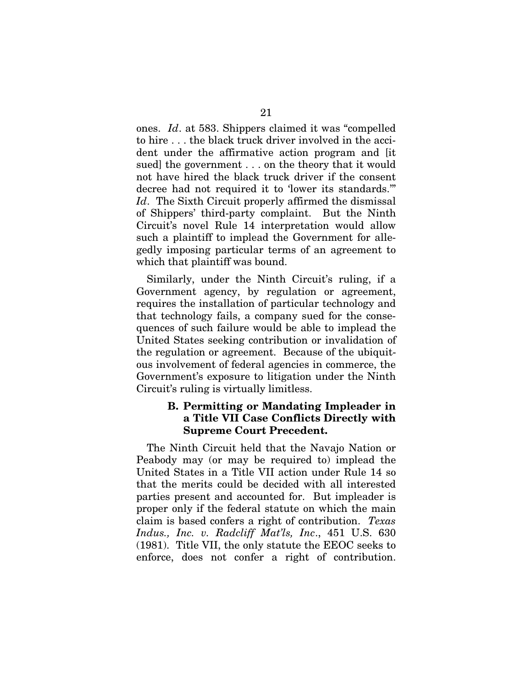ones. *Id*. at 583. Shippers claimed it was "compelled to hire . . . the black truck driver involved in the accident under the affirmative action program and [it sued] the government . . . on the theory that it would not have hired the black truck driver if the consent decree had not required it to 'lower its standards.'" *Id*. The Sixth Circuit properly affirmed the dismissal of Shippers' third-party complaint. But the Ninth Circuit's novel Rule 14 interpretation would allow such a plaintiff to implead the Government for allegedly imposing particular terms of an agreement to which that plaintiff was bound.

Similarly, under the Ninth Circuit's ruling, if a Government agency, by regulation or agreement, requires the installation of particular technology and that technology fails, a company sued for the consequences of such failure would be able to implead the United States seeking contribution or invalidation of the regulation or agreement. Because of the ubiquitous involvement of federal agencies in commerce, the Government's exposure to litigation under the Ninth Circuit's ruling is virtually limitless.

### **B. Permitting or Mandating Impleader in a Title VII Case Conflicts Directly with Supreme Court Precedent.**

The Ninth Circuit held that the Navajo Nation or Peabody may (or may be required to) implead the United States in a Title VII action under Rule 14 so that the merits could be decided with all interested parties present and accounted for. But impleader is proper only if the federal statute on which the main claim is based confers a right of contribution. *Texas Indus., Inc. v. Radcliff Mat'ls, Inc*., 451 U.S. 630 (1981). Title VII, the only statute the EEOC seeks to enforce, does not confer a right of contribution.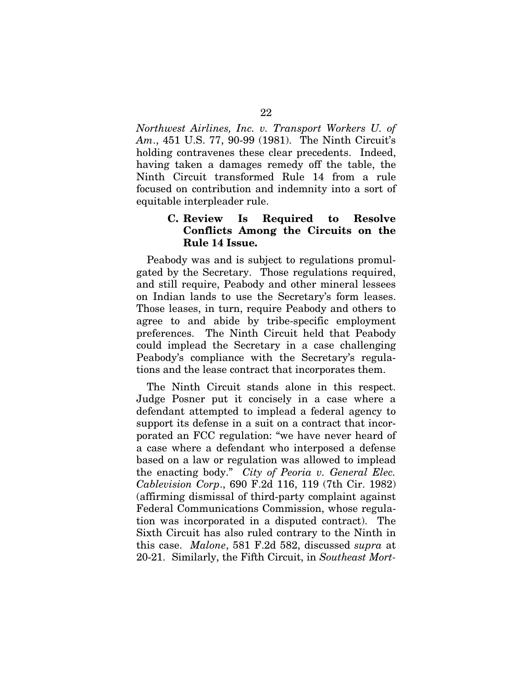*Northwest Airlines, Inc. v. Transport Workers U. of Am*., 451 U.S. 77, 90-99 (1981). The Ninth Circuit's holding contravenes these clear precedents. Indeed, having taken a damages remedy off the table, the Ninth Circuit transformed Rule 14 from a rule focused on contribution and indemnity into a sort of equitable interpleader rule.

### **C. Review Is Required to Resolve Conflicts Among the Circuits on the Rule 14 Issue.**

Peabody was and is subject to regulations promulgated by the Secretary. Those regulations required, and still require, Peabody and other mineral lessees on Indian lands to use the Secretary's form leases. Those leases, in turn, require Peabody and others to agree to and abide by tribe-specific employment preferences. The Ninth Circuit held that Peabody could implead the Secretary in a case challenging Peabody's compliance with the Secretary's regulations and the lease contract that incorporates them.

The Ninth Circuit stands alone in this respect. Judge Posner put it concisely in a case where a defendant attempted to implead a federal agency to support its defense in a suit on a contract that incorporated an FCC regulation: "we have never heard of a case where a defendant who interposed a defense based on a law or regulation was allowed to implead the enacting body." *City of Peoria v. General Elec. Cablevision Corp*., 690 F.2d 116, 119 (7th Cir. 1982) (affirming dismissal of third-party complaint against Federal Communications Commission, whose regulation was incorporated in a disputed contract). The Sixth Circuit has also ruled contrary to the Ninth in this case. *Malone*, 581 F.2d 582, discussed *supra* at 20-21. Similarly, the Fifth Circuit, in *Southeast Mort-*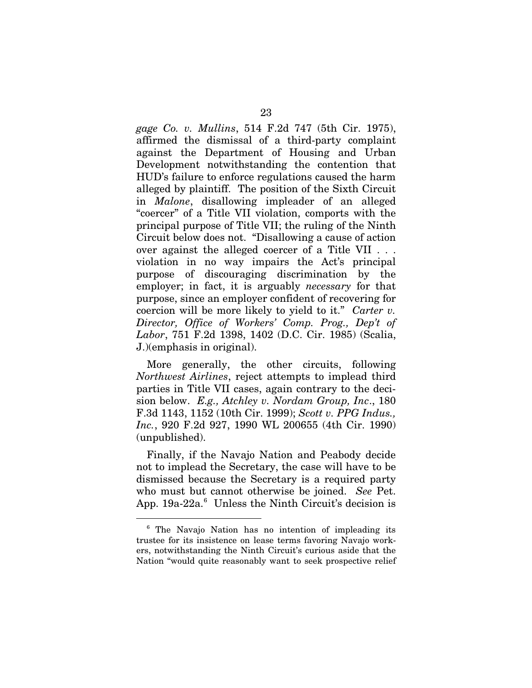*gage Co. v. Mullins*, 514 F.2d 747 (5th Cir. 1975), affirmed the dismissal of a third-party complaint against the Department of Housing and Urban Development notwithstanding the contention that HUD's failure to enforce regulations caused the harm alleged by plaintiff. The position of the Sixth Circuit in *Malone*, disallowing impleader of an alleged "coercer" of a Title VII violation, comports with the principal purpose of Title VII; the ruling of the Ninth Circuit below does not. "Disallowing a cause of action over against the alleged coercer of a Title VII . . . violation in no way impairs the Act's principal purpose of discouraging discrimination by the employer; in fact, it is arguably *necessary* for that purpose, since an employer confident of recovering for coercion will be more likely to yield to it." *Carter v. Director, Office of Workers' Comp. Prog., Dep't of Labor*, 751 F.2d 1398, 1402 (D.C. Cir. 1985) (Scalia, J.)(emphasis in original).

More generally, the other circuits, following *Northwest Airlines*, reject attempts to implead third parties in Title VII cases, again contrary to the decision below. *E.g., Atchley v. Nordam Group, Inc*., 180 F.3d 1143, 1152 (10th Cir. 1999); *Scott v. PPG Indus., Inc.*, 920 F.2d 927, 1990 WL 200655 (4th Cir. 1990) (unpublished).

Finally, if the Navajo Nation and Peabody decide not to implead the Secretary, the case will have to be dismissed because the Secretary is a required party who must but cannot otherwise be joined. *See* Pet. App. 19a-22a.<sup>[6](#page-34-0)</sup> Unless the Ninth Circuit's decision is

<span id="page-34-0"></span><sup>&</sup>lt;sup>6</sup> The Navajo Nation has no intention of impleading its trustee for its insistence on lease terms favoring Navajo workers, notwithstanding the Ninth Circuit's curious aside that the Nation "would quite reasonably want to seek prospective relief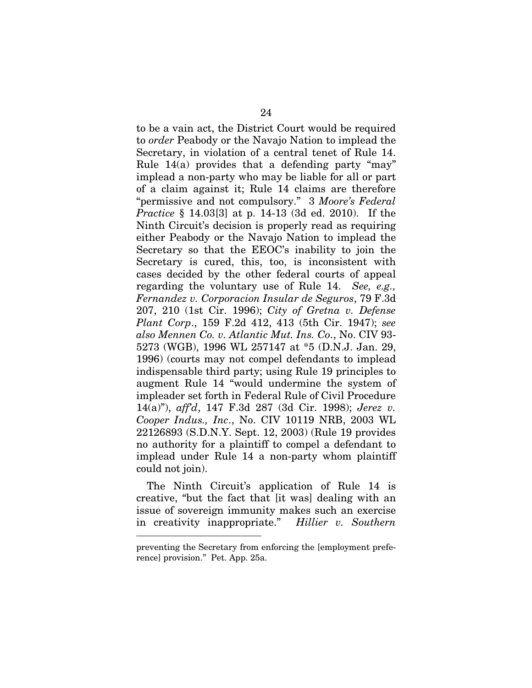to be a vain act, the District Court would be required to *order* Peabody or the Navajo Nation to implead the Secretary, in violation of a central tenet of Rule 14. Rule  $14(a)$  provides that a defending party "may" implead a non-party who may be liable for all or part of a claim against it; Rule 14 claims are therefore "permissive and not compulsory." 3 *Moore's Federal Practice* § 14.03[3] at p. 14-13 (3d ed. 2010). If the Ninth Circuit's decision is properly read as requiring either Peabody or the Navajo Nation to implead the Secretary so that the EEOC's inability to join the Secretary is cured, this, too, is inconsistent with cases decided by the other federal courts of appeal regarding the voluntary use of Rule 14. *See, e.g., Fernandez v. Corporacion Insular de Seguros*, 79 F.3d 207, 210 (1st Cir. 1996); *City of Gretna v. Defense Plant Corp*., 159 F.2d 412, 413 (5th Cir. 1947); *see also Mennen Co. v. Atlantic Mut. Ins. Co*., No. CIV 93- 5273 (WGB), 1996 WL 257147 at \*5 (D.N.J. Jan. 29, 1996) (courts may not compel defendants to implead indispensable third party; using Rule 19 principles to augment Rule 14 "would undermine the system of impleader set forth in Federal Rule of Civil Procedure 14(a)"), *aff'd*, 147 F.3d 287 (3d Cir. 1998); *Jerez v. Cooper Indus., Inc*., No. CIV 10119 NRB, 2003 WL 22126893 (S.D.N.Y. Sept. 12, 2003) (Rule 19 provides no authority for a plaintiff to compel a defendant to implead under Rule 14 a non-party whom plaintiff could not join).

The Ninth Circuit's application of Rule 14 is creative, "but the fact that [it was] dealing with an issue of sovereign immunity makes such an exercise in creativity inappropriate." *Hillier v. Southern* 

-

preventing the Secretary from enforcing the [employment preference] provision." Pet. App. 25a.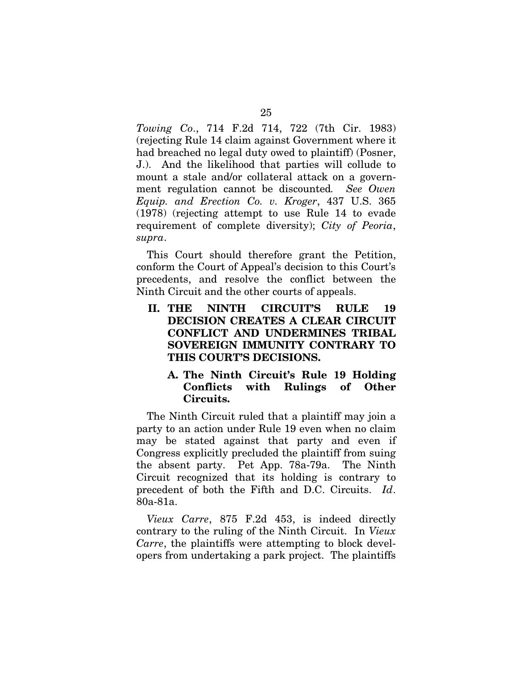*Towing Co*., 714 F.2d 714, 722 (7th Cir. 1983) (rejecting Rule 14 claim against Government where it had breached no legal duty owed to plaintiff) (Posner, J.). And the likelihood that parties will collude to mount a stale and/or collateral attack on a government regulation cannot be discounted*. See Owen Equip. and Erection Co. v. Kroger*, 437 U.S. 365 (1978) (rejecting attempt to use Rule 14 to evade requirement of complete diversity); *City of Peoria*, *supra*.

This Court should therefore grant the Petition, conform the Court of Appeal's decision to this Court's precedents, and resolve the conflict between the Ninth Circuit and the other courts of appeals.

**II. THE NINTH CIRCUIT'S RULE 19 DECISION CREATES A CLEAR CIRCUIT CONFLICT AND UNDERMINES TRIBAL SOVEREIGN IMMUNITY CONTRARY TO THIS COURT'S DECISIONS.**

# **A. The Ninth Circuit's Rule 19 Holding Conflicts with Rulings of Other Circuits.**

The Ninth Circuit ruled that a plaintiff may join a party to an action under Rule 19 even when no claim may be stated against that party and even if Congress explicitly precluded the plaintiff from suing the absent party. Pet App. 78a-79a. The Ninth Circuit recognized that its holding is contrary to precedent of both the Fifth and D.C. Circuits. *Id*. 80a-81a.

*Vieux Carre*, 875 F.2d 453, is indeed directly contrary to the ruling of the Ninth Circuit. In *Vieux Carre*, the plaintiffs were attempting to block developers from undertaking a park project. The plaintiffs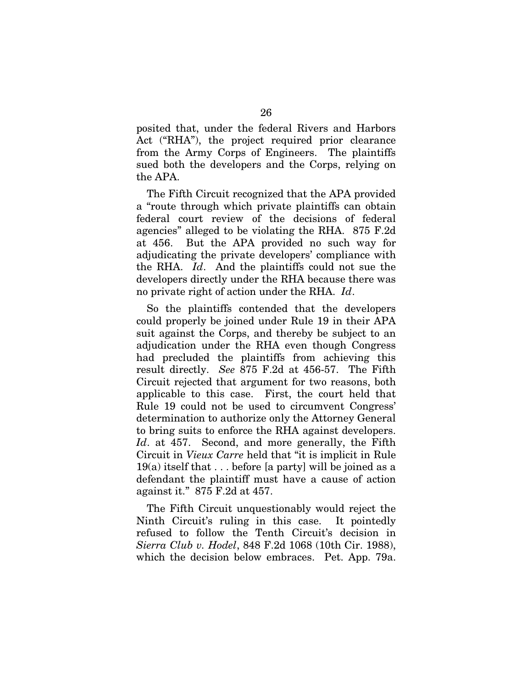posited that, under the federal Rivers and Harbors Act ("RHA"), the project required prior clearance from the Army Corps of Engineers. The plaintiffs sued both the developers and the Corps, relying on the APA.

The Fifth Circuit recognized that the APA provided a "route through which private plaintiffs can obtain federal court review of the decisions of federal agencies" alleged to be violating the RHA. 875 F.2d at 456. But the APA provided no such way for adjudicating the private developers' compliance with the RHA. *Id*. And the plaintiffs could not sue the developers directly under the RHA because there was no private right of action under the RHA. *Id*.

So the plaintiffs contended that the developers could properly be joined under Rule 19 in their APA suit against the Corps, and thereby be subject to an adjudication under the RHA even though Congress had precluded the plaintiffs from achieving this result directly. *See* 875 F.2d at 456-57. The Fifth Circuit rejected that argument for two reasons, both applicable to this case. First, the court held that Rule 19 could not be used to circumvent Congress' determination to authorize only the Attorney General to bring suits to enforce the RHA against developers. *Id*. at 457. Second, and more generally, the Fifth Circuit in *Vieux Carre* held that "it is implicit in Rule 19(a) itself that . . . before [a party] will be joined as a defendant the plaintiff must have a cause of action against it." 875 F.2d at 457.

The Fifth Circuit unquestionably would reject the Ninth Circuit's ruling in this case. It pointedly refused to follow the Tenth Circuit's decision in *Sierra Club v. Hodel*, 848 F.2d 1068 (10th Cir. 1988), which the decision below embraces. Pet. App. 79a.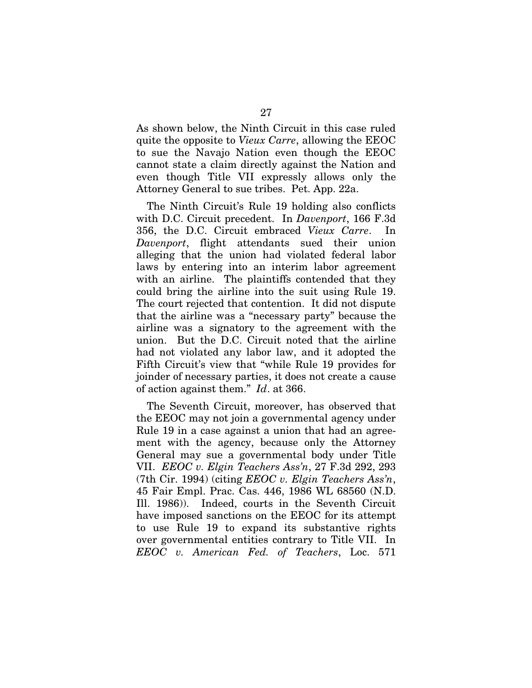As shown below, the Ninth Circuit in this case ruled quite the opposite to *Vieux Carre*, allowing the EEOC to sue the Navajo Nation even though the EEOC cannot state a claim directly against the Nation and even though Title VII expressly allows only the Attorney General to sue tribes. Pet. App. 22a.

The Ninth Circuit's Rule 19 holding also conflicts with D.C. Circuit precedent. In *Davenport*, 166 F.3d 356, the D.C. Circuit embraced *Vieux Carre*. In *Davenport*, flight attendants sued their union alleging that the union had violated federal labor laws by entering into an interim labor agreement with an airline. The plaintiffs contended that they could bring the airline into the suit using Rule 19. The court rejected that contention. It did not dispute that the airline was a "necessary party" because the airline was a signatory to the agreement with the union. But the D.C. Circuit noted that the airline had not violated any labor law, and it adopted the Fifth Circuit's view that "while Rule 19 provides for joinder of necessary parties, it does not create a cause of action against them." *Id*. at 366.

The Seventh Circuit, moreover, has observed that the EEOC may not join a governmental agency under Rule 19 in a case against a union that had an agreement with the agency, because only the Attorney General may sue a governmental body under Title VII. *EEOC v. Elgin Teachers Ass'n*, 27 F.3d 292, 293 (7th Cir. 1994) (citing *EEOC v. Elgin Teachers Ass'n*, 45 Fair Empl. Prac. Cas. 446, 1986 WL 68560 (N.D. Ill. 1986)). Indeed, courts in the Seventh Circuit have imposed sanctions on the EEOC for its attempt to use Rule 19 to expand its substantive rights over governmental entities contrary to Title VII. In *EEOC v. American Fed. of Teachers*, Loc. 571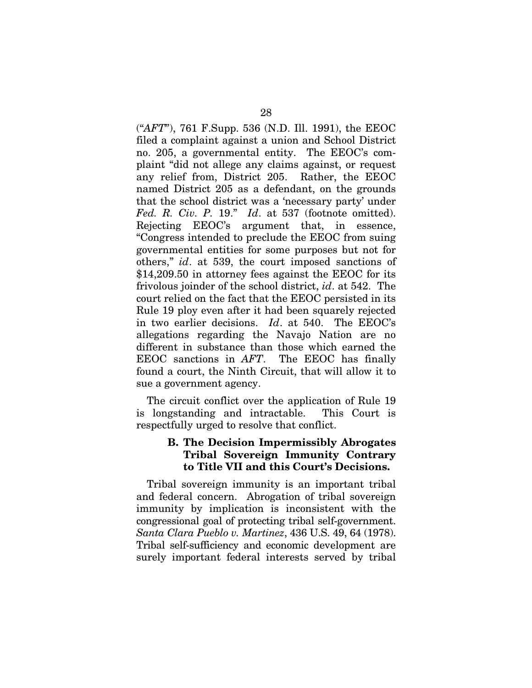("*AFT*"), 761 F.Supp. 536 (N.D. Ill. 1991), the EEOC filed a complaint against a union and School District no. 205, a governmental entity. The EEOC's complaint "did not allege any claims against, or request any relief from, District 205. Rather, the EEOC named District 205 as a defendant, on the grounds that the school district was a 'necessary party' under *Fed. R. Civ. P.* 19." *Id*. at 537 (footnote omitted). Rejecting EEOC's argument that, in essence, "Congress intended to preclude the EEOC from suing governmental entities for some purposes but not for others," *id*. at 539, the court imposed sanctions of \$14,209.50 in attorney fees against the EEOC for its frivolous joinder of the school district, *id*. at 542. The court relied on the fact that the EEOC persisted in its Rule 19 ploy even after it had been squarely rejected in two earlier decisions. *Id*. at 540. The EEOC's allegations regarding the Navajo Nation are no different in substance than those which earned the EEOC sanctions in *AFT*. The EEOC has finally found a court, the Ninth Circuit, that will allow it to sue a government agency.

The circuit conflict over the application of Rule 19 is longstanding and intractable. This Court is respectfully urged to resolve that conflict.

# **B. The Decision Impermissibly Abrogates Tribal Sovereign Immunity Contrary to Title VII and this Court's Decisions.**

Tribal sovereign immunity is an important tribal and federal concern. Abrogation of tribal sovereign immunity by implication is inconsistent with the congressional goal of protecting tribal self-government. *Santa Clara Pueblo v. Martinez*, 436 U.S. 49, 64 (1978). Tribal self-sufficiency and economic development are surely important federal interests served by tribal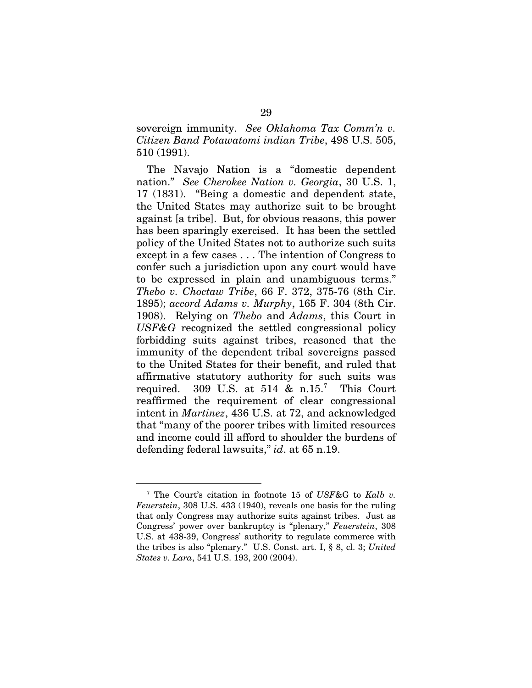sovereign immunity. *See Oklahoma Tax Comm'n v. Citizen Band Potawatomi indian Tribe*, 498 U.S. 505, 510 (1991).

The Navajo Nation is a "domestic dependent nation." *See Cherokee Nation v. Georgia*, 30 U.S. 1, 17 (1831). "Being a domestic and dependent state, the United States may authorize suit to be brought against [a tribe]. But, for obvious reasons, this power has been sparingly exercised. It has been the settled policy of the United States not to authorize such suits except in a few cases . . . The intention of Congress to confer such a jurisdiction upon any court would have to be expressed in plain and unambiguous terms." *Thebo v. Choctaw Tribe*, 66 F. 372, 375-76 (8th Cir. 1895); *accord Adams v. Murphy*, 165 F. 304 (8th Cir. 1908). Relying on *Thebo* and *Adams*, this Court in *USF&G* recognized the settled congressional policy forbidding suits against tribes, reasoned that the immunity of the dependent tribal sovereigns passed to the United States for their benefit, and ruled that affirmative statutory authority for such suits was required. 309 U.S. at 514 & n.15.[7](#page-40-0) This Court reaffirmed the requirement of clear congressional intent in *Martinez*, 436 U.S. at 72, and acknowledged that "many of the poorer tribes with limited resources and income could ill afford to shoulder the burdens of defending federal lawsuits," *id*. at 65 n.19.

<span id="page-40-0"></span> <sup>7</sup> The Court's citation in footnote 15 of *USF*&G to *Kalb v. Feuerstein*, 308 U.S. 433 (1940), reveals one basis for the ruling that only Congress may authorize suits against tribes. Just as Congress' power over bankruptcy is "plenary," *Feuerstein*, 308 U.S. at 438-39, Congress' authority to regulate commerce with the tribes is also "plenary." U.S. Const. art. I, § 8, cl. 3; *United States v. Lara*, 541 U.S. 193, 200 (2004).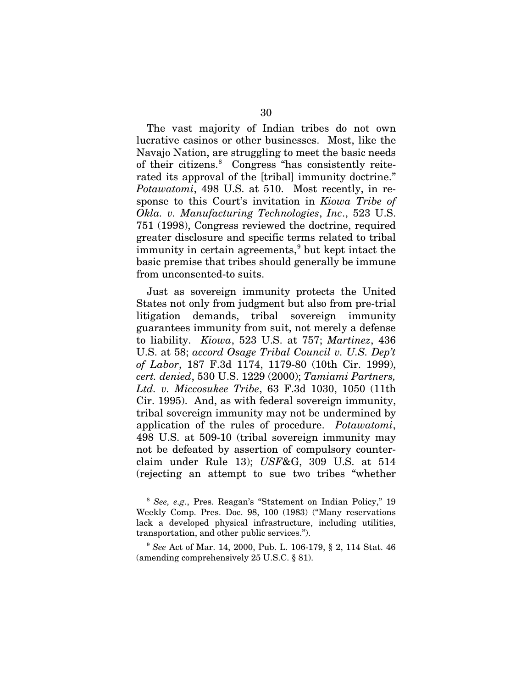The vast majority of Indian tribes do not own lucrative casinos or other businesses. Most, like the Navajo Nation, are struggling to meet the basic needs of their citizens.<sup>[8](#page-41-0)</sup> Congress "has consistently reiterated its approval of the [tribal] immunity doctrine." *Potawatomi*, 498 U.S. at 510. Most recently, in response to this Court's invitation in *Kiowa Tribe of Okla. v. Manufacturing Technologies*, *Inc*., 523 U.S. 751 (1998), Congress reviewed the doctrine, required greater disclosure and specific terms related to tribal immunity in certain agreements,<sup>[9](#page-41-1)</sup> but kept intact the basic premise that tribes should generally be immune from unconsented-to suits.

Just as sovereign immunity protects the United States not only from judgment but also from pre-trial litigation demands, tribal sovereign immunity guarantees immunity from suit, not merely a defense to liability. *Kiowa*, 523 U.S. at 757; *Martinez*, 436 U.S. at 58; *accord Osage Tribal Council v. U.S. Dep't of Labor*, 187 F.3d 1174, 1179-80 (10th Cir. 1999), *cert. denied*, 530 U.S. 1229 (2000); *Tamiami Partners, Ltd. v. Miccosukee Tribe*, 63 F.3d 1030, 1050 (11th Cir. 1995). And, as with federal sovereign immunity, tribal sovereign immunity may not be undermined by application of the rules of procedure. *Potawatomi*, 498 U.S. at 509-10 (tribal sovereign immunity may not be defeated by assertion of compulsory counterclaim under Rule 13); *USF*&G, 309 U.S. at 514 (rejecting an attempt to sue two tribes "whether

<span id="page-41-0"></span> <sup>8</sup> *See, e.g*., Pres. Reagan's "Statement on Indian Policy," <sup>19</sup> Weekly Comp. Pres. Doc. 98, 100 (1983) ("Many reservations lack a developed physical infrastructure, including utilities, transportation, and other public services.").

<span id="page-41-1"></span><sup>9</sup> *See* Act of Mar. 14, 2000, Pub. L. 106-179, § 2, 114 Stat. 46 (amending comprehensively 25 U.S.C. § 81).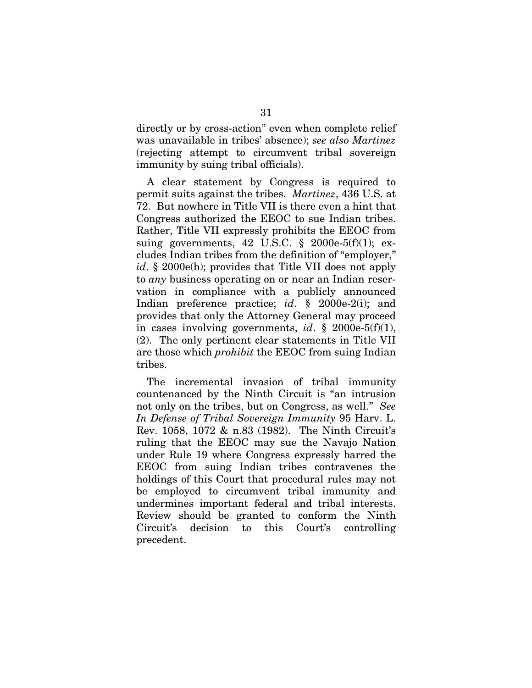directly or by cross-action" even when complete relief was unavailable in tribes' absence); *see also Martinez* (rejecting attempt to circumvent tribal sovereign immunity by suing tribal officials).

A clear statement by Congress is required to permit suits against the tribes. *Martinez*, 436 U.S. at 72. But nowhere in Title VII is there even a hint that Congress authorized the EEOC to sue Indian tribes. Rather, Title VII expressly prohibits the EEOC from suing governments, 42 U.S.C.  $\S$  2000e-5(f)(1); excludes Indian tribes from the definition of "employer," *id*. § 2000e(b); provides that Title VII does not apply to *any* business operating on or near an Indian reservation in compliance with a publicly announced Indian preference practice; *id*. § 2000e-2(i); and provides that only the Attorney General may proceed in cases involving governments, *id*. § 2000e-5(f)(1), (2). The only pertinent clear statements in Title VII are those which *prohibit* the EEOC from suing Indian tribes.

The incremental invasion of tribal immunity countenanced by the Ninth Circuit is "an intrusion not only on the tribes, but on Congress, as well." *See In Defense of Tribal Sovereign Immunity* 95 Harv. L. Rev. 1058, 1072 & n.83 (1982). The Ninth Circuit's ruling that the EEOC may sue the Navajo Nation under Rule 19 where Congress expressly barred the EEOC from suing Indian tribes contravenes the holdings of this Court that procedural rules may not be employed to circumvent tribal immunity and undermines important federal and tribal interests. Review should be granted to conform the Ninth Circuit's decision to this Court's controlling precedent.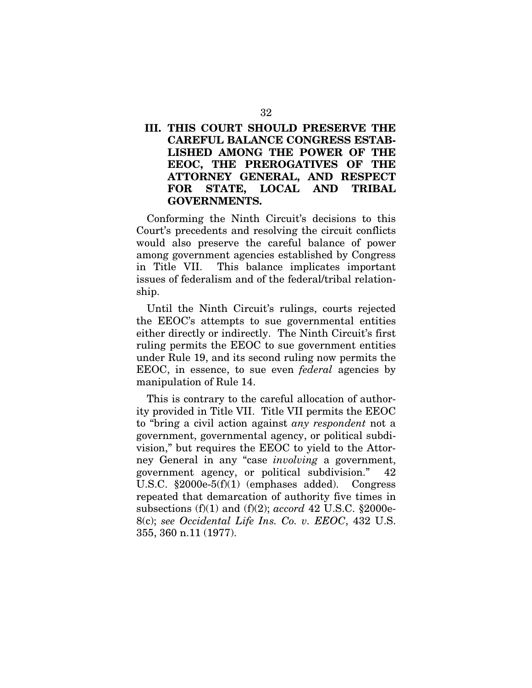# **III. THIS COURT SHOULD PRESERVE THE CAREFUL BALANCE CONGRESS ESTAB-LISHED AMONG THE POWER OF THE EEOC, THE PREROGATIVES OF THE ATTORNEY GENERAL, AND RESPECT FOR STATE, LOCAL AND TRIBAL GOVERNMENTS.**

Conforming the Ninth Circuit's decisions to this Court's precedents and resolving the circuit conflicts would also preserve the careful balance of power among government agencies established by Congress in Title VII. This balance implicates important issues of federalism and of the federal/tribal relationship.

Until the Ninth Circuit's rulings, courts rejected the EEOC's attempts to sue governmental entities either directly or indirectly. The Ninth Circuit's first ruling permits the EEOC to sue government entities under Rule 19, and its second ruling now permits the EEOC, in essence, to sue even *federal* agencies by manipulation of Rule 14.

This is contrary to the careful allocation of authority provided in Title VII. Title VII permits the EEOC to "bring a civil action against *any respondent* not a government, governmental agency, or political subdivision," but requires the EEOC to yield to the Attorney General in any "case *involving* a government, government agency, or political subdivision." 42 U.S.C. §2000e-5(f)(1) (emphases added). Congress repeated that demarcation of authority five times in subsections (f)(1) and (f)(2); *accord* 42 U.S.C. §2000e-8(c); *see Occidental Life Ins. Co. v. EEOC*, 432 U.S. 355, 360 n.11 (1977).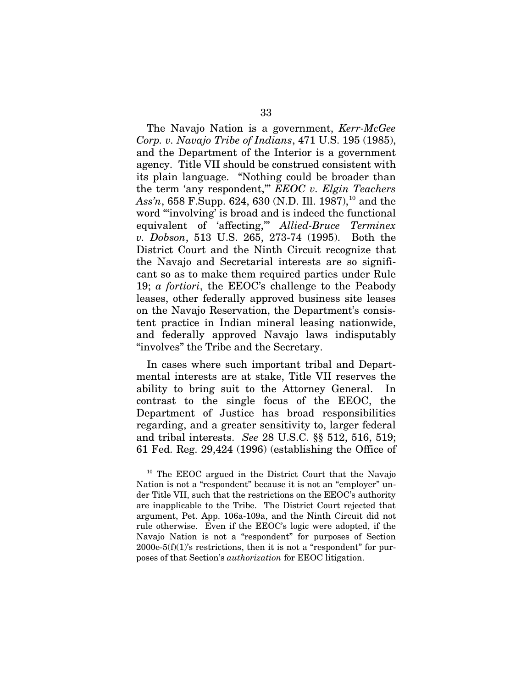The Navajo Nation is a government, *Kerr-McGee Corp. v. Navajo Tribe of Indians*, 471 U.S. 195 (1985), and the Department of the Interior is a government agency. Title VII should be construed consistent with its plain language. "Nothing could be broader than the term 'any respondent,'" *EEOC v. Elgin Teachers*  Ass'n, 658 F.Supp. 624, 630 (N.D. Ill. 1987),<sup>[10](#page-44-0)</sup> and the word "'involving' is broad and is indeed the functional equivalent of 'affecting,'" *Allied-Bruce Terminex v. Dobson*, 513 U.S. 265, 273-74 (1995). Both the District Court and the Ninth Circuit recognize that the Navajo and Secretarial interests are so significant so as to make them required parties under Rule 19; *a fortiori*, the EEOC's challenge to the Peabody leases, other federally approved business site leases on the Navajo Reservation, the Department's consistent practice in Indian mineral leasing nationwide, and federally approved Navajo laws indisputably "involves" the Tribe and the Secretary.

In cases where such important tribal and Departmental interests are at stake, Title VII reserves the ability to bring suit to the Attorney General. In contrast to the single focus of the EEOC, the Department of Justice has broad responsibilities regarding, and a greater sensitivity to, larger federal and tribal interests. *See* 28 U.S.C. §§ 512, 516, 519; 61 Fed. Reg. 29,424 (1996) (establishing the Office of

<span id="page-44-0"></span> <sup>10</sup> The EEOC argued in the District Court that the Navajo Nation is not a "respondent" because it is not an "employer" under Title VII, such that the restrictions on the EEOC's authority are inapplicable to the Tribe. The District Court rejected that argument, Pet. App. 106a-109a, and the Ninth Circuit did not rule otherwise. Even if the EEOC's logic were adopted, if the Navajo Nation is not a "respondent" for purposes of Section  $2000e-5(f)(1)$ 's restrictions, then it is not a "respondent" for purposes of that Section's *authorization* for EEOC litigation.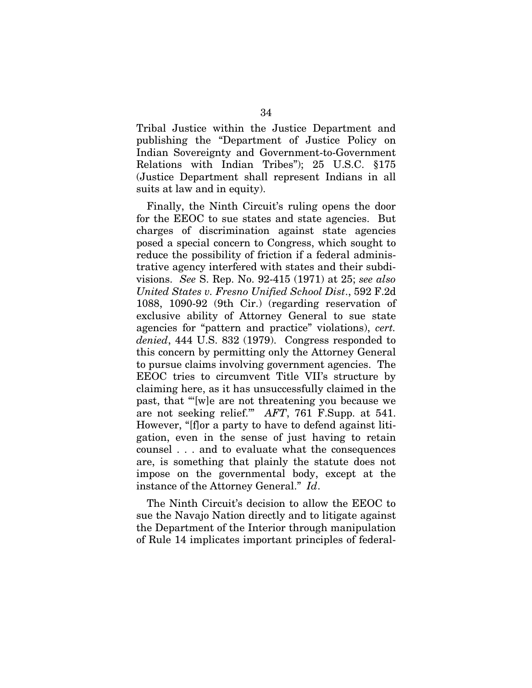Tribal Justice within the Justice Department and publishing the "Department of Justice Policy on Indian Sovereignty and Government-to-Government Relations with Indian Tribes"); 25 U.S.C. §175 (Justice Department shall represent Indians in all suits at law and in equity).

Finally, the Ninth Circuit's ruling opens the door for the EEOC to sue states and state agencies. But charges of discrimination against state agencies posed a special concern to Congress, which sought to reduce the possibility of friction if a federal administrative agency interfered with states and their subdivisions. *See* S. Rep. No. 92-415 (1971) at 25; *see also United States v. Fresno Unified School Dist*., 592 F.2d 1088, 1090-92 (9th Cir.) (regarding reservation of exclusive ability of Attorney General to sue state agencies for "pattern and practice" violations), *cert. denied*, 444 U.S. 832 (1979). Congress responded to this concern by permitting only the Attorney General to pursue claims involving government agencies. The EEOC tries to circumvent Title VII's structure by claiming here, as it has unsuccessfully claimed in the past, that "'[w]e are not threatening you because we are not seeking relief.'" *AFT*, 761 F.Supp. at 541. However, "[f]or a party to have to defend against litigation, even in the sense of just having to retain counsel . . . and to evaluate what the consequences are, is something that plainly the statute does not impose on the governmental body, except at the instance of the Attorney General." *Id*.

The Ninth Circuit's decision to allow the EEOC to sue the Navajo Nation directly and to litigate against the Department of the Interior through manipulation of Rule 14 implicates important principles of federal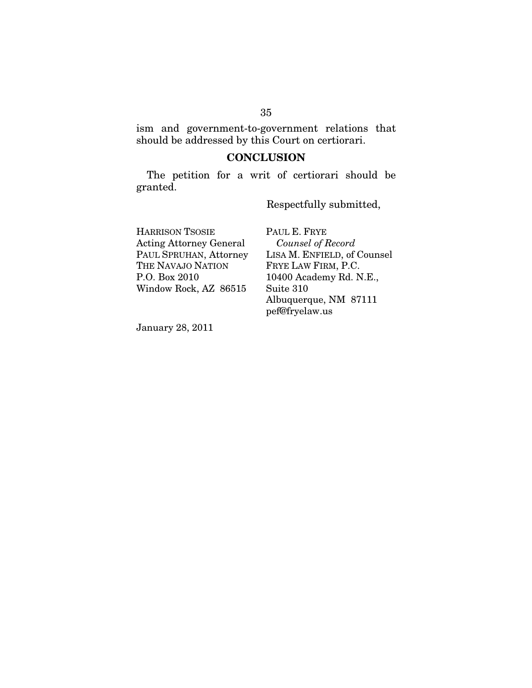ism and government-to-government relations that should be addressed by this Court on certiorari.

## **CONCLUSION**

The petition for a writ of certiorari should be granted.

Respectfully submitted,

HARRISON TSOSIE Acting Attorney General PAUL SPRUHAN, Attorney THE NAVAJO NATION P.O. Box 2010 Window Rock, AZ 86515

PAUL E. FRYE *Counsel of Record* LISA M. ENFIELD, of Counsel FRYE LAW FIRM, P.C. 10400 Academy Rd. N.E., Suite 310 Albuquerque, NM 87111 pef@fryelaw.us

January 28, 2011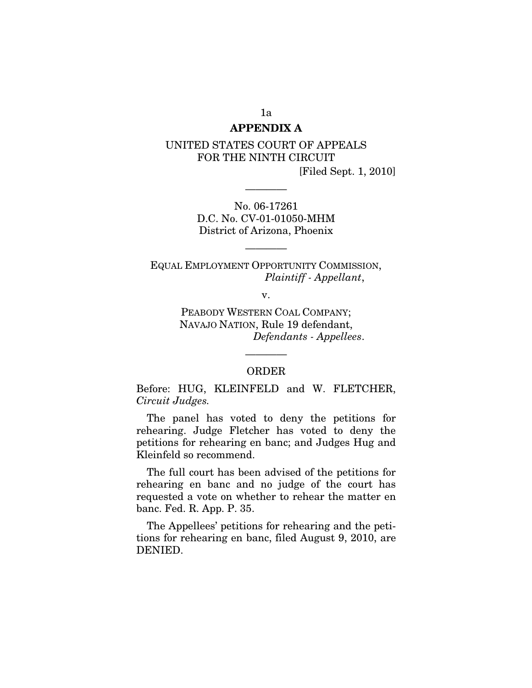# 1a

# **APPENDIX A**

# UNITED STATES COURT OF APPEALS FOR THE NINTH CIRCUIT

[Filed Sept. 1, 2010]

No. 06-17261 D.C. No. CV-01-01050-MHM District of Arizona, Phoenix

————

EQUAL EMPLOYMENT OPPORTUNITY COMMISSION, *Plaintiff - Appellant*,

————

v.

PEABODY WESTERN COAL COMPANY; NAVAJO NATION, Rule 19 defendant, *Defendants - Appellees*.

# ———— ORDER

Before: HUG, KLEINFELD and W. FLETCHER, *Circuit Judges.*

The panel has voted to deny the petitions for rehearing. Judge Fletcher has voted to deny the petitions for rehearing en banc; and Judges Hug and Kleinfeld so recommend.

The full court has been advised of the petitions for rehearing en banc and no judge of the court has requested a vote on whether to rehear the matter en banc. Fed. R. App. P. 35.

The Appellees' petitions for rehearing and the petitions for rehearing en banc, filed August 9, 2010, are DENIED.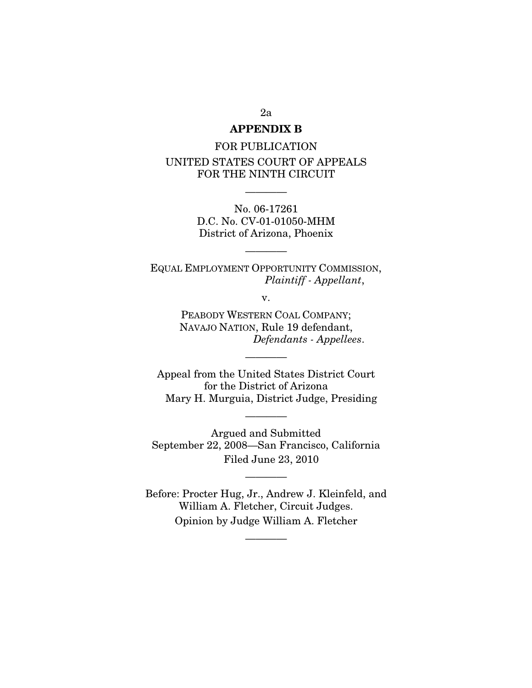#### 2a

# **APPENDIX B**

FOR PUBLICATION UNITED STATES COURT OF APPEALS FOR THE NINTH CIRCUIT

> No. 06-17261 D.C. No. CV-01-01050-MHM District of Arizona, Phoenix

————

EQUAL EMPLOYMENT OPPORTUNITY COMMISSION, *Plaintiff - Appellant*,

————

v.

PEABODY WESTERN COAL COMPANY; NAVAJO NATION, Rule 19 defendant, *Defendants - Appellees*.

Appeal from the United States District Court for the District of Arizona Mary H. Murguia, District Judge, Presiding

————

————

Argued and Submitted September 22, 2008—San Francisco, California Filed June 23, 2010

Before: Procter Hug, Jr., Andrew J. Kleinfeld, and William A. Fletcher, Circuit Judges. Opinion by Judge William A. Fletcher

————

————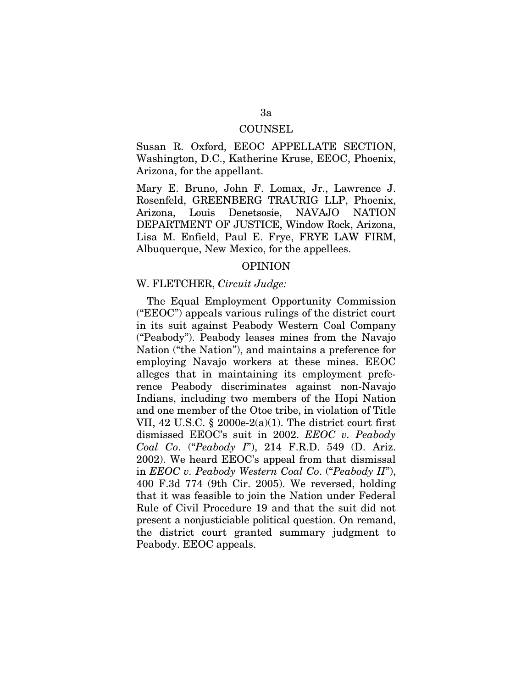#### **COUNSEL**

Susan R. Oxford, EEOC APPELLATE SECTION, Washington, D.C., Katherine Kruse, EEOC, Phoenix, Arizona, for the appellant.

Mary E. Bruno, John F. Lomax, Jr., Lawrence J. Rosenfeld, GREENBERG TRAURIG LLP, Phoenix, Arizona, Louis Denetsosie, NAVAJO NATION DEPARTMENT OF JUSTICE, Window Rock, Arizona, Lisa M. Enfield, Paul E. Frye, FRYE LAW FIRM, Albuquerque, New Mexico, for the appellees.

#### OPINION

#### W. FLETCHER, *Circuit Judge:*

The Equal Employment Opportunity Commission ("EEOC") appeals various rulings of the district court in its suit against Peabody Western Coal Company ("Peabody"). Peabody leases mines from the Navajo Nation ("the Nation"), and maintains a preference for employing Navajo workers at these mines. EEOC alleges that in maintaining its employment preference Peabody discriminates against non-Navajo Indians, including two members of the Hopi Nation and one member of the Otoe tribe, in violation of Title VII, 42 U.S.C.  $\S$  2000e-2(a)(1). The district court first dismissed EEOC's suit in 2002. *EEOC v. Peabody Coal Co*. ("*Peabody I*"), 214 F.R.D. 549 (D. Ariz. 2002). We heard EEOC's appeal from that dismissal in *EEOC v. Peabody Western Coal Co*. ("*Peabody II*"), 400 F.3d 774 (9th Cir. 2005). We reversed, holding that it was feasible to join the Nation under Federal Rule of Civil Procedure 19 and that the suit did not present a nonjusticiable political question. On remand, the district court granted summary judgment to Peabody. EEOC appeals.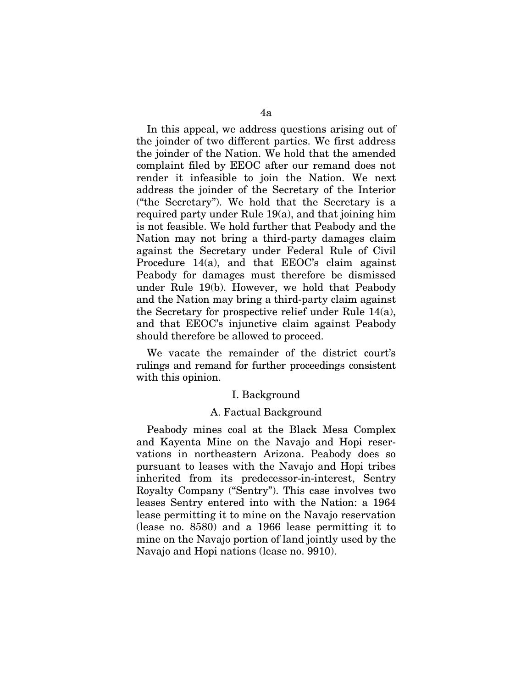In this appeal, we address questions arising out of the joinder of two different parties. We first address the joinder of the Nation. We hold that the amended complaint filed by EEOC after our remand does not render it infeasible to join the Nation. We next address the joinder of the Secretary of the Interior ("the Secretary"). We hold that the Secretary is a required party under Rule 19(a), and that joining him is not feasible. We hold further that Peabody and the Nation may not bring a third-party damages claim against the Secretary under Federal Rule of Civil Procedure 14(a), and that EEOC's claim against Peabody for damages must therefore be dismissed under Rule 19(b). However, we hold that Peabody and the Nation may bring a third-party claim against the Secretary for prospective relief under Rule 14(a), and that EEOC's injunctive claim against Peabody should therefore be allowed to proceed.

We vacate the remainder of the district court's rulings and remand for further proceedings consistent with this opinion.

#### I. Background

#### A. Factual Background

Peabody mines coal at the Black Mesa Complex and Kayenta Mine on the Navajo and Hopi reservations in northeastern Arizona. Peabody does so pursuant to leases with the Navajo and Hopi tribes inherited from its predecessor-in-interest, Sentry Royalty Company ("Sentry"). This case involves two leases Sentry entered into with the Nation: a 1964 lease permitting it to mine on the Navajo reservation (lease no. 8580) and a 1966 lease permitting it to mine on the Navajo portion of land jointly used by the Navajo and Hopi nations (lease no. 9910).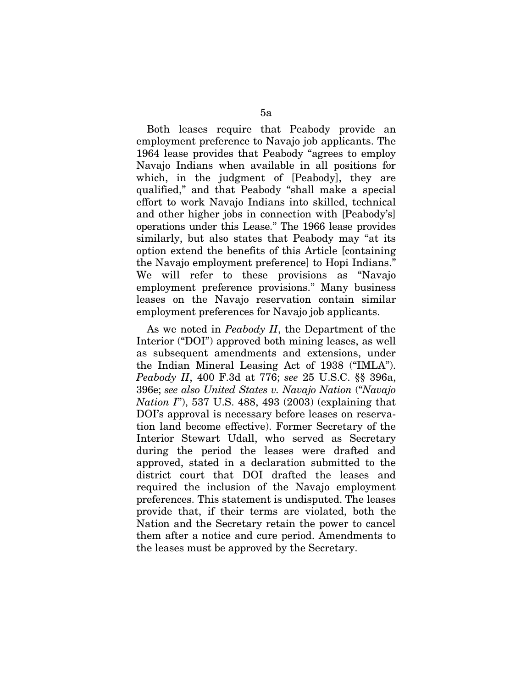Both leases require that Peabody provide an employment preference to Navajo job applicants. The 1964 lease provides that Peabody "agrees to employ Navajo Indians when available in all positions for which, in the judgment of [Peabody], they are qualified," and that Peabody "shall make a special effort to work Navajo Indians into skilled, technical and other higher jobs in connection with [Peabody's] operations under this Lease." The 1966 lease provides similarly, but also states that Peabody may "at its option extend the benefits of this Article [containing the Navajo employment preference] to Hopi Indians." We will refer to these provisions as "Navajo employment preference provisions." Many business leases on the Navajo reservation contain similar employment preferences for Navajo job applicants.

As we noted in *Peabody II*, the Department of the Interior ("DOI") approved both mining leases, as well as subsequent amendments and extensions, under the Indian Mineral Leasing Act of 1938 ("IMLA"). *Peabody II*, 400 F.3d at 776; *see* 25 U.S.C. §§ 396a, 396e; *see also United States v. Navajo Nation* ("*Navajo Nation I*"), 537 U.S. 488, 493 (2003) (explaining that DOI's approval is necessary before leases on reservation land become effective). Former Secretary of the Interior Stewart Udall, who served as Secretary during the period the leases were drafted and approved, stated in a declaration submitted to the district court that DOI drafted the leases and required the inclusion of the Navajo employment preferences. This statement is undisputed. The leases provide that, if their terms are violated, both the Nation and the Secretary retain the power to cancel them after a notice and cure period. Amendments to the leases must be approved by the Secretary.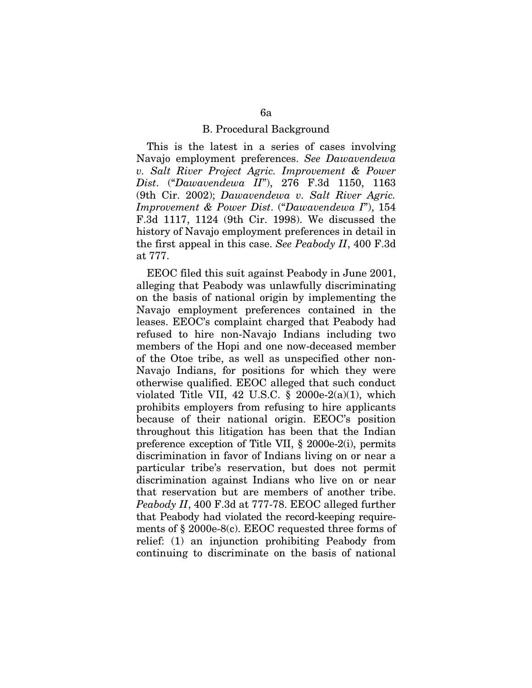#### B. Procedural Background

This is the latest in a series of cases involving Navajo employment preferences. *See Dawavendewa v. Salt River Project Agric. Improvement & Power Dist*. ("*Dawavendewa II*"), 276 F.3d 1150, 1163 (9th Cir. 2002); *Dawavendewa v. Salt River Agric. Improvement & Power Dist*. ("*Dawavendewa I*"), 154 F.3d 1117, 1124 (9th Cir. 1998). We discussed the history of Navajo employment preferences in detail in the first appeal in this case. *See Peabody II*, 400 F.3d at 777.

EEOC filed this suit against Peabody in June 2001, alleging that Peabody was unlawfully discriminating on the basis of national origin by implementing the Navajo employment preferences contained in the leases. EEOC's complaint charged that Peabody had refused to hire non-Navajo Indians including two members of the Hopi and one now-deceased member of the Otoe tribe, as well as unspecified other non-Navajo Indians, for positions for which they were otherwise qualified. EEOC alleged that such conduct violated Title VII, 42 U.S.C.  $\S$  2000e-2(a)(1), which prohibits employers from refusing to hire applicants because of their national origin. EEOC's position throughout this litigation has been that the Indian preference exception of Title VII, § 2000e-2(i), permits discrimination in favor of Indians living on or near a particular tribe's reservation, but does not permit discrimination against Indians who live on or near that reservation but are members of another tribe. *Peabody II*, 400 F.3d at 777-78. EEOC alleged further that Peabody had violated the record-keeping requirements of § 2000e-8(c). EEOC requested three forms of relief: (1) an injunction prohibiting Peabody from continuing to discriminate on the basis of national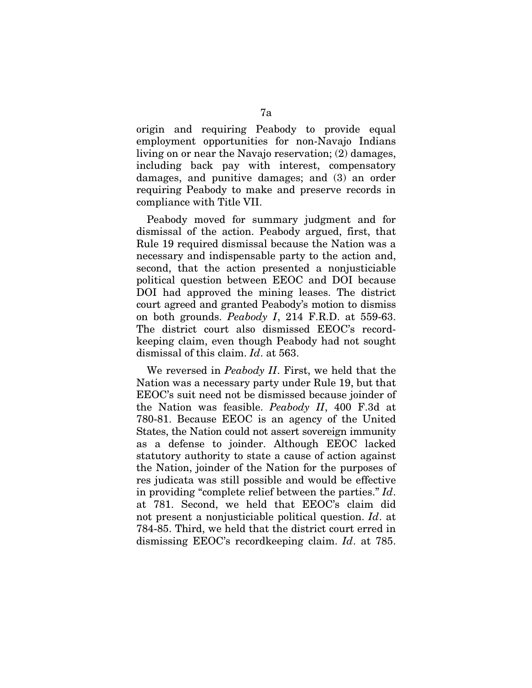origin and requiring Peabody to provide equal employment opportunities for non-Navajo Indians living on or near the Navajo reservation; (2) damages, including back pay with interest, compensatory damages, and punitive damages; and (3) an order requiring Peabody to make and preserve records in compliance with Title VII.

Peabody moved for summary judgment and for dismissal of the action. Peabody argued, first, that Rule 19 required dismissal because the Nation was a necessary and indispensable party to the action and, second, that the action presented a nonjusticiable political question between EEOC and DOI because DOI had approved the mining leases. The district court agreed and granted Peabody's motion to dismiss on both grounds. *Peabody I*, 214 F.R.D. at 559-63. The district court also dismissed EEOC's recordkeeping claim, even though Peabody had not sought dismissal of this claim. *Id*. at 563.

We reversed in *Peabody II*. First, we held that the Nation was a necessary party under Rule 19, but that EEOC's suit need not be dismissed because joinder of the Nation was feasible. *Peabody II*, 400 F.3d at 780-81. Because EEOC is an agency of the United States, the Nation could not assert sovereign immunity as a defense to joinder. Although EEOC lacked statutory authority to state a cause of action against the Nation, joinder of the Nation for the purposes of res judicata was still possible and would be effective in providing "complete relief between the parties." *Id*. at 781. Second, we held that EEOC's claim did not present a nonjusticiable political question. *Id*. at 784-85. Third, we held that the district court erred in dismissing EEOC's recordkeeping claim. *Id*. at 785.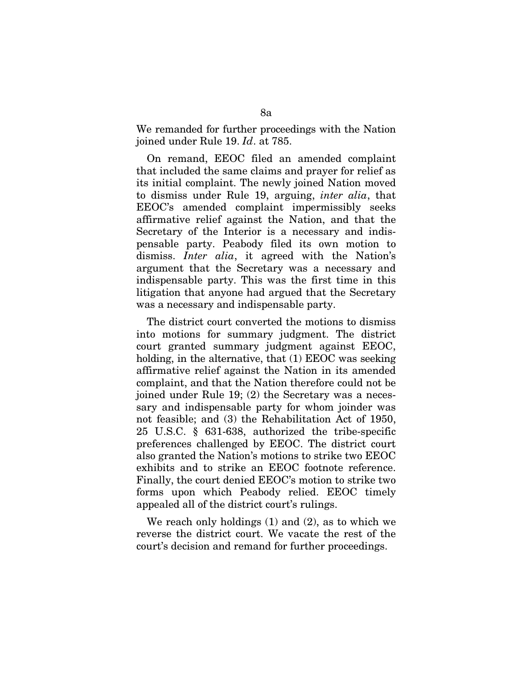We remanded for further proceedings with the Nation joined under Rule 19. *Id*. at 785.

On remand, EEOC filed an amended complaint that included the same claims and prayer for relief as its initial complaint. The newly joined Nation moved to dismiss under Rule 19, arguing, *inter alia*, that EEOC's amended complaint impermissibly seeks affirmative relief against the Nation, and that the Secretary of the Interior is a necessary and indispensable party. Peabody filed its own motion to dismiss. *Inter alia*, it agreed with the Nation's argument that the Secretary was a necessary and indispensable party. This was the first time in this litigation that anyone had argued that the Secretary was a necessary and indispensable party.

The district court converted the motions to dismiss into motions for summary judgment. The district court granted summary judgment against EEOC, holding, in the alternative, that (1) EEOC was seeking affirmative relief against the Nation in its amended complaint, and that the Nation therefore could not be joined under Rule 19; (2) the Secretary was a necessary and indispensable party for whom joinder was not feasible; and (3) the Rehabilitation Act of 1950, 25 U.S.C. § 631-638, authorized the tribe-specific preferences challenged by EEOC. The district court also granted the Nation's motions to strike two EEOC exhibits and to strike an EEOC footnote reference. Finally, the court denied EEOC's motion to strike two forms upon which Peabody relied. EEOC timely appealed all of the district court's rulings.

We reach only holdings (1) and (2), as to which we reverse the district court. We vacate the rest of the court's decision and remand for further proceedings.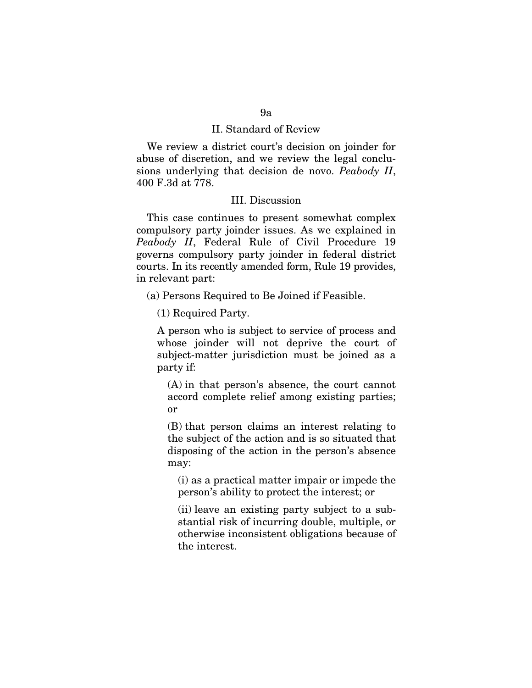#### II. Standard of Review

We review a district court's decision on joinder for abuse of discretion, and we review the legal conclusions underlying that decision de novo. *Peabody II*, 400 F.3d at 778.

#### III. Discussion

This case continues to present somewhat complex compulsory party joinder issues. As we explained in *Peabody II*, Federal Rule of Civil Procedure 19 governs compulsory party joinder in federal district courts. In its recently amended form, Rule 19 provides, in relevant part:

(a) Persons Required to Be Joined if Feasible.

(1) Required Party.

A person who is subject to service of process and whose joinder will not deprive the court of subject-matter jurisdiction must be joined as a party if:

(A) in that person's absence, the court cannot accord complete relief among existing parties; or

(B) that person claims an interest relating to the subject of the action and is so situated that disposing of the action in the person's absence may:

(i) as a practical matter impair or impede the person's ability to protect the interest; or

(ii) leave an existing party subject to a substantial risk of incurring double, multiple, or otherwise inconsistent obligations because of the interest.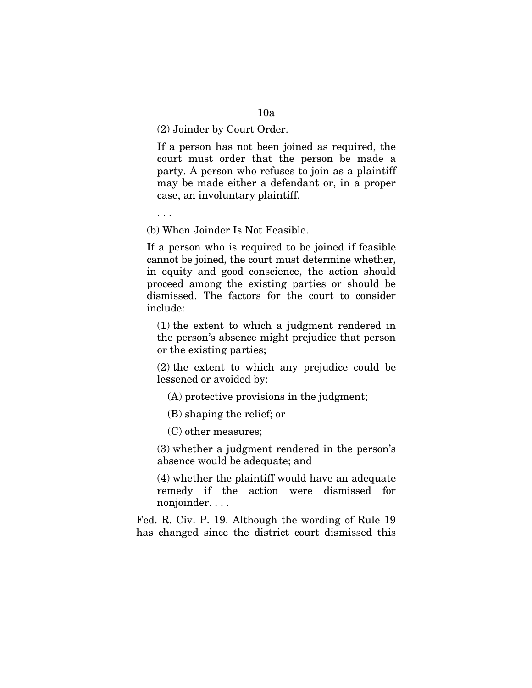#### 10a

(2) Joinder by Court Order.

If a person has not been joined as required, the court must order that the person be made a party. A person who refuses to join as a plaintiff may be made either a defendant or, in a proper case, an involuntary plaintiff.

. . .

(b) When Joinder Is Not Feasible.

If a person who is required to be joined if feasible cannot be joined, the court must determine whether, in equity and good conscience, the action should proceed among the existing parties or should be dismissed. The factors for the court to consider include:

(1) the extent to which a judgment rendered in the person's absence might prejudice that person or the existing parties;

(2) the extent to which any prejudice could be lessened or avoided by:

(A) protective provisions in the judgment;

(B) shaping the relief; or

(C) other measures;

(3) whether a judgment rendered in the person's absence would be adequate; and

(4) whether the plaintiff would have an adequate remedy if the action were dismissed for nonjoinder. . . .

Fed. R. Civ. P. 19. Although the wording of Rule 19 has changed since the district court dismissed this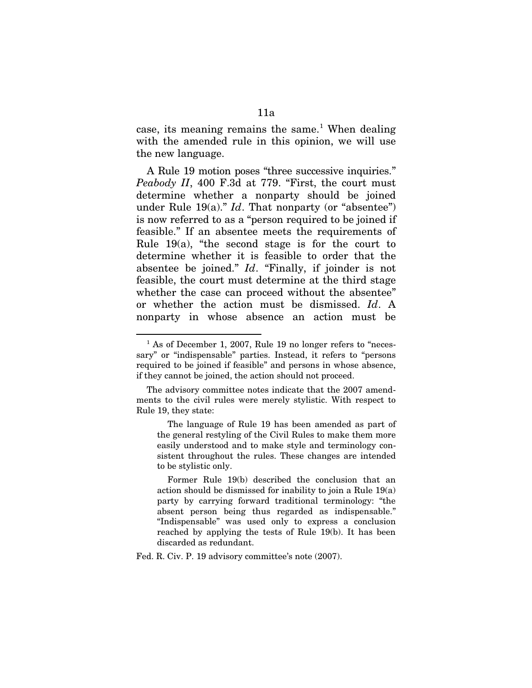case, its meaning remains the same.<sup>[1](#page-57-0)</sup> When dealing with the amended rule in this opinion, we will use the new language.

A Rule 19 motion poses "three successive inquiries." *Peabody II*, 400 F.3d at 779. "First, the court must determine whether a nonparty should be joined under Rule 19(a)." *Id*. That nonparty (or "absentee") is now referred to as a "person required to be joined if feasible." If an absentee meets the requirements of Rule 19(a), "the second stage is for the court to determine whether it is feasible to order that the absentee be joined." *Id*. "Finally, if joinder is not feasible, the court must determine at the third stage whether the case can proceed without the absentee" or whether the action must be dismissed. *Id*. A nonparty in whose absence an action must be

.<br>-

Fed. R. Civ. P. 19 advisory committee's note (2007).

<span id="page-57-0"></span> $<sup>1</sup>$  As of December 1, 2007, Rule 19 no longer refers to "neces-</sup> sary" or "indispensable" parties. Instead, it refers to "persons required to be joined if feasible" and persons in whose absence, if they cannot be joined, the action should not proceed.

The advisory committee notes indicate that the 2007 amendments to the civil rules were merely stylistic. With respect to Rule 19, they state:

The language of Rule 19 has been amended as part of the general restyling of the Civil Rules to make them more easily understood and to make style and terminology consistent throughout the rules. These changes are intended to be stylistic only.

Former Rule 19(b) described the conclusion that an action should be dismissed for inability to join a Rule 19(a) party by carrying forward traditional terminology: "the absent person being thus regarded as indispensable." "Indispensable" was used only to express a conclusion reached by applying the tests of Rule 19(b). It has been discarded as redundant.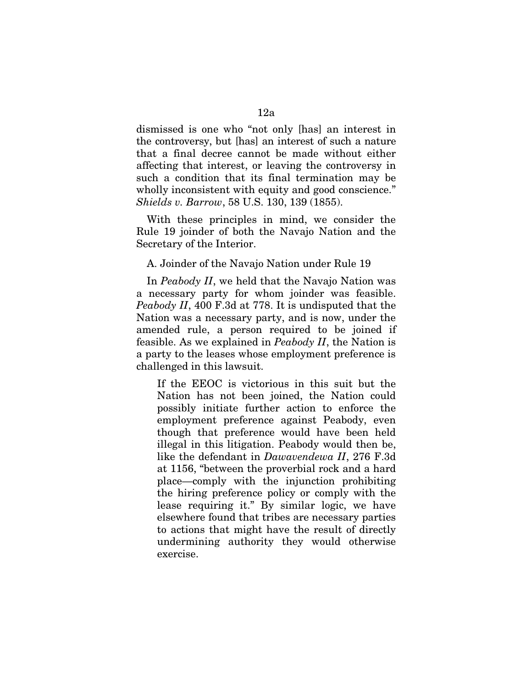dismissed is one who "not only [has] an interest in the controversy, but [has] an interest of such a nature that a final decree cannot be made without either affecting that interest, or leaving the controversy in such a condition that its final termination may be wholly inconsistent with equity and good conscience." *Shields v. Barrow*, 58 U.S. 130, 139 (1855).

With these principles in mind, we consider the Rule 19 joinder of both the Navajo Nation and the Secretary of the Interior.

#### A. Joinder of the Navajo Nation under Rule 19

In *Peabody II*, we held that the Navajo Nation was a necessary party for whom joinder was feasible. *Peabody II*, 400 F.3d at 778. It is undisputed that the Nation was a necessary party, and is now, under the amended rule, a person required to be joined if feasible. As we explained in *Peabody II*, the Nation is a party to the leases whose employment preference is challenged in this lawsuit.

If the EEOC is victorious in this suit but the Nation has not been joined, the Nation could possibly initiate further action to enforce the employment preference against Peabody, even though that preference would have been held illegal in this litigation. Peabody would then be, like the defendant in *Dawavendewa II*, 276 F.3d at 1156, "between the proverbial rock and a hard place—comply with the injunction prohibiting the hiring preference policy or comply with the lease requiring it." By similar logic, we have elsewhere found that tribes are necessary parties to actions that might have the result of directly undermining authority they would otherwise exercise.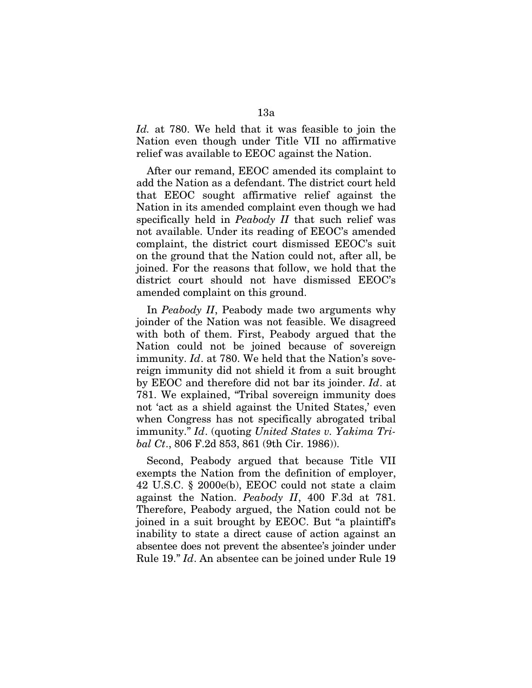*Id.* at 780. We held that it was feasible to join the Nation even though under Title VII no affirmative relief was available to EEOC against the Nation.

After our remand, EEOC amended its complaint to add the Nation as a defendant. The district court held that EEOC sought affirmative relief against the Nation in its amended complaint even though we had specifically held in *Peabody II* that such relief was not available. Under its reading of EEOC's amended complaint, the district court dismissed EEOC's suit on the ground that the Nation could not, after all, be joined. For the reasons that follow, we hold that the district court should not have dismissed EEOC's amended complaint on this ground.

In *Peabody II*, Peabody made two arguments why joinder of the Nation was not feasible. We disagreed with both of them. First, Peabody argued that the Nation could not be joined because of sovereign immunity. *Id*. at 780. We held that the Nation's sovereign immunity did not shield it from a suit brought by EEOC and therefore did not bar its joinder. *Id*. at 781. We explained, "Tribal sovereign immunity does not 'act as a shield against the United States,' even when Congress has not specifically abrogated tribal immunity." *Id*. (quoting *United States v. Yakima Tribal Ct*., 806 F.2d 853, 861 (9th Cir. 1986)).

Second, Peabody argued that because Title VII exempts the Nation from the definition of employer, 42 U.S.C. § 2000e(b), EEOC could not state a claim against the Nation. *Peabody II*, 400 F.3d at 781. Therefore, Peabody argued, the Nation could not be joined in a suit brought by EEOC. But "a plaintiff's inability to state a direct cause of action against an absentee does not prevent the absentee's joinder under Rule 19." *Id*. An absentee can be joined under Rule 19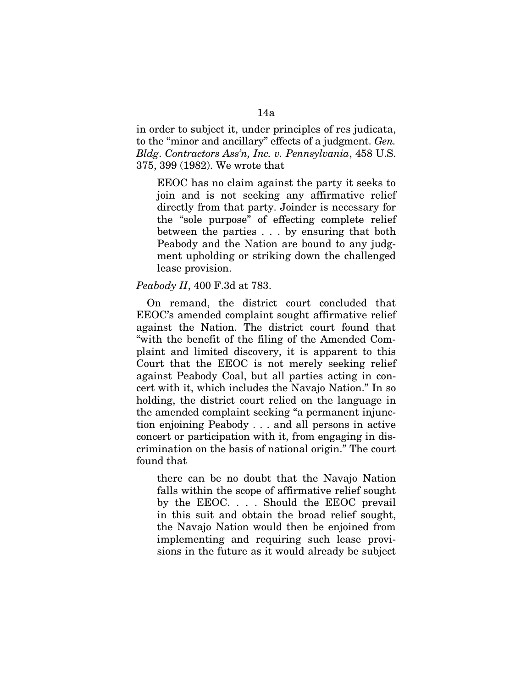in order to subject it, under principles of res judicata, to the "minor and ancillary" effects of a judgment. *Gen. Bldg*. *Contractors Ass'n, Inc. v. Pennsylvania*, 458 U.S. 375, 399 (1982). We wrote that

EEOC has no claim against the party it seeks to join and is not seeking any affirmative relief directly from that party. Joinder is necessary for the "sole purpose" of effecting complete relief between the parties . . . by ensuring that both Peabody and the Nation are bound to any judgment upholding or striking down the challenged lease provision.

## *Peabody II*, 400 F.3d at 783.

On remand, the district court concluded that EEOC's amended complaint sought affirmative relief against the Nation. The district court found that "with the benefit of the filing of the Amended Complaint and limited discovery, it is apparent to this Court that the EEOC is not merely seeking relief against Peabody Coal, but all parties acting in concert with it, which includes the Navajo Nation." In so holding, the district court relied on the language in the amended complaint seeking "a permanent injunction enjoining Peabody . . . and all persons in active concert or participation with it, from engaging in discrimination on the basis of national origin." The court found that

there can be no doubt that the Navajo Nation falls within the scope of affirmative relief sought by the EEOC. . . . Should the EEOC prevail in this suit and obtain the broad relief sought, the Navajo Nation would then be enjoined from implementing and requiring such lease provisions in the future as it would already be subject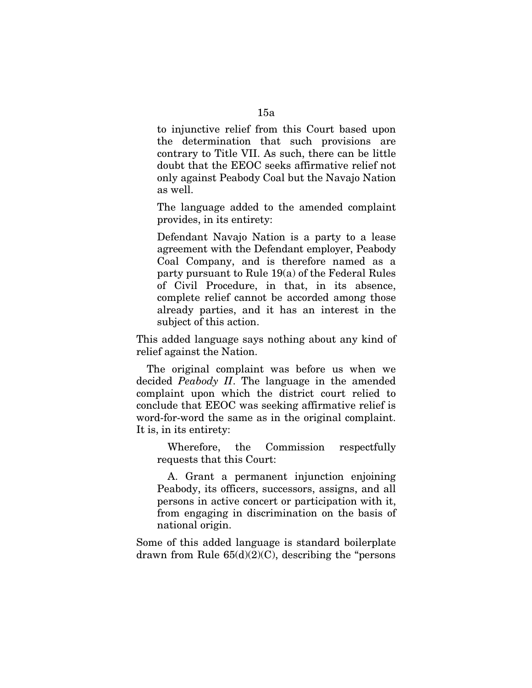to injunctive relief from this Court based upon the determination that such provisions are contrary to Title VII. As such, there can be little doubt that the EEOC seeks affirmative relief not only against Peabody Coal but the Navajo Nation as well.

The language added to the amended complaint provides, in its entirety:

Defendant Navajo Nation is a party to a lease agreement with the Defendant employer, Peabody Coal Company, and is therefore named as a party pursuant to Rule 19(a) of the Federal Rules of Civil Procedure, in that, in its absence, complete relief cannot be accorded among those already parties, and it has an interest in the subject of this action.

This added language says nothing about any kind of relief against the Nation.

The original complaint was before us when we decided *Peabody II*. The language in the amended complaint upon which the district court relied to conclude that EEOC was seeking affirmative relief is word-for-word the same as in the original complaint. It is, in its entirety:

Wherefore, the Commission respectfully requests that this Court:

A. Grant a permanent injunction enjoining Peabody, its officers, successors, assigns, and all persons in active concert or participation with it, from engaging in discrimination on the basis of national origin.

Some of this added language is standard boilerplate drawn from Rule  $65(d)(2)(C)$ , describing the "persons"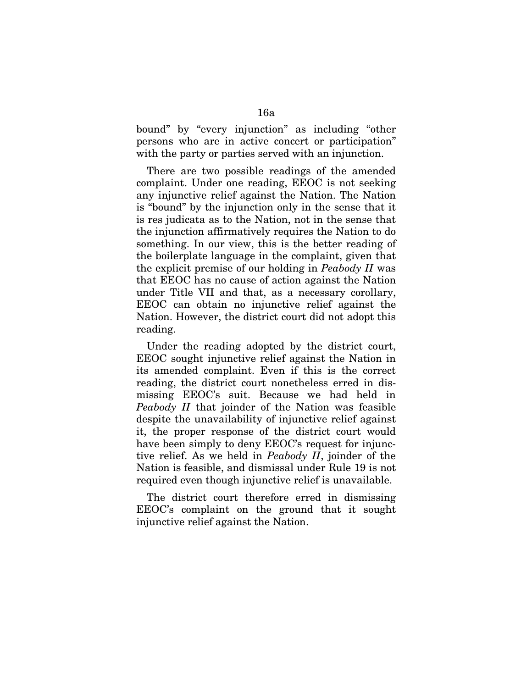bound" by "every injunction" as including "other persons who are in active concert or participation" with the party or parties served with an injunction.

There are two possible readings of the amended complaint. Under one reading, EEOC is not seeking any injunctive relief against the Nation. The Nation is "bound" by the injunction only in the sense that it is res judicata as to the Nation, not in the sense that the injunction affirmatively requires the Nation to do something. In our view, this is the better reading of the boilerplate language in the complaint, given that the explicit premise of our holding in *Peabody II* was that EEOC has no cause of action against the Nation under Title VII and that, as a necessary corollary, EEOC can obtain no injunctive relief against the Nation. However, the district court did not adopt this reading.

Under the reading adopted by the district court, EEOC sought injunctive relief against the Nation in its amended complaint. Even if this is the correct reading, the district court nonetheless erred in dismissing EEOC's suit. Because we had held in *Peabody II* that joinder of the Nation was feasible despite the unavailability of injunctive relief against it, the proper response of the district court would have been simply to deny EEOC's request for injunctive relief. As we held in *Peabody II*, joinder of the Nation is feasible, and dismissal under Rule 19 is not required even though injunctive relief is unavailable.

The district court therefore erred in dismissing EEOC's complaint on the ground that it sought injunctive relief against the Nation.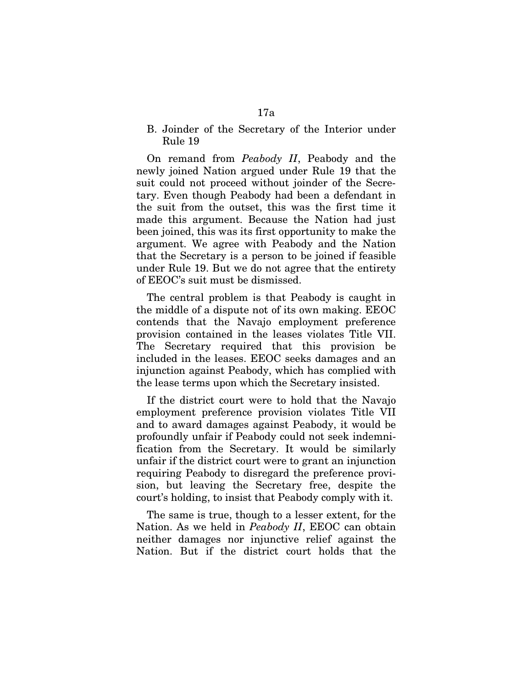B. Joinder of the Secretary of the Interior under Rule 19

On remand from *Peabody II*, Peabody and the newly joined Nation argued under Rule 19 that the suit could not proceed without joinder of the Secretary. Even though Peabody had been a defendant in the suit from the outset, this was the first time it made this argument. Because the Nation had just been joined, this was its first opportunity to make the argument. We agree with Peabody and the Nation that the Secretary is a person to be joined if feasible under Rule 19. But we do not agree that the entirety of EEOC's suit must be dismissed.

The central problem is that Peabody is caught in the middle of a dispute not of its own making. EEOC contends that the Navajo employment preference provision contained in the leases violates Title VII. The Secretary required that this provision be included in the leases. EEOC seeks damages and an injunction against Peabody, which has complied with the lease terms upon which the Secretary insisted.

If the district court were to hold that the Navajo employment preference provision violates Title VII and to award damages against Peabody, it would be profoundly unfair if Peabody could not seek indemnification from the Secretary. It would be similarly unfair if the district court were to grant an injunction requiring Peabody to disregard the preference provision, but leaving the Secretary free, despite the court's holding, to insist that Peabody comply with it.

The same is true, though to a lesser extent, for the Nation. As we held in *Peabody II*, EEOC can obtain neither damages nor injunctive relief against the Nation. But if the district court holds that the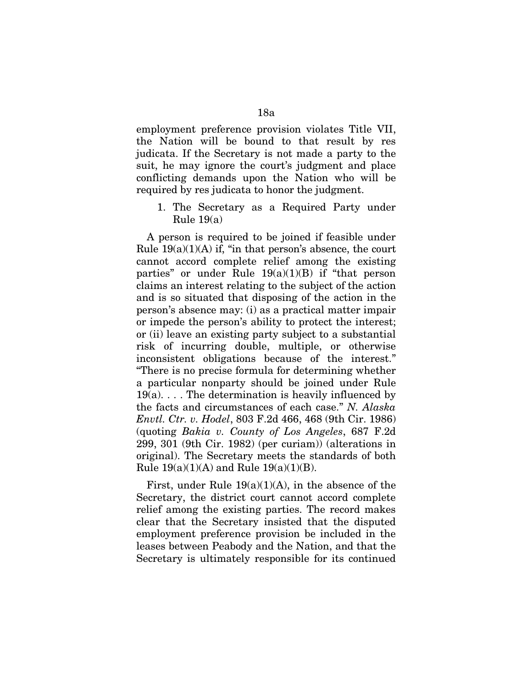employment preference provision violates Title VII, the Nation will be bound to that result by res judicata. If the Secretary is not made a party to the suit, he may ignore the court's judgment and place conflicting demands upon the Nation who will be required by res judicata to honor the judgment.

1. The Secretary as a Required Party under Rule  $19(a)$ 

A person is required to be joined if feasible under Rule  $19(a)(1)(A)$  if, "in that person's absence, the court cannot accord complete relief among the existing parties" or under Rule  $19(a)(1)(B)$  if "that person claims an interest relating to the subject of the action and is so situated that disposing of the action in the person's absence may: (i) as a practical matter impair or impede the person's ability to protect the interest; or (ii) leave an existing party subject to a substantial risk of incurring double, multiple, or otherwise inconsistent obligations because of the interest." "There is no precise formula for determining whether a particular nonparty should be joined under Rule  $19(a)$ .... The determination is heavily influenced by the facts and circumstances of each case." *N. Alaska Envtl. Ctr. v. Hodel*, 803 F.2d 466, 468 (9th Cir. 1986) (quoting *Bakia v. County of Los Angeles*, 687 F.2d 299, 301 (9th Cir. 1982) (per curiam)) (alterations in original). The Secretary meets the standards of both Rule  $19(a)(1)(A)$  and Rule  $19(a)(1)(B)$ .

First, under Rule  $19(a)(1)(A)$ , in the absence of the Secretary, the district court cannot accord complete relief among the existing parties. The record makes clear that the Secretary insisted that the disputed employment preference provision be included in the leases between Peabody and the Nation, and that the Secretary is ultimately responsible for its continued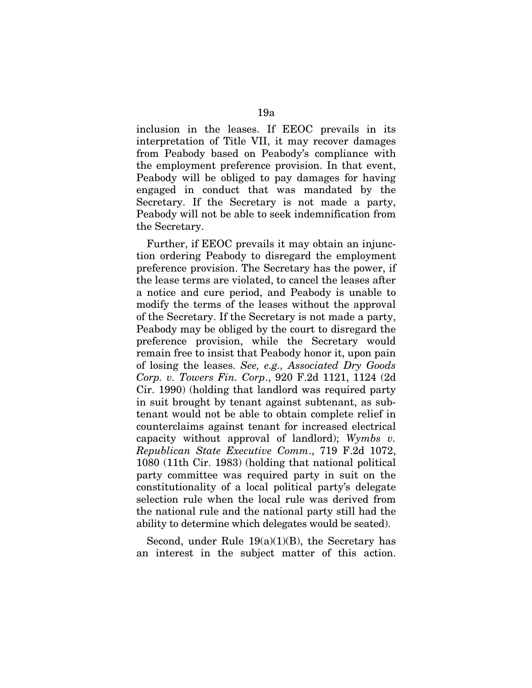inclusion in the leases. If EEOC prevails in its interpretation of Title VII, it may recover damages from Peabody based on Peabody's compliance with the employment preference provision. In that event, Peabody will be obliged to pay damages for having engaged in conduct that was mandated by the Secretary. If the Secretary is not made a party, Peabody will not be able to seek indemnification from the Secretary.

Further, if EEOC prevails it may obtain an injunction ordering Peabody to disregard the employment preference provision. The Secretary has the power, if the lease terms are violated, to cancel the leases after a notice and cure period, and Peabody is unable to modify the terms of the leases without the approval of the Secretary. If the Secretary is not made a party, Peabody may be obliged by the court to disregard the preference provision, while the Secretary would remain free to insist that Peabody honor it, upon pain of losing the leases. *See, e.g., Associated Dry Goods Corp. v. Towers Fin. Corp*., 920 F.2d 1121, 1124 (2d Cir. 1990) (holding that landlord was required party in suit brought by tenant against subtenant, as subtenant would not be able to obtain complete relief in counterclaims against tenant for increased electrical capacity without approval of landlord); *Wymbs v. Republican State Executive Comm*., 719 F.2d 1072, 1080 (11th Cir. 1983) (holding that national political party committee was required party in suit on the constitutionality of a local political party's delegate selection rule when the local rule was derived from the national rule and the national party still had the ability to determine which delegates would be seated).

Second, under Rule  $19(a)(1)(B)$ , the Secretary has an interest in the subject matter of this action.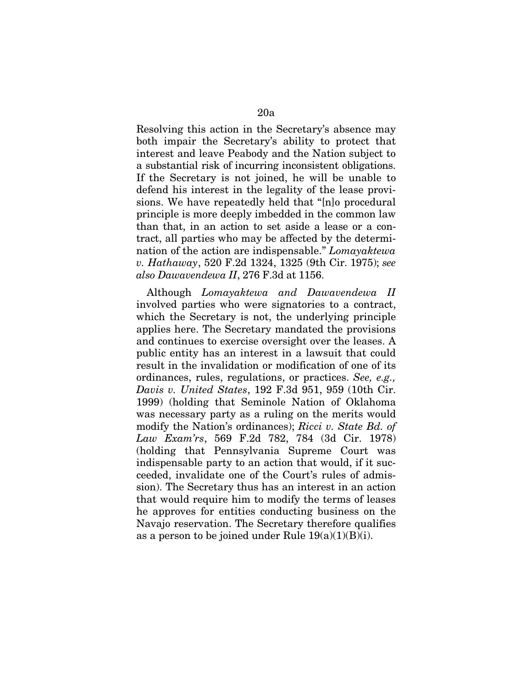Resolving this action in the Secretary's absence may both impair the Secretary's ability to protect that interest and leave Peabody and the Nation subject to a substantial risk of incurring inconsistent obligations. If the Secretary is not joined, he will be unable to defend his interest in the legality of the lease provisions. We have repeatedly held that "[n]o procedural principle is more deeply imbedded in the common law than that, in an action to set aside a lease or a contract, all parties who may be affected by the determination of the action are indispensable." *Lomayaktewa v. Hathaway*, 520 F.2d 1324, 1325 (9th Cir. 1975); *see also Dawavendewa II*, 276 F.3d at 1156.

Although *Lomayaktewa and Dawavendewa II* involved parties who were signatories to a contract, which the Secretary is not, the underlying principle applies here. The Secretary mandated the provisions and continues to exercise oversight over the leases. A public entity has an interest in a lawsuit that could result in the invalidation or modification of one of its ordinances, rules, regulations, or practices. *See, e.g., Davis v. United States*, 192 F.3d 951, 959 (10th Cir. 1999) (holding that Seminole Nation of Oklahoma was necessary party as a ruling on the merits would modify the Nation's ordinances); *Ricci v. State Bd. of Law Exam'rs*, 569 F.2d 782, 784 (3d Cir. 1978) (holding that Pennsylvania Supreme Court was indispensable party to an action that would, if it succeeded, invalidate one of the Court's rules of admission). The Secretary thus has an interest in an action that would require him to modify the terms of leases he approves for entities conducting business on the Navajo reservation. The Secretary therefore qualifies as a person to be joined under Rule  $19(a)(1)(B)(i)$ .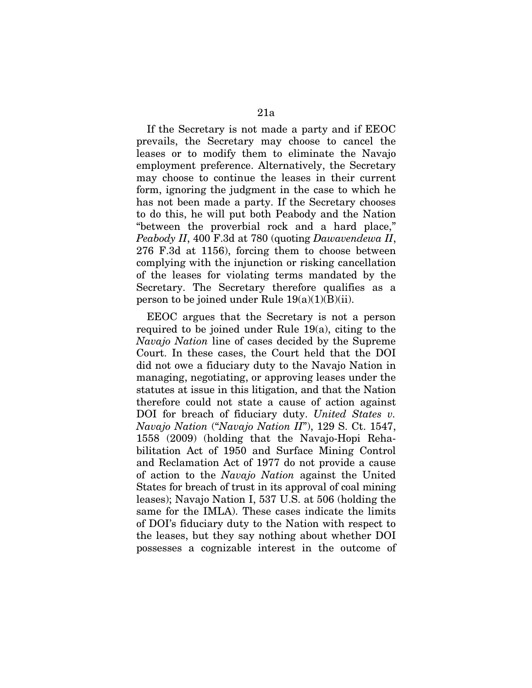If the Secretary is not made a party and if EEOC prevails, the Secretary may choose to cancel the leases or to modify them to eliminate the Navajo employment preference. Alternatively, the Secretary may choose to continue the leases in their current form, ignoring the judgment in the case to which he has not been made a party. If the Secretary chooses to do this, he will put both Peabody and the Nation "between the proverbial rock and a hard place," *Peabody II*, 400 F.3d at 780 (quoting *Dawavendewa II*, 276 F.3d at 1156), forcing them to choose between complying with the injunction or risking cancellation of the leases for violating terms mandated by the Secretary. The Secretary therefore qualifies as a person to be joined under Rule  $19(a)(1)(B)(ii)$ .

EEOC argues that the Secretary is not a person required to be joined under Rule 19(a), citing to the *Navajo Nation* line of cases decided by the Supreme Court. In these cases, the Court held that the DOI did not owe a fiduciary duty to the Navajo Nation in managing, negotiating, or approving leases under the statutes at issue in this litigation, and that the Nation therefore could not state a cause of action against DOI for breach of fiduciary duty. *United States v. Navajo Nation* ("*Navajo Nation II*"), 129 S. Ct. 1547, 1558 (2009) (holding that the Navajo-Hopi Rehabilitation Act of 1950 and Surface Mining Control and Reclamation Act of 1977 do not provide a cause of action to the *Navajo Nation* against the United States for breach of trust in its approval of coal mining leases); Navajo Nation I, 537 U.S. at 506 (holding the same for the IMLA). These cases indicate the limits of DOI's fiduciary duty to the Nation with respect to the leases, but they say nothing about whether DOI possesses a cognizable interest in the outcome of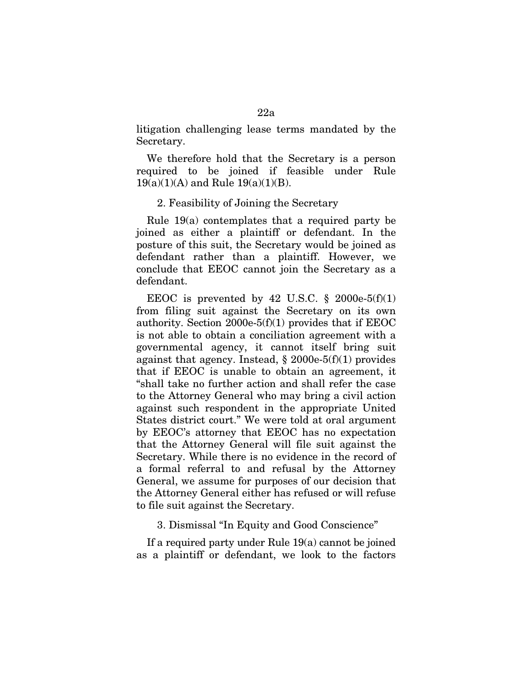litigation challenging lease terms mandated by the Secretary.

We therefore hold that the Secretary is a person required to be joined if feasible under Rule 19(a)(1)(A) and Rule 19(a)(1)(B).

#### 2. Feasibility of Joining the Secretary

Rule 19(a) contemplates that a required party be joined as either a plaintiff or defendant. In the posture of this suit, the Secretary would be joined as defendant rather than a plaintiff. However, we conclude that EEOC cannot join the Secretary as a defendant.

EEOC is prevented by 42 U.S.C. § 2000e-5(f)(1) from filing suit against the Secretary on its own authority. Section 2000e-5(f)(1) provides that if EEOC is not able to obtain a conciliation agreement with a governmental agency, it cannot itself bring suit against that agency. Instead,  $\S 2000e-5(f)(1)$  provides that if EEOC is unable to obtain an agreement, it "shall take no further action and shall refer the case to the Attorney General who may bring a civil action against such respondent in the appropriate United States district court." We were told at oral argument by EEOC's attorney that EEOC has no expectation that the Attorney General will file suit against the Secretary. While there is no evidence in the record of a formal referral to and refusal by the Attorney General, we assume for purposes of our decision that the Attorney General either has refused or will refuse to file suit against the Secretary.

#### 3. Dismissal "In Equity and Good Conscience"

If a required party under Rule 19(a) cannot be joined as a plaintiff or defendant, we look to the factors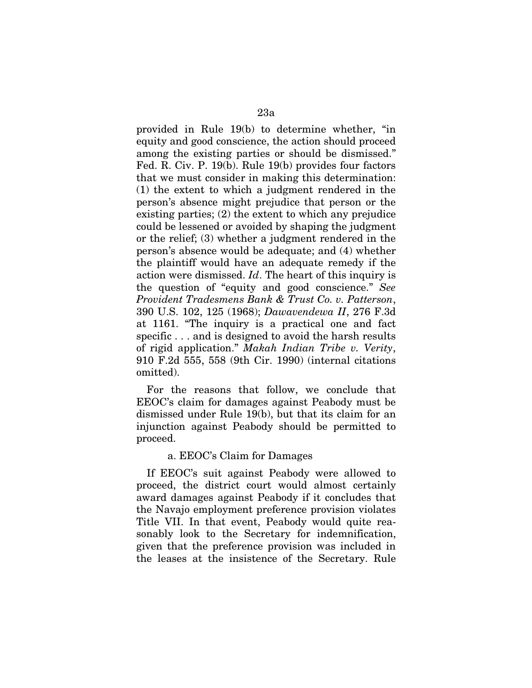provided in Rule 19(b) to determine whether, "in equity and good conscience, the action should proceed among the existing parties or should be dismissed." Fed. R. Civ. P. 19(b). Rule 19(b) provides four factors that we must consider in making this determination: (1) the extent to which a judgment rendered in the person's absence might prejudice that person or the existing parties; (2) the extent to which any prejudice could be lessened or avoided by shaping the judgment or the relief; (3) whether a judgment rendered in the person's absence would be adequate; and (4) whether the plaintiff would have an adequate remedy if the action were dismissed. *Id*. The heart of this inquiry is the question of "equity and good conscience." *See Provident Tradesmens Bank & Trust Co. v. Patterson*, 390 U.S. 102, 125 (1968); *Dawavendewa II*, 276 F.3d at 1161. "The inquiry is a practical one and fact specific . . . and is designed to avoid the harsh results of rigid application." *Makah Indian Tribe v. Verity*, 910 F.2d 555, 558 (9th Cir. 1990) (internal citations omitted).

For the reasons that follow, we conclude that EEOC's claim for damages against Peabody must be dismissed under Rule 19(b), but that its claim for an injunction against Peabody should be permitted to proceed.

#### a. EEOC's Claim for Damages

If EEOC's suit against Peabody were allowed to proceed, the district court would almost certainly award damages against Peabody if it concludes that the Navajo employment preference provision violates Title VII. In that event, Peabody would quite reasonably look to the Secretary for indemnification, given that the preference provision was included in the leases at the insistence of the Secretary. Rule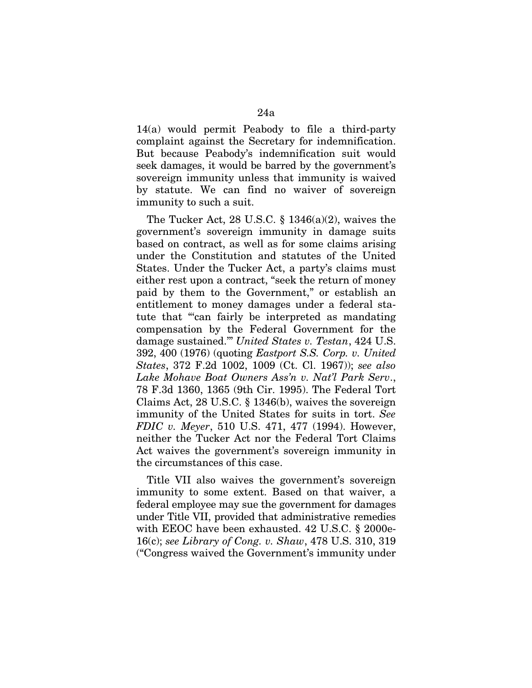14(a) would permit Peabody to file a third-party complaint against the Secretary for indemnification. But because Peabody's indemnification suit would seek damages, it would be barred by the government's sovereign immunity unless that immunity is waived by statute. We can find no waiver of sovereign immunity to such a suit.

The Tucker Act, 28 U.S.C. § 1346(a)(2), waives the government's sovereign immunity in damage suits based on contract, as well as for some claims arising under the Constitution and statutes of the United States. Under the Tucker Act, a party's claims must either rest upon a contract, "seek the return of money paid by them to the Government," or establish an entitlement to money damages under a federal statute that "'can fairly be interpreted as mandating compensation by the Federal Government for the damage sustained.'" *United States v. Testan*, 424 U.S. 392, 400 (1976) (quoting *Eastport S.S. Corp. v. United States*, 372 F.2d 1002, 1009 (Ct. Cl. 1967)); *see also Lake Mohave Boat Owners Ass'n v. Nat'l Park Serv*., 78 F.3d 1360, 1365 (9th Cir. 1995). The Federal Tort Claims Act, 28 U.S.C. § 1346(b), waives the sovereign immunity of the United States for suits in tort. *See FDIC v. Meyer*, 510 U.S. 471, 477 (1994). However, neither the Tucker Act nor the Federal Tort Claims Act waives the government's sovereign immunity in the circumstances of this case.

Title VII also waives the government's sovereign immunity to some extent. Based on that waiver, a federal employee may sue the government for damages under Title VII, provided that administrative remedies with EEOC have been exhausted. 42 U.S.C. § 2000e-16(c); *see Library of Cong. v. Shaw*, 478 U.S. 310, 319 ("Congress waived the Government's immunity under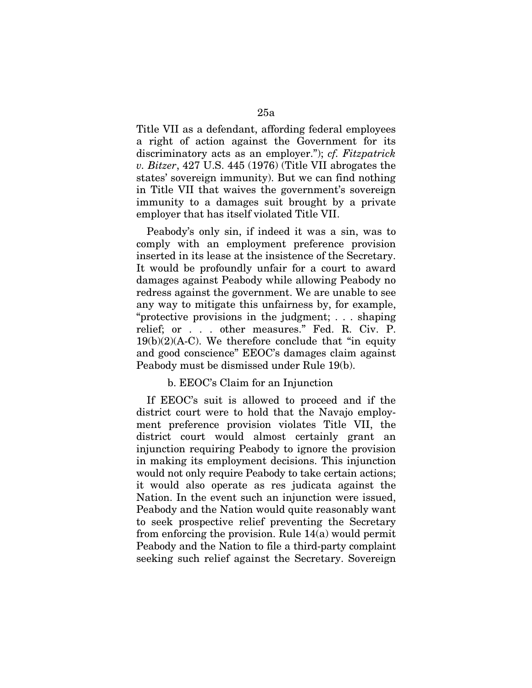Title VII as a defendant, affording federal employees a right of action against the Government for its discriminatory acts as an employer."); *cf. Fitzpatrick v. Bitzer*, 427 U.S. 445 (1976) (Title VII abrogates the states' sovereign immunity). But we can find nothing in Title VII that waives the government's sovereign immunity to a damages suit brought by a private employer that has itself violated Title VII.

Peabody's only sin, if indeed it was a sin, was to comply with an employment preference provision inserted in its lease at the insistence of the Secretary. It would be profoundly unfair for a court to award damages against Peabody while allowing Peabody no redress against the government. We are unable to see any way to mitigate this unfairness by, for example, "protective provisions in the judgment; . . . shaping relief; or . . . other measures." Fed. R. Civ. P.  $19(b)(2)(A-C)$ . We therefore conclude that "in equity" and good conscience" EEOC's damages claim against Peabody must be dismissed under Rule 19(b).

#### b. EEOC's Claim for an Injunction

If EEOC's suit is allowed to proceed and if the district court were to hold that the Navajo employment preference provision violates Title VII, the district court would almost certainly grant an injunction requiring Peabody to ignore the provision in making its employment decisions. This injunction would not only require Peabody to take certain actions; it would also operate as res judicata against the Nation. In the event such an injunction were issued, Peabody and the Nation would quite reasonably want to seek prospective relief preventing the Secretary from enforcing the provision. Rule 14(a) would permit Peabody and the Nation to file a third-party complaint seeking such relief against the Secretary. Sovereign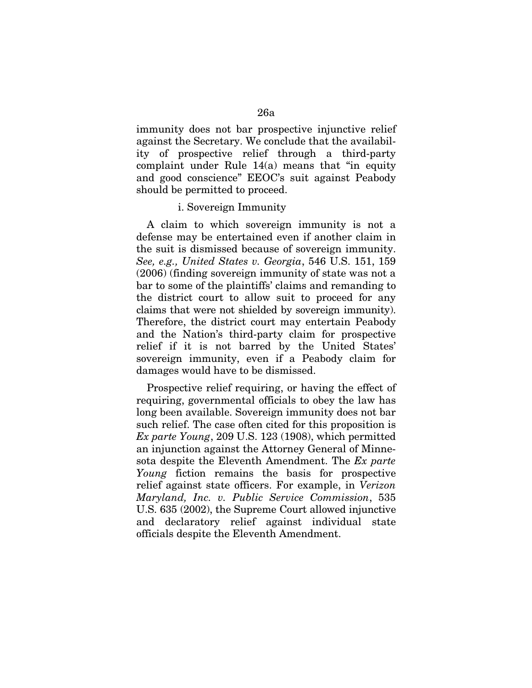immunity does not bar prospective injunctive relief against the Secretary. We conclude that the availability of prospective relief through a third-party complaint under Rule 14(a) means that "in equity and good conscience" EEOC's suit against Peabody should be permitted to proceed.

#### i. Sovereign Immunity

A claim to which sovereign immunity is not a defense may be entertained even if another claim in the suit is dismissed because of sovereign immunity. *See, e.g., United States v. Georgia*, 546 U.S. 151, 159 (2006) (finding sovereign immunity of state was not a bar to some of the plaintiffs' claims and remanding to the district court to allow suit to proceed for any claims that were not shielded by sovereign immunity). Therefore, the district court may entertain Peabody and the Nation's third-party claim for prospective relief if it is not barred by the United States' sovereign immunity, even if a Peabody claim for damages would have to be dismissed.

Prospective relief requiring, or having the effect of requiring, governmental officials to obey the law has long been available. Sovereign immunity does not bar such relief. The case often cited for this proposition is *Ex parte Young*, 209 U.S. 123 (1908), which permitted an injunction against the Attorney General of Minnesota despite the Eleventh Amendment. The *Ex parte Young* fiction remains the basis for prospective relief against state officers. For example, in *Verizon Maryland, Inc. v. Public Service Commission*, 535 U.S. 635 (2002), the Supreme Court allowed injunctive and declaratory relief against individual state officials despite the Eleventh Amendment.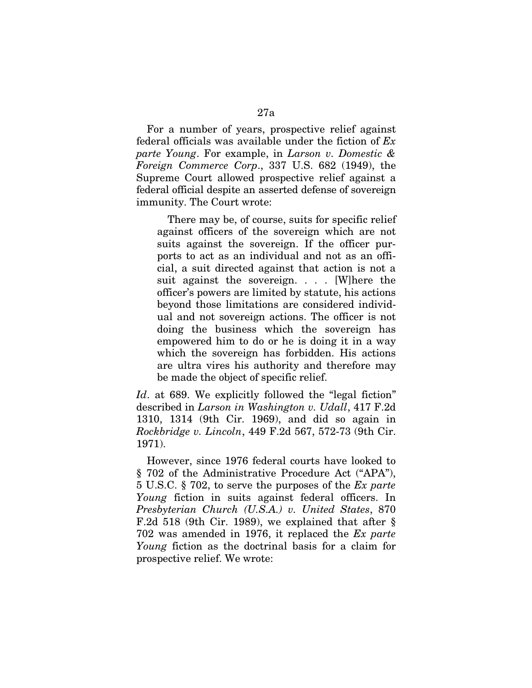For a number of years, prospective relief against federal officials was available under the fiction of *Ex parte Young*. For example, in *Larson v. Domestic & Foreign Commerce Corp*., 337 U.S. 682 (1949), the Supreme Court allowed prospective relief against a federal official despite an asserted defense of sovereign immunity. The Court wrote:

There may be, of course, suits for specific relief against officers of the sovereign which are not suits against the sovereign. If the officer purports to act as an individual and not as an official, a suit directed against that action is not a suit against the sovereign. . . . [W]here the officer's powers are limited by statute, his actions beyond those limitations are considered individual and not sovereign actions. The officer is not doing the business which the sovereign has empowered him to do or he is doing it in a way which the sovereign has forbidden. His actions are ultra vires his authority and therefore may be made the object of specific relief.

*Id*. at 689. We explicitly followed the "legal fiction" described in *Larson in Washington v. Udall*, 417 F.2d 1310, 1314 (9th Cir. 1969), and did so again in *Rockbridge v. Lincoln*, 449 F.2d 567, 572-73 (9th Cir. 1971).

However, since 1976 federal courts have looked to § 702 of the Administrative Procedure Act ("APA"), 5 U.S.C. § 702, to serve the purposes of the *Ex parte Young* fiction in suits against federal officers. In *Presbyterian Church (U.S.A.) v. United States*, 870 F.2d 518 (9th Cir. 1989), we explained that after § 702 was amended in 1976, it replaced the *Ex parte Young* fiction as the doctrinal basis for a claim for prospective relief. We wrote: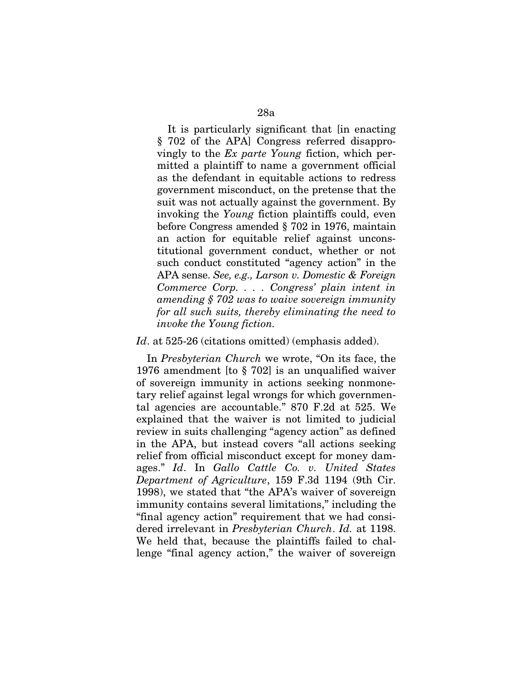It is particularly significant that [in enacting § 702 of the APA] Congress referred disapprovingly to the *Ex parte Young* fiction, which permitted a plaintiff to name a government official as the defendant in equitable actions to redress government misconduct, on the pretense that the suit was not actually against the government. By invoking the *Young* fiction plaintiffs could, even before Congress amended § 702 in 1976, maintain an action for equitable relief against unconstitutional government conduct, whether or not such conduct constituted "agency action" in the APA sense. *See, e.g., Larson v. Domestic & Foreign Commerce Corp. . . . Congress' plain intent in amending § 702 was to waive sovereign immunity for all such suits, thereby eliminating the need to* 

# *invoke the Young fiction.* Id. at 525-26 (citations omitted) (emphasis added).

In *Presbyterian Church* we wrote, "On its face, the 1976 amendment [to § 702] is an unqualified waiver of sovereign immunity in actions seeking nonmonetary relief against legal wrongs for which governmental agencies are accountable." 870 F.2d at 525. We explained that the waiver is not limited to judicial review in suits challenging "agency action" as defined in the APA, but instead covers "all actions seeking relief from official misconduct except for money damages." *Id*. In *Gallo Cattle Co. v. United States Department of Agriculture*, 159 F.3d 1194 (9th Cir. 1998), we stated that "the APA's waiver of sovereign immunity contains several limitations," including the "final agency action" requirement that we had considered irrelevant in *Presbyterian Church*. *Id.* at 1198. We held that, because the plaintiffs failed to challenge "final agency action," the waiver of sovereign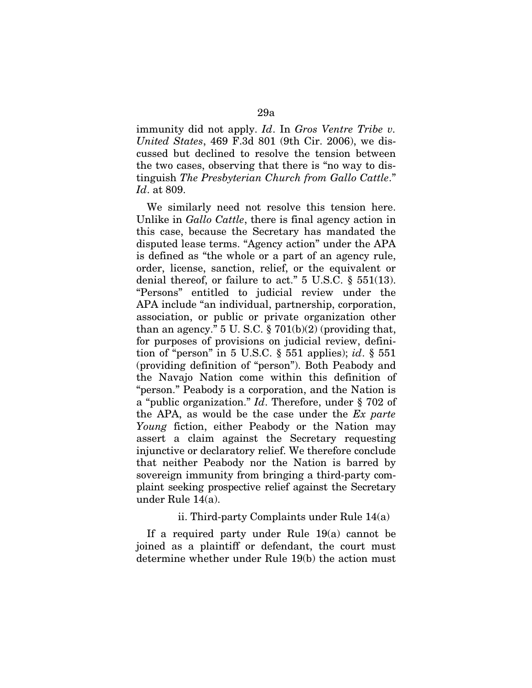immunity did not apply. *Id*. In *Gros Ventre Tribe v. United States*, 469 F.3d 801 (9th Cir. 2006), we discussed but declined to resolve the tension between the two cases, observing that there is "no way to distinguish *The Presbyterian Church from Gallo Cattle*." *Id*. at 809.

We similarly need not resolve this tension here. Unlike in *Gallo Cattle*, there is final agency action in this case, because the Secretary has mandated the disputed lease terms. "Agency action" under the APA is defined as "the whole or a part of an agency rule, order, license, sanction, relief, or the equivalent or denial thereof, or failure to act." 5 U.S.C. § 551(13). "Persons" entitled to judicial review under the APA include "an individual, partnership, corporation, association, or public or private organization other than an agency."  $5 \text{ U}$ . S.C.  $\S 701(b)(2)$  (providing that, for purposes of provisions on judicial review, definition of "person" in 5 U.S.C. § 551 applies); *id*. § 551 (providing definition of "person"). Both Peabody and the Navajo Nation come within this definition of "person." Peabody is a corporation, and the Nation is a "public organization." *Id*. Therefore, under § 702 of the APA, as would be the case under the *Ex parte Young* fiction, either Peabody or the Nation may assert a claim against the Secretary requesting injunctive or declaratory relief. We therefore conclude that neither Peabody nor the Nation is barred by sovereign immunity from bringing a third-party complaint seeking prospective relief against the Secretary under Rule 14(a).

ii. Third-party Complaints under Rule 14(a)

If a required party under Rule 19(a) cannot be joined as a plaintiff or defendant, the court must determine whether under Rule 19(b) the action must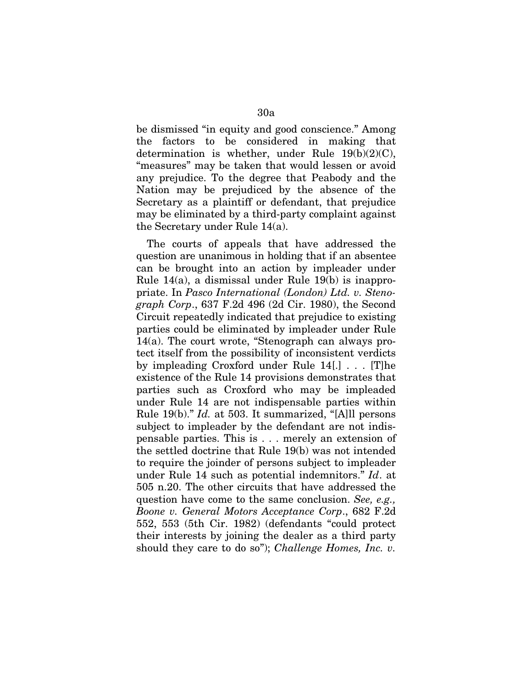be dismissed "in equity and good conscience." Among the factors to be considered in making that determination is whether, under Rule 19(b)(2)(C), "measures" may be taken that would lessen or avoid any prejudice. To the degree that Peabody and the Nation may be prejudiced by the absence of the Secretary as a plaintiff or defendant, that prejudice may be eliminated by a third-party complaint against the Secretary under Rule 14(a).

The courts of appeals that have addressed the question are unanimous in holding that if an absentee can be brought into an action by impleader under Rule 14(a), a dismissal under Rule 19(b) is inappropriate. In *Pasco International (London) Ltd. v. Stenograph Corp*., 637 F.2d 496 (2d Cir. 1980), the Second Circuit repeatedly indicated that prejudice to existing parties could be eliminated by impleader under Rule 14(a). The court wrote, "Stenograph can always protect itself from the possibility of inconsistent verdicts by impleading Croxford under Rule 14[.] . . . [T]he existence of the Rule 14 provisions demonstrates that parties such as Croxford who may be impleaded under Rule 14 are not indispensable parties within Rule 19(b)." *Id.* at 503. It summarized, "[A]ll persons subject to impleader by the defendant are not indispensable parties. This is . . . merely an extension of the settled doctrine that Rule 19(b) was not intended to require the joinder of persons subject to impleader under Rule 14 such as potential indemnitors." *Id*. at 505 n.20. The other circuits that have addressed the question have come to the same conclusion. *See, e.g., Boone v. General Motors Acceptance Corp*., 682 F.2d 552, 553 (5th Cir. 1982) (defendants "could protect their interests by joining the dealer as a third party should they care to do so"); *Challenge Homes, Inc. v.*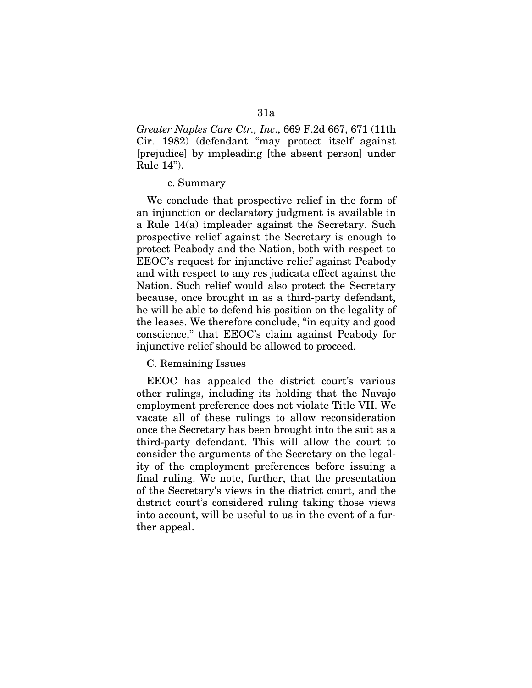*Greater Naples Care Ctr., Inc*., 669 F.2d 667, 671 (11th Cir. 1982) (defendant "may protect itself against [prejudice] by impleading [the absent person] under Rule 14").

#### c. Summary

We conclude that prospective relief in the form of an injunction or declaratory judgment is available in a Rule 14(a) impleader against the Secretary. Such prospective relief against the Secretary is enough to protect Peabody and the Nation, both with respect to EEOC's request for injunctive relief against Peabody and with respect to any res judicata effect against the Nation. Such relief would also protect the Secretary because, once brought in as a third-party defendant, he will be able to defend his position on the legality of the leases. We therefore conclude, "in equity and good conscience," that EEOC's claim against Peabody for injunctive relief should be allowed to proceed.

#### C. Remaining Issues

EEOC has appealed the district court's various other rulings, including its holding that the Navajo employment preference does not violate Title VII. We vacate all of these rulings to allow reconsideration once the Secretary has been brought into the suit as a third-party defendant. This will allow the court to consider the arguments of the Secretary on the legality of the employment preferences before issuing a final ruling. We note, further, that the presentation of the Secretary's views in the district court, and the district court's considered ruling taking those views into account, will be useful to us in the event of a further appeal.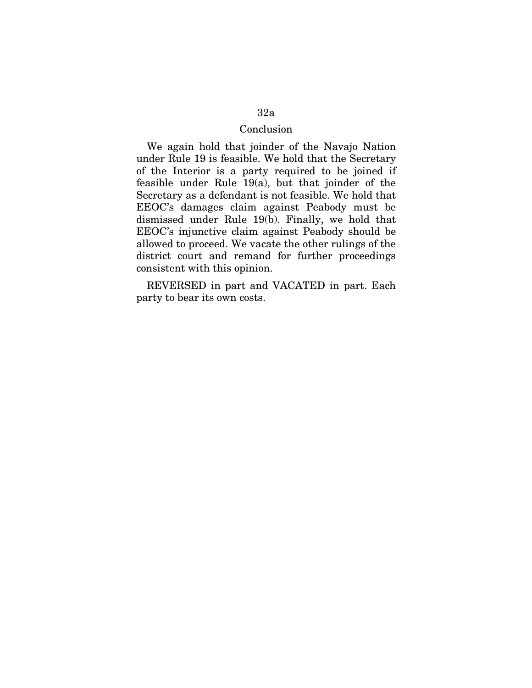# 32a

# Conclusion

We again hold that joinder of the Navajo Nation under Rule 19 is feasible. We hold that the Secretary of the Interior is a party required to be joined if feasible under Rule 19(a), but that joinder of the Secretary as a defendant is not feasible. We hold that EEOC's damages claim against Peabody must be dismissed under Rule 19(b). Finally, we hold that EEOC's injunctive claim against Peabody should be allowed to proceed. We vacate the other rulings of the district court and remand for further proceedings consistent with this opinion.

REVERSED in part and VACATED in part. Each party to bear its own costs.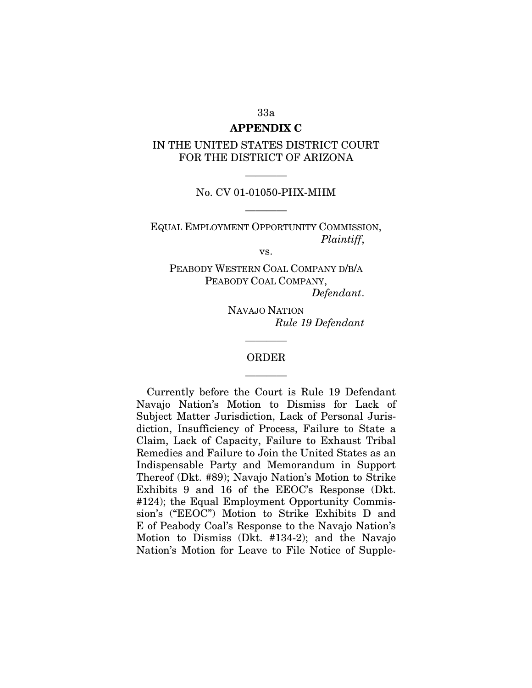#### 33a

#### **APPENDIX C**

# IN THE UNITED STATES DISTRICT COURT FOR THE DISTRICT OF ARIZONA

# No. CV 01-01050-PHX-MHM ————

————

EQUAL EMPLOYMENT OPPORTUNITY COMMISSION, *Plaintiff*,

vs.

PEABODY WESTERN COAL COMPANY D/B/A PEABODY COAL COMPANY, *Defendant*.

> NAVAJO NATION *Rule 19 Defendant*

#### ORDER

————

————

Currently before the Court is Rule 19 Defendant Navajo Nation's Motion to Dismiss for Lack of Subject Matter Jurisdiction, Lack of Personal Jurisdiction, Insufficiency of Process, Failure to State a Claim, Lack of Capacity, Failure to Exhaust Tribal Remedies and Failure to Join the United States as an Indispensable Party and Memorandum in Support Thereof (Dkt. #89); Navajo Nation's Motion to Strike Exhibits 9 and 16 of the EEOC's Response (Dkt. #124); the Equal Employment Opportunity Commission's ("EEOC") Motion to Strike Exhibits D and E of Peabody Coal's Response to the Navajo Nation's Motion to Dismiss (Dkt. #134-2); and the Navajo Nation's Motion for Leave to File Notice of Supple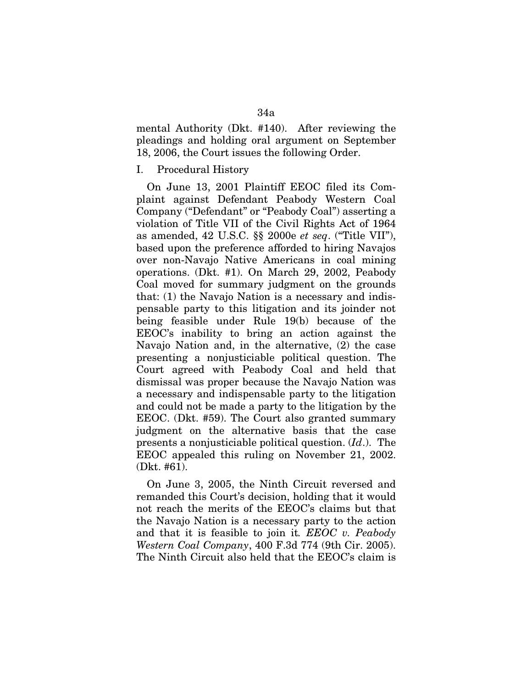mental Authority (Dkt. #140). After reviewing the pleadings and holding oral argument on September 18, 2006, the Court issues the following Order.

#### I. Procedural History

On June 13, 2001 Plaintiff EEOC filed its Complaint against Defendant Peabody Western Coal Company ("Defendant" or "Peabody Coal") asserting a violation of Title VII of the Civil Rights Act of 1964 as amended, 42 U.S.C. §§ 2000e *et seq*. ("Title VII"), based upon the preference afforded to hiring Navajos over non-Navajo Native Americans in coal mining operations. (Dkt. #1). On March 29, 2002, Peabody Coal moved for summary judgment on the grounds that: (1) the Navajo Nation is a necessary and indispensable party to this litigation and its joinder not being feasible under Rule 19(b) because of the EEOC's inability to bring an action against the Navajo Nation and, in the alternative, (2) the case presenting a nonjusticiable political question. The Court agreed with Peabody Coal and held that dismissal was proper because the Navajo Nation was a necessary and indispensable party to the litigation and could not be made a party to the litigation by the EEOC. (Dkt. #59). The Court also granted summary judgment on the alternative basis that the case presents a nonjusticiable political question. (*Id*.). The EEOC appealed this ruling on November 21, 2002. (Dkt. #61).

On June 3, 2005, the Ninth Circuit reversed and remanded this Court's decision, holding that it would not reach the merits of the EEOC's claims but that the Navajo Nation is a necessary party to the action and that it is feasible to join it*. EEOC v. Peabody Western Coal Company*, 400 F.3d 774 (9th Cir. 2005). The Ninth Circuit also held that the EEOC's claim is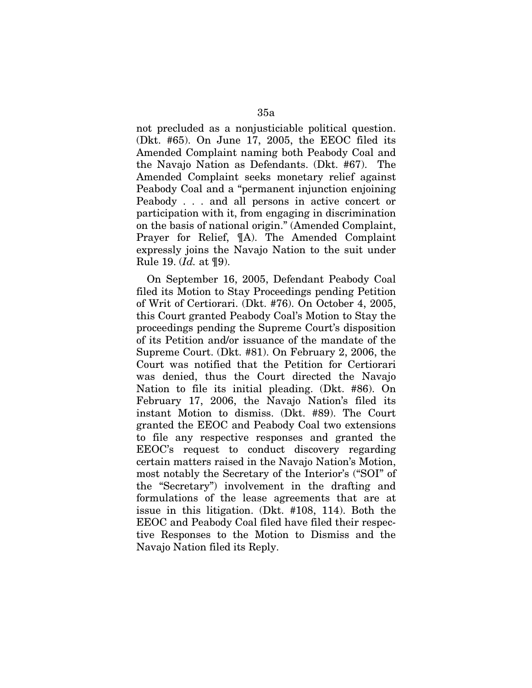not precluded as a nonjusticiable political question. (Dkt. #65). On June 17, 2005, the EEOC filed its Amended Complaint naming both Peabody Coal and the Navajo Nation as Defendants. (Dkt. #67). The Amended Complaint seeks monetary relief against Peabody Coal and a "permanent injunction enjoining Peabody . . . and all persons in active concert or participation with it, from engaging in discrimination on the basis of national origin." (Amended Complaint, Prayer for Relief, ¶A). The Amended Complaint expressly joins the Navajo Nation to the suit under Rule 19. (*Id.* at ¶9).

On September 16, 2005, Defendant Peabody Coal filed its Motion to Stay Proceedings pending Petition of Writ of Certiorari. (Dkt. #76). On October 4, 2005, this Court granted Peabody Coal's Motion to Stay the proceedings pending the Supreme Court's disposition of its Petition and/or issuance of the mandate of the Supreme Court. (Dkt. #81). On February 2, 2006, the Court was notified that the Petition for Certiorari was denied, thus the Court directed the Navajo Nation to file its initial pleading. (Dkt. #86). On February 17, 2006, the Navajo Nation's filed its instant Motion to dismiss. (Dkt. #89). The Court granted the EEOC and Peabody Coal two extensions to file any respective responses and granted the EEOC's request to conduct discovery regarding certain matters raised in the Navajo Nation's Motion, most notably the Secretary of the Interior's ("SOI" of the "Secretary") involvement in the drafting and formulations of the lease agreements that are at issue in this litigation. (Dkt. #108, 114). Both the EEOC and Peabody Coal filed have filed their respective Responses to the Motion to Dismiss and the Navajo Nation filed its Reply.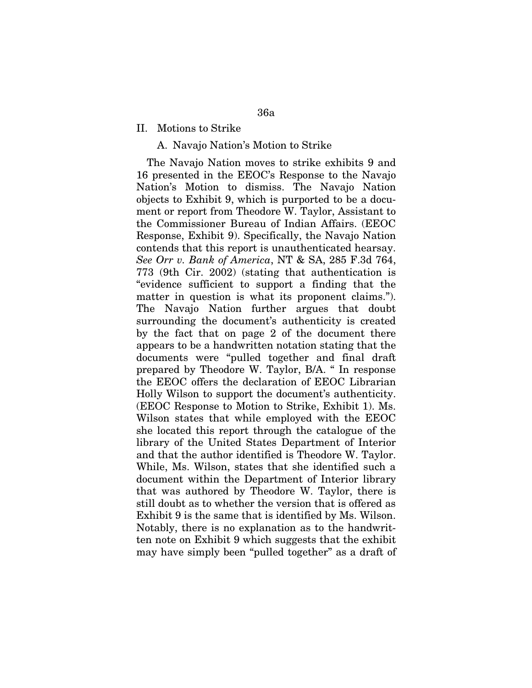#### II. Motions to Strike

#### A. Navajo Nation's Motion to Strike

The Navajo Nation moves to strike exhibits 9 and 16 presented in the EEOC's Response to the Navajo Nation's Motion to dismiss. The Navajo Nation objects to Exhibit 9, which is purported to be a document or report from Theodore W. Taylor, Assistant to the Commissioner Bureau of Indian Affairs. (EEOC Response, Exhibit 9). Specifically, the Navajo Nation contends that this report is unauthenticated hearsay. *See Orr v. Bank of America*, NT & SA, 285 F.3d 764, 773 (9th Cir. 2002) (stating that authentication is "evidence sufficient to support a finding that the matter in question is what its proponent claims."). The Navajo Nation further argues that doubt surrounding the document's authenticity is created by the fact that on page 2 of the document there appears to be a handwritten notation stating that the documents were "pulled together and final draft prepared by Theodore W. Taylor, B/A. " In response the EEOC offers the declaration of EEOC Librarian Holly Wilson to support the document's authenticity. (EEOC Response to Motion to Strike, Exhibit 1). Ms. Wilson states that while employed with the EEOC she located this report through the catalogue of the library of the United States Department of Interior and that the author identified is Theodore W. Taylor. While, Ms. Wilson, states that she identified such a document within the Department of Interior library that was authored by Theodore W. Taylor, there is still doubt as to whether the version that is offered as Exhibit 9 is the same that is identified by Ms. Wilson. Notably, there is no explanation as to the handwritten note on Exhibit 9 which suggests that the exhibit may have simply been "pulled together" as a draft of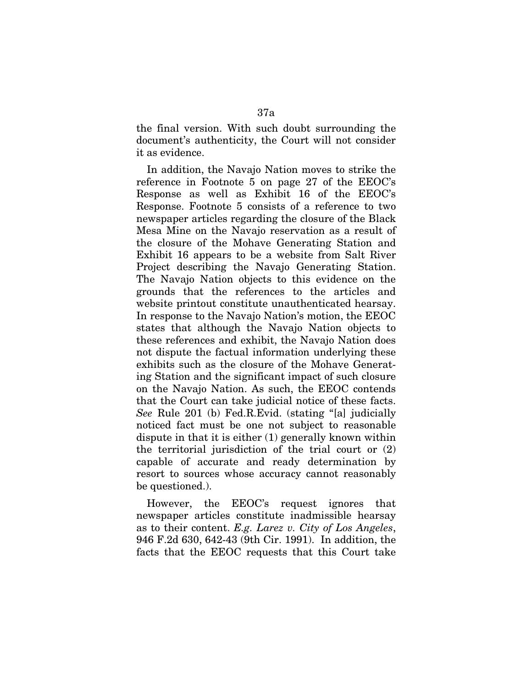the final version. With such doubt surrounding the document's authenticity, the Court will not consider it as evidence.

In addition, the Navajo Nation moves to strike the reference in Footnote 5 on page 27 of the EEOC's Response as well as Exhibit 16 of the EEOC's Response. Footnote 5 consists of a reference to two newspaper articles regarding the closure of the Black Mesa Mine on the Navajo reservation as a result of the closure of the Mohave Generating Station and Exhibit 16 appears to be a website from Salt River Project describing the Navajo Generating Station. The Navajo Nation objects to this evidence on the grounds that the references to the articles and website printout constitute unauthenticated hearsay. In response to the Navajo Nation's motion, the EEOC states that although the Navajo Nation objects to these references and exhibit, the Navajo Nation does not dispute the factual information underlying these exhibits such as the closure of the Mohave Generating Station and the significant impact of such closure on the Navajo Nation. As such, the EEOC contends that the Court can take judicial notice of these facts. *See* Rule 201 (b) Fed.R.Evid. (stating "[a] judicially noticed fact must be one not subject to reasonable dispute in that it is either (1) generally known within the territorial jurisdiction of the trial court or (2) capable of accurate and ready determination by resort to sources whose accuracy cannot reasonably be questioned.).

However, the EEOC's request ignores that newspaper articles constitute inadmissible hearsay as to their content. *E.g. Larez v. City of Los Angeles*, 946 F.2d 630, 642-43 (9th Cir. 1991). In addition, the facts that the EEOC requests that this Court take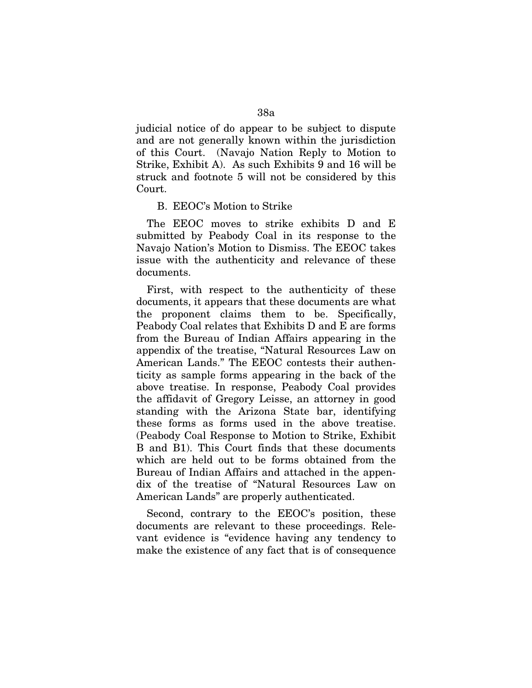judicial notice of do appear to be subject to dispute and are not generally known within the jurisdiction of this Court. (Navajo Nation Reply to Motion to Strike, Exhibit A). As such Exhibits 9 and 16 will be struck and footnote 5 will not be considered by this Court.

#### B. EEOC's Motion to Strike

The EEOC moves to strike exhibits D and E submitted by Peabody Coal in its response to the Navajo Nation's Motion to Dismiss. The EEOC takes issue with the authenticity and relevance of these documents.

First, with respect to the authenticity of these documents, it appears that these documents are what the proponent claims them to be. Specifically, Peabody Coal relates that Exhibits D and E are forms from the Bureau of Indian Affairs appearing in the appendix of the treatise, "Natural Resources Law on American Lands." The EEOC contests their authenticity as sample forms appearing in the back of the above treatise. In response, Peabody Coal provides the affidavit of Gregory Leisse, an attorney in good standing with the Arizona State bar, identifying these forms as forms used in the above treatise. (Peabody Coal Response to Motion to Strike, Exhibit B and B1). This Court finds that these documents which are held out to be forms obtained from the Bureau of Indian Affairs and attached in the appendix of the treatise of "Natural Resources Law on American Lands" are properly authenticated.

Second, contrary to the EEOC's position, these documents are relevant to these proceedings. Relevant evidence is "evidence having any tendency to make the existence of any fact that is of consequence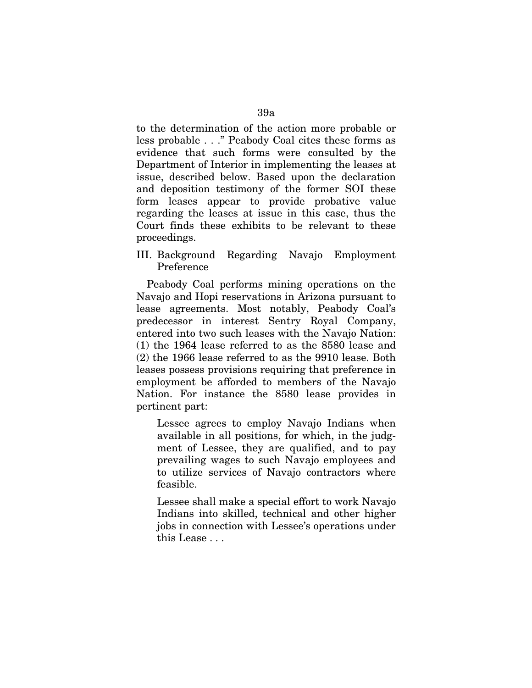to the determination of the action more probable or less probable . . ." Peabody Coal cites these forms as evidence that such forms were consulted by the Department of Interior in implementing the leases at issue, described below. Based upon the declaration and deposition testimony of the former SOI these form leases appear to provide probative value regarding the leases at issue in this case, thus the Court finds these exhibits to be relevant to these proceedings.

## III. Background Regarding Navajo Employment Preference

Peabody Coal performs mining operations on the Navajo and Hopi reservations in Arizona pursuant to lease agreements. Most notably, Peabody Coal's predecessor in interest Sentry Royal Company, entered into two such leases with the Navajo Nation: (1) the 1964 lease referred to as the 8580 lease and (2) the 1966 lease referred to as the 9910 lease. Both leases possess provisions requiring that preference in employment be afforded to members of the Navajo Nation. For instance the 8580 lease provides in pertinent part:

Lessee agrees to employ Navajo Indians when available in all positions, for which, in the judgment of Lessee, they are qualified, and to pay prevailing wages to such Navajo employees and to utilize services of Navajo contractors where feasible.

Lessee shall make a special effort to work Navajo Indians into skilled, technical and other higher jobs in connection with Lessee's operations under this Lease . . .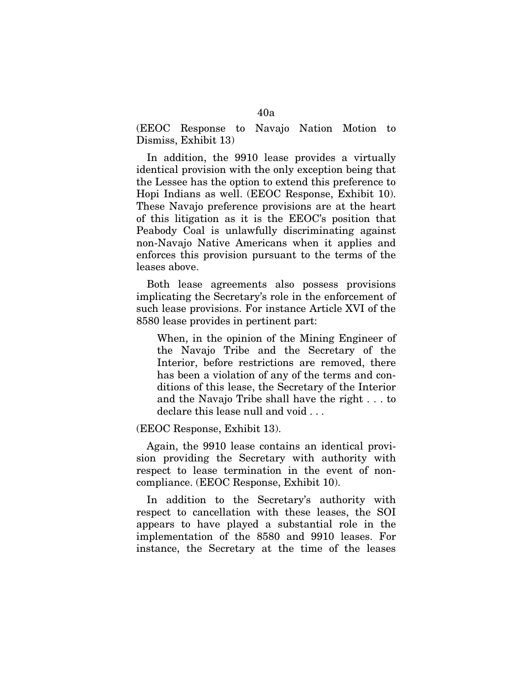# (EEOC Response to Navajo Nation Motion to Dismiss, Exhibit 13)

In addition, the 9910 lease provides a virtually identical provision with the only exception being that the Lessee has the option to extend this preference to Hopi Indians as well. (EEOC Response, Exhibit 10). These Navajo preference provisions are at the heart of this litigation as it is the EEOC's position that Peabody Coal is unlawfully discriminating against non-Navajo Native Americans when it applies and enforces this provision pursuant to the terms of the leases above.

Both lease agreements also possess provisions implicating the Secretary's role in the enforcement of such lease provisions. For instance Article XVI of the 8580 lease provides in pertinent part:

When, in the opinion of the Mining Engineer of the Navajo Tribe and the Secretary of the Interior, before restrictions are removed, there has been a violation of any of the terms and conditions of this lease, the Secretary of the Interior and the Navajo Tribe shall have the right . . . to declare this lease null and void . . .

(EEOC Response, Exhibit 13).

Again, the 9910 lease contains an identical provision providing the Secretary with authority with respect to lease termination in the event of noncompliance. (EEOC Response, Exhibit 10).

In addition to the Secretary's authority with respect to cancellation with these leases, the SOI appears to have played a substantial role in the implementation of the 8580 and 9910 leases. For instance, the Secretary at the time of the leases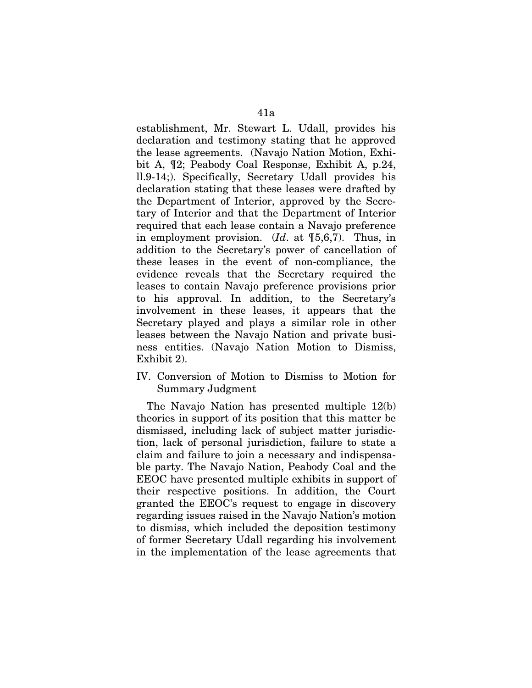establishment, Mr. Stewart L. Udall, provides his declaration and testimony stating that he approved the lease agreements. (Navajo Nation Motion, Exhibit A, ¶2; Peabody Coal Response, Exhibit A, p.24, ll.9-14;). Specifically, Secretary Udall provides his declaration stating that these leases were drafted by the Department of Interior, approved by the Secretary of Interior and that the Department of Interior required that each lease contain a Navajo preference in employment provision. (*Id*. at ¶5,6,7). Thus, in addition to the Secretary's power of cancellation of these leases in the event of non-compliance, the evidence reveals that the Secretary required the leases to contain Navajo preference provisions prior to his approval. In addition, to the Secretary's involvement in these leases, it appears that the Secretary played and plays a similar role in other leases between the Navajo Nation and private business entities. (Navajo Nation Motion to Dismiss, Exhibit 2).

IV. Conversion of Motion to Dismiss to Motion for Summary Judgment

The Navajo Nation has presented multiple 12(b) theories in support of its position that this matter be dismissed, including lack of subject matter jurisdiction, lack of personal jurisdiction, failure to state a claim and failure to join a necessary and indispensable party. The Navajo Nation, Peabody Coal and the EEOC have presented multiple exhibits in support of their respective positions. In addition, the Court granted the EEOC's request to engage in discovery regarding issues raised in the Navajo Nation's motion to dismiss, which included the deposition testimony of former Secretary Udall regarding his involvement in the implementation of the lease agreements that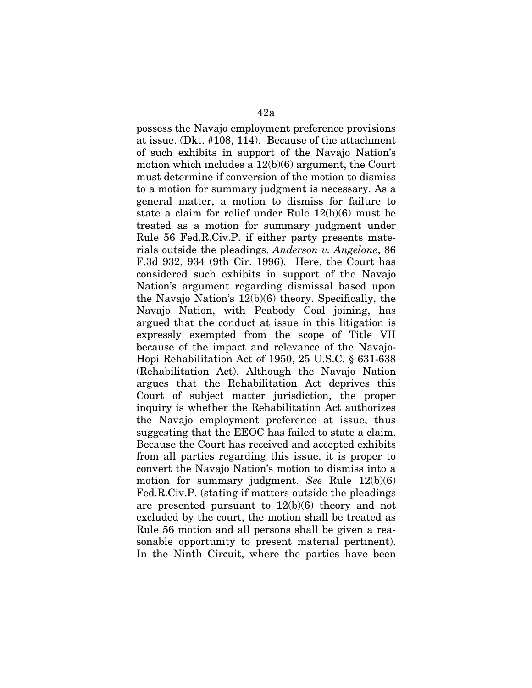possess the Navajo employment preference provisions at issue. (Dkt. #108, 114). Because of the attachment of such exhibits in support of the Navajo Nation's motion which includes a 12(b)(6) argument, the Court must determine if conversion of the motion to dismiss to a motion for summary judgment is necessary. As a general matter, a motion to dismiss for failure to state a claim for relief under Rule 12(b)(6) must be treated as a motion for summary judgment under Rule 56 Fed.R.Civ.P. if either party presents materials outside the pleadings. *Anderson v. Angelone*, 86 F.3d 932, 934 (9th Cir. 1996). Here, the Court has considered such exhibits in support of the Navajo Nation's argument regarding dismissal based upon the Navajo Nation's 12(b)(6) theory. Specifically, the Navajo Nation, with Peabody Coal joining, has argued that the conduct at issue in this litigation is expressly exempted from the scope of Title VII because of the impact and relevance of the Navajo-Hopi Rehabilitation Act of 1950, 25 U.S.C. § 631-638 (Rehabilitation Act). Although the Navajo Nation argues that the Rehabilitation Act deprives this Court of subject matter jurisdiction, the proper inquiry is whether the Rehabilitation Act authorizes the Navajo employment preference at issue, thus suggesting that the EEOC has failed to state a claim. Because the Court has received and accepted exhibits from all parties regarding this issue, it is proper to convert the Navajo Nation's motion to dismiss into a motion for summary judgment. *See* Rule 12(b)(6) Fed.R.Civ.P. (stating if matters outside the pleadings are presented pursuant to 12(b)(6) theory and not excluded by the court, the motion shall be treated as Rule 56 motion and all persons shall be given a reasonable opportunity to present material pertinent). In the Ninth Circuit, where the parties have been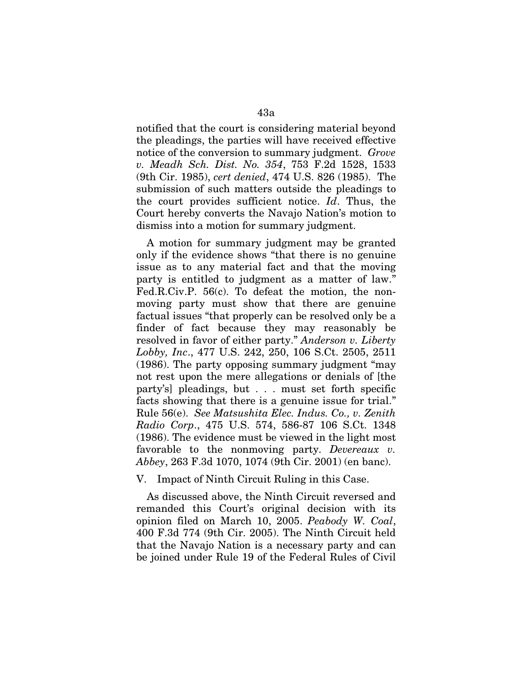notified that the court is considering material beyond the pleadings, the parties will have received effective notice of the conversion to summary judgment. *Grove v. Meadh Sch. Dist. No. 354*, 753 F.2d 1528, 1533 (9th Cir. 1985), *cert denied*, 474 U.S. 826 (1985). The submission of such matters outside the pleadings to the court provides sufficient notice. *Id*. Thus, the Court hereby converts the Navajo Nation's motion to dismiss into a motion for summary judgment.

A motion for summary judgment may be granted only if the evidence shows "that there is no genuine issue as to any material fact and that the moving party is entitled to judgment as a matter of law." Fed.R.Civ.P. 56(c). To defeat the motion, the nonmoving party must show that there are genuine factual issues "that properly can be resolved only be a finder of fact because they may reasonably be resolved in favor of either party." *Anderson v. Liberty Lobby, Inc*., 477 U.S. 242, 250, 106 S.Ct. 2505, 2511 (1986). The party opposing summary judgment "may not rest upon the mere allegations or denials of [the party's] pleadings, but . . . must set forth specific facts showing that there is a genuine issue for trial." Rule 56(e). *See Matsushita Elec. Indus. Co., v. Zenith Radio Corp*., 475 U.S. 574, 586-87 106 S.Ct. 1348 (1986). The evidence must be viewed in the light most favorable to the nonmoving party. *Devereaux v. Abbey*, 263 F.3d 1070, 1074 (9th Cir. 2001) (en banc).

V. Impact of Ninth Circuit Ruling in this Case.

As discussed above, the Ninth Circuit reversed and remanded this Court's original decision with its opinion filed on March 10, 2005. *Peabody W. Coal*, 400 F.3d 774 (9th Cir. 2005). The Ninth Circuit held that the Navajo Nation is a necessary party and can be joined under Rule 19 of the Federal Rules of Civil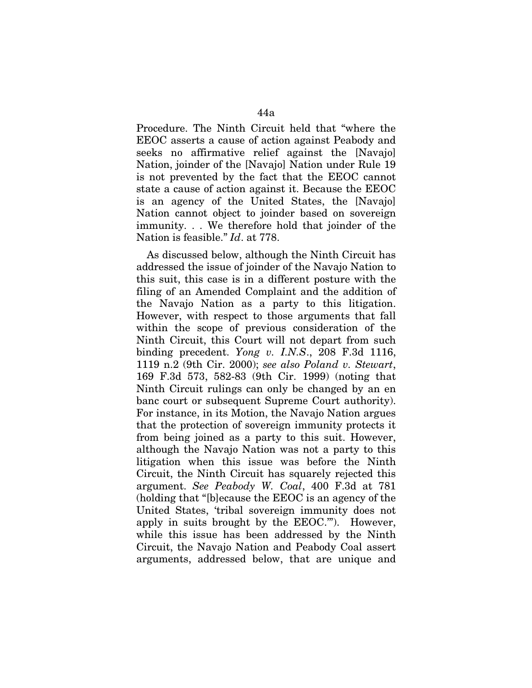Procedure. The Ninth Circuit held that "where the EEOC asserts a cause of action against Peabody and seeks no affirmative relief against the [Navajo] Nation, joinder of the [Navajo] Nation under Rule 19 is not prevented by the fact that the EEOC cannot state a cause of action against it. Because the EEOC is an agency of the United States, the [Navajo] Nation cannot object to joinder based on sovereign immunity. . . We therefore hold that joinder of the Nation is feasible." *Id*. at 778.

As discussed below, although the Ninth Circuit has addressed the issue of joinder of the Navajo Nation to this suit, this case is in a different posture with the filing of an Amended Complaint and the addition of the Navajo Nation as a party to this litigation. However, with respect to those arguments that fall within the scope of previous consideration of the Ninth Circuit, this Court will not depart from such binding precedent. *Yong v. I.N.S*., 208 F.3d 1116, 1119 n.2 (9th Cir. 2000); *see also Poland v. Stewart*, 169 F.3d 573, 582-83 (9th Cir. 1999) (noting that Ninth Circuit rulings can only be changed by an en banc court or subsequent Supreme Court authority). For instance, in its Motion, the Navajo Nation argues that the protection of sovereign immunity protects it from being joined as a party to this suit. However, although the Navajo Nation was not a party to this litigation when this issue was before the Ninth Circuit, the Ninth Circuit has squarely rejected this argument. *See Peabody W. Coal*, 400 F.3d at 781 (holding that "[b]ecause the EEOC is an agency of the United States, 'tribal sovereign immunity does not apply in suits brought by the EEOC.'"). However, while this issue has been addressed by the Ninth Circuit, the Navajo Nation and Peabody Coal assert arguments, addressed below, that are unique and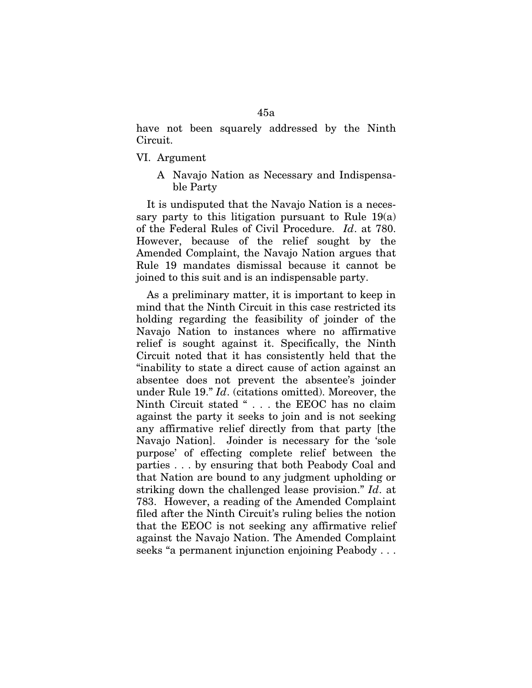have not been squarely addressed by the Ninth Circuit.

- VI. Argument
	- A Navajo Nation as Necessary and Indispensable Party

It is undisputed that the Navajo Nation is a necessary party to this litigation pursuant to Rule 19(a) of the Federal Rules of Civil Procedure. *Id*. at 780. However, because of the relief sought by the Amended Complaint, the Navajo Nation argues that Rule 19 mandates dismissal because it cannot be joined to this suit and is an indispensable party.

As a preliminary matter, it is important to keep in mind that the Ninth Circuit in this case restricted its holding regarding the feasibility of joinder of the Navajo Nation to instances where no affirmative relief is sought against it. Specifically, the Ninth Circuit noted that it has consistently held that the "inability to state a direct cause of action against an absentee does not prevent the absentee's joinder under Rule 19." *Id*. (citations omitted). Moreover, the Ninth Circuit stated " . . . the EEOC has no claim against the party it seeks to join and is not seeking any affirmative relief directly from that party [the Navajo Nation]. Joinder is necessary for the 'sole purpose' of effecting complete relief between the parties . . . by ensuring that both Peabody Coal and that Nation are bound to any judgment upholding or striking down the challenged lease provision." *Id*. at 783. However, a reading of the Amended Complaint filed after the Ninth Circuit's ruling belies the notion that the EEOC is not seeking any affirmative relief against the Navajo Nation. The Amended Complaint seeks "a permanent injunction enjoining Peabody . . .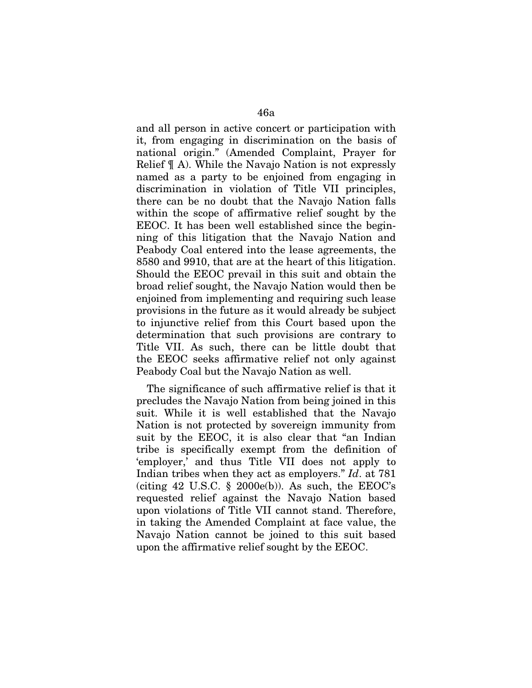and all person in active concert or participation with it, from engaging in discrimination on the basis of national origin." (Amended Complaint, Prayer for Relief ¶ A). While the Navajo Nation is not expressly named as a party to be enjoined from engaging in discrimination in violation of Title VII principles, there can be no doubt that the Navajo Nation falls within the scope of affirmative relief sought by the EEOC. It has been well established since the beginning of this litigation that the Navajo Nation and Peabody Coal entered into the lease agreements, the 8580 and 9910, that are at the heart of this litigation. Should the EEOC prevail in this suit and obtain the broad relief sought, the Navajo Nation would then be enjoined from implementing and requiring such lease provisions in the future as it would already be subject to injunctive relief from this Court based upon the determination that such provisions are contrary to Title VII. As such, there can be little doubt that the EEOC seeks affirmative relief not only against Peabody Coal but the Navajo Nation as well.

The significance of such affirmative relief is that it precludes the Navajo Nation from being joined in this suit. While it is well established that the Navajo Nation is not protected by sovereign immunity from suit by the EEOC, it is also clear that "an Indian tribe is specifically exempt from the definition of 'employer,' and thus Title VII does not apply to Indian tribes when they act as employers." *Id*. at 781 (citing 42 U.S.C.  $\S$  2000e(b)). As such, the EEOC's requested relief against the Navajo Nation based upon violations of Title VII cannot stand. Therefore, in taking the Amended Complaint at face value, the Navajo Nation cannot be joined to this suit based upon the affirmative relief sought by the EEOC.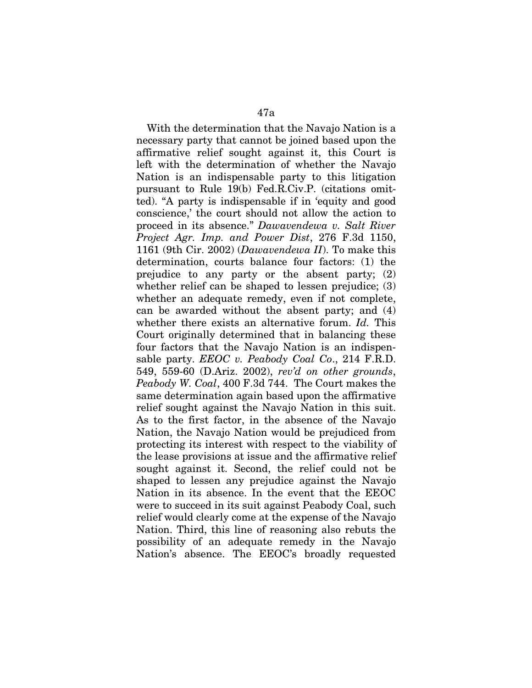With the determination that the Navajo Nation is a necessary party that cannot be joined based upon the affirmative relief sought against it, this Court is left with the determination of whether the Navajo Nation is an indispensable party to this litigation pursuant to Rule 19(b) Fed.R.Civ.P. (citations omitted). "A party is indispensable if in 'equity and good conscience,' the court should not allow the action to proceed in its absence." *Dawavendewa v. Salt River Project Agr. Imp. and Power Dist*, 276 F.3d 1150, 1161 (9th Cir. 2002) (*Dawavendewa II*). To make this determination, courts balance four factors: (1) the prejudice to any party or the absent party; (2) whether relief can be shaped to lessen prejudice; (3) whether an adequate remedy, even if not complete, can be awarded without the absent party; and (4) whether there exists an alternative forum. *Id.* This Court originally determined that in balancing these four factors that the Navajo Nation is an indispensable party. *EEOC v. Peabody Coal Co*., 214 F.R.D. 549, 559-60 (D.Ariz. 2002), *rev'd on other grounds*, *Peabody W. Coal*, 400 F.3d 744. The Court makes the same determination again based upon the affirmative relief sought against the Navajo Nation in this suit. As to the first factor, in the absence of the Navajo Nation, the Navajo Nation would be prejudiced from protecting its interest with respect to the viability of the lease provisions at issue and the affirmative relief sought against it. Second, the relief could not be shaped to lessen any prejudice against the Navajo Nation in its absence. In the event that the EEOC were to succeed in its suit against Peabody Coal, such relief would clearly come at the expense of the Navajo Nation. Third, this line of reasoning also rebuts the possibility of an adequate remedy in the Navajo Nation's absence. The EEOC's broadly requested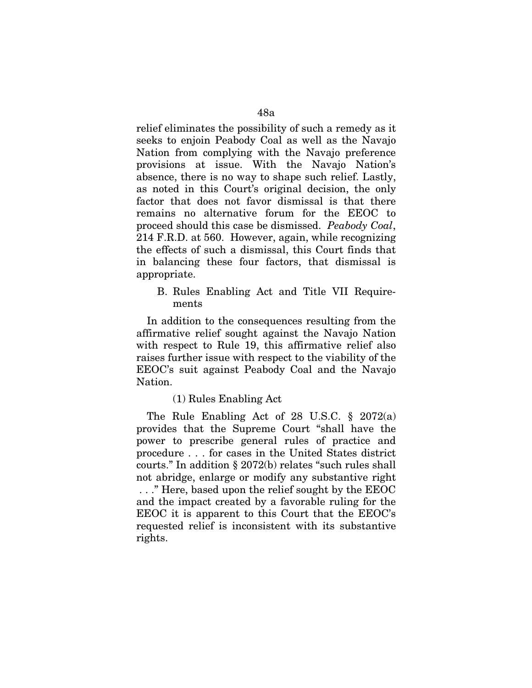relief eliminates the possibility of such a remedy as it seeks to enjoin Peabody Coal as well as the Navajo Nation from complying with the Navajo preference provisions at issue. With the Navajo Nation's absence, there is no way to shape such relief. Lastly, as noted in this Court's original decision, the only factor that does not favor dismissal is that there remains no alternative forum for the EEOC to proceed should this case be dismissed. *Peabody Coal*, 214 F.R.D. at 560. However, again, while recognizing the effects of such a dismissal, this Court finds that in balancing these four factors, that dismissal is appropriate.

B. Rules Enabling Act and Title VII Requirements

In addition to the consequences resulting from the affirmative relief sought against the Navajo Nation with respect to Rule 19, this affirmative relief also raises further issue with respect to the viability of the EEOC's suit against Peabody Coal and the Navajo Nation.

(1) Rules Enabling Act

The Rule Enabling Act of 28 U.S.C. § 2072(a) provides that the Supreme Court "shall have the power to prescribe general rules of practice and procedure . . . for cases in the United States district courts." In addition § 2072(b) relates "such rules shall not abridge, enlarge or modify any substantive right . . ." Here, based upon the relief sought by the EEOC and the impact created by a favorable ruling for the EEOC it is apparent to this Court that the EEOC's requested relief is inconsistent with its substantive rights.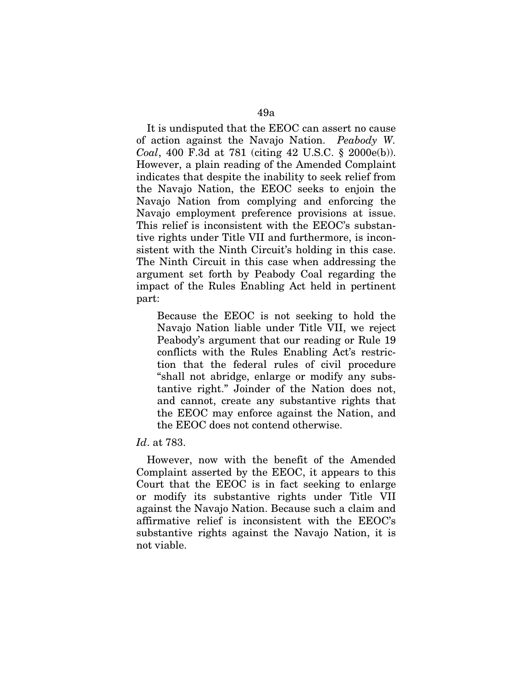It is undisputed that the EEOC can assert no cause of action against the Navajo Nation. *Peabody W. Coal*, 400 F.3d at 781 (citing 42 U.S.C. § 2000e(b)). However, a plain reading of the Amended Complaint indicates that despite the inability to seek relief from the Navajo Nation, the EEOC seeks to enjoin the Navajo Nation from complying and enforcing the Navajo employment preference provisions at issue. This relief is inconsistent with the EEOC's substantive rights under Title VII and furthermore, is inconsistent with the Ninth Circuit's holding in this case. The Ninth Circuit in this case when addressing the argument set forth by Peabody Coal regarding the impact of the Rules Enabling Act held in pertinent part:

Because the EEOC is not seeking to hold the Navajo Nation liable under Title VII, we reject Peabody's argument that our reading or Rule 19 conflicts with the Rules Enabling Act's restriction that the federal rules of civil procedure "shall not abridge, enlarge or modify any substantive right." Joinder of the Nation does not, and cannot, create any substantive rights that the EEOC may enforce against the Nation, and the EEOC does not contend otherwise.

#### *Id*. at 783.

However, now with the benefit of the Amended Complaint asserted by the EEOC, it appears to this Court that the EEOC is in fact seeking to enlarge or modify its substantive rights under Title VII against the Navajo Nation. Because such a claim and affirmative relief is inconsistent with the EEOC's substantive rights against the Navajo Nation, it is not viable.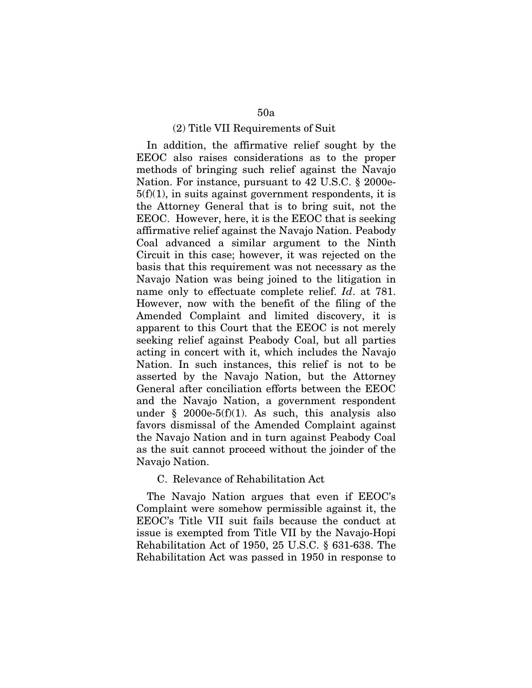#### (2) Title VII Requirements of Suit

In addition, the affirmative relief sought by the EEOC also raises considerations as to the proper methods of bringing such relief against the Navajo Nation. For instance, pursuant to 42 U.S.C. § 2000e- $5(f)(1)$ , in suits against government respondents, it is the Attorney General that is to bring suit, not the EEOC. However, here, it is the EEOC that is seeking affirmative relief against the Navajo Nation. Peabody Coal advanced a similar argument to the Ninth Circuit in this case; however, it was rejected on the basis that this requirement was not necessary as the Navajo Nation was being joined to the litigation in name only to effectuate complete relief. *Id*. at 781. However, now with the benefit of the filing of the Amended Complaint and limited discovery, it is apparent to this Court that the EEOC is not merely seeking relief against Peabody Coal, but all parties acting in concert with it, which includes the Navajo Nation. In such instances, this relief is not to be asserted by the Navajo Nation, but the Attorney General after conciliation efforts between the EEOC and the Navajo Nation, a government respondent under  $\S$  2000e-5(f)(1). As such, this analysis also favors dismissal of the Amended Complaint against the Navajo Nation and in turn against Peabody Coal as the suit cannot proceed without the joinder of the Navajo Nation.

## C. Relevance of Rehabilitation Act

The Navajo Nation argues that even if EEOC's Complaint were somehow permissible against it, the EEOC's Title VII suit fails because the conduct at issue is exempted from Title VII by the Navajo-Hopi Rehabilitation Act of 1950, 25 U.S.C. § 631-638. The Rehabilitation Act was passed in 1950 in response to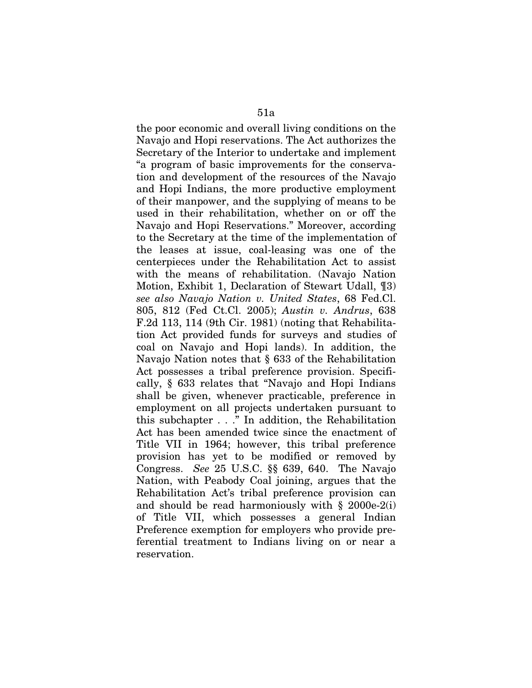the poor economic and overall living conditions on the Navajo and Hopi reservations. The Act authorizes the Secretary of the Interior to undertake and implement "a program of basic improvements for the conservation and development of the resources of the Navajo and Hopi Indians, the more productive employment of their manpower, and the supplying of means to be used in their rehabilitation, whether on or off the Navajo and Hopi Reservations." Moreover, according to the Secretary at the time of the implementation of the leases at issue, coal-leasing was one of the centerpieces under the Rehabilitation Act to assist with the means of rehabilitation. (Navajo Nation Motion, Exhibit 1, Declaration of Stewart Udall, ¶3) *see also Navajo Nation v. United States*, 68 Fed.Cl. 805, 812 (Fed Ct.Cl. 2005); *Austin v. Andrus*, 638 F.2d 113, 114 (9th Cir. 1981) (noting that Rehabilitation Act provided funds for surveys and studies of coal on Navajo and Hopi lands). In addition, the Navajo Nation notes that § 633 of the Rehabilitation Act possesses a tribal preference provision. Specifically, § 633 relates that "Navajo and Hopi Indians shall be given, whenever practicable, preference in employment on all projects undertaken pursuant to this subchapter . . ." In addition, the Rehabilitation Act has been amended twice since the enactment of Title VII in 1964; however, this tribal preference provision has yet to be modified or removed by Congress. *See* 25 U.S.C. §§ 639, 640. The Navajo Nation, with Peabody Coal joining, argues that the Rehabilitation Act's tribal preference provision can and should be read harmoniously with  $\S$  2000e-2(i) of Title VII, which possesses a general Indian Preference exemption for employers who provide preferential treatment to Indians living on or near a reservation.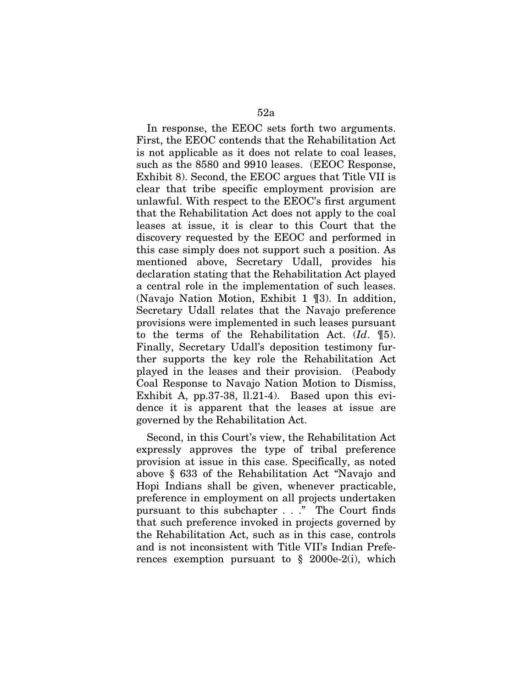In response, the EEOC sets forth two arguments. First, the EEOC contends that the Rehabilitation Act is not applicable as it does not relate to coal leases, such as the 8580 and 9910 leases. (EEOC Response, Exhibit 8). Second, the EEOC argues that Title VII is clear that tribe specific employment provision are unlawful. With respect to the EEOC's first argument that the Rehabilitation Act does not apply to the coal leases at issue, it is clear to this Court that the discovery requested by the EEOC and performed in this case simply does not support such a position. As mentioned above, Secretary Udall, provides his declaration stating that the Rehabilitation Act played a central role in the implementation of such leases. (Navajo Nation Motion, Exhibit 1 ¶3). In addition, Secretary Udall relates that the Navajo preference provisions were implemented in such leases pursuant to the terms of the Rehabilitation Act. (*Id*. ¶5). Finally, Secretary Udall's deposition testimony further supports the key role the Rehabilitation Act played in the leases and their provision. (Peabody Coal Response to Navajo Nation Motion to Dismiss, Exhibit A, pp.37-38, ll.21-4). Based upon this evidence it is apparent that the leases at issue are governed by the Rehabilitation Act.

Second, in this Court's view, the Rehabilitation Act expressly approves the type of tribal preference provision at issue in this case. Specifically, as noted above § 633 of the Rehabilitation Act "Navajo and Hopi Indians shall be given, whenever practicable, preference in employment on all projects undertaken pursuant to this subchapter . . ." The Court finds that such preference invoked in projects governed by the Rehabilitation Act, such as in this case, controls and is not inconsistent with Title VII's Indian Preferences exemption pursuant to § 2000e-2(i), which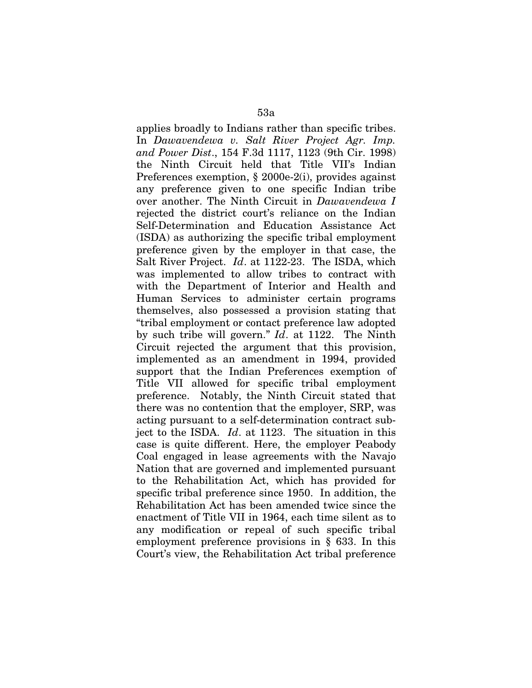applies broadly to Indians rather than specific tribes. In *Dawavendewa v. Salt River Project Agr. Imp. and Power Dist*., 154 F.3d 1117, 1123 (9th Cir. 1998) the Ninth Circuit held that Title VII's Indian Preferences exemption, § 2000e-2(i), provides against any preference given to one specific Indian tribe over another. The Ninth Circuit in *Dawavendewa I* rejected the district court's reliance on the Indian Self-Determination and Education Assistance Act (ISDA) as authorizing the specific tribal employment preference given by the employer in that case, the Salt River Project. *Id*. at 1122-23. The ISDA, which was implemented to allow tribes to contract with with the Department of Interior and Health and Human Services to administer certain programs themselves, also possessed a provision stating that "tribal employment or contact preference law adopted by such tribe will govern." *Id*. at 1122. The Ninth Circuit rejected the argument that this provision, implemented as an amendment in 1994, provided support that the Indian Preferences exemption of Title VII allowed for specific tribal employment preference. Notably, the Ninth Circuit stated that there was no contention that the employer, SRP, was acting pursuant to a self-determination contract subject to the ISDA. *Id*. at 1123. The situation in this case is quite different. Here, the employer Peabody Coal engaged in lease agreements with the Navajo Nation that are governed and implemented pursuant to the Rehabilitation Act, which has provided for specific tribal preference since 1950. In addition, the Rehabilitation Act has been amended twice since the enactment of Title VII in 1964, each time silent as to any modification or repeal of such specific tribal employment preference provisions in § 633. In this Court's view, the Rehabilitation Act tribal preference

53a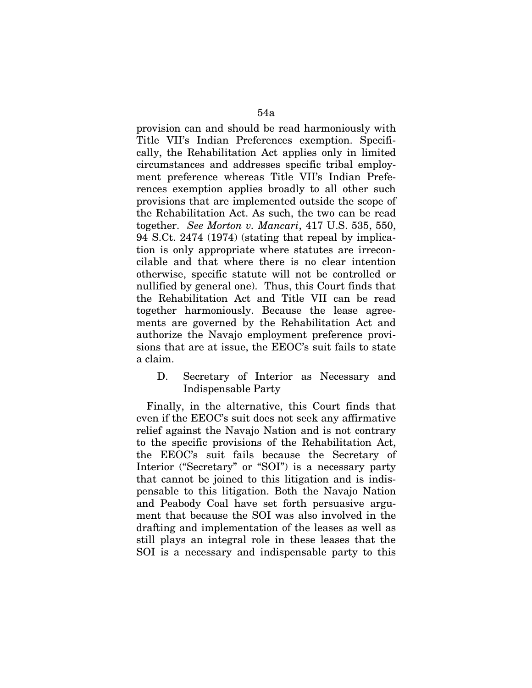provision can and should be read harmoniously with Title VII's Indian Preferences exemption. Specifically, the Rehabilitation Act applies only in limited circumstances and addresses specific tribal employment preference whereas Title VII's Indian Preferences exemption applies broadly to all other such provisions that are implemented outside the scope of the Rehabilitation Act. As such, the two can be read together. *See Morton v. Mancari*, 417 U.S. 535, 550, 94 S.Ct. 2474 (1974) (stating that repeal by implication is only appropriate where statutes are irreconcilable and that where there is no clear intention otherwise, specific statute will not be controlled or nullified by general one). Thus, this Court finds that the Rehabilitation Act and Title VII can be read together harmoniously. Because the lease agreements are governed by the Rehabilitation Act and authorize the Navajo employment preference provisions that are at issue, the EEOC's suit fails to state a claim.

D. Secretary of Interior as Necessary and Indispensable Party

Finally, in the alternative, this Court finds that even if the EEOC's suit does not seek any affirmative relief against the Navajo Nation and is not contrary to the specific provisions of the Rehabilitation Act, the EEOC's suit fails because the Secretary of Interior ("Secretary" or "SOI") is a necessary party that cannot be joined to this litigation and is indispensable to this litigation. Both the Navajo Nation and Peabody Coal have set forth persuasive argument that because the SOI was also involved in the drafting and implementation of the leases as well as still plays an integral role in these leases that the SOI is a necessary and indispensable party to this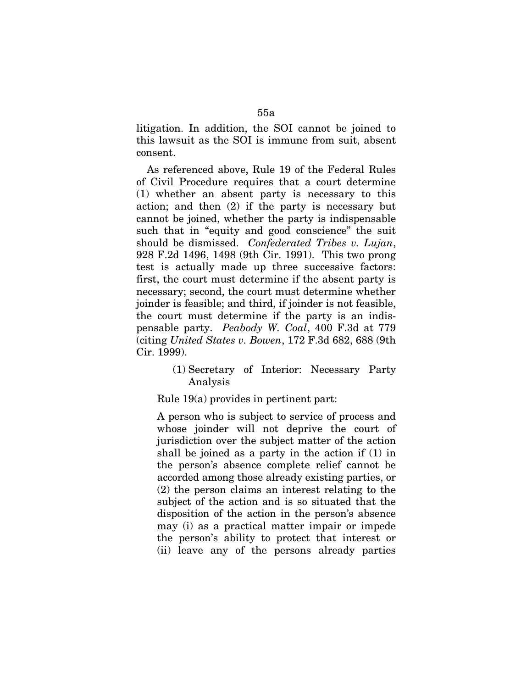litigation. In addition, the SOI cannot be joined to this lawsuit as the SOI is immune from suit, absent consent.

As referenced above, Rule 19 of the Federal Rules of Civil Procedure requires that a court determine (1) whether an absent party is necessary to this action; and then (2) if the party is necessary but cannot be joined, whether the party is indispensable such that in "equity and good conscience" the suit should be dismissed. *Confederated Tribes v. Lujan*, 928 F.2d 1496, 1498 (9th Cir. 1991). This two prong test is actually made up three successive factors: first, the court must determine if the absent party is necessary; second, the court must determine whether joinder is feasible; and third, if joinder is not feasible, the court must determine if the party is an indispensable party. *Peabody W. Coal*, 400 F.3d at 779 (citing *United States v. Bowen*, 172 F.3d 682, 688 (9th Cir. 1999).

> (1) Secretary of Interior: Necessary Party Analysis

Rule 19(a) provides in pertinent part:

A person who is subject to service of process and whose joinder will not deprive the court of jurisdiction over the subject matter of the action shall be joined as a party in the action if  $(1)$  in the person's absence complete relief cannot be accorded among those already existing parties, or (2) the person claims an interest relating to the subject of the action and is so situated that the disposition of the action in the person's absence may (i) as a practical matter impair or impede the person's ability to protect that interest or (ii) leave any of the persons already parties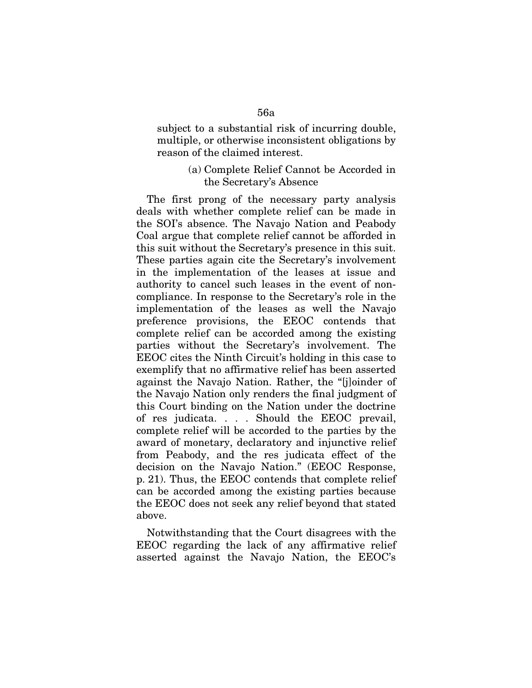subject to a substantial risk of incurring double, multiple, or otherwise inconsistent obligations by reason of the claimed interest.

## (a) Complete Relief Cannot be Accorded in the Secretary's Absence

The first prong of the necessary party analysis deals with whether complete relief can be made in the SOI's absence. The Navajo Nation and Peabody Coal argue that complete relief cannot be afforded in this suit without the Secretary's presence in this suit. These parties again cite the Secretary's involvement in the implementation of the leases at issue and authority to cancel such leases in the event of noncompliance. In response to the Secretary's role in the implementation of the leases as well the Navajo preference provisions, the EEOC contends that complete relief can be accorded among the existing parties without the Secretary's involvement. The EEOC cites the Ninth Circuit's holding in this case to exemplify that no affirmative relief has been asserted against the Navajo Nation. Rather, the "[j]oinder of the Navajo Nation only renders the final judgment of this Court binding on the Nation under the doctrine of res judicata. . . . Should the EEOC prevail, complete relief will be accorded to the parties by the award of monetary, declaratory and injunctive relief from Peabody, and the res judicata effect of the decision on the Navajo Nation." (EEOC Response, p. 21). Thus, the EEOC contends that complete relief can be accorded among the existing parties because the EEOC does not seek any relief beyond that stated above.

Notwithstanding that the Court disagrees with the EEOC regarding the lack of any affirmative relief asserted against the Navajo Nation, the EEOC's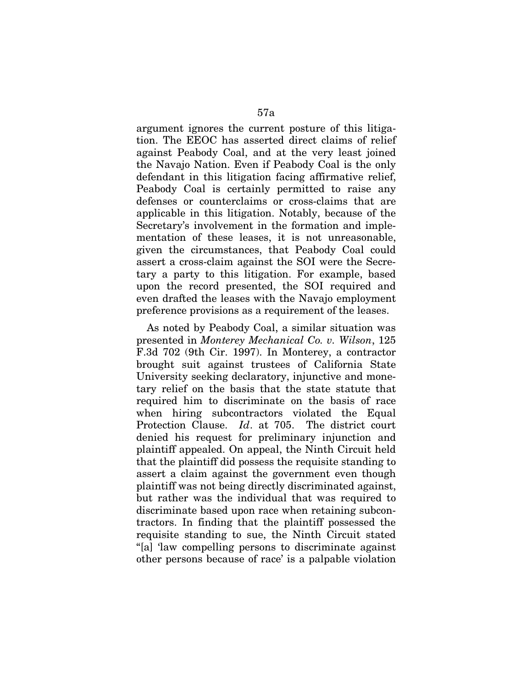argument ignores the current posture of this litigation. The EEOC has asserted direct claims of relief against Peabody Coal, and at the very least joined the Navajo Nation. Even if Peabody Coal is the only defendant in this litigation facing affirmative relief, Peabody Coal is certainly permitted to raise any defenses or counterclaims or cross-claims that are applicable in this litigation. Notably, because of the Secretary's involvement in the formation and implementation of these leases, it is not unreasonable, given the circumstances, that Peabody Coal could assert a cross-claim against the SOI were the Secretary a party to this litigation. For example, based upon the record presented, the SOI required and even drafted the leases with the Navajo employment preference provisions as a requirement of the leases.

As noted by Peabody Coal, a similar situation was presented in *Monterey Mechanical Co. v. Wilson*, 125 F.3d 702 (9th Cir. 1997). In Monterey, a contractor brought suit against trustees of California State University seeking declaratory, injunctive and monetary relief on the basis that the state statute that required him to discriminate on the basis of race when hiring subcontractors violated the Equal Protection Clause. *Id*. at 705. The district court denied his request for preliminary injunction and plaintiff appealed. On appeal, the Ninth Circuit held that the plaintiff did possess the requisite standing to assert a claim against the government even though plaintiff was not being directly discriminated against, but rather was the individual that was required to discriminate based upon race when retaining subcontractors. In finding that the plaintiff possessed the requisite standing to sue, the Ninth Circuit stated "[a] 'law compelling persons to discriminate against other persons because of race' is a palpable violation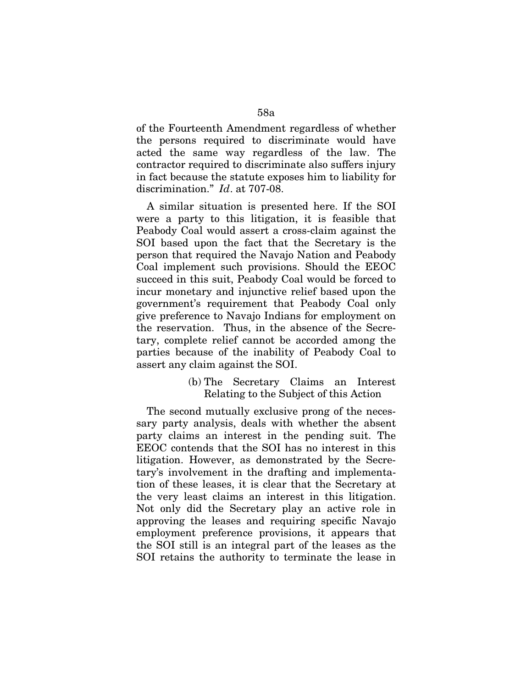of the Fourteenth Amendment regardless of whether the persons required to discriminate would have acted the same way regardless of the law. The contractor required to discriminate also suffers injury in fact because the statute exposes him to liability for discrimination." *Id*. at 707-08.

A similar situation is presented here. If the SOI were a party to this litigation, it is feasible that Peabody Coal would assert a cross-claim against the SOI based upon the fact that the Secretary is the person that required the Navajo Nation and Peabody Coal implement such provisions. Should the EEOC succeed in this suit, Peabody Coal would be forced to incur monetary and injunctive relief based upon the government's requirement that Peabody Coal only give preference to Navajo Indians for employment on the reservation. Thus, in the absence of the Secretary, complete relief cannot be accorded among the parties because of the inability of Peabody Coal to assert any claim against the SOI.

## (b) The Secretary Claims an Interest Relating to the Subject of this Action

The second mutually exclusive prong of the necessary party analysis, deals with whether the absent party claims an interest in the pending suit. The EEOC contends that the SOI has no interest in this litigation. However, as demonstrated by the Secretary's involvement in the drafting and implementation of these leases, it is clear that the Secretary at the very least claims an interest in this litigation. Not only did the Secretary play an active role in approving the leases and requiring specific Navajo employment preference provisions, it appears that the SOI still is an integral part of the leases as the SOI retains the authority to terminate the lease in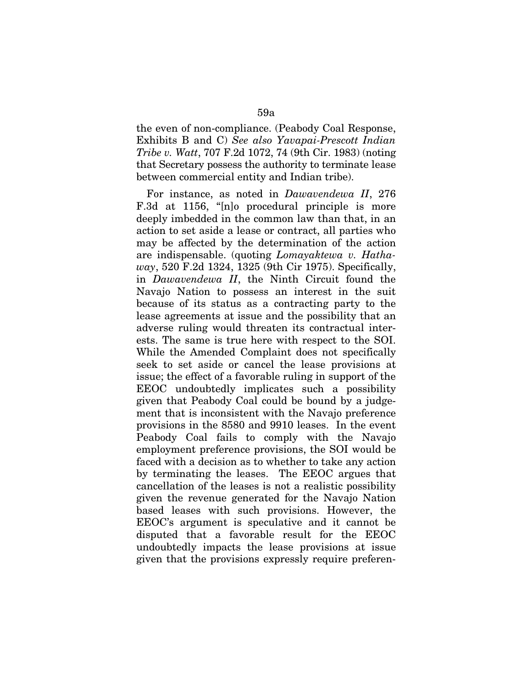the even of non-compliance. (Peabody Coal Response, Exhibits B and C) *See also Yavapai-Prescott Indian Tribe v. Watt*, 707 F.2d 1072, 74 (9th Cir. 1983) (noting that Secretary possess the authority to terminate lease between commercial entity and Indian tribe).

For instance, as noted in *Dawavendewa II*, 276 F.3d at 1156, "[n]o procedural principle is more deeply imbedded in the common law than that, in an action to set aside a lease or contract, all parties who may be affected by the determination of the action are indispensable. (quoting *Lomayaktewa v. Hathaway*, 520 F.2d 1324, 1325 (9th Cir 1975). Specifically, in *Dawavendewa II*, the Ninth Circuit found the Navajo Nation to possess an interest in the suit because of its status as a contracting party to the lease agreements at issue and the possibility that an adverse ruling would threaten its contractual interests. The same is true here with respect to the SOI. While the Amended Complaint does not specifically seek to set aside or cancel the lease provisions at issue; the effect of a favorable ruling in support of the EEOC undoubtedly implicates such a possibility given that Peabody Coal could be bound by a judgement that is inconsistent with the Navajo preference provisions in the 8580 and 9910 leases. In the event Peabody Coal fails to comply with the Navajo employment preference provisions, the SOI would be faced with a decision as to whether to take any action by terminating the leases. The EEOC argues that cancellation of the leases is not a realistic possibility given the revenue generated for the Navajo Nation based leases with such provisions. However, the EEOC's argument is speculative and it cannot be disputed that a favorable result for the EEOC undoubtedly impacts the lease provisions at issue given that the provisions expressly require preferen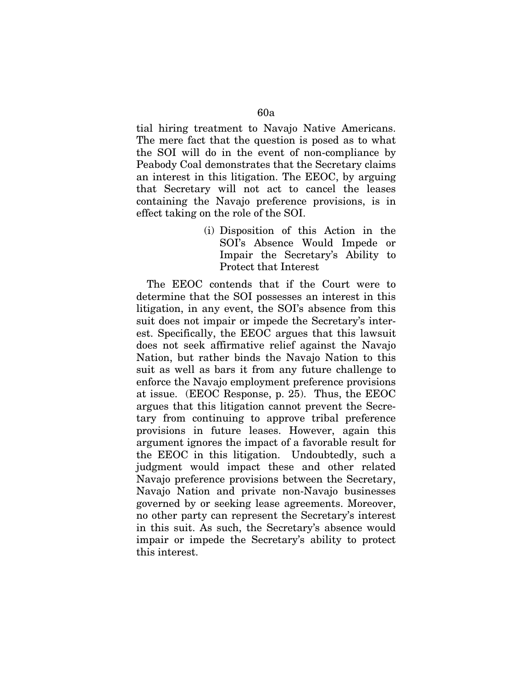tial hiring treatment to Navajo Native Americans. The mere fact that the question is posed as to what the SOI will do in the event of non-compliance by Peabody Coal demonstrates that the Secretary claims an interest in this litigation. The EEOC, by arguing that Secretary will not act to cancel the leases containing the Navajo preference provisions, is in effect taking on the role of the SOI.

> (i) Disposition of this Action in the SOI's Absence Would Impede or Impair the Secretary's Ability to Protect that Interest

The EEOC contends that if the Court were to determine that the SOI possesses an interest in this litigation, in any event, the SOI's absence from this suit does not impair or impede the Secretary's interest. Specifically, the EEOC argues that this lawsuit does not seek affirmative relief against the Navajo Nation, but rather binds the Navajo Nation to this suit as well as bars it from any future challenge to enforce the Navajo employment preference provisions at issue. (EEOC Response, p. 25). Thus, the EEOC argues that this litigation cannot prevent the Secretary from continuing to approve tribal preference provisions in future leases. However, again this argument ignores the impact of a favorable result for the EEOC in this litigation. Undoubtedly, such a judgment would impact these and other related Navajo preference provisions between the Secretary, Navajo Nation and private non-Navajo businesses governed by or seeking lease agreements. Moreover, no other party can represent the Secretary's interest in this suit. As such, the Secretary's absence would impair or impede the Secretary's ability to protect this interest.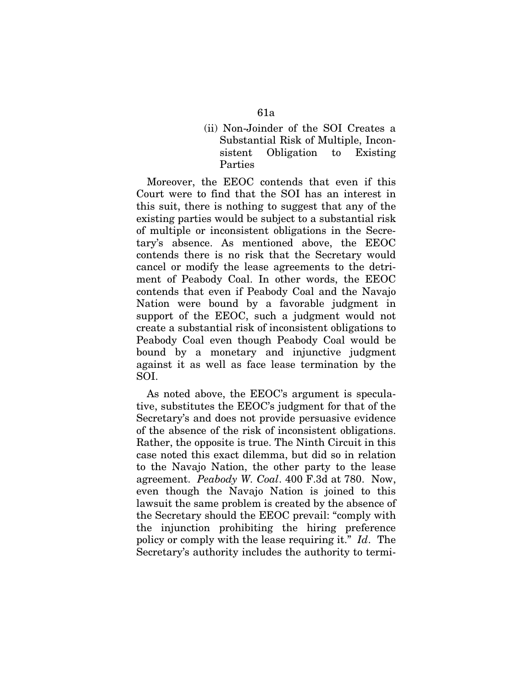(ii) Non-Joinder of the SOI Creates a Substantial Risk of Multiple, Inconsistent Obligation to Existing Parties

Moreover, the EEOC contends that even if this Court were to find that the SOI has an interest in this suit, there is nothing to suggest that any of the existing parties would be subject to a substantial risk of multiple or inconsistent obligations in the Secretary's absence. As mentioned above, the EEOC contends there is no risk that the Secretary would cancel or modify the lease agreements to the detriment of Peabody Coal. In other words, the EEOC contends that even if Peabody Coal and the Navajo Nation were bound by a favorable judgment in support of the EEOC, such a judgment would not create a substantial risk of inconsistent obligations to Peabody Coal even though Peabody Coal would be bound by a monetary and injunctive judgment against it as well as face lease termination by the SOI.

As noted above, the EEOC's argument is speculative, substitutes the EEOC's judgment for that of the Secretary's and does not provide persuasive evidence of the absence of the risk of inconsistent obligations. Rather, the opposite is true. The Ninth Circuit in this case noted this exact dilemma, but did so in relation to the Navajo Nation, the other party to the lease agreement. *Peabody W. Coal*. 400 F.3d at 780. Now, even though the Navajo Nation is joined to this lawsuit the same problem is created by the absence of the Secretary should the EEOC prevail: "comply with the injunction prohibiting the hiring preference policy or comply with the lease requiring it." *Id*. The Secretary's authority includes the authority to termi-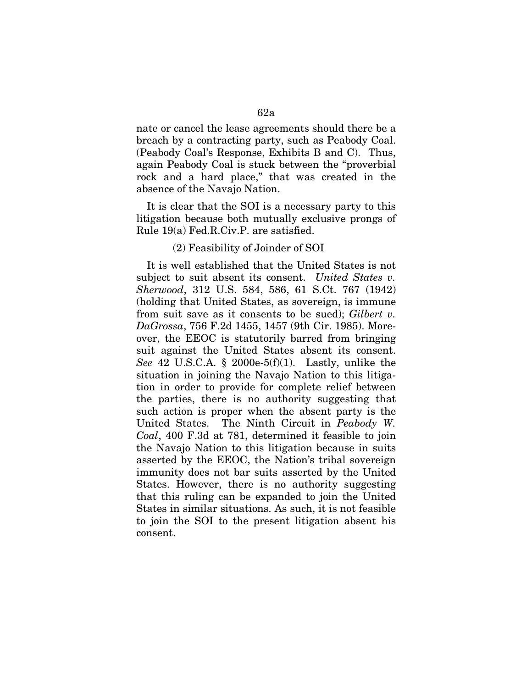nate or cancel the lease agreements should there be a breach by a contracting party, such as Peabody Coal. (Peabody Coal's Response, Exhibits B and C). Thus, again Peabody Coal is stuck between the "proverbial rock and a hard place," that was created in the absence of the Navajo Nation.

It is clear that the SOI is a necessary party to this litigation because both mutually exclusive prongs of Rule 19(a) Fed.R.Civ.P. are satisfied.

#### (2) Feasibility of Joinder of SOI

It is well established that the United States is not subject to suit absent its consent. *United States v. Sherwood*, 312 U.S. 584, 586, 61 S.Ct. 767 (1942) (holding that United States, as sovereign, is immune from suit save as it consents to be sued); *Gilbert v. DaGrossa*, 756 F.2d 1455, 1457 (9th Cir. 1985). Moreover, the EEOC is statutorily barred from bringing suit against the United States absent its consent. *See* 42 U.S.C.A. § 2000e-5(f)(1). Lastly, unlike the situation in joining the Navajo Nation to this litigation in order to provide for complete relief between the parties, there is no authority suggesting that such action is proper when the absent party is the United States. The Ninth Circuit in *Peabody W. Coal*, 400 F.3d at 781, determined it feasible to join the Navajo Nation to this litigation because in suits asserted by the EEOC, the Nation's tribal sovereign immunity does not bar suits asserted by the United States. However, there is no authority suggesting that this ruling can be expanded to join the United States in similar situations. As such, it is not feasible to join the SOI to the present litigation absent his consent.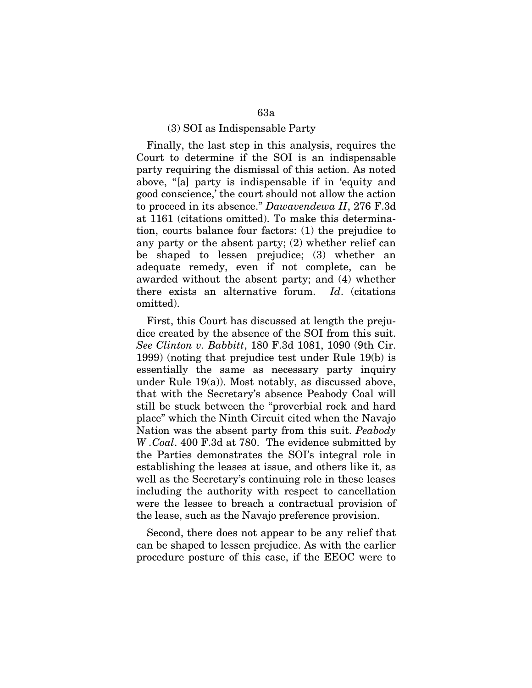## (3) SOI as Indispensable Party

Finally, the last step in this analysis, requires the Court to determine if the SOI is an indispensable party requiring the dismissal of this action. As noted above, "[a] party is indispensable if in 'equity and good conscience,' the court should not allow the action to proceed in its absence." *Dawavendewa II*, 276 F.3d at 1161 (citations omitted). To make this determination, courts balance four factors: (1) the prejudice to any party or the absent party; (2) whether relief can be shaped to lessen prejudice; (3) whether an adequate remedy, even if not complete, can be awarded without the absent party; and (4) whether there exists an alternative forum. *Id*. (citations omitted).

First, this Court has discussed at length the prejudice created by the absence of the SOI from this suit. *See Clinton v. Babbitt*, 180 F.3d 1081, 1090 (9th Cir. 1999) (noting that prejudice test under Rule 19(b) is essentially the same as necessary party inquiry under Rule 19(a)). Most notably, as discussed above, that with the Secretary's absence Peabody Coal will still be stuck between the "proverbial rock and hard place" which the Ninth Circuit cited when the Navajo Nation was the absent party from this suit. *Peabody W .Coal*. 400 F.3d at 780. The evidence submitted by the Parties demonstrates the SOI's integral role in establishing the leases at issue, and others like it, as well as the Secretary's continuing role in these leases including the authority with respect to cancellation were the lessee to breach a contractual provision of the lease, such as the Navajo preference provision.

Second, there does not appear to be any relief that can be shaped to lessen prejudice. As with the earlier procedure posture of this case, if the EEOC were to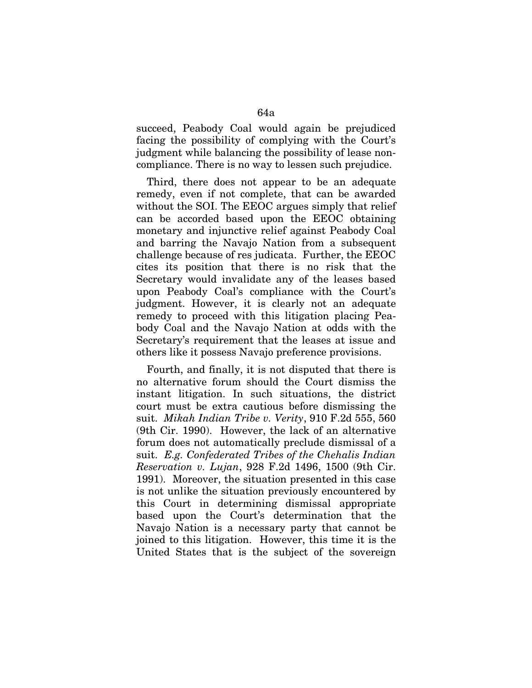succeed, Peabody Coal would again be prejudiced facing the possibility of complying with the Court's judgment while balancing the possibility of lease noncompliance. There is no way to lessen such prejudice.

Third, there does not appear to be an adequate remedy, even if not complete, that can be awarded without the SOI. The EEOC argues simply that relief can be accorded based upon the EEOC obtaining monetary and injunctive relief against Peabody Coal and barring the Navajo Nation from a subsequent challenge because of res judicata. Further, the EEOC cites its position that there is no risk that the Secretary would invalidate any of the leases based upon Peabody Coal's compliance with the Court's judgment. However, it is clearly not an adequate remedy to proceed with this litigation placing Peabody Coal and the Navajo Nation at odds with the Secretary's requirement that the leases at issue and others like it possess Navajo preference provisions.

Fourth, and finally, it is not disputed that there is no alternative forum should the Court dismiss the instant litigation. In such situations, the district court must be extra cautious before dismissing the suit. *Mikah Indian Tribe v. Verity*, 910 F.2d 555, 560 (9th Cir. 1990). However, the lack of an alternative forum does not automatically preclude dismissal of a suit. *E.g. Confederated Tribes of the Chehalis Indian Reservation v. Lujan*, 928 F.2d 1496, 1500 (9th Cir. 1991). Moreover, the situation presented in this case is not unlike the situation previously encountered by this Court in determining dismissal appropriate based upon the Court's determination that the Navajo Nation is a necessary party that cannot be joined to this litigation. However, this time it is the United States that is the subject of the sovereign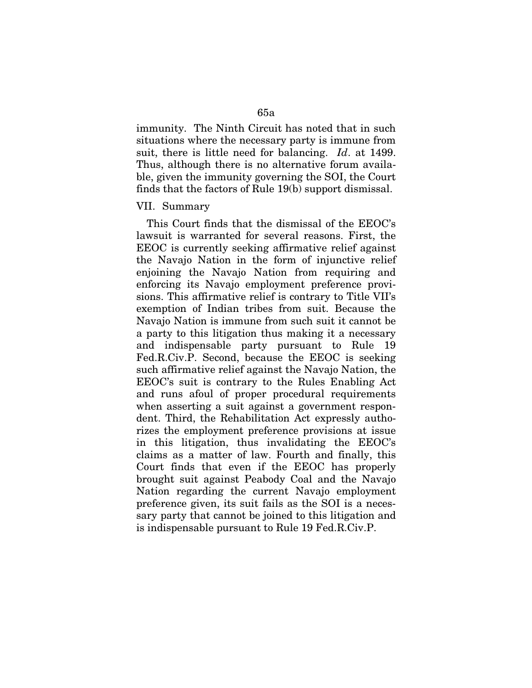immunity. The Ninth Circuit has noted that in such situations where the necessary party is immune from suit, there is little need for balancing. *Id*. at 1499. Thus, although there is no alternative forum available, given the immunity governing the SOI, the Court finds that the factors of Rule 19(b) support dismissal.

#### VII. Summary

This Court finds that the dismissal of the EEOC's lawsuit is warranted for several reasons. First, the EEOC is currently seeking affirmative relief against the Navajo Nation in the form of injunctive relief enjoining the Navajo Nation from requiring and enforcing its Navajo employment preference provisions. This affirmative relief is contrary to Title VII's exemption of Indian tribes from suit. Because the Navajo Nation is immune from such suit it cannot be a party to this litigation thus making it a necessary and indispensable party pursuant to Rule 19 Fed.R.Civ.P. Second, because the EEOC is seeking such affirmative relief against the Navajo Nation, the EEOC's suit is contrary to the Rules Enabling Act and runs afoul of proper procedural requirements when asserting a suit against a government respondent. Third, the Rehabilitation Act expressly authorizes the employment preference provisions at issue in this litigation, thus invalidating the EEOC's claims as a matter of law. Fourth and finally, this Court finds that even if the EEOC has properly brought suit against Peabody Coal and the Navajo Nation regarding the current Navajo employment preference given, its suit fails as the SOI is a necessary party that cannot be joined to this litigation and is indispensable pursuant to Rule 19 Fed.R.Civ.P.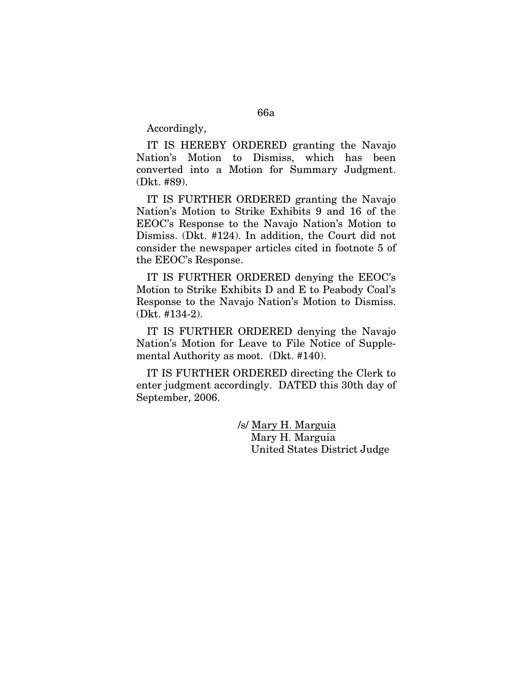Accordingly,

IT IS HEREBY ORDERED granting the Navajo Nation's Motion to Dismiss, which has been converted into a Motion for Summary Judgment. (Dkt. #89).

IT IS FURTHER ORDERED granting the Navajo Nation's Motion to Strike Exhibits 9 and 16 of the EEOC's Response to the Navajo Nation's Motion to Dismiss. (Dkt. #124). In addition, the Court did not consider the newspaper articles cited in footnote 5 of the EEOC's Response.

IT IS FURTHER ORDERED denying the EEOC's Motion to Strike Exhibits D and E to Peabody Coal's Response to the Navajo Nation's Motion to Dismiss. (Dkt. #134-2).

IT IS FURTHER ORDERED denying the Navajo Nation's Motion for Leave to File Notice of Supplemental Authority as moot. (Dkt. #140).

IT IS FURTHER ORDERED directing the Clerk to enter judgment accordingly. DATED this 30th day of September, 2006.

> /s/ Mary H. Marguia Mary H. Marguia United States District Judge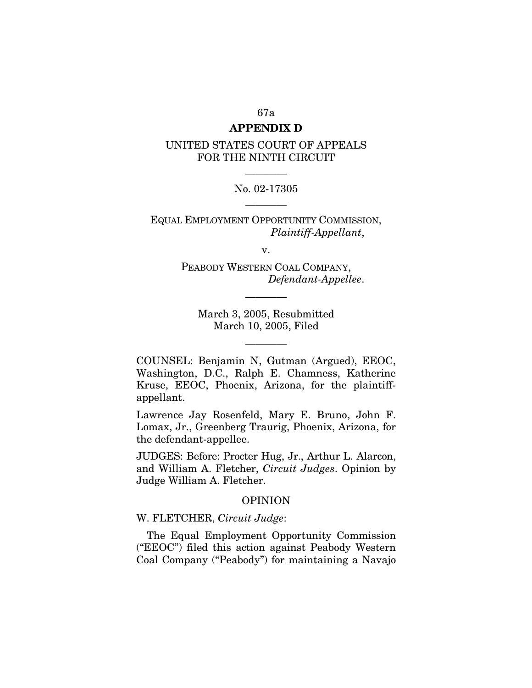#### 67a

### **APPENDIX D**

## UNITED STATES COURT OF APPEALS FOR THE NINTH CIRCUIT

# ———— No. 02-17305 ————

EQUAL EMPLOYMENT OPPORTUNITY COMMISSION, *Plaintiff-Appellant*,

v.

PEABODY WESTERN COAL COMPANY, *Defendant-Appellee*.

March 3, 2005, Resubmitted March 10, 2005, Filed

————

————

COUNSEL: Benjamin N, Gutman (Argued), EEOC, Washington, D.C., Ralph E. Chamness, Katherine Kruse, EEOC, Phoenix, Arizona, for the plaintiffappellant.

Lawrence Jay Rosenfeld, Mary E. Bruno, John F. Lomax, Jr., Greenberg Traurig, Phoenix, Arizona, for the defendant-appellee.

JUDGES: Before: Procter Hug, Jr., Arthur L. Alarcon, and William A. Fletcher, *Circuit Judges*. Opinion by Judge William A. Fletcher.

#### OPINION

## W. FLETCHER, *Circuit Judge*:

The Equal Employment Opportunity Commission ("EEOC") filed this action against Peabody Western Coal Company ("Peabody") for maintaining a Navajo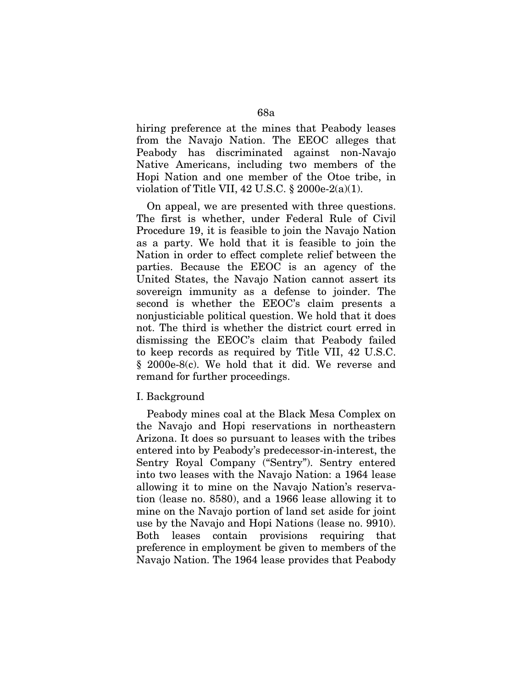hiring preference at the mines that Peabody leases from the Navajo Nation. The EEOC alleges that Peabody has discriminated against non-Navajo Native Americans, including two members of the Hopi Nation and one member of the Otoe tribe, in violation of Title VII, 42 U.S.C.  $\S 2000e-2(a)(1)$ .

On appeal, we are presented with three questions. The first is whether, under Federal Rule of Civil Procedure 19, it is feasible to join the Navajo Nation as a party. We hold that it is feasible to join the Nation in order to effect complete relief between the parties. Because the EEOC is an agency of the United States, the Navajo Nation cannot assert its sovereign immunity as a defense to joinder. The second is whether the EEOC's claim presents a nonjusticiable political question. We hold that it does not. The third is whether the district court erred in dismissing the EEOC's claim that Peabody failed to keep records as required by Title VII, 42 U.S.C. § 2000e-8(c). We hold that it did. We reverse and remand for further proceedings.

### I. Background

Peabody mines coal at the Black Mesa Complex on the Navajo and Hopi reservations in northeastern Arizona. It does so pursuant to leases with the tribes entered into by Peabody's predecessor-in-interest, the Sentry Royal Company ("Sentry"). Sentry entered into two leases with the Navajo Nation: a 1964 lease allowing it to mine on the Navajo Nation's reservation (lease no. 8580), and a 1966 lease allowing it to mine on the Navajo portion of land set aside for joint use by the Navajo and Hopi Nations (lease no. 9910). Both leases contain provisions requiring that preference in employment be given to members of the Navajo Nation. The 1964 lease provides that Peabody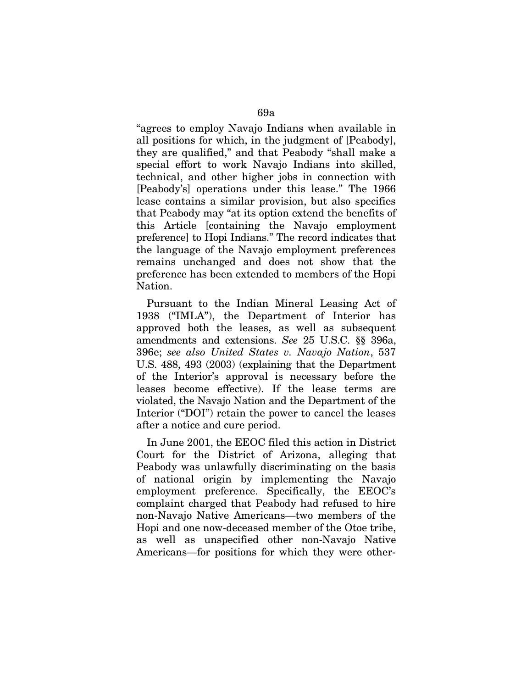"agrees to employ Navajo Indians when available in all positions for which, in the judgment of [Peabody], they are qualified," and that Peabody "shall make a special effort to work Navajo Indians into skilled, technical, and other higher jobs in connection with [Peabody's] operations under this lease." The 1966 lease contains a similar provision, but also specifies that Peabody may "at its option extend the benefits of this Article [containing the Navajo employment preference] to Hopi Indians." The record indicates that the language of the Navajo employment preferences remains unchanged and does not show that the preference has been extended to members of the Hopi Nation.

Pursuant to the Indian Mineral Leasing Act of 1938 ("IMLA"), the Department of Interior has approved both the leases, as well as subsequent amendments and extensions. *See* 25 U.S.C. §§ 396a, 396e; *see also United States v. Navajo Nation*, 537 U.S. 488, 493 (2003) (explaining that the Department of the Interior's approval is necessary before the leases become effective). If the lease terms are violated, the Navajo Nation and the Department of the Interior ("DOI") retain the power to cancel the leases after a notice and cure period.

In June 2001, the EEOC filed this action in District Court for the District of Arizona, alleging that Peabody was unlawfully discriminating on the basis of national origin by implementing the Navajo employment preference. Specifically, the EEOC's complaint charged that Peabody had refused to hire non-Navajo Native Americans—two members of the Hopi and one now-deceased member of the Otoe tribe, as well as unspecified other non-Navajo Native Americans—for positions for which they were other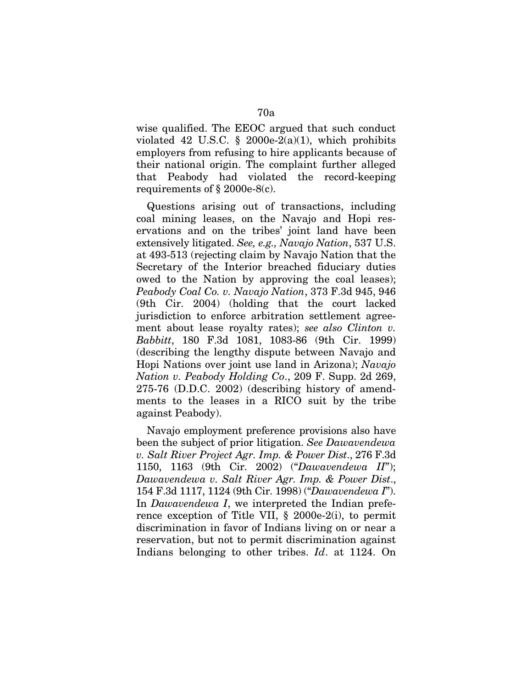wise qualified. The EEOC argued that such conduct violated 42 U.S.C. § 2000e-2(a)(1), which prohibits employers from refusing to hire applicants because of their national origin. The complaint further alleged that Peabody had violated the record-keeping requirements of § 2000e-8(c).

Questions arising out of transactions, including coal mining leases, on the Navajo and Hopi reservations and on the tribes' joint land have been extensively litigated. *See, e.g., Navajo Nation*, 537 U.S. at 493-513 (rejecting claim by Navajo Nation that the Secretary of the Interior breached fiduciary duties owed to the Nation by approving the coal leases); *Peabody Coal Co. v. Navajo Nation*, 373 F.3d 945, 946 (9th Cir. 2004) (holding that the court lacked jurisdiction to enforce arbitration settlement agreement about lease royalty rates); *see also Clinton v. Babbitt*, 180 F.3d 1081, 1083-86 (9th Cir. 1999) (describing the lengthy dispute between Navajo and Hopi Nations over joint use land in Arizona); *Navajo Nation v. Peabody Holding Co*., 209 F. Supp. 2d 269, 275-76 (D.D.C. 2002) (describing history of amendments to the leases in a RICO suit by the tribe against Peabody).

Navajo employment preference provisions also have been the subject of prior litigation. *See Dawavendewa v. Salt River Project Agr. Imp. & Power Dist*., 276 F.3d 1150, 1163 (9th Cir. 2002) ("*Dawavendewa II*"); *Dawavendewa v. Salt River Agr. Imp. & Power Dist*., 154 F.3d 1117, 1124 (9th Cir. 1998) ("*Dawavendewa I*"). In *Dawavendewa I*, we interpreted the Indian preference exception of Title VII, § 2000e-2(i), to permit discrimination in favor of Indians living on or near a reservation, but not to permit discrimination against Indians belonging to other tribes. *Id*. at 1124. On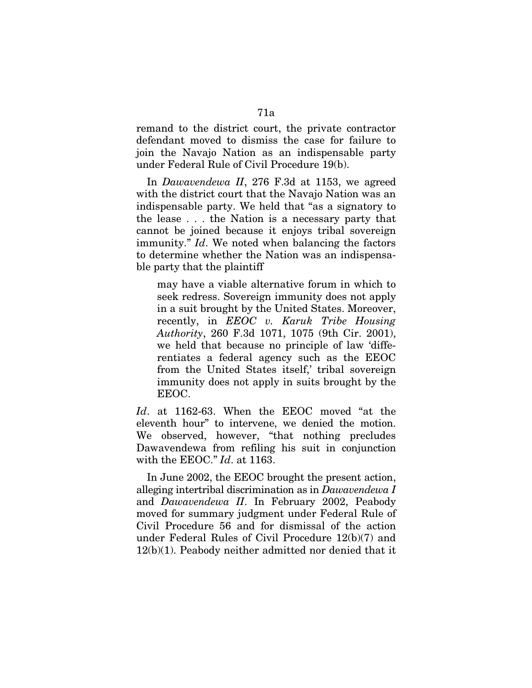remand to the district court, the private contractor defendant moved to dismiss the case for failure to join the Navajo Nation as an indispensable party under Federal Rule of Civil Procedure 19(b).

In *Dawavendewa II*, 276 F.3d at 1153, we agreed with the district court that the Navajo Nation was an indispensable party. We held that "as a signatory to the lease . . . the Nation is a necessary party that cannot be joined because it enjoys tribal sovereign immunity." *Id*. We noted when balancing the factors to determine whether the Nation was an indispensable party that the plaintiff

may have a viable alternative forum in which to seek redress. Sovereign immunity does not apply in a suit brought by the United States. Moreover, recently, in *EEOC v. Karuk Tribe Housing Authority*, 260 F.3d 1071, 1075 (9th Cir. 2001), we held that because no principle of law 'differentiates a federal agency such as the EEOC from the United States itself,' tribal sovereign immunity does not apply in suits brought by the EEOC.

*Id*. at 1162-63. When the EEOC moved "at the eleventh hour" to intervene, we denied the motion. We observed, however, "that nothing precludes Dawavendewa from refiling his suit in conjunction with the EEOC." *Id*. at 1163.

In June 2002, the EEOC brought the present action, alleging intertribal discrimination as in *Dawavendewa I* and *Dawavendewa II*. In February 2002, Peabody moved for summary judgment under Federal Rule of Civil Procedure 56 and for dismissal of the action under Federal Rules of Civil Procedure 12(b)(7) and 12(b)(1). Peabody neither admitted nor denied that it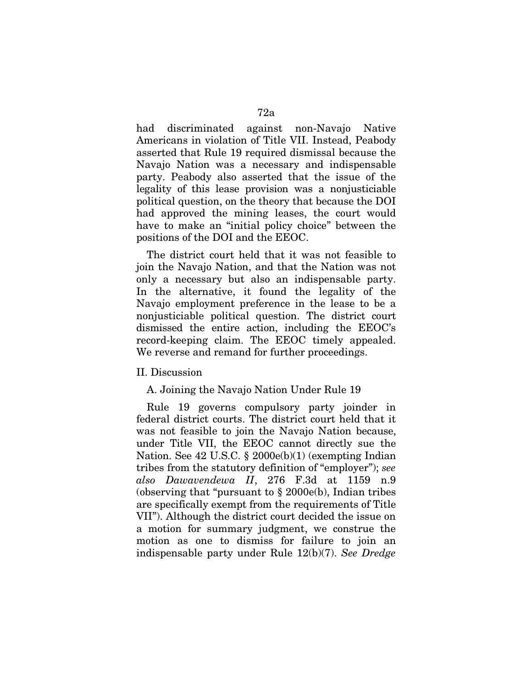had discriminated against non-Navajo Native Americans in violation of Title VII. Instead, Peabody asserted that Rule 19 required dismissal because the Navajo Nation was a necessary and indispensable party. Peabody also asserted that the issue of the legality of this lease provision was a nonjusticiable political question, on the theory that because the DOI had approved the mining leases, the court would have to make an "initial policy choice" between the positions of the DOI and the EEOC.

The district court held that it was not feasible to join the Navajo Nation, and that the Nation was not only a necessary but also an indispensable party. In the alternative, it found the legality of the Navajo employment preference in the lease to be a nonjusticiable political question. The district court dismissed the entire action, including the EEOC's record-keeping claim. The EEOC timely appealed. We reverse and remand for further proceedings.

#### II. Discussion

### A. Joining the Navajo Nation Under Rule 19

Rule 19 governs compulsory party joinder in federal district courts. The district court held that it was not feasible to join the Navajo Nation because, under Title VII, the EEOC cannot directly sue the Nation. See 42 U.S.C. § 2000e(b)(1) (exempting Indian tribes from the statutory definition of "employer"); *see also Dawavendewa II*, 276 F.3d at 1159 n.9 (observing that "pursuant to  $\S$  2000e(b), Indian tribes are specifically exempt from the requirements of Title VII"). Although the district court decided the issue on a motion for summary judgment, we construe the motion as one to dismiss for failure to join an indispensable party under Rule 12(b)(7). *See Dredge*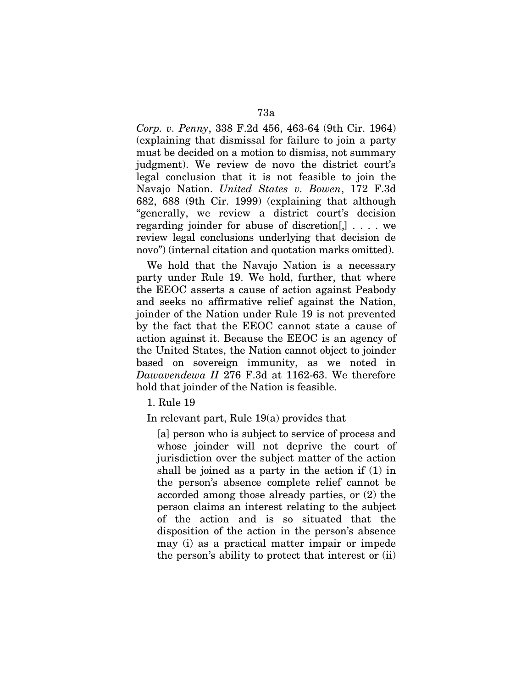*Corp. v. Penny*, 338 F.2d 456, 463-64 (9th Cir. 1964) (explaining that dismissal for failure to join a party must be decided on a motion to dismiss, not summary judgment). We review de novo the district court's legal conclusion that it is not feasible to join the Navajo Nation. *United States v. Bowen*, 172 F.3d 682, 688 (9th Cir. 1999) (explaining that although "generally, we review a district court's decision regarding joinder for abuse of discretion[,] . . . . we review legal conclusions underlying that decision de novo") (internal citation and quotation marks omitted).

We hold that the Navajo Nation is a necessary party under Rule 19. We hold, further, that where the EEOC asserts a cause of action against Peabody and seeks no affirmative relief against the Nation, joinder of the Nation under Rule 19 is not prevented by the fact that the EEOC cannot state a cause of action against it. Because the EEOC is an agency of the United States, the Nation cannot object to joinder based on sovereign immunity, as we noted in *Dawavendewa II* 276 F.3d at 1162-63. We therefore hold that joinder of the Nation is feasible.

1. Rule 19

In relevant part, Rule 19(a) provides that

[a] person who is subject to service of process and whose joinder will not deprive the court of jurisdiction over the subject matter of the action shall be joined as a party in the action if (1) in the person's absence complete relief cannot be accorded among those already parties, or (2) the person claims an interest relating to the subject of the action and is so situated that the disposition of the action in the person's absence may (i) as a practical matter impair or impede the person's ability to protect that interest or (ii)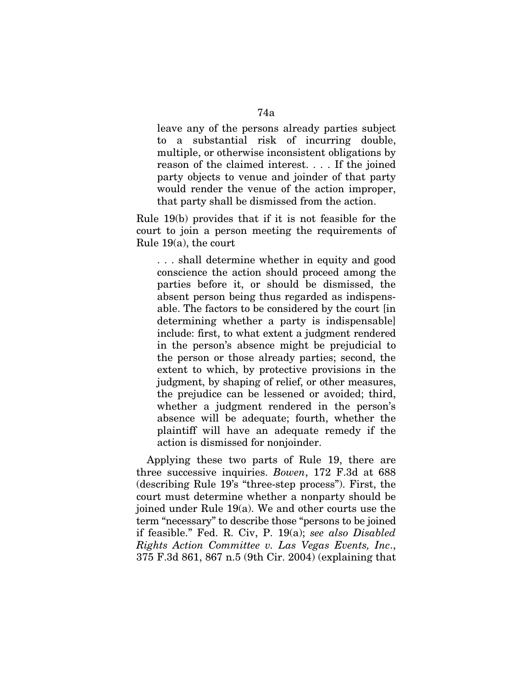leave any of the persons already parties subject to a substantial risk of incurring double, multiple, or otherwise inconsistent obligations by reason of the claimed interest. . . . If the joined party objects to venue and joinder of that party would render the venue of the action improper, that party shall be dismissed from the action.

Rule 19(b) provides that if it is not feasible for the court to join a person meeting the requirements of Rule 19(a), the court

. . . shall determine whether in equity and good conscience the action should proceed among the parties before it, or should be dismissed, the absent person being thus regarded as indispensable. The factors to be considered by the court [in determining whether a party is indispensable] include: first, to what extent a judgment rendered in the person's absence might be prejudicial to the person or those already parties; second, the extent to which, by protective provisions in the judgment, by shaping of relief, or other measures, the prejudice can be lessened or avoided; third, whether a judgment rendered in the person's absence will be adequate; fourth, whether the plaintiff will have an adequate remedy if the action is dismissed for nonjoinder.

Applying these two parts of Rule 19, there are three successive inquiries. *Bowen*, 172 F.3d at 688 (describing Rule 19's "three-step process"). First, the court must determine whether a nonparty should be joined under Rule 19(a). We and other courts use the term "necessary" to describe those "persons to be joined if feasible." Fed. R. Civ, P. 19(a); *see also Disabled Rights Action Committee v. Las Vegas Events, Inc*., 375 F.3d 861, 867 n.5 (9th Cir. 2004) (explaining that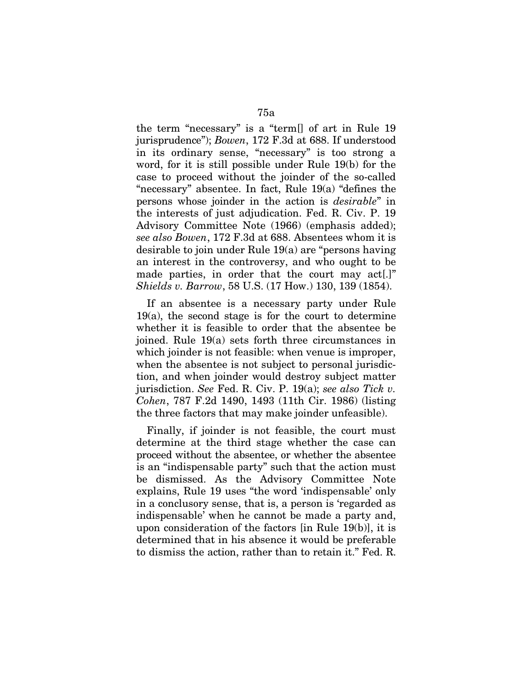the term "necessary" is a "term[] of art in Rule 19 jurisprudence"); *Bowen*, 172 F.3d at 688. If understood in its ordinary sense, "necessary" is too strong a word, for it is still possible under Rule 19(b) for the case to proceed without the joinder of the so-called "necessary" absentee. In fact, Rule 19(a) "defines the persons whose joinder in the action is *desirable*" in the interests of just adjudication. Fed. R. Civ. P. 19 Advisory Committee Note (1966) (emphasis added); *see also Bowen*, 172 F.3d at 688. Absentees whom it is desirable to join under Rule 19(a) are "persons having an interest in the controversy, and who ought to be made parties, in order that the court may act.]" *Shields v. Barrow*, 58 U.S. (17 How.) 130, 139 (1854).

If an absentee is a necessary party under Rule 19(a), the second stage is for the court to determine whether it is feasible to order that the absentee be joined. Rule 19(a) sets forth three circumstances in which joinder is not feasible: when venue is improper, when the absentee is not subject to personal jurisdiction, and when joinder would destroy subject matter jurisdiction. *See* Fed. R. Civ. P. 19(a); *see also Tick v. Cohen*, 787 F.2d 1490, 1493 (11th Cir. 1986) (listing the three factors that may make joinder unfeasible).

Finally, if joinder is not feasible, the court must determine at the third stage whether the case can proceed without the absentee, or whether the absentee is an "indispensable party" such that the action must be dismissed. As the Advisory Committee Note explains, Rule 19 uses "the word 'indispensable' only in a conclusory sense, that is, a person is 'regarded as indispensable' when he cannot be made a party and, upon consideration of the factors [in Rule 19(b)], it is determined that in his absence it would be preferable to dismiss the action, rather than to retain it." Fed. R.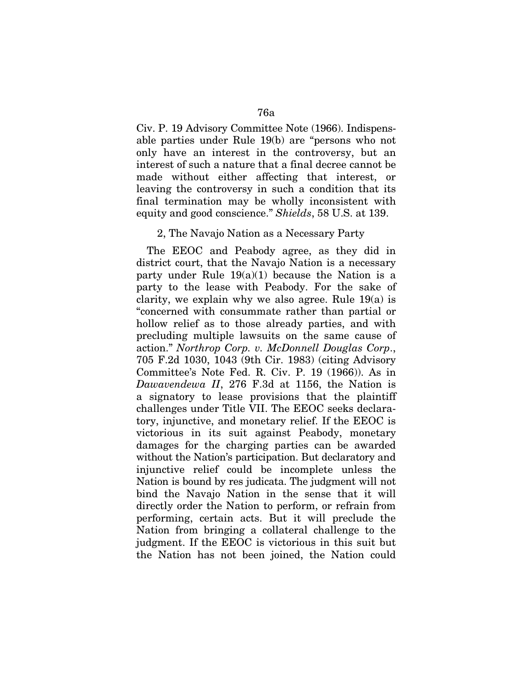Civ. P. 19 Advisory Committee Note (1966). Indispensable parties under Rule 19(b) are "persons who not only have an interest in the controversy, but an interest of such a nature that a final decree cannot be made without either affecting that interest, or leaving the controversy in such a condition that its final termination may be wholly inconsistent with equity and good conscience." *Shields*, 58 U.S. at 139.

#### 2, The Navajo Nation as a Necessary Party

The EEOC and Peabody agree, as they did in district court, that the Navajo Nation is a necessary party under Rule  $19(a)(1)$  because the Nation is a party to the lease with Peabody. For the sake of clarity, we explain why we also agree. Rule  $19(a)$  is "concerned with consummate rather than partial or hollow relief as to those already parties, and with precluding multiple lawsuits on the same cause of action." *Northrop Corp. v. McDonnell Douglas Corp*., 705 F.2d 1030, 1043 (9th Cir. 1983) (citing Advisory Committee's Note Fed. R. Civ. P. 19 (1966)). As in *Dawavendewa II*, 276 F.3d at 1156, the Nation is a signatory to lease provisions that the plaintiff challenges under Title VII. The EEOC seeks declaratory, injunctive, and monetary relief. If the EEOC is victorious in its suit against Peabody, monetary damages for the charging parties can be awarded without the Nation's participation. But declaratory and injunctive relief could be incomplete unless the Nation is bound by res judicata. The judgment will not bind the Navajo Nation in the sense that it will directly order the Nation to perform, or refrain from performing, certain acts. But it will preclude the Nation from bringing a collateral challenge to the judgment. If the EEOC is victorious in this suit but the Nation has not been joined, the Nation could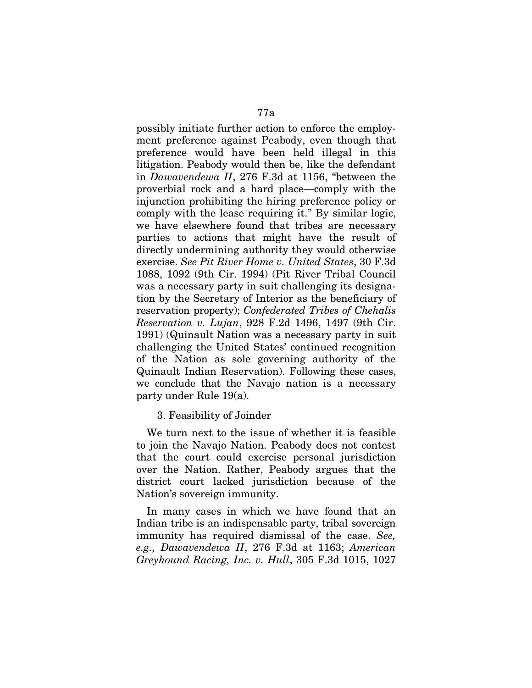possibly initiate further action to enforce the employment preference against Peabody, even though that preference would have been held illegal in this litigation. Peabody would then be, like the defendant in *Dawavendewa II*, 276 F.3d at 1156, "between the proverbial rock and a hard place—comply with the injunction prohibiting the hiring preference policy or comply with the lease requiring it." By similar logic, we have elsewhere found that tribes are necessary parties to actions that might have the result of directly undermining authority they would otherwise exercise. *See Pit River Home v. United States*, 30 F.3d 1088, 1092 (9th Cir. 1994) (Pit River Tribal Council was a necessary party in suit challenging its designation by the Secretary of Interior as the beneficiary of reservation property); *Confederated Tribes of Chehalis Reservation v. Lujan*, 928 F.2d 1496, 1497 (9th Cir. 1991) (Quinault Nation was a necessary party in suit challenging the United States' continued recognition of the Nation as sole governing authority of the Quinault Indian Reservation). Following these cases, we conclude that the Navajo nation is a necessary party under Rule 19(a).

3. Feasibility of Joinder

We turn next to the issue of whether it is feasible to join the Navajo Nation. Peabody does not contest that the court could exercise personal jurisdiction over the Nation. Rather, Peabody argues that the district court lacked jurisdiction because of the Nation's sovereign immunity.

In many cases in which we have found that an Indian tribe is an indispensable party, tribal sovereign immunity has required dismissal of the case. *See, e.g., Dawavendewa II*, 276 F.3d at 1163; *American Greyhound Racing, Inc. v. Hull*, 305 F.3d 1015, 1027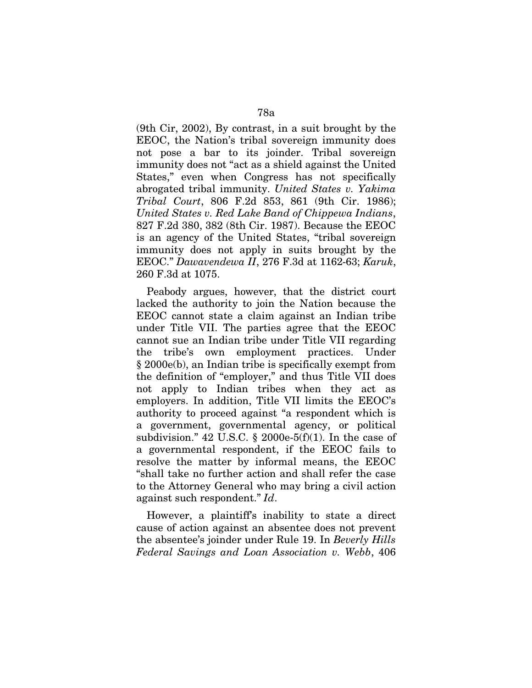(9th Cir, 2002), By contrast, in a suit brought by the EEOC, the Nation's tribal sovereign immunity does not pose a bar to its joinder. Tribal sovereign immunity does not "act as a shield against the United States," even when Congress has not specifically abrogated tribal immunity. *United States v. Yakima Tribal Court*, 806 F.2d 853, 861 (9th Cir. 1986); *United States v. Red Lake Band of Chippewa Indians*, 827 F.2d 380, 382 (8th Cir. 1987). Because the EEOC is an agency of the United States, "tribal sovereign immunity does not apply in suits brought by the EEOC." *Dawavendewa II*, 276 F.3d at 1162-63; *Karuk*, 260 F.3d at 1075.

Peabody argues, however, that the district court lacked the authority to join the Nation because the EEOC cannot state a claim against an Indian tribe under Title VII. The parties agree that the EEOC cannot sue an Indian tribe under Title VII regarding the tribe's own employment practices. Under § 2000e(b), an Indian tribe is specifically exempt from the definition of "employer," and thus Title VII does not apply to Indian tribes when they act as employers. In addition, Title VII limits the EEOC's authority to proceed against "a respondent which is a government, governmental agency, or political subdivision." 42 U.S.C.  $\S$  2000e-5(f)(1). In the case of a governmental respondent, if the EEOC fails to resolve the matter by informal means, the EEOC "shall take no further action and shall refer the case to the Attorney General who may bring a civil action against such respondent." *Id*.

However, a plaintiff's inability to state a direct cause of action against an absentee does not prevent the absentee's joinder under Rule 19. In *Beverly Hills Federal Savings and Loan Association v. Webb*, 406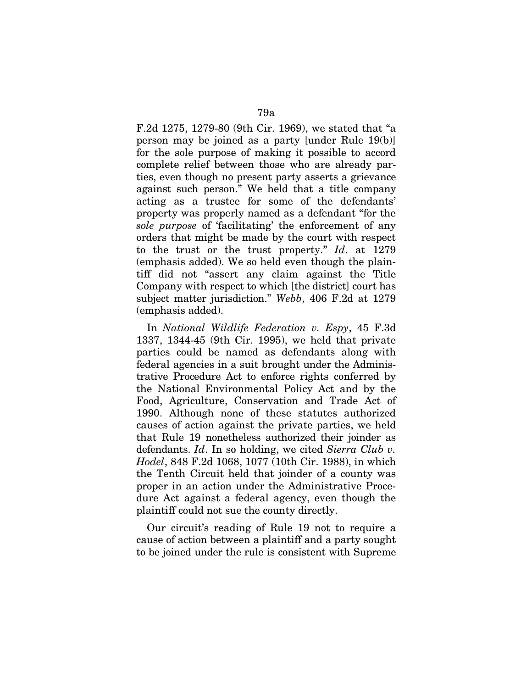F.2d 1275, 1279-80 (9th Cir. 1969), we stated that "a person may be joined as a party [under Rule 19(b)] for the sole purpose of making it possible to accord complete relief between those who are already parties, even though no present party asserts a grievance against such person." We held that a title company acting as a trustee for some of the defendants' property was properly named as a defendant "for the *sole purpose* of 'facilitating' the enforcement of any orders that might be made by the court with respect to the trust or the trust property." *Id*. at 1279 (emphasis added). We so held even though the plaintiff did not "assert any claim against the Title Company with respect to which [the district] court has subject matter jurisdiction." *Webb*, 406 F.2d at 1279 (emphasis added).

In *National Wildlife Federation v. Espy*, 45 F.3d 1337, 1344-45 (9th Cir. 1995), we held that private parties could be named as defendants along with federal agencies in a suit brought under the Administrative Procedure Act to enforce rights conferred by the National Environmental Policy Act and by the Food, Agriculture, Conservation and Trade Act of 1990. Although none of these statutes authorized causes of action against the private parties, we held that Rule 19 nonetheless authorized their joinder as defendants. *Id*. In so holding, we cited *Sierra Club v. Hodel*, 848 F.2d 1068, 1077 (10th Cir. 1988), in which the Tenth Circuit held that joinder of a county was proper in an action under the Administrative Procedure Act against a federal agency, even though the plaintiff could not sue the county directly.

Our circuit's reading of Rule 19 not to require a cause of action between a plaintiff and a party sought to be joined under the rule is consistent with Supreme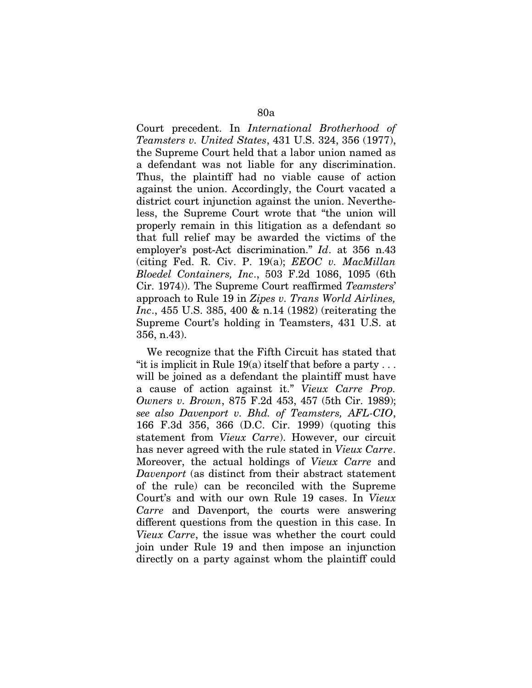Court precedent. In *International Brotherhood of Teamsters v. United States*, 431 U.S. 324, 356 (1977), the Supreme Court held that a labor union named as a defendant was not liable for any discrimination. Thus, the plaintiff had no viable cause of action against the union. Accordingly, the Court vacated a district court injunction against the union. Nevertheless, the Supreme Court wrote that "the union will properly remain in this litigation as a defendant so that full relief may be awarded the victims of the employer's post-Act discrimination." *Id*. at 356 n.43 (citing Fed. R. Civ. P. 19(a); *EEOC v. MacMillan Bloedel Containers, Inc*., 503 F.2d 1086, 1095 (6th Cir. 1974)). The Supreme Court reaffirmed *Teamsters*' approach to Rule 19 in *Zipes v. Trans World Airlines, Inc*., 455 U.S. 385, 400 & n.14 (1982) (reiterating the Supreme Court's holding in Teamsters, 431 U.S. at 356, n.43).

We recognize that the Fifth Circuit has stated that "it is implicit in Rule  $19(a)$  itself that before a party... will be joined as a defendant the plaintiff must have a cause of action against it." *Vieux Carre Prop. Owners v. Brown*, 875 F.2d 453, 457 (5th Cir. 1989); *see also Davenport v. Bhd. of Teamsters, AFL-CIO*, 166 F.3d 356, 366 (D.C. Cir. 1999) (quoting this statement from *Vieux Carre*). However, our circuit has never agreed with the rule stated in *Vieux Carre*. Moreover, the actual holdings of *Vieux Carre* and *Davenport* (as distinct from their abstract statement of the rule) can be reconciled with the Supreme Court's and with our own Rule 19 cases. In *Vieux Carre* and Davenport, the courts were answering different questions from the question in this case. In *Vieux Carre*, the issue was whether the court could join under Rule 19 and then impose an injunction directly on a party against whom the plaintiff could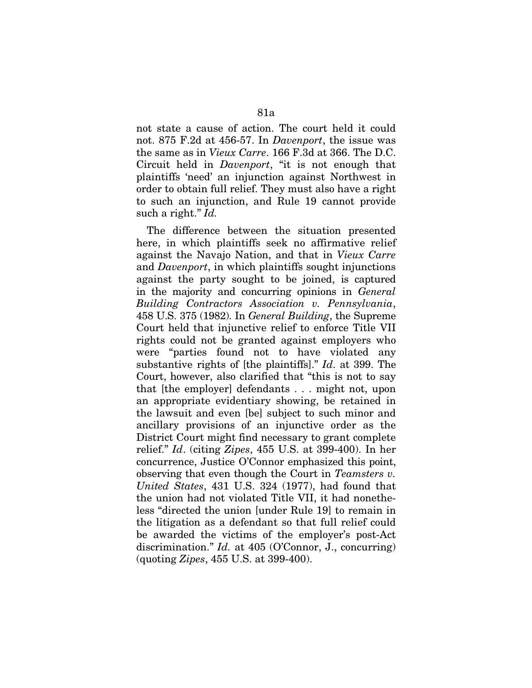not state a cause of action. The court held it could not. 875 F.2d at 456-57. In *Davenport*, the issue was the same as in *Vieux Carre*. 166 F.3d at 366. The D.C. Circuit held in *Davenport*, "it is not enough that plaintiffs 'need' an injunction against Northwest in order to obtain full relief. They must also have a right to such an injunction, and Rule 19 cannot provide such a right." *Id.*

The difference between the situation presented here, in which plaintiffs seek no affirmative relief against the Navajo Nation, and that in *Vieux Carre* and *Davenport*, in which plaintiffs sought injunctions against the party sought to be joined, is captured in the majority and concurring opinions in *General Building Contractors Association v. Pennsylvania*, 458 U.S. 375 (1982). In *General Building*, the Supreme Court held that injunctive relief to enforce Title VII rights could not be granted against employers who were "parties found not to have violated any substantive rights of [the plaintiffs]." *Id*. at 399. The Court, however, also clarified that "this is not to say that [the employer] defendants . . . might not, upon an appropriate evidentiary showing, be retained in the lawsuit and even [be] subject to such minor and ancillary provisions of an injunctive order as the District Court might find necessary to grant complete relief." *Id*. (citing *Zipes*, 455 U.S. at 399-400). In her concurrence, Justice O'Connor emphasized this point, observing that even though the Court in *Teamsters v. United States*, 431 U.S. 324 (1977), had found that the union had not violated Title VII, it had nonetheless "directed the union [under Rule 19] to remain in the litigation as a defendant so that full relief could be awarded the victims of the employer's post-Act discrimination." *Id.* at 405 (O'Connor, J., concurring) (quoting *Zipes*, 455 U.S. at 399-400).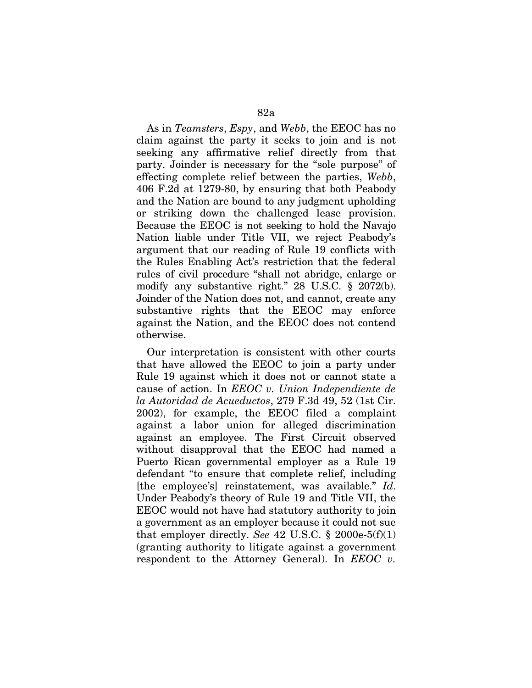As in *Teamsters*, *Espy*, and *Webb*, the EEOC has no claim against the party it seeks to join and is not seeking any affirmative relief directly from that party. Joinder is necessary for the "sole purpose" of effecting complete relief between the parties, *Webb*, 406 F.2d at 1279-80, by ensuring that both Peabody and the Nation are bound to any judgment upholding or striking down the challenged lease provision. Because the EEOC is not seeking to hold the Navajo Nation liable under Title VII, we reject Peabody's argument that our reading of Rule 19 conflicts with the Rules Enabling Act's restriction that the federal rules of civil procedure "shall not abridge, enlarge or modify any substantive right." 28 U.S.C. § 2072(b). Joinder of the Nation does not, and cannot, create any substantive rights that the EEOC may enforce against the Nation, and the EEOC does not contend otherwise.

Our interpretation is consistent with other courts that have allowed the EEOC to join a party under Rule 19 against which it does not or cannot state a cause of action. In *EEOC v. Union Independiente de la Autoridad de Acueductos*, 279 F.3d 49, 52 (1st Cir. 2002), for example, the EEOC filed a complaint against a labor union for alleged discrimination against an employee. The First Circuit observed without disapproval that the EEOC had named a Puerto Rican governmental employer as a Rule 19 defendant "to ensure that complete relief, including [the employee's] reinstatement, was available." *Id*. Under Peabody's theory of Rule 19 and Title VII, the EEOC would not have had statutory authority to join a government as an employer because it could not sue that employer directly. *See* 42 U.S.C.  $\S$  2000e-5(f)(1) (granting authority to litigate against a government respondent to the Attorney General). In *EEOC v.*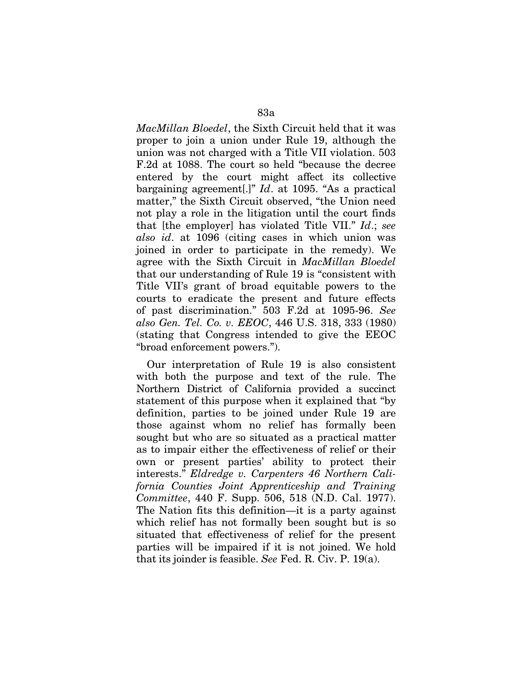*MacMillan Bloedel*, the Sixth Circuit held that it was proper to join a union under Rule 19, although the union was not charged with a Title VII violation. 503 F.2d at 1088. The court so held "because the decree entered by the court might affect its collective bargaining agreement[.]" *Id*. at 1095. "As a practical matter," the Sixth Circuit observed, "the Union need not play a role in the litigation until the court finds that [the employer] has violated Title VII." *Id*.; *see also id*. at 1096 (citing cases in which union was joined in order to participate in the remedy). We agree with the Sixth Circuit in *MacMillan Bloedel* that our understanding of Rule 19 is "consistent with Title VII's grant of broad equitable powers to the courts to eradicate the present and future effects of past discrimination." 503 F.2d at 1095-96. *See also Gen. Tel. Co. v. EEOC*, 446 U.S. 318, 333 (1980) (stating that Congress intended to give the EEOC "broad enforcement powers.").

Our interpretation of Rule 19 is also consistent with both the purpose and text of the rule. The Northern District of California provided a succinct statement of this purpose when it explained that "by definition, parties to be joined under Rule 19 are those against whom no relief has formally been sought but who are so situated as a practical matter as to impair either the effectiveness of relief or their own or present parties' ability to protect their interests." *Eldredge v. Carpenters 46 Northern California Counties Joint Apprenticeship and Training Committee*, 440 F. Supp. 506, 518 (N.D. Cal. 1977). The Nation fits this definition—it is a party against which relief has not formally been sought but is so situated that effectiveness of relief for the present parties will be impaired if it is not joined. We hold that its joinder is feasible. *See* Fed. R. Civ. P. 19(a).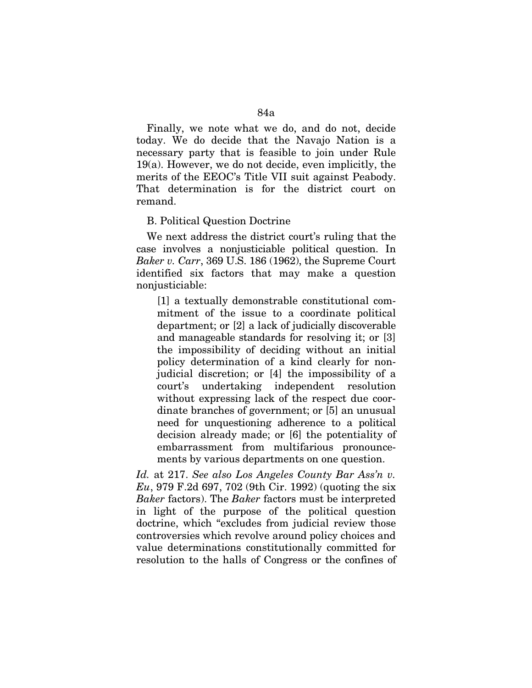Finally, we note what we do, and do not, decide today. We do decide that the Navajo Nation is a necessary party that is feasible to join under Rule 19(a). However, we do not decide, even implicitly, the merits of the EEOC's Title VII suit against Peabody. That determination is for the district court on remand.

#### B. Political Question Doctrine

We next address the district court's ruling that the case involves a nonjusticiable political question. In *Baker v. Carr*, 369 U.S. 186 (1962), the Supreme Court identified six factors that may make a question nonjusticiable:

[1] a textually demonstrable constitutional commitment of the issue to a coordinate political department; or [2] a lack of judicially discoverable and manageable standards for resolving it; or [3] the impossibility of deciding without an initial policy determination of a kind clearly for nonjudicial discretion; or [4] the impossibility of a court's undertaking independent resolution without expressing lack of the respect due coordinate branches of government; or [5] an unusual need for unquestioning adherence to a political decision already made; or [6] the potentiality of embarrassment from multifarious pronouncements by various departments on one question.

*Id.* at 217. *See also Los Angeles County Bar Ass'n v. Eu*, 979 F.2d 697, 702 (9th Cir. 1992) (quoting the six *Baker* factors). The *Baker* factors must be interpreted in light of the purpose of the political question doctrine, which "excludes from judicial review those controversies which revolve around policy choices and value determinations constitutionally committed for resolution to the halls of Congress or the confines of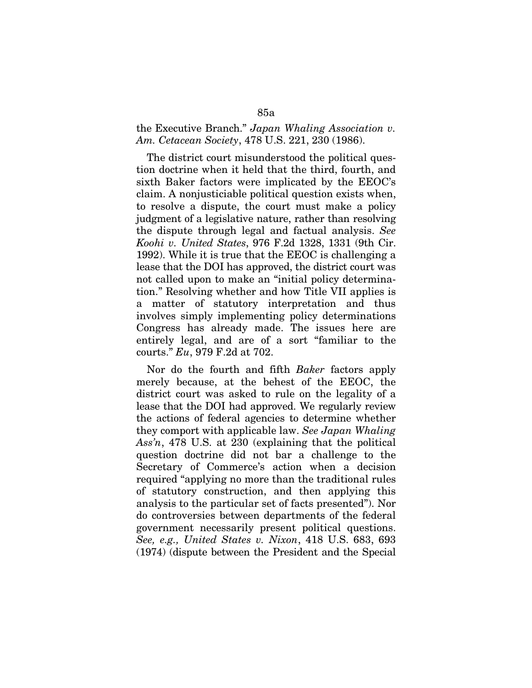## the Executive Branch." *Japan Whaling Association v. Am. Cetacean Society*, 478 U.S. 221, 230 (1986).

The district court misunderstood the political question doctrine when it held that the third, fourth, and sixth Baker factors were implicated by the EEOC's claim. A nonjusticiable political question exists when, to resolve a dispute, the court must make a policy judgment of a legislative nature, rather than resolving the dispute through legal and factual analysis. *See Koohi v. United States*, 976 F.2d 1328, 1331 (9th Cir. 1992). While it is true that the EEOC is challenging a lease that the DOI has approved, the district court was not called upon to make an "initial policy determination." Resolving whether and how Title VII applies is a matter of statutory interpretation and thus involves simply implementing policy determinations Congress has already made. The issues here are entirely legal, and are of a sort "familiar to the courts." *Eu*, 979 F.2d at 702.

Nor do the fourth and fifth *Baker* factors apply merely because, at the behest of the EEOC, the district court was asked to rule on the legality of a lease that the DOI had approved. We regularly review the actions of federal agencies to determine whether they comport with applicable law. *See Japan Whaling Ass'n*, 478 U.S. at 230 (explaining that the political question doctrine did not bar a challenge to the Secretary of Commerce's action when a decision required "applying no more than the traditional rules of statutory construction, and then applying this analysis to the particular set of facts presented"). Nor do controversies between departments of the federal government necessarily present political questions. *See, e.g., United States v. Nixon*, 418 U.S. 683, 693 (1974) (dispute between the President and the Special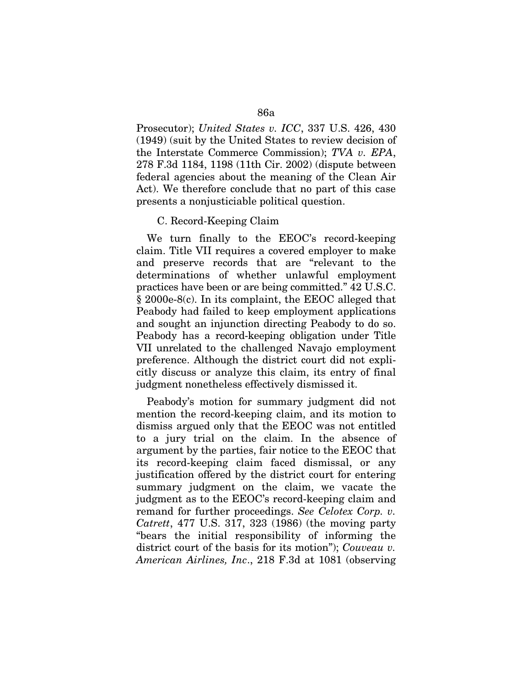Prosecutor); *United States v. ICC*, 337 U.S. 426, 430 (1949) (suit by the United States to review decision of the Interstate Commerce Commission); *TVA v. EPA*, 278 F.3d 1184, 1198 (11th Cir. 2002) (dispute between federal agencies about the meaning of the Clean Air Act). We therefore conclude that no part of this case presents a nonjusticiable political question.

#### C. Record-Keeping Claim

We turn finally to the EEOC's record-keeping claim. Title VII requires a covered employer to make and preserve records that are "relevant to the determinations of whether unlawful employment practices have been or are being committed." 42 U.S.C. § 2000e-8(c). In its complaint, the EEOC alleged that Peabody had failed to keep employment applications and sought an injunction directing Peabody to do so. Peabody has a record-keeping obligation under Title VII unrelated to the challenged Navajo employment preference. Although the district court did not explicitly discuss or analyze this claim, its entry of final judgment nonetheless effectively dismissed it.

Peabody's motion for summary judgment did not mention the record-keeping claim, and its motion to dismiss argued only that the EEOC was not entitled to a jury trial on the claim. In the absence of argument by the parties, fair notice to the EEOC that its record-keeping claim faced dismissal, or any justification offered by the district court for entering summary judgment on the claim, we vacate the judgment as to the EEOC's record-keeping claim and remand for further proceedings. *See Celotex Corp. v. Catrett*, 477 U.S. 317, 323 (1986) (the moving party "bears the initial responsibility of informing the district court of the basis for its motion"); *Couveau v. American Airlines, Inc*., 218 F.3d at 1081 (observing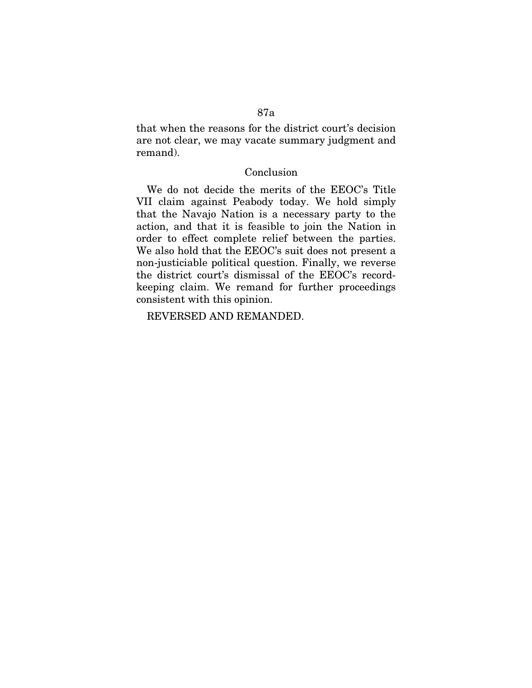that when the reasons for the district court's decision are not clear, we may vacate summary judgment and remand).

## Conclusion

We do not decide the merits of the EEOC's Title VII claim against Peabody today. We hold simply that the Navajo Nation is a necessary party to the action, and that it is feasible to join the Nation in order to effect complete relief between the parties. We also hold that the EEOC's suit does not present a non-justiciable political question. Finally, we reverse the district court's dismissal of the EEOC's recordkeeping claim. We remand for further proceedings consistent with this opinion.

REVERSED AND REMANDED.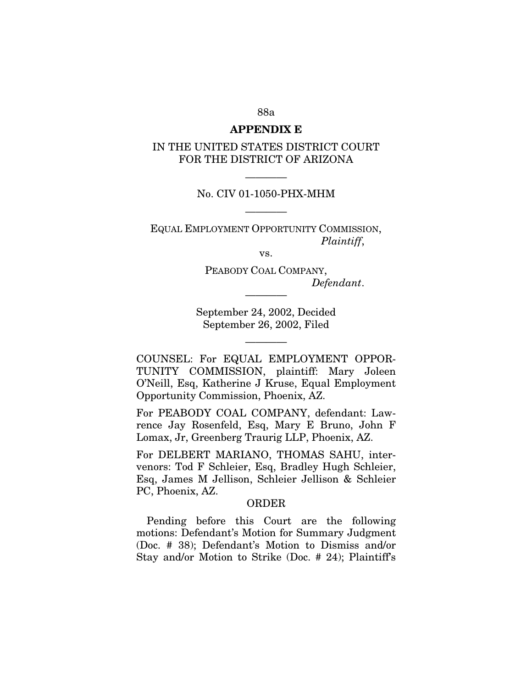#### 88a

### **APPENDIX E**

IN THE UNITED STATES DISTRICT COURT FOR THE DISTRICT OF ARIZONA

> ———— No. CIV 01-1050-PHX-MHM

> > ————

EQUAL EMPLOYMENT OPPORTUNITY COMMISSION, *Plaintiff*,

vs.

PEABODY COAL COMPANY, *Defendant*.

September 24, 2002, Decided September 26, 2002, Filed

————

————

COUNSEL: For EQUAL EMPLOYMENT OPPOR-TUNITY COMMISSION, plaintiff: Mary Joleen O'Neill, Esq, Katherine J Kruse, Equal Employment Opportunity Commission, Phoenix, AZ.

For PEABODY COAL COMPANY, defendant: Lawrence Jay Rosenfeld, Esq, Mary E Bruno, John F Lomax, Jr, Greenberg Traurig LLP, Phoenix, AZ.

For DELBERT MARIANO, THOMAS SAHU, intervenors: Tod F Schleier, Esq, Bradley Hugh Schleier, Esq, James M Jellison, Schleier Jellison & Schleier PC, Phoenix, AZ.

#### ORDER

Pending before this Court are the following motions: Defendant's Motion for Summary Judgment (Doc. # 38); Defendant's Motion to Dismiss and/or Stay and/or Motion to Strike (Doc. # 24); Plaintiff's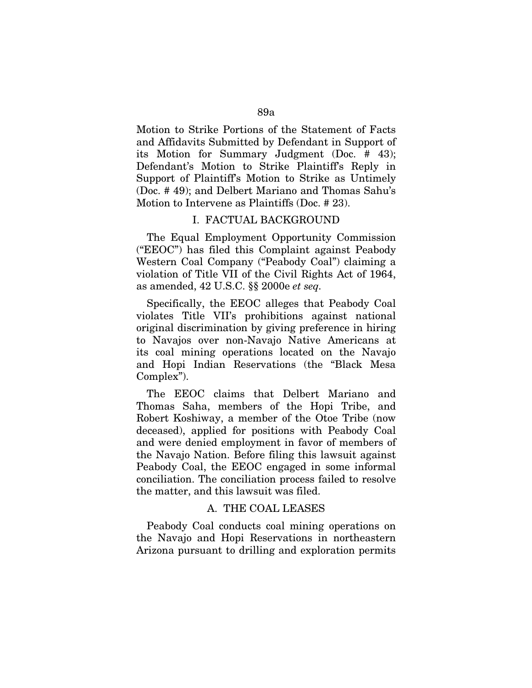Motion to Strike Portions of the Statement of Facts and Affidavits Submitted by Defendant in Support of its Motion for Summary Judgment (Doc. # 43); Defendant's Motion to Strike Plaintiff's Reply in Support of Plaintiff's Motion to Strike as Untimely (Doc. # 49); and Delbert Mariano and Thomas Sahu's Motion to Intervene as Plaintiffs (Doc. # 23).

## I. FACTUAL BACKGROUND

The Equal Employment Opportunity Commission ("EEOC") has filed this Complaint against Peabody Western Coal Company ("Peabody Coal") claiming a violation of Title VII of the Civil Rights Act of 1964, as amended, 42 U.S.C. §§ 2000e *et seq.*

Specifically, the EEOC alleges that Peabody Coal violates Title VII's prohibitions against national original discrimination by giving preference in hiring to Navajos over non-Navajo Native Americans at its coal mining operations located on the Navajo and Hopi Indian Reservations (the "Black Mesa Complex").

The EEOC claims that Delbert Mariano and Thomas Saha, members of the Hopi Tribe, and Robert Koshiway, a member of the Otoe Tribe (now deceased), applied for positions with Peabody Coal and were denied employment in favor of members of the Navajo Nation. Before filing this lawsuit against Peabody Coal, the EEOC engaged in some informal conciliation. The conciliation process failed to resolve the matter, and this lawsuit was filed.

#### A. THE COAL LEASES

Peabody Coal conducts coal mining operations on the Navajo and Hopi Reservations in northeastern Arizona pursuant to drilling and exploration permits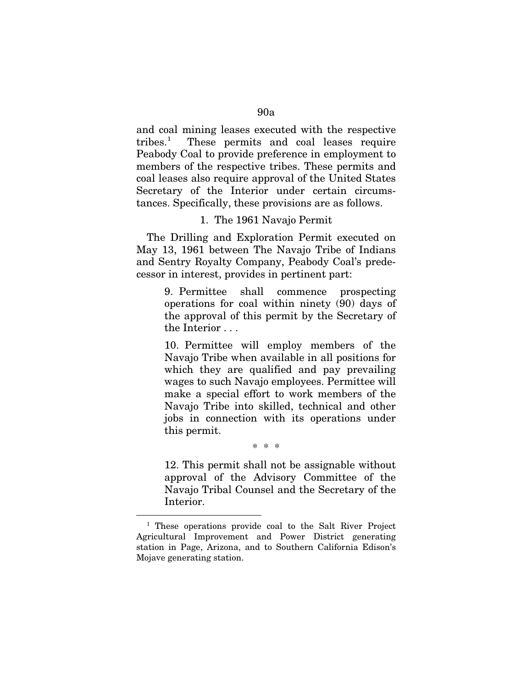and coal mining leases executed with the respective tribes. $<sup>1</sup>$  $<sup>1</sup>$  $<sup>1</sup>$ </sup> These permits and coal leases require Peabody Coal to provide preference in employment to members of the respective tribes. These permits and coal leases also require approval of the United States Secretary of the Interior under certain circums-

# 1. The 1961 Navajo Permit tances. Specifically, these provisions are as follows.

The Drilling and Exploration Permit executed on May 13, 1961 between The Navajo Tribe of Indians and Sentry Royalty Company, Peabody Coal's predecessor in interest, provides in pertinent part:

> 9. Permittee shall commence prospecting operations for coal within ninety (90) days of the approval of this permit by the Secretary of the Interior . . .

> 10. Permittee will employ members of the Navajo Tribe when available in all positions for which they are qualified and pay prevailing wages to such Navajo employees. Permittee will make a special effort to work members of the Navajo Tribe into skilled, technical and other jobs in connection with its operations under this permit.

#### \* \* \*

12. This permit shall not be assignable without approval of the Advisory Committee of the Navajo Tribal Counsel and the Secretary of the Interior.

<span id="page-136-0"></span><sup>&</sup>lt;sup>1</sup> These operations provide coal to the Salt River Project Agricultural Improvement and Power District generating station in Page, Arizona, and to Southern California Edison's Mojave generating station.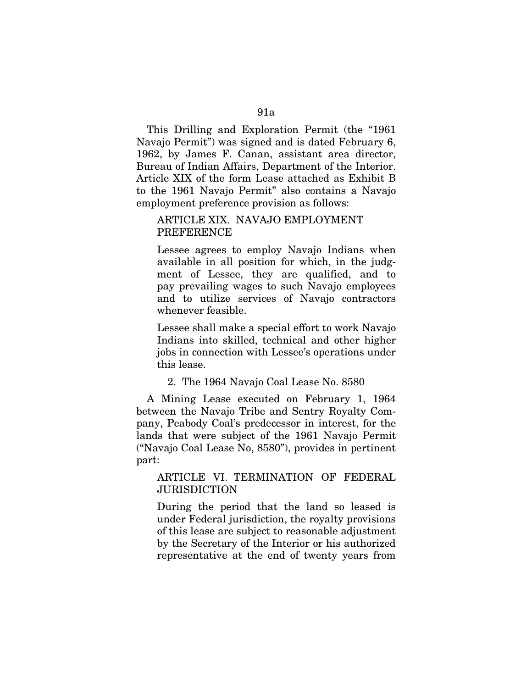This Drilling and Exploration Permit (the "1961 Navajo Permit") was signed and is dated February 6, 1962, by James F. Canan, assistant area director, Bureau of Indian Affairs, Department of the Interior. Article XIX of the form Lease attached as Exhibit B to the 1961 Navajo Permit" also contains a Navajo employment preference provision as follows:

## ARTICLE XIX. NAVAJO EMPLOYMENT **PREFERENCE**

Lessee agrees to employ Navajo Indians when available in all position for which, in the judgment of Lessee, they are qualified, and to pay prevailing wages to such Navajo employees and to utilize services of Navajo contractors whenever feasible.

Lessee shall make a special effort to work Navajo Indians into skilled, technical and other higher jobs in connection with Lessee's operations under this lease.

### 2. The 1964 Navajo Coal Lease No. 8580

A Mining Lease executed on February 1, 1964 between the Navajo Tribe and Sentry Royalty Company, Peabody Coal's predecessor in interest, for the lands that were subject of the 1961 Navajo Permit ("Navajo Coal Lease No, 8580"), provides in pertinent part:

## ARTICLE VI. TERMINATION OF FEDERAL JURISDICTION

During the period that the land so leased is under Federal jurisdiction, the royalty provisions of this lease are subject to reasonable adjustment by the Secretary of the Interior or his authorized representative at the end of twenty years from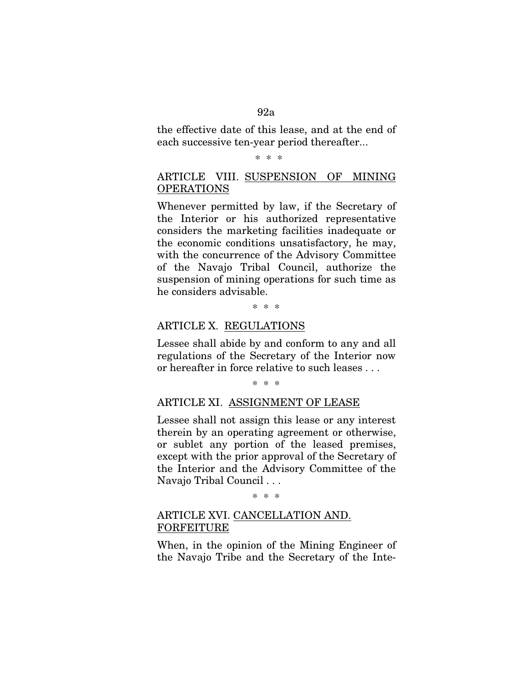### 92a

the effective date of this lease, and at the end of each successive ten-year period thereafter...

\* \* \*

## ARTICLE VIII. SUSPENSION OF MINING OPERATIONS

Whenever permitted by law, if the Secretary of the Interior or his authorized representative considers the marketing facilities inadequate or the economic conditions unsatisfactory, he may, with the concurrence of the Advisory Committee of the Navajo Tribal Council, authorize the suspension of mining operations for such time as he considers advisable.

\* \* \*

## ARTICLE X. REGULATIONS

Lessee shall abide by and conform to any and all regulations of the Secretary of the Interior now or hereafter in force relative to such leases . . .

\* \* \*

## ARTICLE XI. ASSIGNMENT OF LEASE

Lessee shall not assign this lease or any interest therein by an operating agreement or otherwise, or sublet any portion of the leased premises, except with the prior approval of the Secretary of the Interior and the Advisory Committee of the Navajo Tribal Council . . .

\* \* \*

## ARTICLE XVI. CANCELLATION AND. FORFEITURE

When, in the opinion of the Mining Engineer of the Navajo Tribe and the Secretary of the Inte-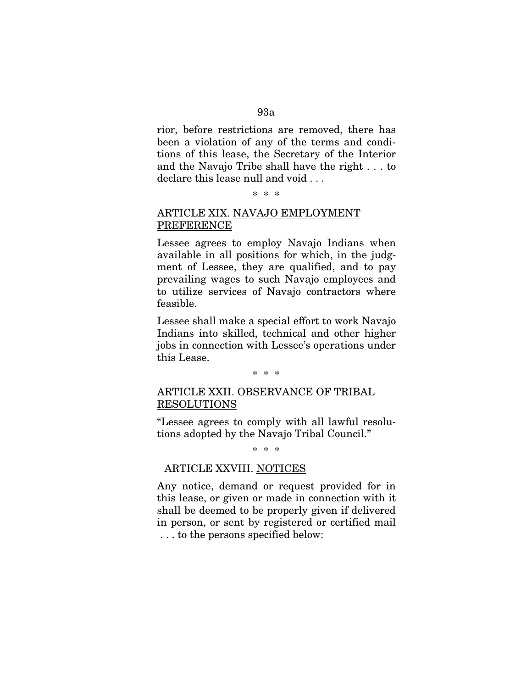### 93a

rior, before restrictions are removed, there has been a violation of any of the terms and conditions of this lease, the Secretary of the Interior and the Navajo Tribe shall have the right . . . to declare this lease null and void . . .

### \* \* \*

## ARTICLE XIX. NAVAJO EMPLOYMENT PREFERENCE

Lessee agrees to employ Navajo Indians when available in all positions for which, in the judgment of Lessee, they are qualified, and to pay prevailing wages to such Navajo employees and to utilize services of Navajo contractors where feasible.

Lessee shall make a special effort to work Navajo Indians into skilled, technical and other higher jobs in connection with Lessee's operations under this Lease.

#### \* \* \*

## ARTICLE XXII. OBSERVANCE OF TRIBAL RESOLUTIONS

"Lessee agrees to comply with all lawful resolutions adopted by the Navajo Tribal Council."

\* \* \*

## ARTICLE XXVIII. NOTICES

Any notice, demand or request provided for in this lease, or given or made in connection with it shall be deemed to be properly given if delivered in person, or sent by registered or certified mail . . . to the persons specified below: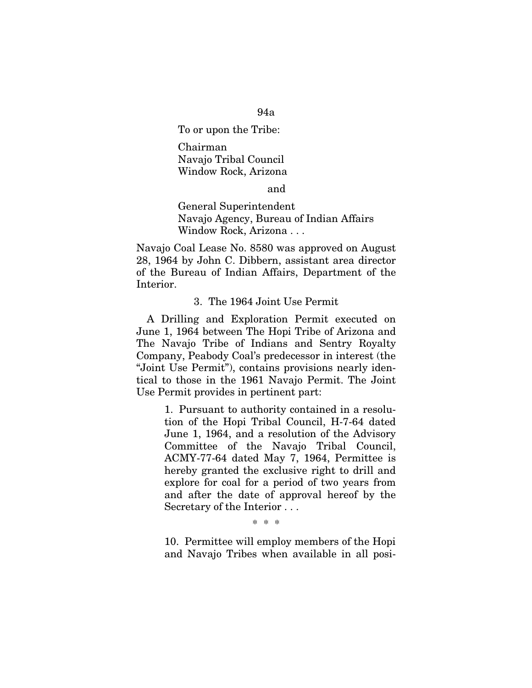To or upon the Tribe:

Chairman Navajo Tribal Council Window Rock, Arizona

and

General Superintendent Navajo Agency, Bureau of Indian Affairs Window Rock, Arizona . . .

Navajo Coal Lease No. 8580 was approved on August 28, 1964 by John C. Dibbern, assistant area director of the Bureau of Indian Affairs, Department of the Interior.

### 3. The 1964 Joint Use Permit

A Drilling and Exploration Permit executed on June 1, 1964 between The Hopi Tribe of Arizona and The Navajo Tribe of Indians and Sentry Royalty Company, Peabody Coal's predecessor in interest (the "Joint Use Permit"), contains provisions nearly identical to those in the 1961 Navajo Permit. The Joint Use Permit provides in pertinent part:

> 1. Pursuant to authority contained in a resolution of the Hopi Tribal Council, H-7-64 dated June 1, 1964, and a resolution of the Advisory Committee of the Navajo Tribal Council, ACMY-77-64 dated May 7, 1964, Permittee is hereby granted the exclusive right to drill and explore for coal for a period of two years from and after the date of approval hereof by the Secretary of the Interior . . .

> > \* \* \*

10. Permittee will employ members of the Hopi and Navajo Tribes when available in all posi-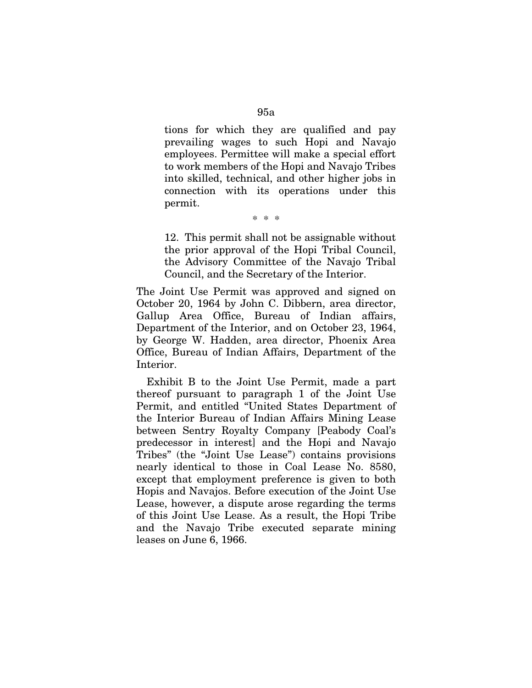tions for which they are qualified and pay prevailing wages to such Hopi and Navajo employees. Permittee will make a special effort to work members of the Hopi and Navajo Tribes into skilled, technical, and other higher jobs in connection with its operations under this permit.

\* \* \*

12. This permit shall not be assignable without the prior approval of the Hopi Tribal Council, the Advisory Committee of the Navajo Tribal Council, and the Secretary of the Interior.

The Joint Use Permit was approved and signed on October 20, 1964 by John C. Dibbern, area director, Gallup Area Office, Bureau of Indian affairs, Department of the Interior, and on October 23, 1964, by George W. Hadden, area director, Phoenix Area Office, Bureau of Indian Affairs, Department of the Interior.

Exhibit B to the Joint Use Permit, made a part thereof pursuant to paragraph 1 of the Joint Use Permit, and entitled "United States Department of the Interior Bureau of Indian Affairs Mining Lease between Sentry Royalty Company [Peabody Coal's predecessor in interest] and the Hopi and Navajo Tribes" (the "Joint Use Lease") contains provisions nearly identical to those in Coal Lease No. 8580, except that employment preference is given to both Hopis and Navajos. Before execution of the Joint Use Lease, however, a dispute arose regarding the terms of this Joint Use Lease. As a result, the Hopi Tribe and the Navajo Tribe executed separate mining leases on June 6, 1966.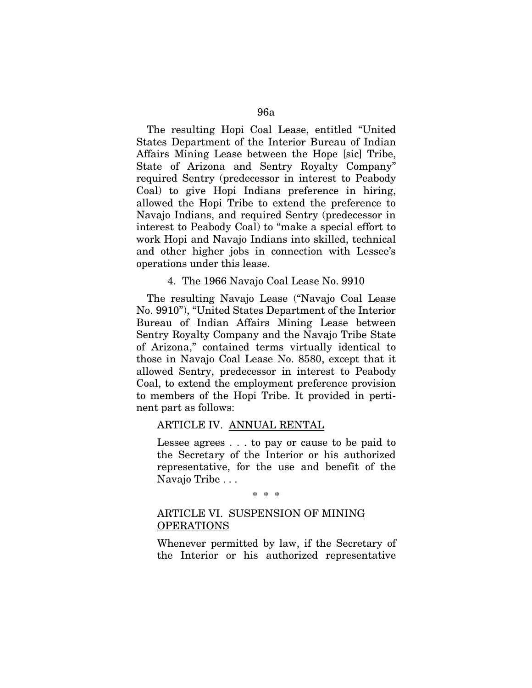The resulting Hopi Coal Lease, entitled "United States Department of the Interior Bureau of Indian Affairs Mining Lease between the Hope [sic] Tribe, State of Arizona and Sentry Royalty Company" required Sentry (predecessor in interest to Peabody Coal) to give Hopi Indians preference in hiring, allowed the Hopi Tribe to extend the preference to Navajo Indians, and required Sentry (predecessor in interest to Peabody Coal) to "make a special effort to work Hopi and Navajo Indians into skilled, technical and other higher jobs in connection with Lessee's operations under this lease.

## 4. The 1966 Navajo Coal Lease No. 9910

The resulting Navajo Lease ("Navajo Coal Lease No. 9910"), "United States Department of the Interior Bureau of Indian Affairs Mining Lease between Sentry Royalty Company and the Navajo Tribe State of Arizona," contained terms virtually identical to those in Navajo Coal Lease No. 8580, except that it allowed Sentry, predecessor in interest to Peabody Coal, to extend the employment preference provision to members of the Hopi Tribe. It provided in pertinent part as follows:

## ARTICLE IV. ANNUAL RENTAL

Lessee agrees . . . to pay or cause to be paid to the Secretary of the Interior or his authorized representative, for the use and benefit of the Navajo Tribe . . .

#### \* \* \*

## ARTICLE VI. SUSPENSION OF MINING **OPERATIONS**

Whenever permitted by law, if the Secretary of the Interior or his authorized representative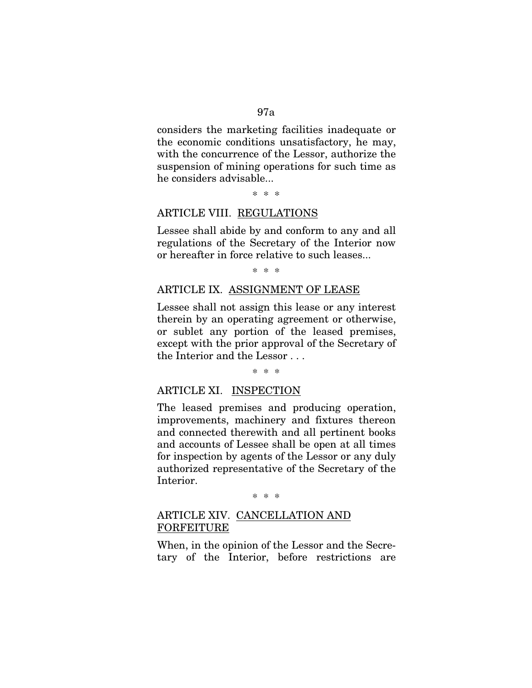considers the marketing facilities inadequate or the economic conditions unsatisfactory, he may, with the concurrence of the Lessor, authorize the suspension of mining operations for such time as he considers advisable...

### \* \* \*

### ARTICLE VIII. REGULATIONS

Lessee shall abide by and conform to any and all regulations of the Secretary of the Interior now or hereafter in force relative to such leases...

## \* \* \*

## ARTICLE IX. ASSIGNMENT OF LEASE

Lessee shall not assign this lease or any interest therein by an operating agreement or otherwise, or sublet any portion of the leased premises, except with the prior approval of the Secretary of the Interior and the Lessor . . .

#### \* \* \*

#### ARTICLE XI. INSPECTION

The leased premises and producing operation, improvements, machinery and fixtures thereon and connected therewith and all pertinent books and accounts of Lessee shall be open at all times for inspection by agents of the Lessor or any duly authorized representative of the Secretary of the Interior.

#### \* \* \*

## ARTICLE XIV. CANCELLATION AND FORFEITURE

When, in the opinion of the Lessor and the Secretary of the Interior, before restrictions are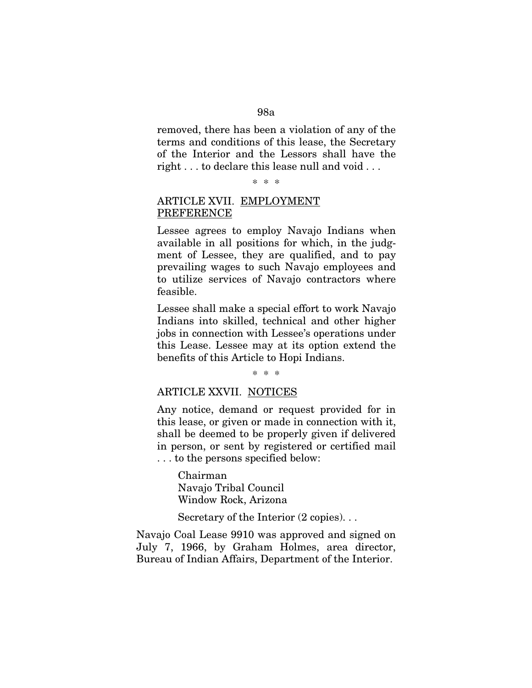removed, there has been a violation of any of the terms and conditions of this lease, the Secretary of the Interior and the Lessors shall have the right . . . to declare this lease null and void . . .

\* \* \*

## ARTICLE XVII. EMPLOYMENT PREFERENCE

Lessee agrees to employ Navajo Indians when available in all positions for which, in the judgment of Lessee, they are qualified, and to pay prevailing wages to such Navajo employees and to utilize services of Navajo contractors where feasible.

Lessee shall make a special effort to work Navajo Indians into skilled, technical and other higher jobs in connection with Lessee's operations under this Lease. Lessee may at its option extend the benefits of this Article to Hopi Indians.

### \* \* \*

#### ARTICLE XXVII. NOTICES

Any notice, demand or request provided for in this lease, or given or made in connection with it, shall be deemed to be properly given if delivered in person, or sent by registered or certified mail . . . to the persons specified below:

Chairman Navajo Tribal Council Window Rock, Arizona

Secretary of the Interior  $(2 \text{ copies})$ ...

Navajo Coal Lease 9910 was approved and signed on July 7, 1966, by Graham Holmes, area director, Bureau of Indian Affairs, Department of the Interior.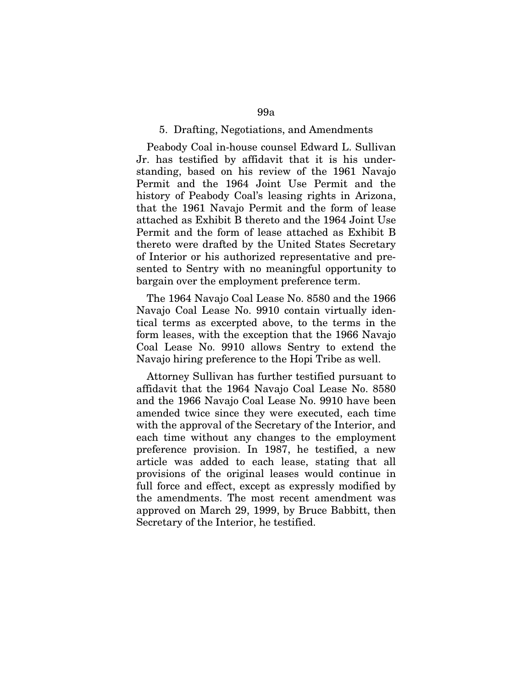#### 5. Drafting, Negotiations, and Amendments

Peabody Coal in-house counsel Edward L. Sullivan Jr. has testified by affidavit that it is his understanding, based on his review of the 1961 Navajo Permit and the 1964 Joint Use Permit and the history of Peabody Coal's leasing rights in Arizona, that the 1961 Navajo Permit and the form of lease attached as Exhibit B thereto and the 1964 Joint Use Permit and the form of lease attached as Exhibit B thereto were drafted by the United States Secretary of Interior or his authorized representative and presented to Sentry with no meaningful opportunity to bargain over the employment preference term.

The 1964 Navajo Coal Lease No. 8580 and the 1966 Navajo Coal Lease No. 9910 contain virtually identical terms as excerpted above, to the terms in the form leases, with the exception that the 1966 Navajo Coal Lease No. 9910 allows Sentry to extend the Navajo hiring preference to the Hopi Tribe as well.

Attorney Sullivan has further testified pursuant to affidavit that the 1964 Navajo Coal Lease No. 8580 and the 1966 Navajo Coal Lease No. 9910 have been amended twice since they were executed, each time with the approval of the Secretary of the Interior, and each time without any changes to the employment preference provision. In 1987, he testified, a new article was added to each lease, stating that all provisions of the original leases would continue in full force and effect, except as expressly modified by the amendments. The most recent amendment was approved on March 29, 1999, by Bruce Babbitt, then Secretary of the Interior, he testified.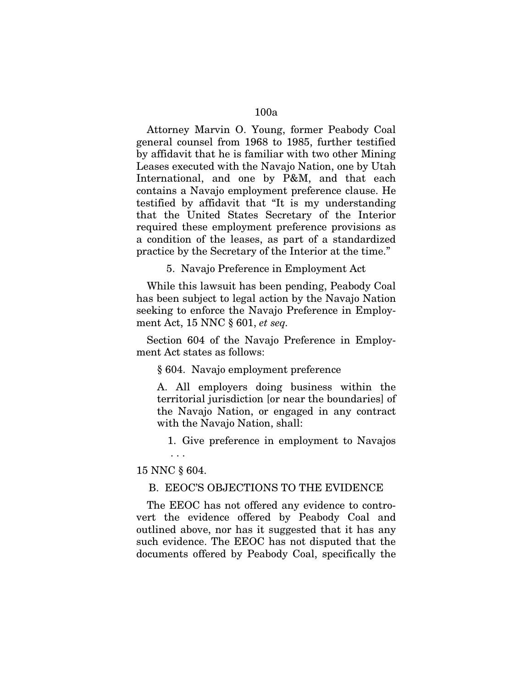Attorney Marvin O. Young, former Peabody Coal general counsel from 1968 to 1985, further testified by affidavit that he is familiar with two other Mining Leases executed with the Navajo Nation, one by Utah International, and one by P&M, and that each contains a Navajo employment preference clause. He testified by affidavit that "It is my understanding that the United States Secretary of the Interior required these employment preference provisions as a condition of the leases, as part of a standardized practice by the Secretary of the Interior at the time."

5. Navajo Preference in Employment Act

While this lawsuit has been pending, Peabody Coal has been subject to legal action by the Navajo Nation seeking to enforce the Navajo Preference in Employment Act, 15 NNC § 601, *et seq.*

Section 604 of the Navajo Preference in Employment Act states as follows:

§ 604. Navajo employment preference

A. All employers doing business within the territorial jurisdiction [or near the boundaries] of the Navajo Nation, or engaged in any contract with the Navajo Nation, shall:

1. Give preference in employment to Navajos

#### 15 NNC § 604.

. . .

#### B. EEOC'S OBJECTIONS TO THE EVIDENCE

The EEOC has not offered any evidence to controvert the evidence offered by Peabody Coal and outlined above, nor has it suggested that it has any such evidence. The EEOC has not disputed that the documents offered by Peabody Coal, specifically the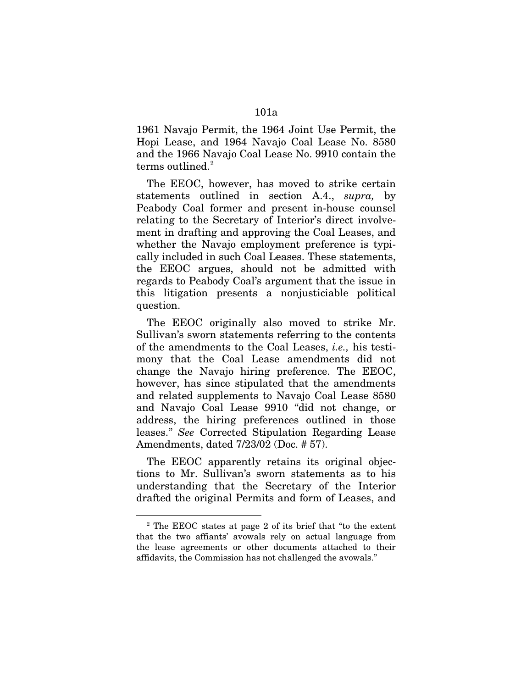1961 Navajo Permit, the 1964 Joint Use Permit, the Hopi Lease, and 1964 Navajo Coal Lease No. 8580 and the 1966 Navajo Coal Lease No. 9910 contain the  ${\rm terms~outlined.}^2$  ${\rm terms~outlined.}^2$ 

The EEOC, however, has moved to strike certain statements outlined in section A.4., *supra,* by Peabody Coal former and present in-house counsel relating to the Secretary of Interior's direct involvement in drafting and approving the Coal Leases, and whether the Navajo employment preference is typically included in such Coal Leases. These statements, the EEOC argues, should not be admitted with regards to Peabody Coal's argument that the issue in this litigation presents a nonjusticiable political question.

The EEOC originally also moved to strike Mr. Sullivan's sworn statements referring to the contents of the amendments to the Coal Leases, *i.e.,* his testimony that the Coal Lease amendments did not change the Navajo hiring preference. The EEOC, however, has since stipulated that the amendments and related supplements to Navajo Coal Lease 8580 and Navajo Coal Lease 9910 "did not change, or address, the hiring preferences outlined in those leases." *See* Corrected Stipulation Regarding Lease Amendments, dated 7/23/02 (Doc. # 57).

The EEOC apparently retains its original objections to Mr. Sullivan's sworn statements as to his understanding that the Secretary of the Interior drafted the original Permits and form of Leases, and

<span id="page-147-0"></span> <sup>2</sup> The EEOC states at page 2 of its brief that "to the extent that the two affiants' avowals rely on actual language from the lease agreements or other documents attached to their affidavits, the Commission has not challenged the avowals."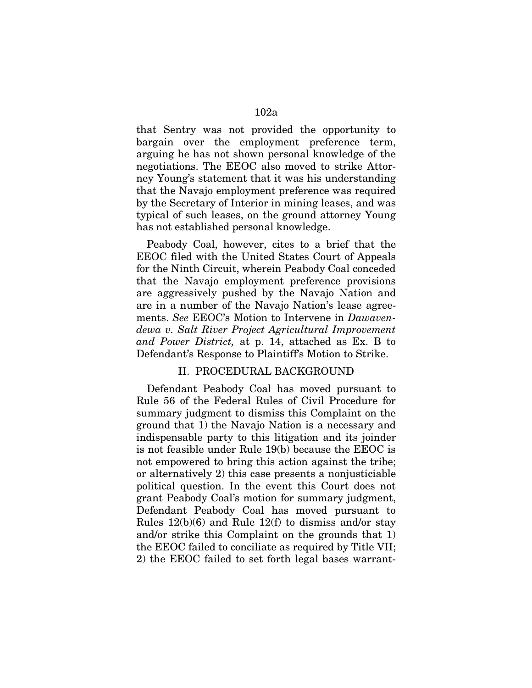that Sentry was not provided the opportunity to bargain over the employment preference term, arguing he has not shown personal knowledge of the negotiations. The EEOC also moved to strike Attorney Young's statement that it was his understanding that the Navajo employment preference was required by the Secretary of Interior in mining leases, and was typical of such leases, on the ground attorney Young has not established personal knowledge.

Peabody Coal, however, cites to a brief that the EEOC filed with the United States Court of Appeals for the Ninth Circuit, wherein Peabody Coal conceded that the Navajo employment preference provisions are aggressively pushed by the Navajo Nation and are in a number of the Navajo Nation's lease agreements. *See* EEOC's Motion to Intervene in *Dawavendewa v. Salt River Project Agricultural Improvement and Power District,* at p. 14, attached as Ex. B to Defendant's Response to Plaintiff's Motion to Strike.

#### II. PROCEDURAL BACKGROUND

Defendant Peabody Coal has moved pursuant to Rule 56 of the Federal Rules of Civil Procedure for summary judgment to dismiss this Complaint on the ground that 1) the Navajo Nation is a necessary and indispensable party to this litigation and its joinder is not feasible under Rule 19(b) because the EEOC is not empowered to bring this action against the tribe; or alternatively 2) this case presents a nonjusticiable political question. In the event this Court does not grant Peabody Coal's motion for summary judgment, Defendant Peabody Coal has moved pursuant to Rules  $12(b)(6)$  and Rule  $12(f)$  to dismiss and/or stay and/or strike this Complaint on the grounds that 1) the EEOC failed to conciliate as required by Title VII; 2) the EEOC failed to set forth legal bases warrant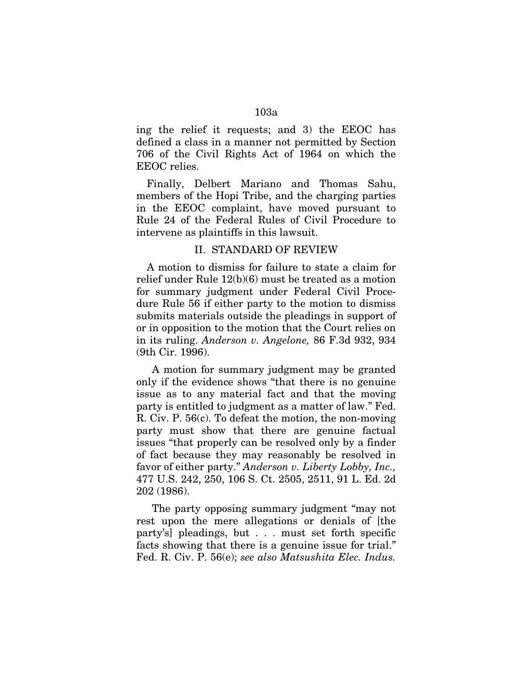ing the relief it requests; and 3) the EEOC has defined a class in a manner not permitted by Section 706 of the Civil Rights Act of 1964 on which the EEOC relies.

Finally, Delbert Mariano and Thomas Sahu, members of the Hopi Tribe, and the charging parties in the EEOC complaint, have moved pursuant to Rule 24 of the Federal Rules of Civil Procedure to intervene as plaintiffs in this lawsuit.

#### II. STANDARD OF REVIEW

A motion to dismiss for failure to state a claim for relief under Rule 12(b)(6) must be treated as a motion for summary judgment under Federal Civil Procedure Rule 56 if either party to the motion to dismiss submits materials outside the pleadings in support of or in opposition to the motion that the Court relies on in its ruling. *Anderson v. Angelone,* 86 F.3d 932, 934 (9th Cir. 1996).

A motion for summary judgment may be granted only if the evidence shows "that there is no genuine issue as to any material fact and that the moving party is entitled to judgment as a matter of law." Fed. R. Civ. P. 56(c). To defeat the motion, the non-moving party must show that there are genuine factual issues "that properly can be resolved only by a finder of fact because they may reasonably be resolved in favor of either party." *Anderson v. Liberty Lobby, Inc.,*  477 U.S. 242, 250, 106 S. Ct. 2505, 2511, 91 L. Ed. 2d 202 (1986).

The party opposing summary judgment "may not rest upon the mere allegations or denials of [the party's] pleadings, but . . . must set forth specific facts showing that there is a genuine issue for trial." Fed. R. Civ. P. 56(e); *see also Matsushita Elec. Indus.*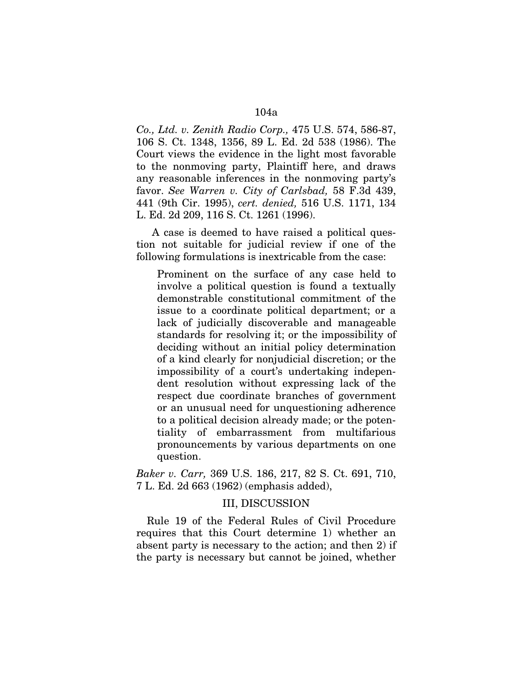*Co., Ltd. v. Zenith Radio Corp.,* 475 U.S. 574, 586-87, 106 S. Ct. 1348, 1356, 89 L. Ed. 2d 538 (1986). The Court views the evidence in the light most favorable to the nonmoving party, Plaintiff here, and draws

any reasonable inferences in the nonmoving party's favor. *See Warren v. City of Carlsbad,* 58 F.3d 439, 441 (9th Cir. 1995), *cert. denied,* 516 U.S. 1171, 134 L. Ed. 2d 209, 116 S. Ct. 1261 (1996).

A case is deemed to have raised a political question not suitable for judicial review if one of the following formulations is inextricable from the case:

Prominent on the surface of any case held to involve a political question is found a textually demonstrable constitutional commitment of the issue to a coordinate political department; or a lack of judicially discoverable and manageable standards for resolving it; or the impossibility of deciding without an initial policy determination of a kind clearly for nonjudicial discretion; or the impossibility of a court's undertaking independent resolution without expressing lack of the respect due coordinate branches of government or an unusual need for unquestioning adherence to a political decision already made; or the potentiality of embarrassment from multifarious pronouncements by various departments on one question.

*Baker v. Carr,* 369 U.S. 186, 217, 82 S. Ct. 691, 710, 7 L. Ed. 2d 663 (1962) (emphasis added),

## III, DISCUSSION

Rule 19 of the Federal Rules of Civil Procedure requires that this Court determine 1) whether an absent party is necessary to the action; and then 2) if the party is necessary but cannot be joined, whether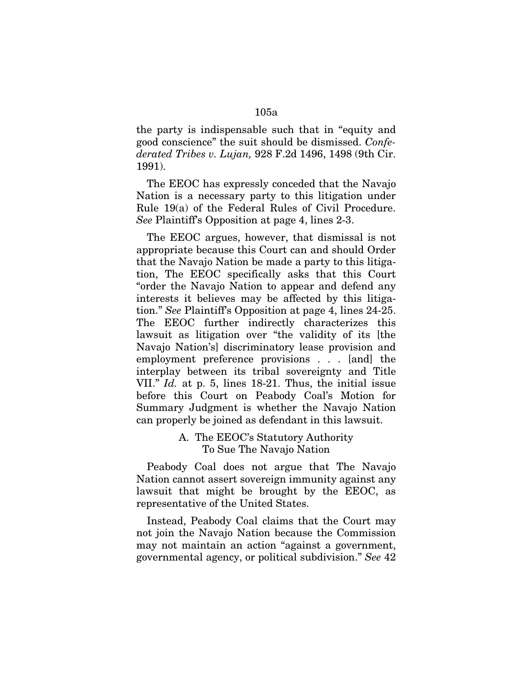the party is indispensable such that in "equity and good conscience" the suit should be dismissed. *Confederated Tribes v. Lujan,* 928 F.2d 1496, 1498 (9th Cir. 1991).

The EEOC has expressly conceded that the Navajo Nation is a necessary party to this litigation under Rule 19(a) of the Federal Rules of Civil Procedure. *See* Plaintiff's Opposition at page 4, lines 2-3.

The EEOC argues, however, that dismissal is not appropriate because this Court can and should Order that the Navajo Nation be made a party to this litigation, The EEOC specifically asks that this Court "order the Navajo Nation to appear and defend any interests it believes may be affected by this litigation." *See* Plaintiff's Opposition at page 4, lines 24-25. The EEOC further indirectly characterizes this lawsuit as litigation over "the validity of its [the Navajo Nation's] discriminatory lease provision and employment preference provisions . . . [and] the interplay between its tribal sovereignty and Title VII." *Id.* at p. 5, lines 18-21. Thus, the initial issue before this Court on Peabody Coal's Motion for Summary Judgment is whether the Navajo Nation can properly be joined as defendant in this lawsuit.

## A. The EEOC's Statutory Authority To Sue The Navajo Nation

Peabody Coal does not argue that The Navajo Nation cannot assert sovereign immunity against any lawsuit that might be brought by the EEOC, as representative of the United States.

Instead, Peabody Coal claims that the Court may not join the Navajo Nation because the Commission may not maintain an action "against a government, governmental agency, or political subdivision." *See* 42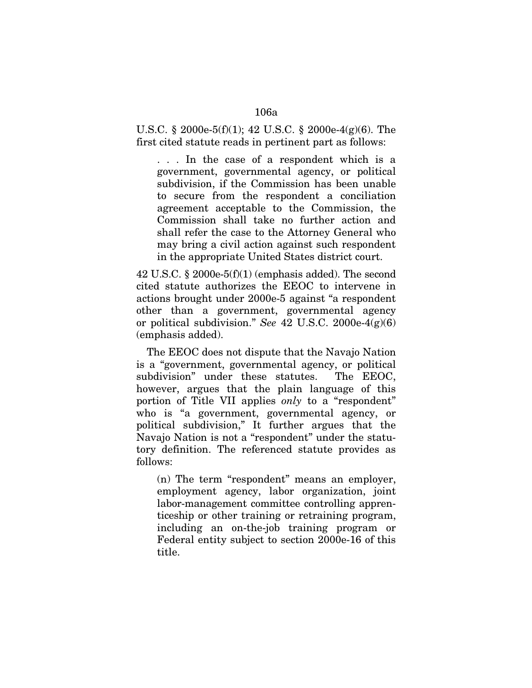## U.S.C. § 2000e-5(f)(1); 42 U.S.C. § 2000e-4(g)(6). The first cited statute reads in pertinent part as follows:

. . . In the case of a respondent which is a government, governmental agency, or political subdivision, if the Commission has been unable to secure from the respondent a conciliation agreement acceptable to the Commission, the Commission shall take no further action and shall refer the case to the Attorney General who may bring a civil action against such respondent in the appropriate United States district court.

42 U.S.C. § 2000e-5(f)(1) (emphasis added). The second cited statute authorizes the EEOC to intervene in actions brought under 2000e-5 against "a respondent other than a government, governmental agency or political subdivision." *See* 42 U.S.C. 2000e-4(g)(6) (emphasis added).

The EEOC does not dispute that the Navajo Nation is a "government, governmental agency, or political subdivision" under these statutes. The EEOC, however, argues that the plain language of this portion of Title VII applies *only* to a "respondent" who is "a government, governmental agency, or political subdivision," It further argues that the Navajo Nation is not a "respondent" under the statutory definition. The referenced statute provides as follows:

(n) The term "respondent" means an employer, employment agency, labor organization, joint labor-management committee controlling apprenticeship or other training or retraining program, including an on-the-job training program or Federal entity subject to section 2000e-16 of this title.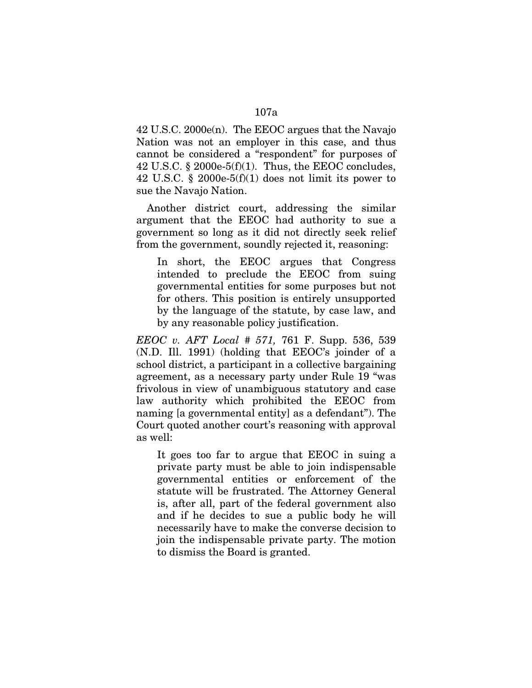42 U.S.C. 2000e(n). The EEOC argues that the Navajo Nation was not an employer in this case, and thus cannot be considered a "respondent" for purposes of 42 U.S.C.  $\S 2000e-5(f)(1)$ . Thus, the EEOC concludes, 42 U.S.C. § 2000e-5(f)(1) does not limit its power to sue the Navajo Nation.

Another district court, addressing the similar argument that the EEOC had authority to sue a government so long as it did not directly seek relief from the government, soundly rejected it, reasoning:

In short, the EEOC argues that Congress intended to preclude the EEOC from suing governmental entities for some purposes but not for others. This position is entirely unsupported by the language of the statute, by case law, and by any reasonable policy justification.

*EEOC v. AFT Local # 571,* 761 F. Supp. 536, 539 (N.D. Ill. 1991) (holding that EEOC's joinder of a school district, a participant in a collective bargaining agreement, as a necessary party under Rule 19 "was frivolous in view of unambiguous statutory and case law authority which prohibited the EEOC from naming [a governmental entity] as a defendant"). The Court quoted another court's reasoning with approval as well:

It goes too far to argue that EEOC in suing a private party must be able to join indispensable governmental entities or enforcement of the statute will be frustrated. The Attorney General is, after all, part of the federal government also and if he decides to sue a public body he will necessarily have to make the converse decision to join the indispensable private party. The motion to dismiss the Board is granted.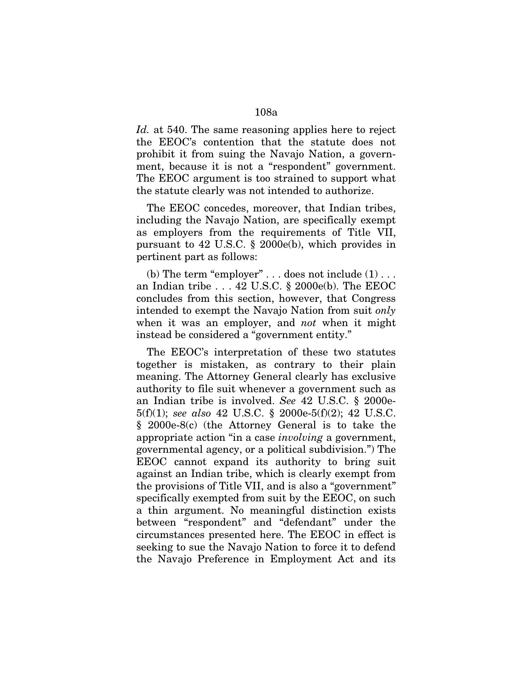*Id.* at 540. The same reasoning applies here to reject the EEOC's contention that the statute does not prohibit it from suing the Navajo Nation, a government, because it is not a "respondent" government. The EEOC argument is too strained to support what the statute clearly was not intended to authorize.

The EEOC concedes, moreover, that Indian tribes, including the Navajo Nation, are specifically exempt as employers from the requirements of Title VII, pursuant to 42 U.S.C. § 2000e(b), which provides in pertinent part as follows:

(b) The term "employer"  $\dots$  does not include  $(1) \dots$ an Indian tribe . . . 42 U.S.C. § 2000e(b). The EEOC concludes from this section, however, that Congress intended to exempt the Navajo Nation from suit *only*  when it was an employer, and *not* when it might instead be considered a "government entity."

The EEOC's interpretation of these two statutes together is mistaken, as contrary to their plain meaning. The Attorney General clearly has exclusive authority to file suit whenever a government such as an Indian tribe is involved. *See* 42 U.S.C. § 2000e-5(f)(1); *see also* 42 U.S.C. § 2000e-5(f)(2); 42 U.S.C. § 2000e-8(c) (the Attorney General is to take the appropriate action "in a case *involving* a government, governmental agency, or a political subdivision.") The EEOC cannot expand its authority to bring suit against an Indian tribe, which is clearly exempt from the provisions of Title VII, and is also a "government" specifically exempted from suit by the EEOC, on such a thin argument. No meaningful distinction exists between "respondent" and "defendant" under the circumstances presented here. The EEOC in effect is seeking to sue the Navajo Nation to force it to defend the Navajo Preference in Employment Act and its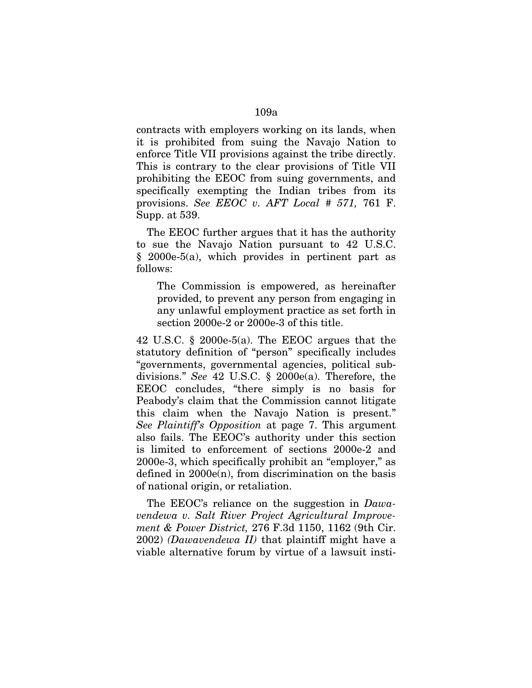contracts with employers working on its lands, when it is prohibited from suing the Navajo Nation to enforce Title VII provisions against the tribe directly. This is contrary to the clear provisions of Title VII prohibiting the EEOC from suing governments, and specifically exempting the Indian tribes from its provisions. *See EEOC v. AFT Local # 571,* 761 F. Supp. at 539.

The EEOC further argues that it has the authority to sue the Navajo Nation pursuant to 42 U.S.C. § 2000e-5(a), which provides in pertinent part as follows:

The Commission is empowered, as hereinafter provided, to prevent any person from engaging in any unlawful employment practice as set forth in section 2000e-2 or 2000e-3 of this title.

42 U.S.C. § 2000e-5(a). The EEOC argues that the statutory definition of "person" specifically includes "governments, governmental agencies, political subdivisions." *See* 42 U.S.C. § 2000e(a). Therefore, the EEOC concludes, "there simply is no basis for Peabody's claim that the Commission cannot litigate this claim when the Navajo Nation is present." *See Plaintiff's Opposition* at page 7. This argument also fails. The EEOC's authority under this section is limited to enforcement of sections 2000e-2 and 2000e-3, which specifically prohibit an "employer," as defined in  $2000e(n)$ , from discrimination on the basis of national origin, or retaliation.

The EEOC's reliance on the suggestion in *Dawavendewa v. Salt River Project Agricultural Improvement & Power District,* 276 F.3d 1150, 1162 (9th Cir. 2002) *(Dawavendewa II)* that plaintiff might have a viable alternative forum by virtue of a lawsuit insti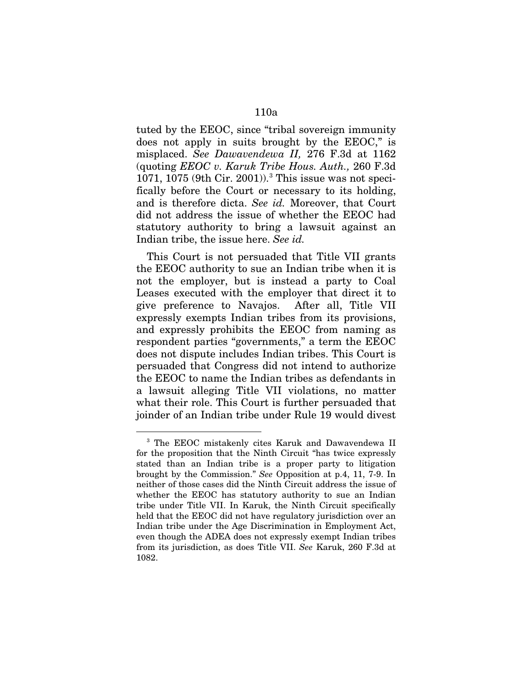tuted by the EEOC, since "tribal sovereign immunity does not apply in suits brought by the EEOC," is misplaced. *See Dawavendewa II,* 276 F.3d at 1162 (quoting *EEOC v. Karuk Tribe Hous. Auth.,* 260 F.3d 1071, 1075 (9th Cir. 2001)).<sup>[3](#page-156-0)</sup> This issue was not specifically before the Court or necessary to its holding, and is therefore dicta. *See id.* Moreover, that Court did not address the issue of whether the EEOC had statutory authority to bring a lawsuit against an Indian tribe, the issue here. *See id.*

This Court is not persuaded that Title VII grants the EEOC authority to sue an Indian tribe when it is not the employer, but is instead a party to Coal Leases executed with the employer that direct it to give preference to Navajos. After all, Title VII expressly exempts Indian tribes from its provisions, and expressly prohibits the EEOC from naming as respondent parties "governments," a term the EEOC does not dispute includes Indian tribes. This Court is persuaded that Congress did not intend to authorize the EEOC to name the Indian tribes as defendants in a lawsuit alleging Title VII violations, no matter what their role. This Court is further persuaded that joinder of an Indian tribe under Rule 19 would divest

<span id="page-156-0"></span> <sup>3</sup> The EEOC mistakenly cites Karuk and Dawavendewa II for the proposition that the Ninth Circuit "has twice expressly stated than an Indian tribe is a proper party to litigation brought by the Commission." *See* Opposition at p.4, 11, 7-9. In neither of those cases did the Ninth Circuit address the issue of whether the EEOC has statutory authority to sue an Indian tribe under Title VII. In Karuk, the Ninth Circuit specifically held that the EEOC did not have regulatory jurisdiction over an Indian tribe under the Age Discrimination in Employment Act, even though the ADEA does not expressly exempt Indian tribes from its jurisdiction, as does Title VII. *See* Karuk, 260 F.3d at 1082.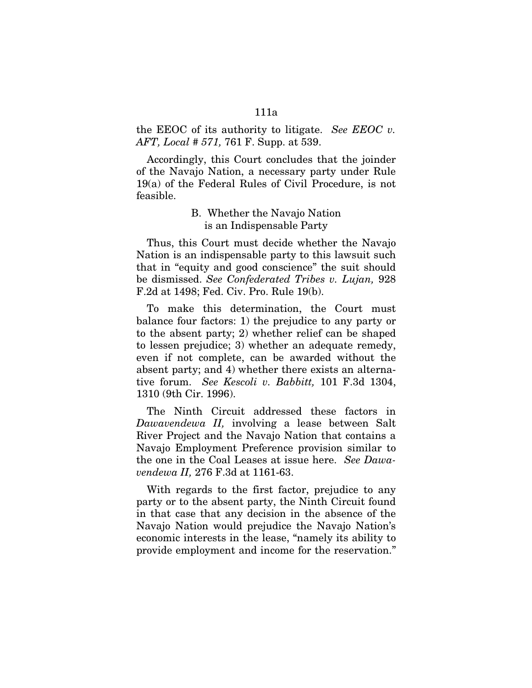## the EEOC of its authority to litigate. *See EEOC v. AFT, Local # 571,* 761 F. Supp. at 539.

Accordingly, this Court concludes that the joinder of the Navajo Nation, a necessary party under Rule 19(a) of the Federal Rules of Civil Procedure, is not feasible.

## B. Whether the Navajo Nation is an Indispensable Party

Thus, this Court must decide whether the Navajo Nation is an indispensable party to this lawsuit such that in "equity and good conscience" the suit should be dismissed. *See Confederated Tribes v. Lujan,* 928 F.2d at 1498; Fed. Civ. Pro. Rule 19(b).

To make this determination, the Court must balance four factors: 1) the prejudice to any party or to the absent party; 2) whether relief can be shaped to lessen prejudice; 3) whether an adequate remedy, even if not complete, can be awarded without the absent party; and 4) whether there exists an alternative forum. *See Kescoli v. Babbitt,* 101 F.3d 1304, 1310 (9th Cir. 1996).

The Ninth Circuit addressed these factors in *Dawavendewa II,* involving a lease between Salt River Project and the Navajo Nation that contains a Navajo Employment Preference provision similar to the one in the Coal Leases at issue here. *See Dawavendewa II,* 276 F.3d at 1161-63.

With regards to the first factor, prejudice to any party or to the absent party, the Ninth Circuit found in that case that any decision in the absence of the Navajo Nation would prejudice the Navajo Nation's economic interests in the lease, "namely its ability to provide employment and income for the reservation."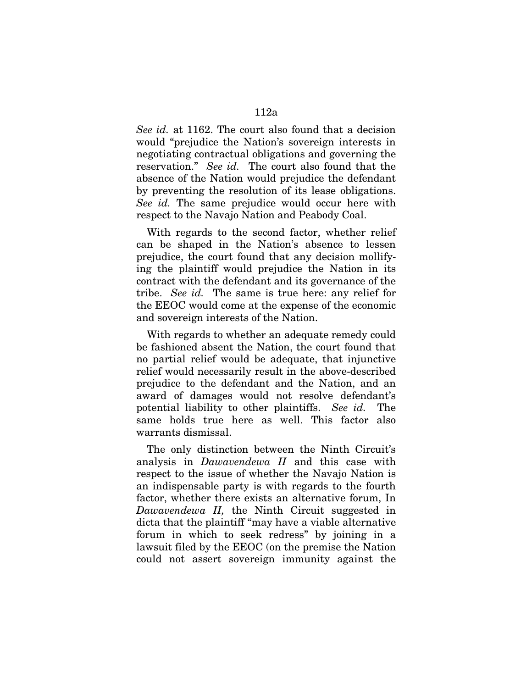*See id.* at 1162. The court also found that a decision would "prejudice the Nation's sovereign interests in negotiating contractual obligations and governing the reservation." *See id.* The court also found that the absence of the Nation would prejudice the defendant by preventing the resolution of its lease obligations. *See id.* The same prejudice would occur here with respect to the Navajo Nation and Peabody Coal.

With regards to the second factor, whether relief can be shaped in the Nation's absence to lessen prejudice, the court found that any decision mollifying the plaintiff would prejudice the Nation in its contract with the defendant and its governance of the tribe. *See id.* The same is true here: any relief for the EEOC would come at the expense of the economic and sovereign interests of the Nation.

With regards to whether an adequate remedy could be fashioned absent the Nation, the court found that no partial relief would be adequate, that injunctive relief would necessarily result in the above-described prejudice to the defendant and the Nation, and an award of damages would not resolve defendant's potential liability to other plaintiffs. *See id.* The same holds true here as well. This factor also warrants dismissal.

The only distinction between the Ninth Circuit's analysis in *Dawavendewa II* and this case with respect to the issue of whether the Navajo Nation is an indispensable party is with regards to the fourth factor, whether there exists an alternative forum, In *Dawavendewa II,* the Ninth Circuit suggested in dicta that the plaintiff "may have a viable alternative forum in which to seek redress" by joining in a lawsuit filed by the EEOC (on the premise the Nation could not assert sovereign immunity against the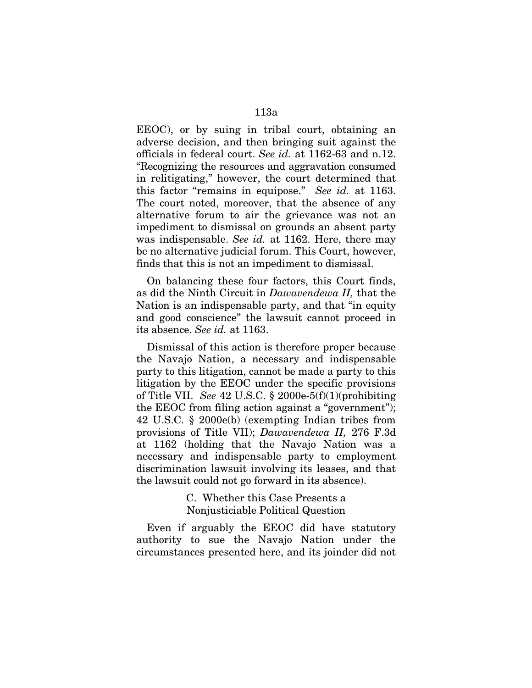EEOC), or by suing in tribal court, obtaining an adverse decision, and then bringing suit against the officials in federal court. *See id.* at 1162-63 and n.12. "Recognizing the resources and aggravation consumed in relitigating," however, the court determined that this factor "remains in equipose." *See id.* at 1163. The court noted, moreover, that the absence of any alternative forum to air the grievance was not an impediment to dismissal on grounds an absent party was indispensable. *See id.* at 1162. Here, there may be no alternative judicial forum. This Court, however, finds that this is not an impediment to dismissal.

On balancing these four factors, this Court finds, as did the Ninth Circuit in *Dawavendewa II,* that the Nation is an indispensable party, and that "in equity and good conscience" the lawsuit cannot proceed in its absence. *See id.* at 1163.

Dismissal of this action is therefore proper because the Navajo Nation, a necessary and indispensable party to this litigation, cannot be made a party to this litigation by the EEOC under the specific provisions of Title VII. *See* 42 U.S.C. § 2000e-5(f)(1)(prohibiting the EEOC from filing action against a "government"); 42 U.S.C. § 2000e(b) (exempting Indian tribes from provisions of Title VII); *Dawavendewa II,* 276 F.3d at 1162 (holding that the Navajo Nation was a necessary and indispensable party to employment discrimination lawsuit involving its leases, and that the lawsuit could not go forward in its absence).

> C. Whether this Case Presents a Nonjusticiable Political Question

Even if arguably the EEOC did have statutory authority to sue the Navajo Nation under the circumstances presented here, and its joinder did not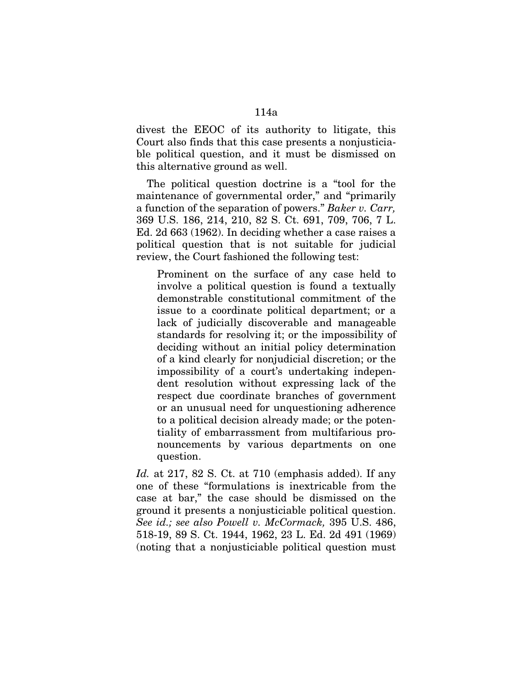divest the EEOC of its authority to litigate, this Court also finds that this case presents a nonjusticiable political question, and it must be dismissed on this alternative ground as well.

The political question doctrine is a "tool for the maintenance of governmental order," and "primarily a function of the separation of powers." *Baker v. Carr,*  369 U.S. 186, 214, 210, 82 S. Ct. 691, 709, 706, 7 L. Ed. 2d 663 (1962). In deciding whether a case raises a political question that is not suitable for judicial review, the Court fashioned the following test:

Prominent on the surface of any case held to involve a political question is found a textually demonstrable constitutional commitment of the issue to a coordinate political department; or a lack of judicially discoverable and manageable standards for resolving it; or the impossibility of deciding without an initial policy determination of a kind clearly for nonjudicial discretion; or the impossibility of a court's undertaking independent resolution without expressing lack of the respect due coordinate branches of government or an unusual need for unquestioning adherence to a political decision already made; or the potentiality of embarrassment from multifarious pronouncements by various departments on one question.

*Id.* at 217, 82 S. Ct. at 710 (emphasis added). If any one of these "formulations is inextricable from the case at bar," the case should be dismissed on the ground it presents a nonjusticiable political question. *See id.; see also Powell v. McCormack,* 395 U.S. 486, 518-19, 89 S. Ct. 1944, 1962, 23 L. Ed. 2d 491 (1969) (noting that a nonjusticiable political question must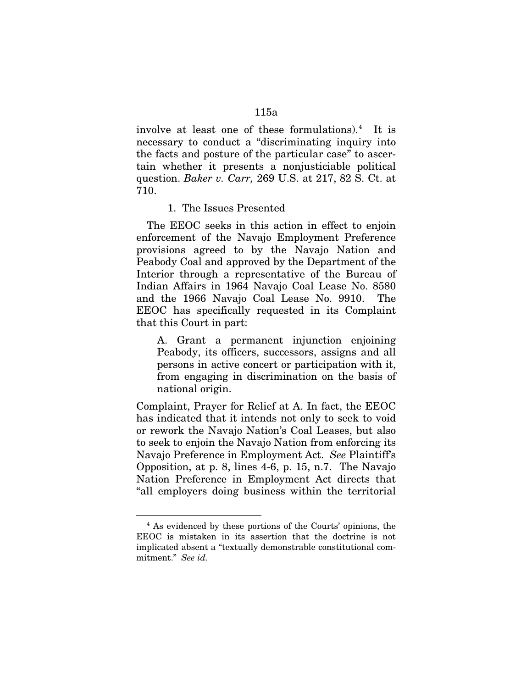involve at least one of these formulations).[4](#page-161-0) It is necessary to conduct a "discriminating inquiry into the facts and posture of the particular case" to ascertain whether it presents a nonjusticiable political question. *Baker v. Carr,* 269 U.S. at 217, 82 S. Ct. at 710.

#### 1. The Issues Presented

The EEOC seeks in this action in effect to enjoin enforcement of the Navajo Employment Preference provisions agreed to by the Navajo Nation and Peabody Coal and approved by the Department of the Interior through a representative of the Bureau of Indian Affairs in 1964 Navajo Coal Lease No. 8580 and the 1966 Navajo Coal Lease No. 9910. The EEOC has specifically requested in its Complaint that this Court in part:

A. Grant a permanent injunction enjoining Peabody, its officers, successors, assigns and all persons in active concert or participation with it, from engaging in discrimination on the basis of national origin.

Complaint, Prayer for Relief at A. In fact, the EEOC has indicated that it intends not only to seek to void or rework the Navajo Nation's Coal Leases, but also to seek to enjoin the Navajo Nation from enforcing its Navajo Preference in Employment Act. *See* Plaintiff's Opposition, at p. 8, lines 4-6, p. 15, n.7. The Navajo Nation Preference in Employment Act directs that "all employers doing business within the territorial

<span id="page-161-0"></span> <sup>4</sup> As evidenced by these portions of the Courts' opinions, the EEOC is mistaken in its assertion that the doctrine is not implicated absent a "textually demonstrable constitutional commitment." *See id.*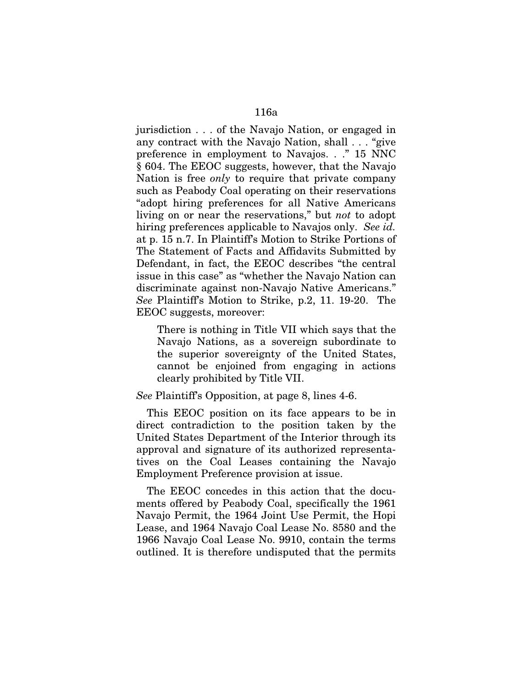jurisdiction . . . of the Navajo Nation, or engaged in any contract with the Navajo Nation, shall . . . "give preference in employment to Navajos. . ." 15 NNC § 604. The EEOC suggests, however, that the Navajo Nation is free *only* to require that private company such as Peabody Coal operating on their reservations "adopt hiring preferences for all Native Americans living on or near the reservations," but *not* to adopt hiring preferences applicable to Navajos only. *See id.*  at p. 15 n.7. In Plaintiff's Motion to Strike Portions of The Statement of Facts and Affidavits Submitted by Defendant, in fact, the EEOC describes "the central issue in this case" as "whether the Navajo Nation can discriminate against non-Navajo Native Americans." *See* Plaintiff's Motion to Strike, p.2, 11. 19-20. The EEOC suggests, moreover:

There is nothing in Title VII which says that the Navajo Nations, as a sovereign subordinate to the superior sovereignty of the United States, cannot be enjoined from engaging in actions clearly prohibited by Title VII.

## *See* Plaintiff's Opposition, at page 8, lines 4-6.

This EEOC position on its face appears to be in direct contradiction to the position taken by the United States Department of the Interior through its approval and signature of its authorized representatives on the Coal Leases containing the Navajo Employment Preference provision at issue.

The EEOC concedes in this action that the documents offered by Peabody Coal, specifically the 1961 Navajo Permit, the 1964 Joint Use Permit, the Hopi Lease, and 1964 Navajo Coal Lease No. 8580 and the 1966 Navajo Coal Lease No. 9910, contain the terms outlined. It is therefore undisputed that the permits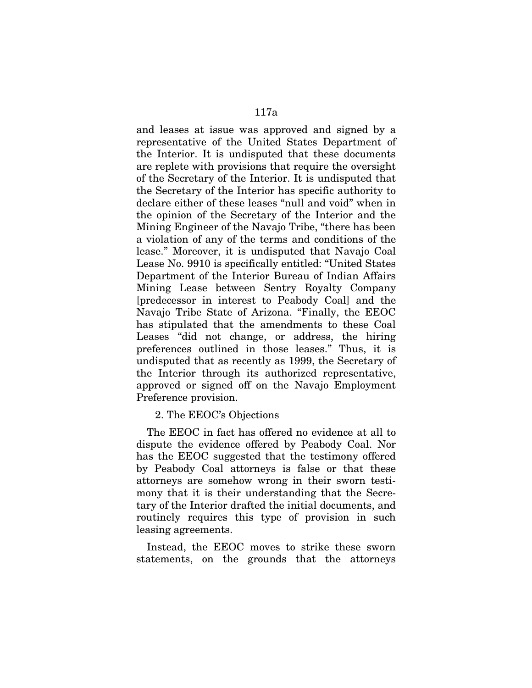and leases at issue was approved and signed by a representative of the United States Department of the Interior. It is undisputed that these documents are replete with provisions that require the oversight of the Secretary of the Interior. It is undisputed that the Secretary of the Interior has specific authority to declare either of these leases "null and void" when in the opinion of the Secretary of the Interior and the Mining Engineer of the Navajo Tribe, "there has been a violation of any of the terms and conditions of the lease." Moreover, it is undisputed that Navajo Coal Lease No. 9910 is specifically entitled: "United States Department of the Interior Bureau of Indian Affairs Mining Lease between Sentry Royalty Company [predecessor in interest to Peabody Coal] and the Navajo Tribe State of Arizona. "Finally, the EEOC has stipulated that the amendments to these Coal Leases "did not change, or address, the hiring preferences outlined in those leases." Thus, it is undisputed that as recently as 1999, the Secretary of the Interior through its authorized representative, approved or signed off on the Navajo Employment Preference provision.

#### 2. The EEOC's Objections

The EEOC in fact has offered no evidence at all to dispute the evidence offered by Peabody Coal. Nor has the EEOC suggested that the testimony offered by Peabody Coal attorneys is false or that these attorneys are somehow wrong in their sworn testimony that it is their understanding that the Secretary of the Interior drafted the initial documents, and routinely requires this type of provision in such leasing agreements.

Instead, the EEOC moves to strike these sworn statements, on the grounds that the attorneys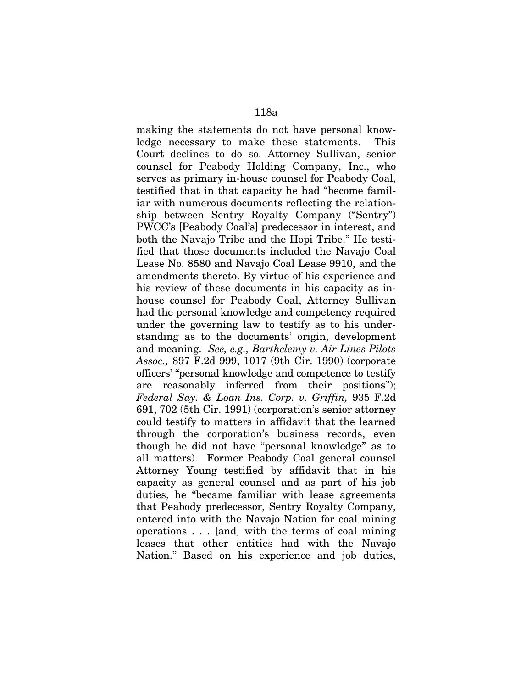making the statements do not have personal knowledge necessary to make these statements. This Court declines to do so. Attorney Sullivan, senior counsel for Peabody Holding Company, Inc., who serves as primary in-house counsel for Peabody Coal, testified that in that capacity he had "become familiar with numerous documents reflecting the relationship between Sentry Royalty Company ("Sentry") PWCC's [Peabody Coal's] predecessor in interest, and both the Navajo Tribe and the Hopi Tribe." He testified that those documents included the Navajo Coal Lease No. 8580 and Navajo Coal Lease 9910, and the amendments thereto. By virtue of his experience and his review of these documents in his capacity as inhouse counsel for Peabody Coal, Attorney Sullivan had the personal knowledge and competency required under the governing law to testify as to his understanding as to the documents' origin, development and meaning. *See, e.g., Barthelemy v. Air Lines Pilots Assoc.,* 897 F.2d 999, 1017 (9th Cir. 1990) (corporate officers' "personal knowledge and competence to testify are reasonably inferred from their positions"); *Federal Say. & Loan Ins. Corp. v. Griffin,* 935 F.2d 691, 702 (5th Cir. 1991) (corporation's senior attorney could testify to matters in affidavit that the learned through the corporation's business records, even though he did not have "personal knowledge" as to all matters). Former Peabody Coal general counsel Attorney Young testified by affidavit that in his capacity as general counsel and as part of his job duties, he "became familiar with lease agreements that Peabody predecessor, Sentry Royalty Company, entered into with the Navajo Nation for coal mining operations . . . [and] with the terms of coal mining leases that other entities had with the Navajo Nation." Based on his experience and job duties,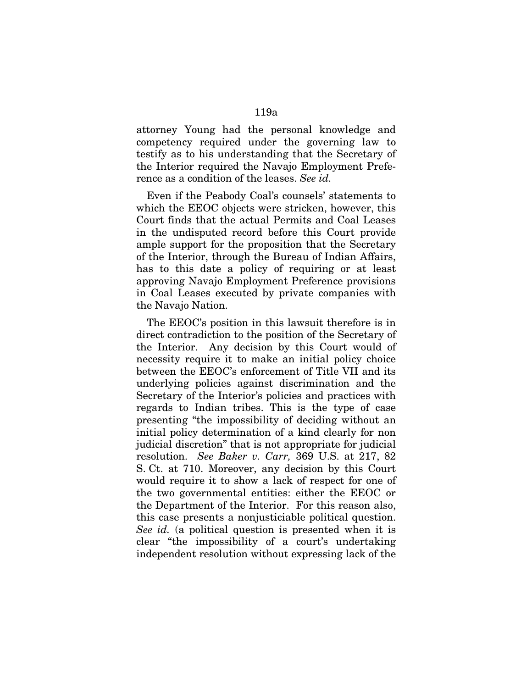attorney Young had the personal knowledge and competency required under the governing law to testify as to his understanding that the Secretary of the Interior required the Navajo Employment Preference as a condition of the leases. *See id.*

Even if the Peabody Coal's counsels' statements to which the EEOC objects were stricken, however, this Court finds that the actual Permits and Coal Leases in the undisputed record before this Court provide ample support for the proposition that the Secretary of the Interior, through the Bureau of Indian Affairs, has to this date a policy of requiring or at least approving Navajo Employment Preference provisions in Coal Leases executed by private companies with the Navajo Nation.

The EEOC's position in this lawsuit therefore is in direct contradiction to the position of the Secretary of the Interior. Any decision by this Court would of necessity require it to make an initial policy choice between the EEOC's enforcement of Title VII and its underlying policies against discrimination and the Secretary of the Interior's policies and practices with regards to Indian tribes. This is the type of case presenting "the impossibility of deciding without an initial policy determination of a kind clearly for non judicial discretion" that is not appropriate for judicial resolution. *See Baker v. Carr,* 369 U.S. at 217, 82 S. Ct. at 710. Moreover, any decision by this Court would require it to show a lack of respect for one of the two governmental entities: either the EEOC or the Department of the Interior. For this reason also, this case presents a nonjusticiable political question. *See id.* (a political question is presented when it is clear "the impossibility of a court's undertaking independent resolution without expressing lack of the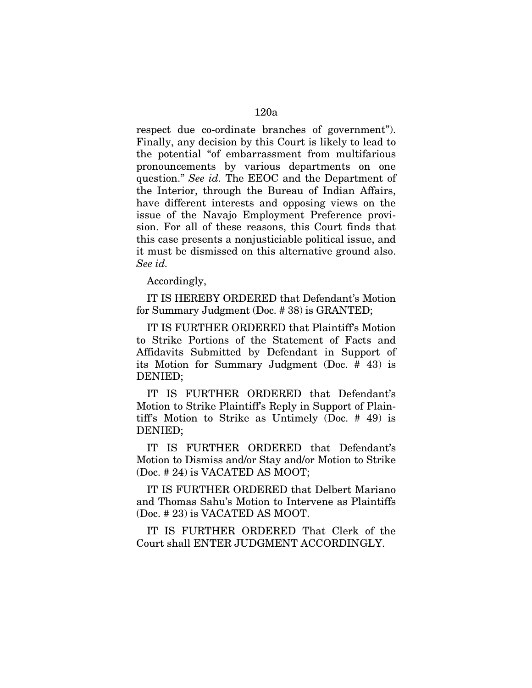respect due co-ordinate branches of government"). Finally, any decision by this Court is likely to lead to the potential "of embarrassment from multifarious pronouncements by various departments on one question." *See id.* The EEOC and the Department of the Interior, through the Bureau of Indian Affairs, have different interests and opposing views on the issue of the Navajo Employment Preference provision. For all of these reasons, this Court finds that this case presents a nonjusticiable political issue, and it must be dismissed on this alternative ground also. *See id.*

Accordingly,

IT IS HEREBY ORDERED that Defendant's Motion for Summary Judgment (Doc. # 38) is GRANTED;

IT IS FURTHER ORDERED that Plaintiff's Motion to Strike Portions of the Statement of Facts and Affidavits Submitted by Defendant in Support of its Motion for Summary Judgment (Doc. # 43) is DENIED;

IT IS FURTHER ORDERED that Defendant's Motion to Strike Plaintiff's Reply in Support of Plaintiff's Motion to Strike as Untimely (Doc. # 49) is DENIED;

IT IS FURTHER ORDERED that Defendant's Motion to Dismiss and/or Stay and/or Motion to Strike (Doc. # 24) is VACATED AS MOOT;

IT IS FURTHER ORDERED that Delbert Mariano and Thomas Sahu's Motion to Intervene as Plaintiffs (Doc. # 23) is VACATED AS MOOT.

IT IS FURTHER ORDERED That Clerk of the Court shall ENTER JUDGMENT ACCORDINGLY.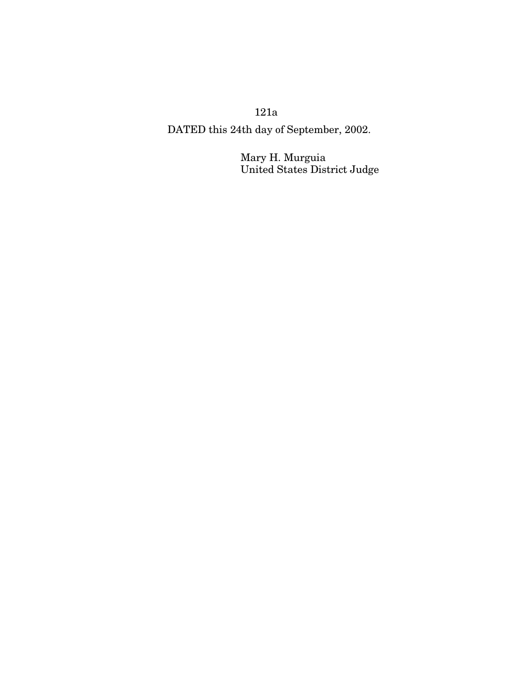# DATED this 24th day of September, 2002.

Mary H. Murguia United States District Judge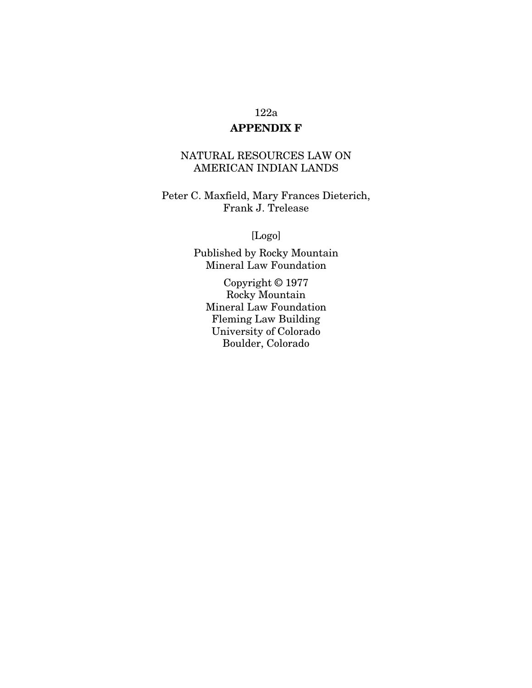# 122a **APPENDIX F**

# NATURAL RESOURCES LAW ON AMERICAN INDIAN LANDS

Peter C. Maxfield, Mary Frances Dieterich, Frank J. Trelease

[Logo]

Published by Rocky Mountain Mineral Law Foundation

Copyright © 1977 Rocky Mountain Mineral Law Foundation Fleming Law Building University of Colorado Boulder, Colorado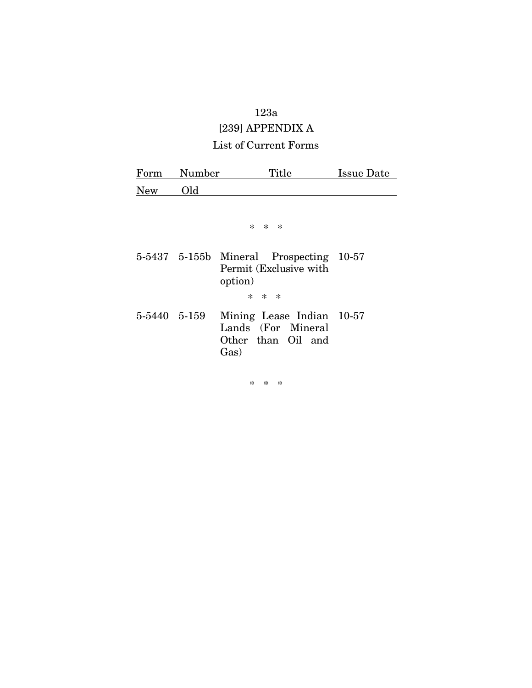# 123a [239] APPENDIX A

# List of Current Forms

| Form       | Number | Title | Issue Date |
|------------|--------|-------|------------|
| <b>New</b> | Old    |       |            |

\* \* \*

|              | 5-5437 5-155b Mineral Prospecting 10-57<br>Permit (Exclusive with<br>option)  |  |
|--------------|-------------------------------------------------------------------------------|--|
|              | $* * *$                                                                       |  |
| 5-5440 5-159 | Mining Lease Indian 10-57<br>Lands (For Mineral<br>Other than Oil and<br>Gas) |  |

\* \* \*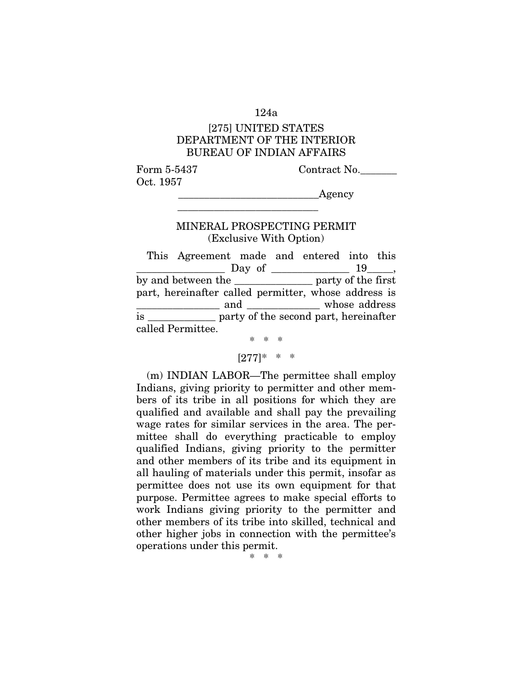## [275] UNITED STATES DEPARTMENT OF THE INTERIOR BUREAU OF INDIAN AFFAIRS

Oct. 1957

Form 5-5437 Contract No.

Agency

## MINERAL PROSPECTING PERMIT (Exclusive With Option)

\_\_\_\_\_\_\_\_\_\_\_\_\_\_\_\_\_\_\_\_\_\_\_\_\_\_\_

This Agreement made and entered into this \_\_\_\_\_\_\_\_\_\_\_\_\_\_\_\_\_ Day of \_\_\_\_\_\_\_\_\_\_\_\_\_\_\_ 19\_\_\_\_\_, by and between the <u>same party of the first</u> part, hereinafter called permitter, whose address is \_\_\_\_\_\_\_\_\_\_\_\_\_\_\_\_ and \_\_\_\_\_\_\_\_\_\_\_\_\_\_ whose address is \_\_\_\_\_\_\_\_\_\_\_\_\_ party of the second part, hereinafter called Permittee. \* \* \*

# [277]\* \* \*

(m) INDIAN LABOR—The permittee shall employ Indians, giving priority to permitter and other members of its tribe in all positions for which they are qualified and available and shall pay the prevailing wage rates for similar services in the area. The permittee shall do everything practicable to employ qualified Indians, giving priority to the permitter and other members of its tribe and its equipment in all hauling of materials under this permit, insofar as permittee does not use its own equipment for that purpose. Permittee agrees to make special efforts to work Indians giving priority to the permitter and other members of its tribe into skilled, technical and other higher jobs in connection with the permittee's operations under this permit.

\* \* \*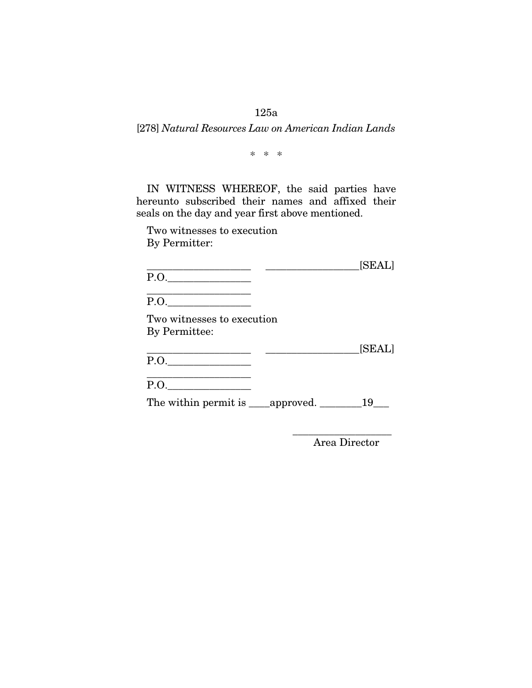[278] *Natural Resources Law on American Indian Lands*

\* \* \*

IN WITNESS WHEREOF, the said parties have hereunto subscribed their names and affixed their seals on the day and year first above mentioned.

Two witnesses to execution By Permitter:

| P.O.                                        | [SEAL] |
|---------------------------------------------|--------|
| P.O.                                        |        |
| Two witnesses to execution<br>By Permittee: |        |
| P.O.                                        | [SEAL] |
| P.O.                                        |        |
|                                             | 19     |

Area Director

\_\_\_\_\_\_\_\_\_\_\_\_\_\_\_\_\_\_\_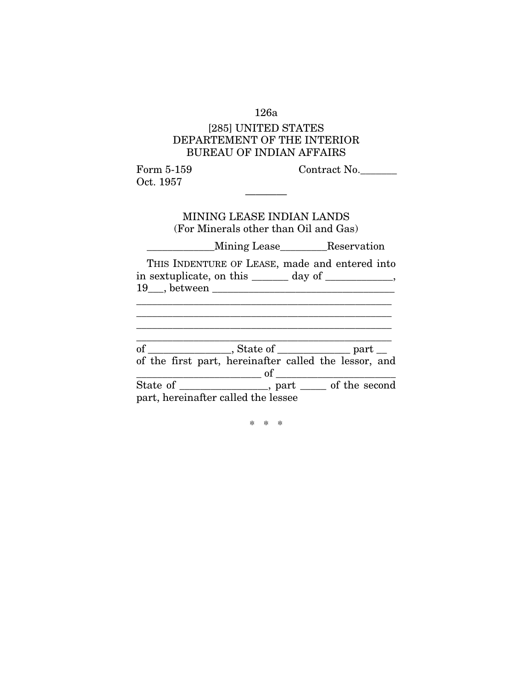| ×<br>× |
|--------|
|--------|

# [285] UNITED STATES DEPARTEMENT OF THE INTERIOR BUREAU OF INDIAN AFFAIRS

Oct. 1957

Form 5-159 Contract No.

# MINING LEASE INDIAN LANDS (For Minerals other than Oil and Gas)

————

\_\_\_\_\_\_\_\_\_\_\_\_\_Mining Lease\_\_\_\_\_\_\_\_\_Reservation

\_\_\_\_\_\_\_\_\_\_\_\_\_\_\_\_\_\_\_\_\_\_\_\_\_\_\_\_\_\_\_\_\_\_\_\_\_\_\_\_\_\_\_\_\_\_\_\_\_

THIS INDENTURE OF LEASE, made and entered into in sextuplicate, on this  $\_\_\_\_\_\$  day of  $\_\_\_\_\_\_\_\$ 19\_\_\_, between \_\_\_\_\_\_\_\_\_\_\_\_\_\_\_\_\_\_\_\_\_\_\_\_\_\_\_\_\_\_\_\_\_\_\_

 $\overline{\phantom{a}}$  , where  $\overline{\phantom{a}}$ of \_\_\_\_\_\_\_\_\_\_\_\_\_\_\_\_, State of \_\_\_\_\_\_\_\_\_\_\_\_\_\_ part \_\_ of the first part, hereinafter called the lessor, and \_\_\_\_\_\_\_\_\_\_\_\_\_\_\_\_\_\_\_\_\_\_\_\_ of \_\_\_\_\_\_\_\_\_\_\_\_\_\_\_\_\_\_\_\_\_\_\_ State of \_\_\_\_\_\_\_\_\_\_\_\_\_, part \_\_\_\_ of the second part, hereinafter called the lessee

\* \* \*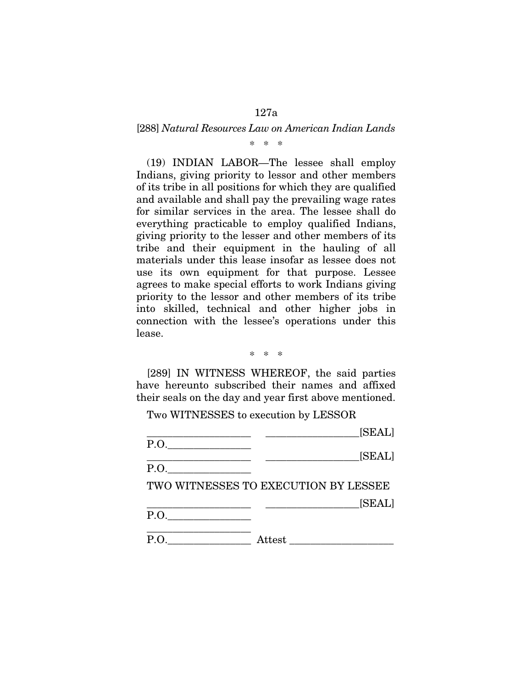### [288] *Natural Resources Law on American Indian Lands*

\* \* \*

(19) INDIAN LABOR—The lessee shall employ Indians, giving priority to lessor and other members of its tribe in all positions for which they are qualified and available and shall pay the prevailing wage rates for similar services in the area. The lessee shall do everything practicable to employ qualified Indians, giving priority to the lesser and other members of its tribe and their equipment in the hauling of all materials under this lease insofar as lessee does not use its own equipment for that purpose. Lessee agrees to make special efforts to work Indians giving priority to the lessor and other members of its tribe into skilled, technical and other higher jobs in connection with the lessee's operations under this lease.

#### \* \* \*

[289] IN WITNESS WHEREOF, the said parties have hereunto subscribed their names and affixed their seals on the day and year first above mentioned.

Two WITNESSES to execution by LESSOR

|      | [SEAL]                               |
|------|--------------------------------------|
| P.O. | [SEAL]                               |
| P.O. |                                      |
|      | TWO WITNESSES TO EXECUTION BY LESSEE |
|      | [SEAL]                               |
| P.O. |                                      |
| P.O. | Attest                               |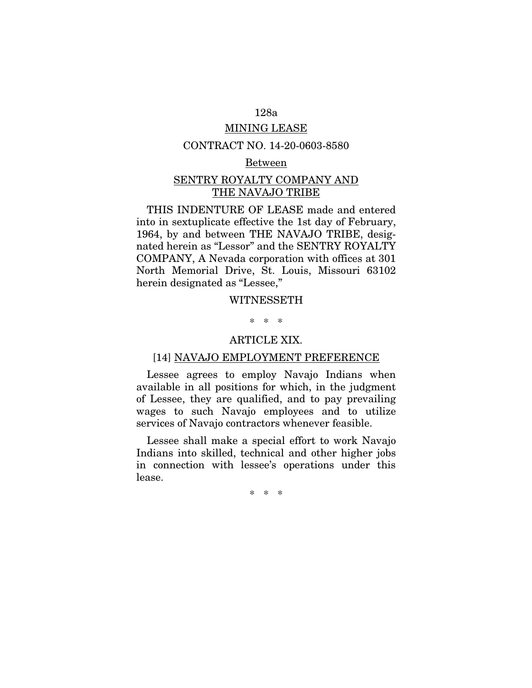# MINING LEASE

## CONTRACT NO. 14-20-0603-8580

#### Between

# SENTRY ROYALTY COMPANY AND THE NAVAJO TRIBE

THIS INDENTURE OF LEASE made and entered into in sextuplicate effective the 1st day of February, 1964, by and between THE NAVAJO TRIBE, designated herein as "Lessor" and the SENTRY ROYALTY COMPANY, A Nevada corporation with offices at 301 North Memorial Drive, St. Louis, Missouri 63102 herein designated as "Lessee,"

### WITNESSETH

\* \* \*

#### ARTICLE XIX.

#### [14] NAVAJO EMPLOYMENT PREFERENCE

Lessee agrees to employ Navajo Indians when available in all positions for which, in the judgment of Lessee, they are qualified, and to pay prevailing wages to such Navajo employees and to utilize services of Navajo contractors whenever feasible.

Lessee shall make a special effort to work Navajo Indians into skilled, technical and other higher jobs in connection with lessee's operations under this lease.

\* \* \*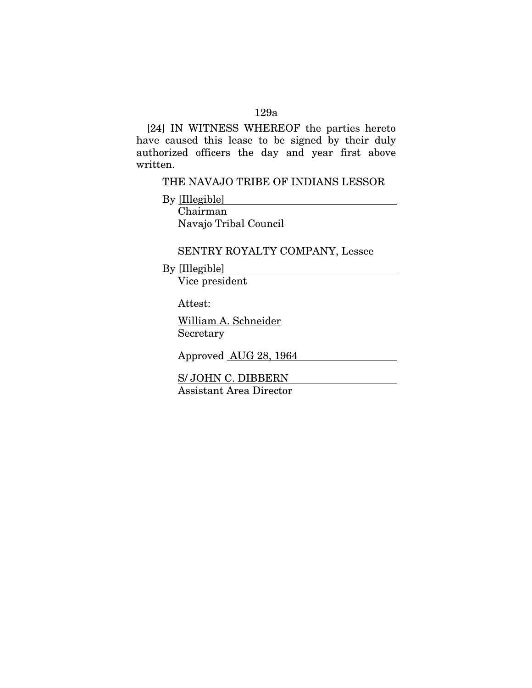[24] IN WITNESS WHEREOF the parties hereto have caused this lease to be signed by their duly authorized officers the day and year first above written.

## THE NAVAJO TRIBE OF INDIANS LESSOR

By [Illegible]

Chairman Navajo Tribal Council

## SENTRY ROYALTY COMPANY, Lessee

By [Illegible]

Vice president

Attest:

William A. Schneider Secretary

Approved AUG 28, 1964

S/ JOHN C. DIBBERN Assistant Area Director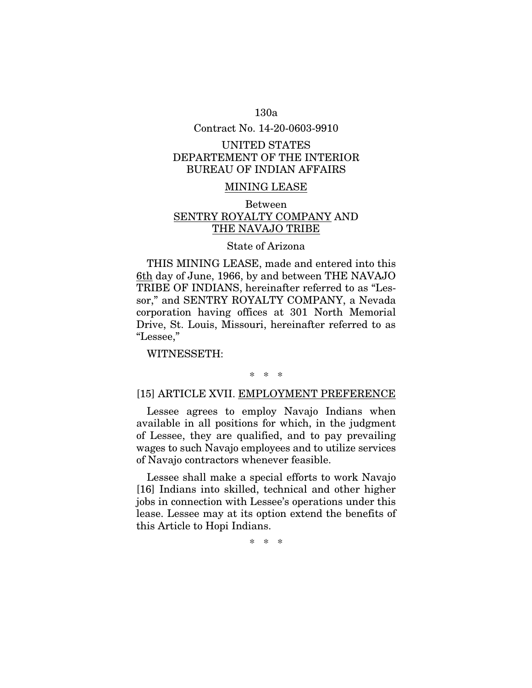#### Contract No. 14-20-0603-9910

## UNITED STATES DEPARTEMENT OF THE INTERIOR BUREAU OF INDIAN AFFAIRS

#### MINING LEASE

## Between SENTRY ROYALTY COMPANY AND THE NAVAJO TRIBE

#### State of Arizona

THIS MINING LEASE, made and entered into this 6th day of June, 1966, by and between THE NAVAJO TRIBE OF INDIANS, hereinafter referred to as "Lessor," and SENTRY ROYALTY COMPANY, a Nevada corporation having offices at 301 North Memorial Drive, St. Louis, Missouri, hereinafter referred to as "Lessee,"

WITNESSETH:

#### \* \* \*

### [15] ARTICLE XVII. EMPLOYMENT PREFERENCE

Lessee agrees to employ Navajo Indians when available in all positions for which, in the judgment of Lessee, they are qualified, and to pay prevailing wages to such Navajo employees and to utilize services of Navajo contractors whenever feasible.

Lessee shall make a special efforts to work Navajo [16] Indians into skilled, technical and other higher jobs in connection with Lessee's operations under this lease. Lessee may at its option extend the benefits of this Article to Hopi Indians.

\* \* \*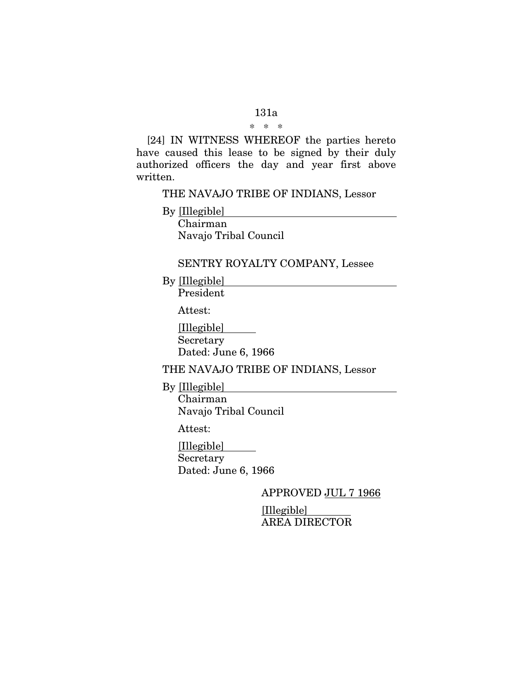#### \* \* \*

[24] IN WITNESS WHEREOF the parties hereto have caused this lease to be signed by their duly authorized officers the day and year first above written.

#### THE NAVAJO TRIBE OF INDIANS, Lessor

By [Illegible]

Chairman Navajo Tribal Council

## SENTRY ROYALTY COMPANY, Lessee

By [Illegible]

President

Attest:

[Illegible] Secretary Dated: June 6, 1966

## THE NAVAJO TRIBE OF INDIANS, Lessor

By [Illegible] Chairman

Navajo Tribal Council

Attest:

[Illegible] Secretary Dated: June 6, 1966

APPROVED JUL 7 1966

[Illegible] AREA DIRECTOR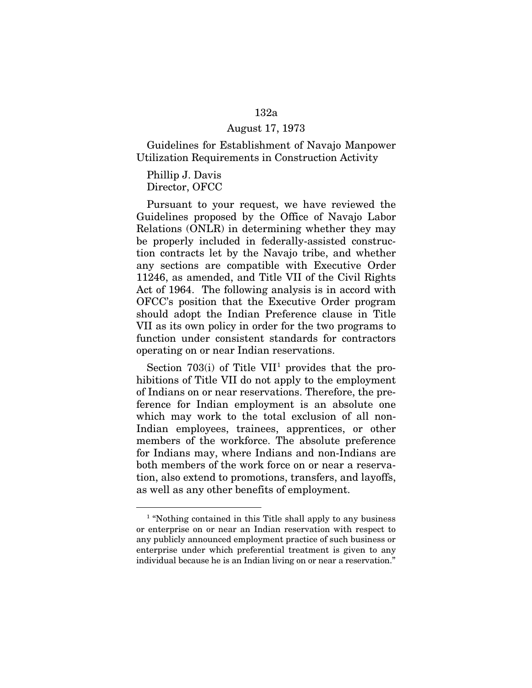## August 17, 1973

Guidelines for Establishment of Navajo Manpower Utilization Requirements in Construction Activity

Phillip J. Davis Director, OFCC

Pursuant to your request, we have reviewed the Guidelines proposed by the Office of Navajo Labor Relations (ONLR) in determining whether they may be properly included in federally-assisted construction contracts let by the Navajo tribe, and whether any sections are compatible with Executive Order 11246, as amended, and Title VII of the Civil Rights Act of 1964. The following analysis is in accord with OFCC's position that the Executive Order program should adopt the Indian Preference clause in Title VII as its own policy in order for the two programs to function under consistent standards for contractors operating on or near Indian reservations.

Section  $703(i)$  of Title VII<sup>[1](#page-178-0)</sup> provides that the prohibitions of Title VII do not apply to the employment of Indians on or near reservations. Therefore, the preference for Indian employment is an absolute one which may work to the total exclusion of all non-Indian employees, trainees, apprentices, or other members of the workforce. The absolute preference for Indians may, where Indians and non-Indians are both members of the work force on or near a reservation, also extend to promotions, transfers, and layoffs, as well as any other benefits of employment.

<span id="page-178-0"></span><sup>&</sup>lt;sup>1</sup> "Nothing contained in this Title shall apply to any business or enterprise on or near an Indian reservation with respect to any publicly announced employment practice of such business or enterprise under which preferential treatment is given to any individual because he is an Indian living on or near a reservation."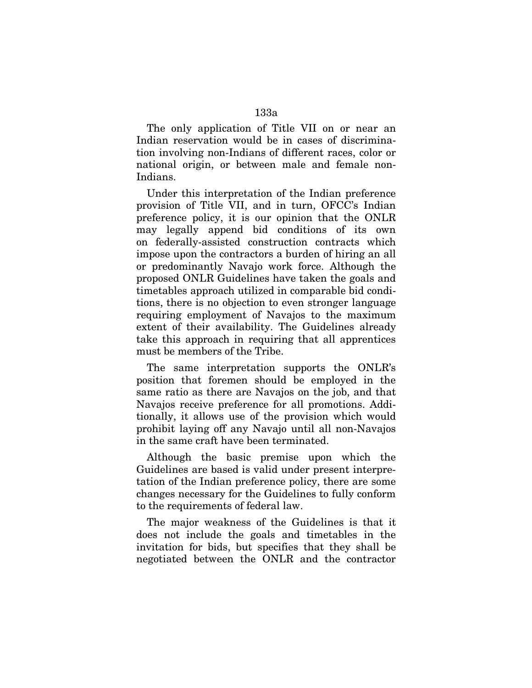The only application of Title VII on or near an Indian reservation would be in cases of discrimination involving non-Indians of different races, color or national origin, or between male and female non-Indians.

Under this interpretation of the Indian preference provision of Title VII, and in turn, OFCC's Indian preference policy, it is our opinion that the ONLR may legally append bid conditions of its own on federally-assisted construction contracts which impose upon the contractors a burden of hiring an all or predominantly Navajo work force. Although the proposed ONLR Guidelines have taken the goals and timetables approach utilized in comparable bid conditions, there is no objection to even stronger language requiring employment of Navajos to the maximum extent of their availability. The Guidelines already take this approach in requiring that all apprentices must be members of the Tribe.

The same interpretation supports the ONLR's position that foremen should be employed in the same ratio as there are Navajos on the job, and that Navajos receive preference for all promotions. Additionally, it allows use of the provision which would prohibit laying off any Navajo until all non-Navajos in the same craft have been terminated.

Although the basic premise upon which the Guidelines are based is valid under present interpretation of the Indian preference policy, there are some changes necessary for the Guidelines to fully conform to the requirements of federal law.

The major weakness of the Guidelines is that it does not include the goals and timetables in the invitation for bids, but specifies that they shall be negotiated between the ONLR and the contractor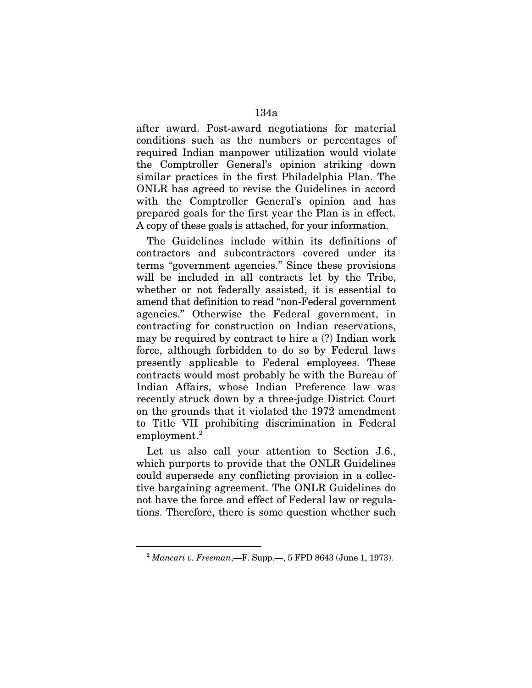after award. Post-award negotiations for material conditions such as the numbers or percentages of required Indian manpower utilization would violate the Comptroller General's opinion striking down similar practices in the first Philadelphia Plan. The ONLR has agreed to revise the Guidelines in accord with the Comptroller General's opinion and has prepared goals for the first year the Plan is in effect. A copy of these goals is attached, for your information.

The Guidelines include within its definitions of contractors and subcontractors covered under its terms "government agencies." Since these provisions will be included in all contracts let by the Tribe, whether or not federally assisted, it is essential to amend that definition to read "non-Federal government agencies." Otherwise the Federal government, in contracting for construction on Indian reservations, may be required by contract to hire a (?) Indian work force, although forbidden to do so by Federal laws presently applicable to Federal employees. These contracts would most probably be with the Bureau of Indian Affairs, whose Indian Preference law was recently struck down by a three-judge District Court on the grounds that it violated the 1972 amendment to Title VII prohibiting discrimination in Federal employment.<sup>[2](#page-180-0)</sup>

Let us also call your attention to Section J.6., which purports to provide that the ONLR Guidelines could supersede any conflicting provision in a collective bargaining agreement. The ONLR Guidelines do not have the force and effect of Federal law or regulations. Therefore, there is some question whether such

<span id="page-180-0"></span> <sup>2</sup> *Mancari v. Freeman*,—F. Supp.—, 5 FPD 8643 (June 1, 1973).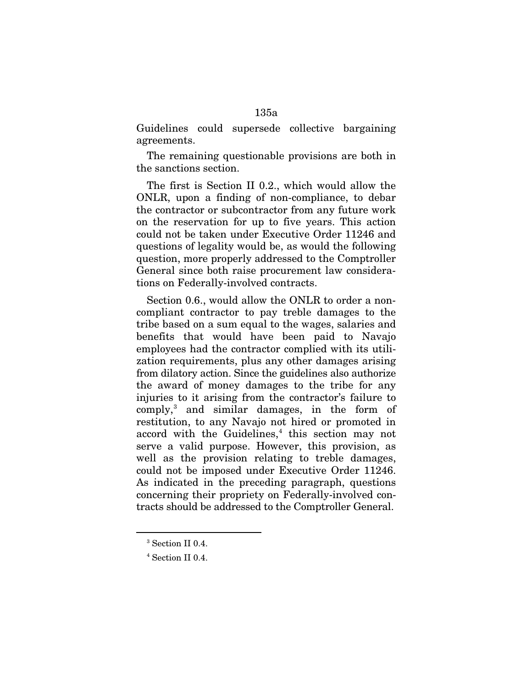Guidelines could supersede collective bargaining agreements.

The remaining questionable provisions are both in the sanctions section.

The first is Section II 0.2., which would allow the ONLR, upon a finding of non-compliance, to debar the contractor or subcontractor from any future work on the reservation for up to five years. This action could not be taken under Executive Order 11246 and questions of legality would be, as would the following question, more properly addressed to the Comptroller General since both raise procurement law considerations on Federally-involved contracts.

Section 0.6., would allow the ONLR to order a noncompliant contractor to pay treble damages to the tribe based on a sum equal to the wages, salaries and benefits that would have been paid to Navajo employees had the contractor complied with its utilization requirements, plus any other damages arising from dilatory action. Since the guidelines also authorize the award of money damages to the tribe for any injuries to it arising from the contractor's failure to comply,[3](#page-181-0) and similar damages, in the form of restitution, to any Navajo not hired or promoted in accord with the Guidelines, $4$  this section may not serve a valid purpose. However, this provision, as well as the provision relating to treble damages, could not be imposed under Executive Order 11246. As indicated in the preceding paragraph, questions concerning their propriety on Federally-involved contracts should be addressed to the Comptroller General.

<span id="page-181-0"></span><sup>&</sup>lt;sup>3</sup> Section II 0.4.

<span id="page-181-1"></span><sup>4</sup> Section II 0.4.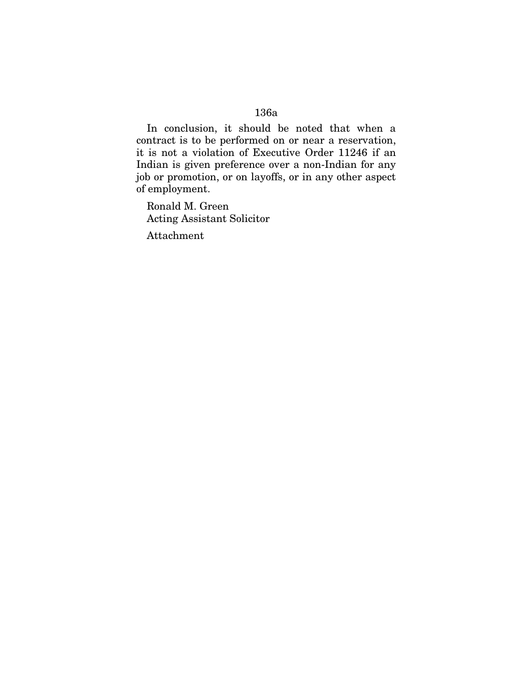## 136a

In conclusion, it should be noted that when a contract is to be performed on or near a reservation, it is not a violation of Executive Order 11246 if an Indian is given preference over a non-Indian for any job or promotion, or on layoffs, or in any other aspect of employment.

Ronald M. Green Acting Assistant Solicitor

Attachment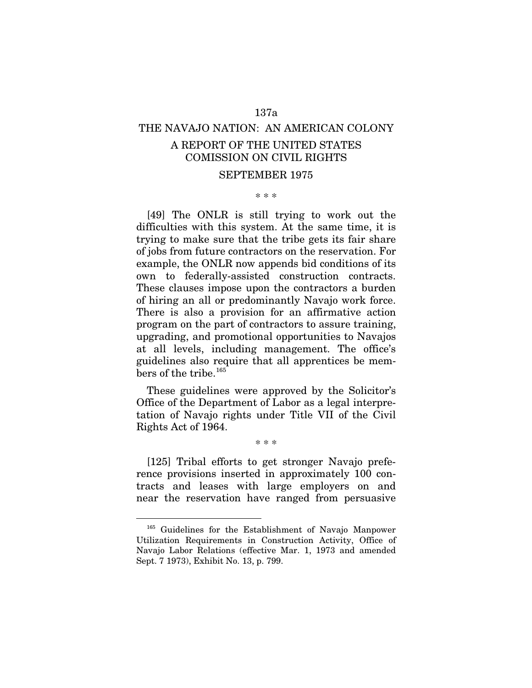# THE NAVAJO NATION: AN AMERICAN COLONY A REPORT OF THE UNITED STATES COMISSION ON CIVIL RIGHTS

#### SEPTEMBER 1975

#### \* \* \*

[49] The ONLR is still trying to work out the difficulties with this system. At the same time, it is trying to make sure that the tribe gets its fair share of jobs from future contractors on the reservation. For example, the ONLR now appends bid conditions of its own to federally-assisted construction contracts. These clauses impose upon the contractors a burden of hiring an all or predominantly Navajo work force. There is also a provision for an affirmative action program on the part of contractors to assure training, upgrading, and promotional opportunities to Navajos at all levels, including management. The office's guidelines also require that all apprentices be mem-bers of the tribe.<sup>[165](#page-183-0)</sup>

These guidelines were approved by the Solicitor's Office of the Department of Labor as a legal interpretation of Navajo rights under Title VII of the Civil Rights Act of 1964.

\* \* \*

[125] Tribal efforts to get stronger Navajo preference provisions inserted in approximately 100 contracts and leases with large employers on and near the reservation have ranged from persuasive

<span id="page-183-0"></span> <sup>165</sup> Guidelines for the Establishment of Navajo Manpower Utilization Requirements in Construction Activity, Office of Navajo Labor Relations (effective Mar. 1, 1973 and amended Sept. 7 1973), Exhibit No. 13, p. 799.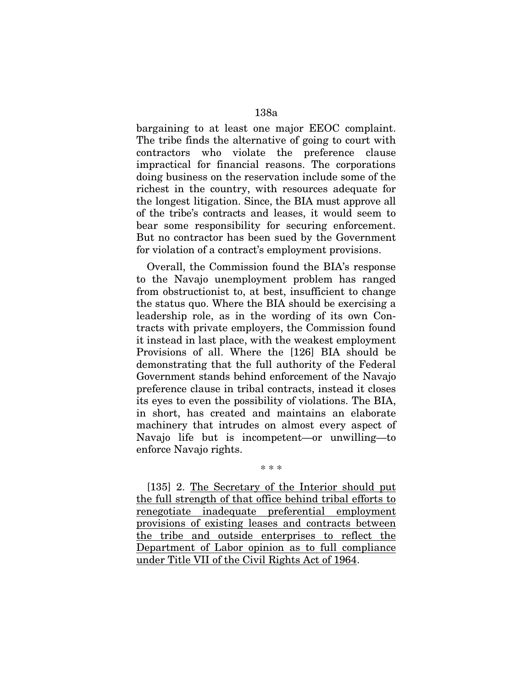bargaining to at least one major EEOC complaint. The tribe finds the alternative of going to court with contractors who violate the preference clause impractical for financial reasons. The corporations doing business on the reservation include some of the richest in the country, with resources adequate for the longest litigation. Since, the BIA must approve all of the tribe's contracts and leases, it would seem to bear some responsibility for securing enforcement. But no contractor has been sued by the Government for violation of a contract's employment provisions.

Overall, the Commission found the BIA's response to the Navajo unemployment problem has ranged from obstructionist to, at best, insufficient to change the status quo. Where the BIA should be exercising a leadership role, as in the wording of its own Contracts with private employers, the Commission found it instead in last place, with the weakest employment Provisions of all. Where the [126] BIA should be demonstrating that the full authority of the Federal Government stands behind enforcement of the Navajo preference clause in tribal contracts, instead it closes its eyes to even the possibility of violations. The BIA, in short, has created and maintains an elaborate machinery that intrudes on almost every aspect of Navajo life but is incompetent—or unwilling—to enforce Navajo rights.

[135] 2. The Secretary of the Interior should put the full strength of that office behind tribal efforts to renegotiate inadequate preferential employment provisions of existing leases and contracts between the tribe and outside enterprises to reflect the Department of Labor opinion as to full compliance under Title VII of the Civil Rights Act of 1964.

\* \* \*